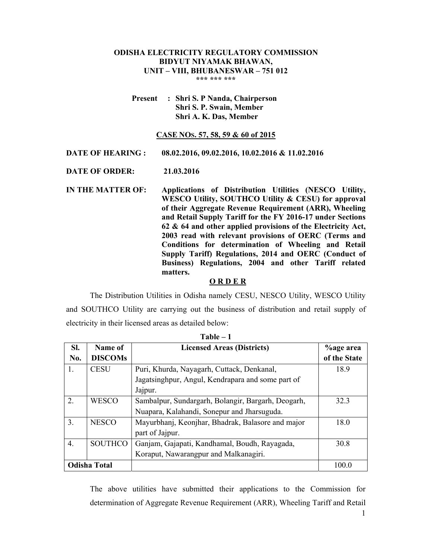## **ODISHA ELECTRICITY REGULATORY COMMISSION BIDYUT NIYAMAK BHAWAN, UNIT – VIII, BHUBANESWAR – 751 012 \*\*\* \*\*\* \*\*\***

**Present : Shri S. P Nanda, Chairperson Shri S. P. Swain, Member Shri A. K. Das, Member**

### **CASE NOS. 57, 58, 59 & 60 of 2015**

**DATE OF HEARING : 08.02.2016, 09.02.2016, 10.02.2016 & 11.02.2016** 

**DATE OF ORDER: 21.03.2016** 

**IN THE MATTER OF: Applications of Distribution Utilities (NESCO Utility, WESCO Utility, SOUTHCO Utility & CESU) for approval of their Aggregate Revenue Requirement (ARR), Wheeling and Retail Supply Tariff for the FY 2016-17 under Sections 62 & 64 and other applied provisions of the Electricity Act, 2003 read with relevant provisions of OERC (Terms and Conditions for determination of Wheeling and Retail Supply Tariff) Regulations, 2014 and OERC (Conduct of Business) Regulations, 2004 and other Tariff related matters.** 

## **O R D E R**

 The Distribution Utilities in Odisha namely CESU, NESCO Utility, WESCO Utility and SOUTHCO Utility are carrying out the business of distribution and retail supply of electricity in their licensed areas as detailed below:

|     | 1 апп               |                                                    |                  |  |  |  |  |
|-----|---------------------|----------------------------------------------------|------------------|--|--|--|--|
| SI. | Name of             | <b>Licensed Areas (Districts)</b>                  | <b>%age area</b> |  |  |  |  |
| No. | <b>DISCOMs</b>      |                                                    | of the State     |  |  |  |  |
| 1.  | <b>CESU</b>         | Puri, Khurda, Nayagarh, Cuttack, Denkanal,         | 18.9             |  |  |  |  |
|     |                     | Jagatsinghpur, Angul, Kendrapara and some part of  |                  |  |  |  |  |
|     |                     | Jajpur.                                            |                  |  |  |  |  |
| 2.  | <b>WESCO</b>        | Sambalpur, Sundargarh, Bolangir, Bargarh, Deogarh, | 323              |  |  |  |  |
|     |                     | Nuapara, Kalahandi, Sonepur and Jharsuguda.        |                  |  |  |  |  |
| 3.  | <b>NESCO</b>        | Mayurbhanj, Keonjhar, Bhadrak, Balasore and major  | 18.0             |  |  |  |  |
|     |                     | part of Jajpur.                                    |                  |  |  |  |  |
| 4.  | <b>SOUTHCO</b>      | Ganjam, Gajapati, Kandhamal, Boudh, Rayagada,      | 30.8             |  |  |  |  |
|     |                     | Koraput, Nawarangpur and Malkanagiri.              |                  |  |  |  |  |
|     | <b>Odisha Total</b> |                                                    | 100.0            |  |  |  |  |

**Table – 1** 

The above utilities have submitted their applications to the Commission for determination of Aggregate Revenue Requirement (ARR), Wheeling Tariff and Retail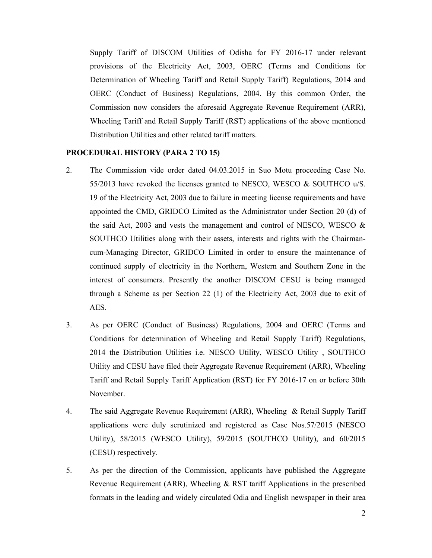Supply Tariff of DISCOM Utilities of Odisha for FY 2016-17 under relevant provisions of the Electricity Act, 2003, OERC (Terms and Conditions for Determination of Wheeling Tariff and Retail Supply Tariff) Regulations, 2014 and OERC (Conduct of Business) Regulations, 2004. By this common Order, the Commission now considers the aforesaid Aggregate Revenue Requirement (ARR), Wheeling Tariff and Retail Supply Tariff (RST) applications of the above mentioned Distribution Utilities and other related tariff matters.

# **PROCEDURAL HISTORY (PARA 2 TO 15)**

- 2. The Commission vide order dated 04.03.2015 in Suo Motu proceeding Case No. 55/2013 have revoked the licenses granted to NESCO, WESCO & SOUTHCO u/S. 19 of the Electricity Act, 2003 due to failure in meeting license requirements and have appointed the CMD, GRIDCO Limited as the Administrator under Section 20 (d) of the said Act, 2003 and vests the management and control of NESCO, WESCO  $\&$ SOUTHCO Utilities along with their assets, interests and rights with the Chairmancum-Managing Director, GRIDCO Limited in order to ensure the maintenance of continued supply of electricity in the Northern, Western and Southern Zone in the interest of consumers. Presently the another DISCOM CESU is being managed through a Scheme as per Section 22 (1) of the Electricity Act, 2003 due to exit of AES.
- 3. As per OERC (Conduct of Business) Regulations, 2004 and OERC (Terms and Conditions for determination of Wheeling and Retail Supply Tariff) Regulations, 2014 the Distribution Utilities i.e. NESCO Utility, WESCO Utility , SOUTHCO Utility and CESU have filed their Aggregate Revenue Requirement (ARR), Wheeling Tariff and Retail Supply Tariff Application (RST) for FY 2016-17 on or before 30th November.
- 4. The said Aggregate Revenue Requirement (ARR), Wheeling & Retail Supply Tariff applications were duly scrutinized and registered as Case Nos.57/2015 (NESCO Utility), 58/2015 (WESCO Utility), 59/2015 (SOUTHCO Utility), and 60/2015 (CESU) respectively.
- 5. As per the direction of the Commission, applicants have published the Aggregate Revenue Requirement (ARR), Wheeling & RST tariff Applications in the prescribed formats in the leading and widely circulated Odia and English newspaper in their area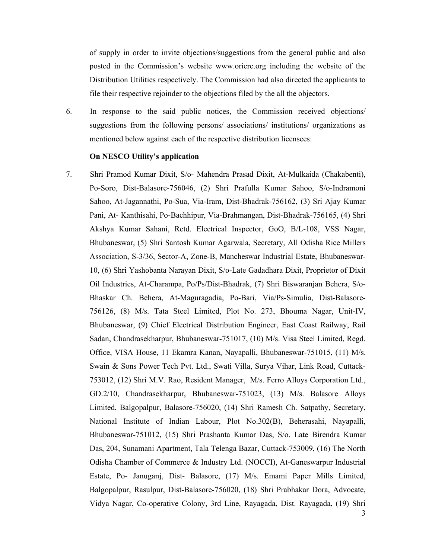of supply in order to invite objections/suggestions from the general public and also posted in the Commission's website www.orierc.org including the website of the Distribution Utilities respectively. The Commission had also directed the applicants to file their respective rejoinder to the objections filed by the all the objectors.

6. In response to the said public notices, the Commission received objections/ suggestions from the following persons/ associations/ institutions/ organizations as mentioned below against each of the respective distribution licensees:

### **On NESCO Utility's application**

7. Shri Pramod Kumar Dixit, S/o- Mahendra Prasad Dixit, At-Mulkaida (Chakabenti), Po-Soro, Dist-Balasore-756046, (2) Shri Prafulla Kumar Sahoo, S/o-Indramoni Sahoo, At-Jagannathi, Po-Sua, Via-Iram, Dist-Bhadrak-756162, (3) Sri Ajay Kumar Pani, At- Kanthisahi, Po-Bachhipur, Via-Brahmangan, Dist-Bhadrak-756165, (4) Shri Akshya Kumar Sahani, Retd. Electrical Inspector, GoO, B/L-108, VSS Nagar, Bhubaneswar, (5) Shri Santosh Kumar Agarwala, Secretary, All Odisha Rice Millers Association, S-3/36, Sector-A, Zone-B, Mancheswar Industrial Estate, Bhubaneswar-10, (6) Shri Yashobanta Narayan Dixit, S/o-Late Gadadhara Dixit, Proprietor of Dixit Oil Industries, At-Charampa, Po/Ps/Dist-Bhadrak, (7) Shri Biswaranjan Behera, S/o-Bhaskar Ch. Behera, At-Maguragadia, Po-Bari, Via/Ps-Simulia, Dist-Balasore-756126, (8) M/s. Tata Steel Limited, Plot No. 273, Bhouma Nagar, Unit-IV, Bhubaneswar, (9) Chief Electrical Distribution Engineer, East Coast Railway, Rail Sadan, Chandrasekharpur, Bhubaneswar-751017, (10) M/s. Visa Steel Limited, Regd. Office, VISA House, 11 Ekamra Kanan, Nayapalli, Bhubaneswar-751015, (11) M/s. Swain & Sons Power Tech Pvt. Ltd., Swati Villa, Surya Vihar, Link Road, Cuttack-753012, (12) Shri M.V. Rao, Resident Manager, M/s. Ferro Alloys Corporation Ltd., GD.2/10, Chandrasekharpur, Bhubaneswar-751023, (13) M/s. Balasore Alloys Limited, Balgopalpur, Balasore-756020, (14) Shri Ramesh Ch. Satpathy, Secretary, National Institute of Indian Labour, Plot No.302(B), Beherasahi, Nayapalli, Bhubaneswar-751012, (15) Shri Prashanta Kumar Das, S/o. Late Birendra Kumar Das, 204, Sunamani Apartment, Tala Telenga Bazar, Cuttack-753009, (16) The North Odisha Chamber of Commerce & Industry Ltd. (NOCCI), At-Ganeswarpur Industrial Estate, Po- Januganj, Dist- Balasore, (17) M/s. Emami Paper Mills Limited, Balgopalpur, Rasulpur, Dist-Balasore-756020, (18) Shri Prabhakar Dora, Advocate, Vidya Nagar, Co-operative Colony, 3rd Line, Rayagada, Dist. Rayagada, (19) Shri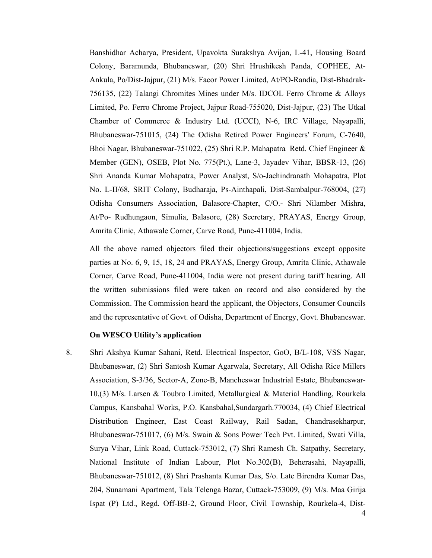Banshidhar Acharya, President, Upavokta Surakshya Avijan, L-41, Housing Board Colony, Baramunda, Bhubaneswar, (20) Shri Hrushikesh Panda, COPHEE, At-Ankula, Po/Dist-Jajpur, (21) M/s. Facor Power Limited, At/PO-Randia, Dist-Bhadrak-756135, (22) Talangi Chromites Mines under M/s. IDCOL Ferro Chrome & Alloys Limited, Po. Ferro Chrome Project, Jajpur Road-755020, Dist-Jajpur, (23) The Utkal Chamber of Commerce & Industry Ltd. (UCCI), N-6, IRC Village, Nayapalli, Bhubaneswar-751015, (24) The Odisha Retired Power Engineers' Forum, C-7640, Bhoi Nagar, Bhubaneswar-751022, (25) Shri R.P. Mahapatra Retd. Chief Engineer & Member (GEN), OSEB, Plot No. 775(Pt.), Lane-3, Jayadev Vihar, BBSR-13, (26) Shri Ananda Kumar Mohapatra, Power Analyst, S/o-Jachindranath Mohapatra, Plot No. L-II/68, SRIT Colony, Budharaja, Ps-Ainthapali, Dist-Sambalpur-768004, (27) Odisha Consumers Association, Balasore-Chapter, C/O.- Shri Nilamber Mishra, At/Po- Rudhungaon, Simulia, Balasore, (28) Secretary, PRAYAS, Energy Group, Amrita Clinic, Athawale Corner, Carve Road, Pune-411004, India.

All the above named objectors filed their objections/suggestions except opposite parties at No. 6, 9, 15, 18, 24 and PRAYAS, Energy Group, Amrita Clinic, Athawale Corner, Carve Road, Pune-411004, India were not present during tariff hearing. All the written submissions filed were taken on record and also considered by the Commission. The Commission heard the applicant, the Objectors, Consumer Councils and the representative of Govt. of Odisha, Department of Energy, Govt. Bhubaneswar.

### **On WESCO Utility's application**

8. Shri Akshya Kumar Sahani, Retd. Electrical Inspector, GoO, B/L-108, VSS Nagar, Bhubaneswar, (2) Shri Santosh Kumar Agarwala, Secretary, All Odisha Rice Millers Association, S-3/36, Sector-A, Zone-B, Mancheswar Industrial Estate, Bhubaneswar-10,(3) M/s. Larsen & Toubro Limited, Metallurgical & Material Handling, Rourkela Campus, Kansbahal Works, P.O. Kansbahal,Sundargarh.770034, (4) Chief Electrical Distribution Engineer, East Coast Railway, Rail Sadan, Chandrasekharpur, Bhubaneswar-751017, (6) M/s. Swain & Sons Power Tech Pvt. Limited, Swati Villa, Surya Vihar, Link Road, Cuttack-753012, (7) Shri Ramesh Ch. Satpathy, Secretary, National Institute of Indian Labour, Plot No.302(B), Beherasahi, Nayapalli, Bhubaneswar-751012, (8) Shri Prashanta Kumar Das, S/o. Late Birendra Kumar Das, 204, Sunamani Apartment, Tala Telenga Bazar, Cuttack-753009, (9) M/s. Maa Girija Ispat (P) Ltd., Regd. Off-BB-2, Ground Floor, Civil Township, Rourkela-4, Dist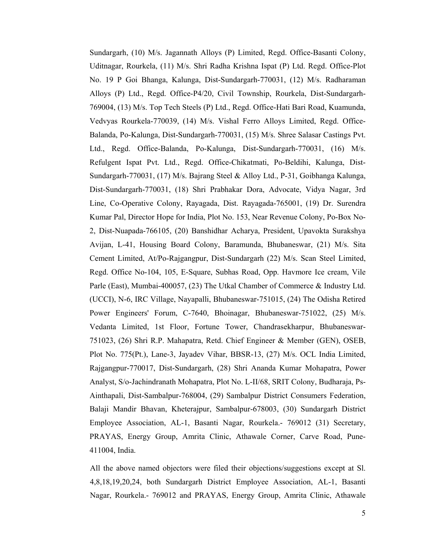Sundargarh, (10) M/s. Jagannath Alloys (P) Limited, Regd. Office-Basanti Colony, Uditnagar, Rourkela, (11) M/s. Shri Radha Krishna Ispat (P) Ltd. Regd. Office-Plot No. 19 P Goi Bhanga, Kalunga, Dist-Sundargarh-770031, (12) M/s. Radharaman Alloys (P) Ltd., Regd. Office-P4/20, Civil Township, Rourkela, Dist-Sundargarh-769004, (13) M/s. Top Tech Steels (P) Ltd., Regd. Office-Hati Bari Road, Kuamunda, Vedvyas Rourkela-770039, (14) M/s. Vishal Ferro Alloys Limited, Regd. Office-Balanda, Po-Kalunga, Dist-Sundargarh-770031, (15) M/s. Shree Salasar Castings Pvt. Ltd., Regd. Office-Balanda, Po-Kalunga, Dist-Sundargarh-770031, (16) M/s. Refulgent Ispat Pvt. Ltd., Regd. Office-Chikatmati, Po-Beldihi, Kalunga, Dist-Sundargarh-770031, (17) M/s. Bajrang Steel & Alloy Ltd., P-31, Goibhanga Kalunga, Dist-Sundargarh-770031, (18) Shri Prabhakar Dora, Advocate, Vidya Nagar, 3rd Line, Co-Operative Colony, Rayagada, Dist. Rayagada-765001, (19) Dr. Surendra Kumar Pal, Director Hope for India, Plot No. 153, Near Revenue Colony, Po-Box No-2, Dist-Nuapada-766105, (20) Banshidhar Acharya, President, Upavokta Surakshya Avijan, L-41, Housing Board Colony, Baramunda, Bhubaneswar, (21) M/s. Sita Cement Limited, At/Po-Rajgangpur, Dist-Sundargarh (22) M/s. Scan Steel Limited, Regd. Office No-104, 105, E-Square, Subhas Road, Opp. Havmore Ice cream, Vile Parle (East), Mumbai-400057, (23) The Utkal Chamber of Commerce & Industry Ltd. (UCCI), N-6, IRC Village, Nayapalli, Bhubaneswar-751015, (24) The Odisha Retired Power Engineers' Forum, C-7640, Bhoinagar, Bhubaneswar-751022, (25) M/s. Vedanta Limited, 1st Floor, Fortune Tower, Chandrasekharpur, Bhubaneswar-751023, (26) Shri R.P. Mahapatra, Retd. Chief Engineer & Member (GEN), OSEB, Plot No. 775(Pt.), Lane-3, Jayadev Vihar, BBSR-13, (27) M/s. OCL India Limited, Rajgangpur-770017, Dist-Sundargarh, (28) Shri Ananda Kumar Mohapatra, Power Analyst, S/o-Jachindranath Mohapatra, Plot No. L-II/68, SRIT Colony, Budharaja, Ps-Ainthapali, Dist-Sambalpur-768004, (29) Sambalpur District Consumers Federation, Balaji Mandir Bhavan, Kheterajpur, Sambalpur-678003, (30) Sundargarh District Employee Association, AL-1, Basanti Nagar, Rourkela.- 769012 (31) Secretary, PRAYAS, Energy Group, Amrita Clinic, Athawale Corner, Carve Road, Pune-411004, India.

All the above named objectors were filed their objections/suggestions except at Sl. 4,8,18,19,20,24, both Sundargarh District Employee Association, AL-1, Basanti Nagar, Rourkela.- 769012 and PRAYAS, Energy Group, Amrita Clinic, Athawale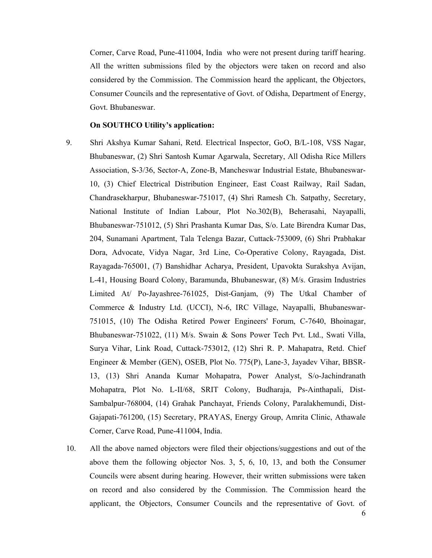Corner, Carve Road, Pune-411004, India who were not present during tariff hearing. All the written submissions filed by the objectors were taken on record and also considered by the Commission. The Commission heard the applicant, the Objectors, Consumer Councils and the representative of Govt. of Odisha, Department of Energy, Govt. Bhubaneswar.

# **On SOUTHCO Utility's application:**

- 9. Shri Akshya Kumar Sahani, Retd. Electrical Inspector, GoO, B/L-108, VSS Nagar, Bhubaneswar, (2) Shri Santosh Kumar Agarwala, Secretary, All Odisha Rice Millers Association, S-3/36, Sector-A, Zone-B, Mancheswar Industrial Estate, Bhubaneswar-10, (3) Chief Electrical Distribution Engineer, East Coast Railway, Rail Sadan, Chandrasekharpur, Bhubaneswar-751017, (4) Shri Ramesh Ch. Satpathy, Secretary, National Institute of Indian Labour, Plot No.302(B), Beherasahi, Nayapalli, Bhubaneswar-751012, (5) Shri Prashanta Kumar Das, S/o. Late Birendra Kumar Das, 204, Sunamani Apartment, Tala Telenga Bazar, Cuttack-753009, (6) Shri Prabhakar Dora, Advocate, Vidya Nagar, 3rd Line, Co-Operative Colony, Rayagada, Dist. Rayagada-765001, (7) Banshidhar Acharya, President, Upavokta Surakshya Avijan, L-41, Housing Board Colony, Baramunda, Bhubaneswar, (8) M/s. Grasim Industries Limited At/ Po-Jayashree-761025, Dist-Ganjam, (9) The Utkal Chamber of Commerce & Industry Ltd. (UCCI), N-6, IRC Village, Nayapalli, Bhubaneswar-751015, (10) The Odisha Retired Power Engineers' Forum, C-7640, Bhoinagar, Bhubaneswar-751022, (11) M/s. Swain & Sons Power Tech Pvt. Ltd., Swati Villa, Surya Vihar, Link Road, Cuttack-753012, (12) Shri R. P. Mahapatra, Retd. Chief Engineer & Member (GEN), OSEB, Plot No. 775(P), Lane-3, Jayadev Vihar, BBSR-13, (13) Shri Ananda Kumar Mohapatra, Power Analyst, S/o-Jachindranath Mohapatra, Plot No. L-II/68, SRIT Colony, Budharaja, Ps-Ainthapali, Dist-Sambalpur-768004, (14) Grahak Panchayat, Friends Colony, Paralakhemundi, Dist-Gajapati-761200, (15) Secretary, PRAYAS, Energy Group, Amrita Clinic, Athawale Corner, Carve Road, Pune-411004, India.
- 10. All the above named objectors were filed their objections/suggestions and out of the above them the following objector Nos. 3, 5, 6, 10, 13, and both the Consumer Councils were absent during hearing. However, their written submissions were taken on record and also considered by the Commission. The Commission heard the applicant, the Objectors, Consumer Councils and the representative of Govt. of

6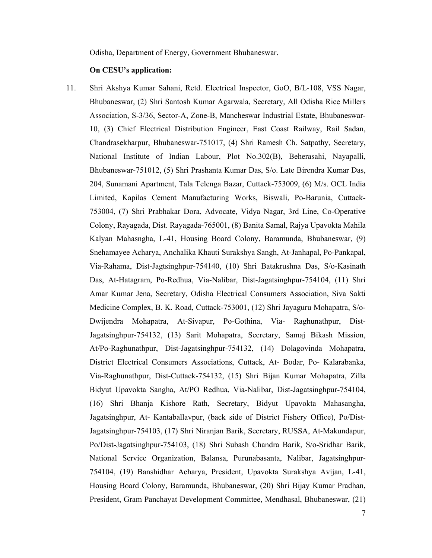Odisha, Department of Energy, Government Bhubaneswar.

#### **On CESU's application:**

11. Shri Akshya Kumar Sahani, Retd. Electrical Inspector, GoO, B/L-108, VSS Nagar, Bhubaneswar, (2) Shri Santosh Kumar Agarwala, Secretary, All Odisha Rice Millers Association, S-3/36, Sector-A, Zone-B, Mancheswar Industrial Estate, Bhubaneswar-10, (3) Chief Electrical Distribution Engineer, East Coast Railway, Rail Sadan, Chandrasekharpur, Bhubaneswar-751017, (4) Shri Ramesh Ch. Satpathy, Secretary, National Institute of Indian Labour, Plot No.302(B), Beherasahi, Nayapalli, Bhubaneswar-751012, (5) Shri Prashanta Kumar Das, S/o. Late Birendra Kumar Das, 204, Sunamani Apartment, Tala Telenga Bazar, Cuttack-753009, (6) M/s. OCL India Limited, Kapilas Cement Manufacturing Works, Biswali, Po-Barunia, Cuttack-753004, (7) Shri Prabhakar Dora, Advocate, Vidya Nagar, 3rd Line, Co-Operative Colony, Rayagada, Dist. Rayagada-765001, (8) Banita Samal, Rajya Upavokta Mahila Kalyan Mahasngha, L-41, Housing Board Colony, Baramunda, Bhubaneswar, (9) Snehamayee Acharya, Anchalika Khauti Surakshya Sangh, At-Janhapal, Po-Pankapal, Via-Rahama, Dist-Jagtsinghpur-754140, (10) Shri Batakrushna Das, S/o-Kasinath Das, At-Hatagram, Po-Redhua, Via-Nalibar, Dist-Jagatsinghpur-754104, (11) Shri Amar Kumar Jena, Secretary, Odisha Electrical Consumers Association, Siva Sakti Medicine Complex, B. K. Road, Cuttack-753001, (12) Shri Jayaguru Mohapatra, S/o-Dwijendra Mohapatra, At-Sivapur, Po-Gothina, Via- Raghunathpur, Dist-Jagatsinghpur-754132, (13) Sarit Mohapatra, Secretary, Samaj Bikash Mission, At/Po-Raghunathpur, Dist-Jagatsinghpur-754132, (14) Dolagovinda Mohapatra, District Electrical Consumers Associations, Cuttack, At- Bodar, Po- Kalarabanka, Via-Raghunathpur, Dist-Cuttack-754132, (15) Shri Bijan Kumar Mohapatra, Zilla Bidyut Upavokta Sangha, At/PO Redhua, Via-Nalibar, Dist-Jagatsinghpur-754104, (16) Shri Bhanja Kishore Rath, Secretary, Bidyut Upavokta Mahasangha, Jagatsinghpur, At- Kantaballavpur, (back side of District Fishery Office), Po/Dist-Jagatsinghpur-754103, (17) Shri Niranjan Barik, Secretary, RUSSA, At-Makundapur, Po/Dist-Jagatsinghpur-754103, (18) Shri Subash Chandra Barik, S/o-Sridhar Barik, National Service Organization, Balansa, Purunabasanta, Nalibar, Jagatsinghpur-754104, (19) Banshidhar Acharya, President, Upavokta Surakshya Avijan, L-41, Housing Board Colony, Baramunda, Bhubaneswar, (20) Shri Bijay Kumar Pradhan, President, Gram Panchayat Development Committee, Mendhasal, Bhubaneswar, (21)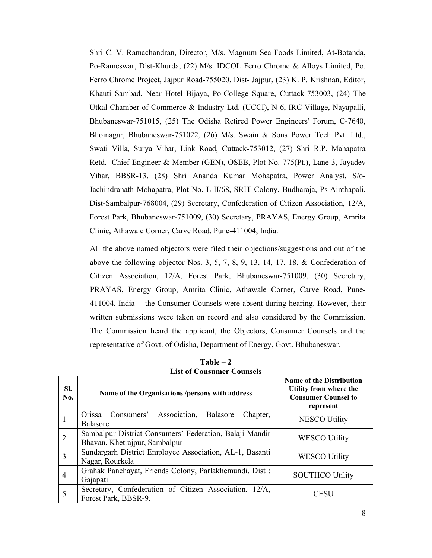Shri C. V. Ramachandran, Director, M/s. Magnum Sea Foods Limited, At-Botanda, Po-Rameswar, Dist-Khurda, (22) M/s. IDCOL Ferro Chrome & Alloys Limited, Po. Ferro Chrome Project, Jajpur Road-755020, Dist- Jajpur, (23) K. P. Krishnan, Editor, Khauti Sambad, Near Hotel Bijaya, Po-College Square, Cuttack-753003, (24) The Utkal Chamber of Commerce & Industry Ltd. (UCCI), N-6, IRC Village, Nayapalli, Bhubaneswar-751015, (25) The Odisha Retired Power Engineers' Forum, C-7640, Bhoinagar, Bhubaneswar-751022, (26) M/s. Swain & Sons Power Tech Pvt. Ltd., Swati Villa, Surya Vihar, Link Road, Cuttack-753012, (27) Shri R.P. Mahapatra Retd. Chief Engineer & Member (GEN), OSEB, Plot No. 775(Pt.), Lane-3, Jayadev Vihar, BBSR-13, (28) Shri Ananda Kumar Mohapatra, Power Analyst, S/o-Jachindranath Mohapatra, Plot No. L-II/68, SRIT Colony, Budharaja, Ps-Ainthapali, Dist-Sambalpur-768004, (29) Secretary, Confederation of Citizen Association, 12/A, Forest Park, Bhubaneswar-751009, (30) Secretary, PRAYAS, Energy Group, Amrita Clinic, Athawale Corner, Carve Road, Pune-411004, India.

All the above named objectors were filed their objections/suggestions and out of the above the following objector Nos. 3, 5, 7, 8, 9, 13, 14, 17, 18, & Confederation of Citizen Association, 12/A, Forest Park, Bhubaneswar-751009, (30) Secretary, PRAYAS, Energy Group, Amrita Clinic, Athawale Corner, Carve Road, Pune-411004, India the Consumer Counsels were absent during hearing. However, their written submissions were taken on record and also considered by the Commission. The Commission heard the applicant, the Objectors, Consumer Counsels and the representative of Govt. of Odisha, Department of Energy, Govt. Bhubaneswar.

| SI.<br>No.     | Name of the Organisations /persons with address                                          | <b>Name of the Distribution</b><br>Utility from where the<br><b>Consumer Counsel to</b><br>represent |
|----------------|------------------------------------------------------------------------------------------|------------------------------------------------------------------------------------------------------|
|                | Association,<br>Consumers'<br>Balasore<br>Chapter,<br>Orissa<br><b>Balasore</b>          | NESCO Utility                                                                                        |
| $\overline{2}$ | Sambalpur District Consumers' Federation, Balaji Mandir<br>Bhavan, Khetrajpur, Sambalpur | <b>WESCO Utility</b>                                                                                 |
| 3              | Sundargarh District Employee Association, AL-1, Basanti<br>Nagar, Rourkela               | <b>WESCO Utility</b>                                                                                 |
| $\overline{4}$ | Grahak Panchayat, Friends Colony, Parlakhemundi, Dist:<br>Gajapati                       | <b>SOUTHCO Utility</b>                                                                               |
| 5              | Secretary, Confederation of Citizen Association, 12/A,<br>Forest Park, BBSR-9.           | CESU                                                                                                 |

**Table – 2 List of Consumer Counsels**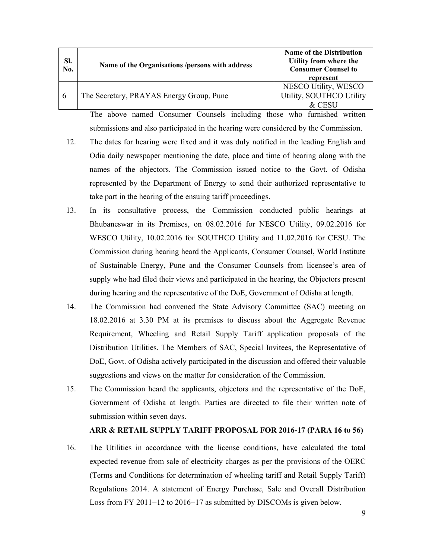| SI.<br>No. | Name of the Organisations /persons with address | <b>Name of the Distribution</b><br>Utility from where the<br><b>Consumer Counsel to</b><br>represent |
|------------|-------------------------------------------------|------------------------------------------------------------------------------------------------------|
| -6         | The Secretary, PRAYAS Energy Group, Pune        | NESCO Utility, WESCO<br>Utility, SOUTHCO Utility<br>$\&$ CESU                                        |

The above named Consumer Counsels including those who furnished written submissions and also participated in the hearing were considered by the Commission.

- 12. The dates for hearing were fixed and it was duly notified in the leading English and Odia daily newspaper mentioning the date, place and time of hearing along with the names of the objectors. The Commission issued notice to the Govt. of Odisha represented by the Department of Energy to send their authorized representative to take part in the hearing of the ensuing tariff proceedings.
- 13. In its consultative process, the Commission conducted public hearings at Bhubaneswar in its Premises, on 08.02.2016 for NESCO Utility, 09.02.2016 for WESCO Utility, 10.02.2016 for SOUTHCO Utility and 11.02.2016 for CESU. The Commission during hearing heard the Applicants, Consumer Counsel, World Institute of Sustainable Energy, Pune and the Consumer Counsels from licensee's area of supply who had filed their views and participated in the hearing, the Objectors present during hearing and the representative of the DoE, Government of Odisha at length.
- 14. The Commission had convened the State Advisory Committee (SAC) meeting on 18.02.2016 at 3.30 PM at its premises to discuss about the Aggregate Revenue Requirement, Wheeling and Retail Supply Tariff application proposals of the Distribution Utilities. The Members of SAC, Special Invitees, the Representative of DoE, Govt. of Odisha actively participated in the discussion and offered their valuable suggestions and views on the matter for consideration of the Commission.
- 15. The Commission heard the applicants, objectors and the representative of the DoE, Government of Odisha at length. Parties are directed to file their written note of submission within seven days.

# **ARR & RETAIL SUPPLY TARIFF PROPOSAL FOR 2016-17 (PARA 16 to 56)**

16. The Utilities in accordance with the license conditions, have calculated the total expected revenue from sale of electricity charges as per the provisions of the OERC (Terms and Conditions for determination of wheeling tariff and Retail Supply Tariff) Regulations 2014. A statement of Energy Purchase, Sale and Overall Distribution Loss from FY 2011−12 to 2016−17 as submitted by DISCOMs is given below.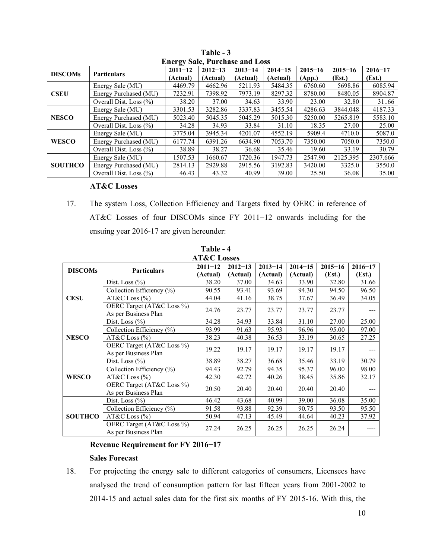| Encrey Bard, I are thas and Loss |                            |             |             |             |             |             |             |             |  |
|----------------------------------|----------------------------|-------------|-------------|-------------|-------------|-------------|-------------|-------------|--|
| <b>DISCOMs</b>                   | <b>Particulars</b>         | $2011 - 12$ | $2012 - 13$ | $2013 - 14$ | $2014 - 15$ | $2015 - 16$ | $2015 - 16$ | $2016 - 17$ |  |
|                                  |                            | (Actual)    | (Actual)    | (Actual)    | (Actual)    | (App.)      | (Est.)      | (Est.)      |  |
|                                  | Energy Sale (MU)           | 4469.79     | 4662.96     | 5211.93     | 5484.35     | 6760.60     | 5698.86     | 6085.94     |  |
| <b>CSEU</b>                      | Energy Purchased (MU)      | 7232.91     | 7398.92     | 7973.19     | 8297.32     | 8780.00     | 8480.05     | 8904.87     |  |
|                                  | Overall Dist. Loss $(\% )$ | 38.20       | 37.00       | 34.63       | 33.90       | 23.00       | 32.80       | 31.66       |  |
|                                  | Energy Sale (MU)           | 3301.53     | 3282.86     | 3337.83     | 3455.54     | 4286.63     | 3844.048    | 4187.33     |  |
| <b>NESCO</b>                     | Energy Purchased (MU)      | 5023.40     | 5045.35     | 5045.29     | 5015.30     | 5250.00     | 5265.819    | 5583.10     |  |
|                                  | Overall Dist. Loss $(\% )$ | 34.28       | 34.93       | 33.84       | 31.10       | 18.35       | 27.00       | 25.00       |  |
|                                  | Energy Sale (MU)           | 3775.04     | 3945.34     | 4201.07     | 4552.19     | 5909.4      | 4710.0      | 5087.0      |  |
| <b>WESCO</b>                     | Energy Purchased (MU)      | 6177.74     | 6391.26     | 6634.90     | 7053.70     | 7350.00     | 7050.0      | 7350.0      |  |
|                                  | Overall Dist. Loss $(\% )$ | 38.89       | 38.27       | 36.68       | 35.46       | 19.60       | 33.19       | 30.79       |  |
| <b>SOUTHCO</b>                   | Energy Sale (MU)           | 1507.53     | 1660.67     | 1720.36     | 1947.73     | 2547.90     | 2125.395    | 2307.666    |  |
|                                  | Energy Purchased (MU)      | 2814.13     | 2929.88     | 2915.56     | 3192.83     | 3420.00     | 3325.0      | 3550.0      |  |
|                                  | Overall Dist. Loss $(\% )$ | 46.43       | 43.32       | 40.99       | 39.00       | 25.50       | 36.08       | 35.00       |  |

**Table - 3 Energy Sale, Purchase and Loss** 

# **AT&C Losses**

17. The system Loss, Collection Efficiency and Targets fixed by OERC in reference of AT&C Losses of four DISCOMs since FY 2011−12 onwards including for the ensuing year 2016-17 are given hereunder:

| <b>AT&amp;C Losses</b> |                                                   |             |             |             |             |             |             |  |  |
|------------------------|---------------------------------------------------|-------------|-------------|-------------|-------------|-------------|-------------|--|--|
|                        | <b>Particulars</b>                                | $2011 - 12$ | $2012 - 13$ | $2013 - 14$ | $2014 - 15$ | $2015 - 16$ | $2016 - 17$ |  |  |
| <b>DISCOMs</b>         |                                                   | (Actual)    | (Actual)    | (Actual)    | (Actual)    | (Est.)      | (Est.)      |  |  |
|                        | Dist. Loss $(\% )$                                | 38.20       | 37.00       | 34.63       | 33.90       | 32.80       | 31.66       |  |  |
|                        | Collection Efficiency (%)                         | 90.55       | 93.41       | 93.69       | 94.30       | 94.50       | 96.50       |  |  |
| <b>CESU</b>            | AT&C Loss $(\% )$                                 | 44.04       | 41.16       | 38.75       | 37.67       | 36.49       | 34.05       |  |  |
|                        | OERC Target (AT&C Loss %)<br>As per Business Plan | 24.76       | 23.77       | 23.77       | 23.77       | 23.77       |             |  |  |
|                        | Dist. Loss $(\% )$                                | 34.28       | 34.93       | 33.84       | 31.10       | 27.00       | 25.00       |  |  |
|                        | Collection Efficiency (%)                         | 93.99       | 91.63       | 95.93       | 96.96       | 95.00       | 97.00       |  |  |
| <b>NESCO</b>           | AT&C Loss $(\% )$                                 | 38.23       | 40.38       | 36.53       | 33.19       | 30.65       | 27.25       |  |  |
|                        | OERC Target (AT&C Loss %)<br>As per Business Plan | 19.22       | 19.17       | 19.17       | 19.17       | 19.17       |             |  |  |
|                        | Dist. Loss $(\% )$                                | 38.89       | 38.27       | 36.68       | 35.46       | 33.19       | 30.79       |  |  |
|                        | Collection Efficiency (%)                         | 94.43       | 92.79       | 94.35       | 95.37       | 96.00       | 98.00       |  |  |
| <b>WESCO</b>           | AT&C Loss $(\% )$                                 | 42.30       | 42.72       | 40.26       | 38.45       | 35.86       | 32.17       |  |  |
|                        | OERC Target (AT&C Loss %)<br>As per Business Plan | 20.50       | 20.40       | 20.40       | 20.40       | 20.40       |             |  |  |
|                        | Dist. Loss $(\% )$                                | 46.42       | 43.68       | 40.99       | 39.00       | 36.08       | 35.00       |  |  |
|                        | Collection Efficiency (%)                         | 91.58       | 93.88       | 92.39       | 90.75       | 93.50       | 95.50       |  |  |
| <b>SOUTHCO</b>         | AT&C Loss $(\% )$                                 | 50.94       | 47.13       | 45.49       | 44.64       | 40.23       | 37.92       |  |  |
|                        | OERC Target (AT&C Loss %)<br>As per Business Plan | 27.24       | 26.25       | 26.25       | 26.25       | 26.24       |             |  |  |

**Table - 4** 

# **Revenue Requirement for FY 2016−17**

# **Sales Forecast**

18. For projecting the energy sale to different categories of consumers, Licensees have analysed the trend of consumption pattern for last fifteen years from 2001-2002 to 2014-15 and actual sales data for the first six months of FY 2015-16. With this, the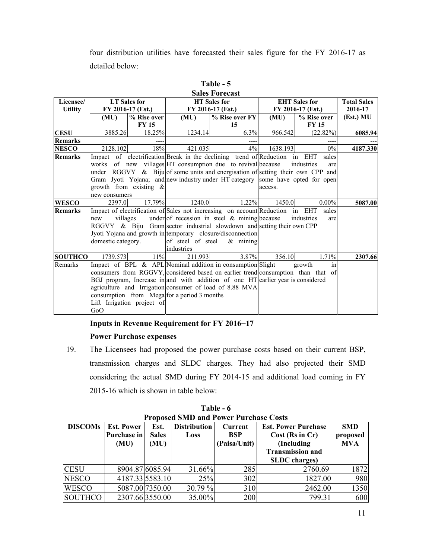four distribution utilities have forecasted their sales figure for the FY 2016-17 as detailed below:

|                |                    |                            |                                             | DAIUS TUI ULASL                                                                   |                   |                      |                    |
|----------------|--------------------|----------------------------|---------------------------------------------|-----------------------------------------------------------------------------------|-------------------|----------------------|--------------------|
| Licensee/      |                    | <b>LT</b> Sales for        |                                             | <b>HT</b> Sales for                                                               |                   | <b>EHT</b> Sales for | <b>Total Sales</b> |
| <b>Utility</b> |                    | FY 2016-17 (Est.)          | FY 2016-17 (Est.)                           |                                                                                   | FY 2016-17 (Est.) | 2016-17              |                    |
|                | (MU)               | % Rise over                | (MU)                                        | % Rise over FY                                                                    | (MU)              | % Rise over          | (Est.) MU          |
|                |                    | <b>FY 15</b>               |                                             | 15                                                                                |                   | <b>FY 15</b>         |                    |
| CESU           | 3885.26            | 18.25%                     | 1234.14                                     | 6.3%                                                                              | 966.542           | (22.82%)             | 6085.94            |
| <b>Remarks</b> |                    |                            |                                             |                                                                                   |                   |                      |                    |
| <b>NESCO</b>   | 2128.102           | 18%                        | 421.035                                     | 4%                                                                                | 1638.193          | 0%                   | 4187.330           |
| <b>Remarks</b> |                    |                            |                                             | Impact of electrification Break in the declining trend of Reduction in EHT        |                   | sales                |                    |
|                |                    |                            |                                             | works of new villages HT consumption due to revival because                       |                   | industries<br>are    |                    |
|                |                    |                            |                                             | under RGGVY $\&$ Biju of some units and energisation of setting their own CPP and |                   |                      |                    |
|                |                    |                            |                                             | Gram Jyoti Yojana; and new industry under HT category some have opted for open    |                   |                      |                    |
|                |                    | growth from existing $\&$  |                                             |                                                                                   | access.           |                      |                    |
|                | new consumers      |                            |                                             |                                                                                   |                   |                      |                    |
| <b>WESCO</b>   | 2397.0             | 17.79%                     | 1240.0                                      | 1.22%                                                                             | 1450.0            | $0.00\%$             | 5087.00            |
| <b>Remarks</b> |                    |                            |                                             | Impact of electrification of Sales not increasing on account Reduction in EHT     |                   | sales                |                    |
|                | villages<br>new    |                            |                                             | under of recession in steel $\&$ mining because                                   |                   | industries<br>are    |                    |
|                |                    |                            |                                             | RGGVY & Biju Gram sector industrial slowdown and setting their own CPP            |                   |                      |                    |
|                |                    |                            |                                             | Jyoti Yojana and growth in temporary closure/disconnection                        |                   |                      |                    |
|                | domestic category. |                            | of steel of steel                           | $&$ mining                                                                        |                   |                      |                    |
|                |                    |                            | industries                                  |                                                                                   |                   |                      |                    |
| <b>SOUTHCO</b> | 1739.573           | 11%                        | 211.993                                     | 3.87%                                                                             | 356.10            | 1.71%                | 2307.66            |
| Remarks        |                    |                            |                                             | Impact of BPL & APL Nominal addition in consumption Slight                        |                   | growth<br>in         |                    |
|                |                    |                            |                                             | consumers from RGGVY, considered based on earlier trend consumption than that of  |                   |                      |                    |
|                |                    |                            |                                             | BGJ program, Increase in and with addition of one HT earlier year is considered   |                   |                      |                    |
|                |                    |                            |                                             | agriculture and Irrigation consumer of load of 8.88 MVA                           |                   |                      |                    |
|                |                    |                            | consumption from Mega for a period 3 months |                                                                                   |                   |                      |                    |
|                |                    | Lift Irrigation project of |                                             |                                                                                   |                   |                      |                    |
|                | GoO                |                            |                                             |                                                                                   |                   |                      |                    |

| Table - 5             |
|-----------------------|
| <b>Colog Forogost</b> |

# **Inputs in Revenue Requirement for FY 2016−17**

# **Power Purchase expenses**

19. The Licensees had proposed the power purchase costs based on their current BSP, transmission charges and SLDC charges. They had also projected their SMD considering the actual SMD during FY 2014-15 and additional load coming in FY 2015-16 which is shown in table below:

| <b>Proposed SMD and Power Purchase Costs</b> |                    |                 |                     |              |                            |            |  |  |
|----------------------------------------------|--------------------|-----------------|---------------------|--------------|----------------------------|------------|--|--|
| <b>DISCOMs</b>                               | <b>Est. Power</b>  | Est.            | <b>Distribution</b> | Current      | <b>Est. Power Purchase</b> | <b>SMD</b> |  |  |
|                                              | <b>Purchase in</b> | <b>Sales</b>    | Loss                | BSP          | Cost (Rs in Cr)            | proposed   |  |  |
|                                              | (MU)               | (MU)            |                     | (Paisa/Unit) | (Including                 | <b>MVA</b> |  |  |
|                                              |                    |                 |                     |              | <b>Transmission and</b>    |            |  |  |
|                                              |                    |                 |                     |              | <b>SLDC</b> charges)       |            |  |  |
| <b>CESU</b>                                  |                    | 8904.87 6085.94 | 31.66%              | 285          | 2760.69                    | 1872       |  |  |
| <b>NESCO</b>                                 |                    | 4187.33 5583.10 | 25%                 | 302          | 1827.00                    | 980        |  |  |
| <b>WESCO</b>                                 |                    | 5087.00 7350.00 | 30.79%              | 310          | 2462.00                    | 1350       |  |  |
| <b>SOUTHCO</b>                               | 2307.66 3550.00    |                 | 35.00%              | 200          | 799.31                     | 600        |  |  |

**Table - 6**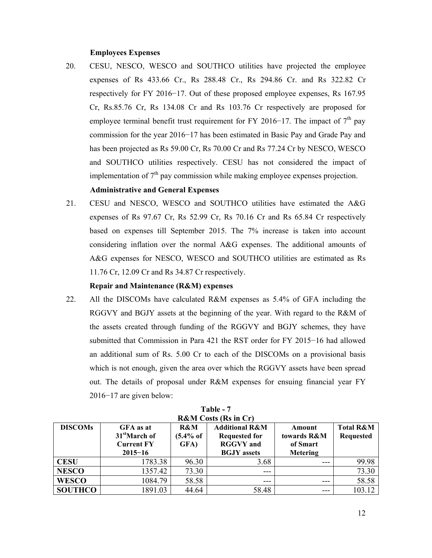### **Employees Expenses**

20. CESU, NESCO, WESCO and SOUTHCO utilities have projected the employee expenses of Rs 433.66 Cr., Rs 288.48 Cr., Rs 294.86 Cr. and Rs 322.82 Cr respectively for FY 2016−17. Out of these proposed employee expenses, Rs 167.95 Cr, Rs.85.76 Cr, Rs 134.08 Cr and Rs 103.76 Cr respectively are proposed for employee terminal benefit trust requirement for FY 2016−17. The impact of  $7<sup>th</sup>$  pay commission for the year 2016−17 has been estimated in Basic Pay and Grade Pay and has been projected as Rs 59.00 Cr, Rs 70.00 Cr and Rs 77.24 Cr by NESCO, WESCO and SOUTHCO utilities respectively. CESU has not considered the impact of implementation of  $7<sup>th</sup>$  pay commission while making employee expenses projection.

# **Administrative and General Expenses**

21. CESU and NESCO, WESCO and SOUTHCO utilities have estimated the A&G expenses of Rs 97.67 Cr, Rs 52.99 Cr, Rs 70.16 Cr and Rs 65.84 Cr respectively based on expenses till September 2015. The 7% increase is taken into account considering inflation over the normal A&G expenses. The additional amounts of A&G expenses for NESCO, WESCO and SOUTHCO utilities are estimated as Rs 11.76 Cr, 12.09 Cr and Rs 34.87 Cr respectively.

# **Repair and Maintenance (R&M) expenses**

22. All the DISCOMs have calculated R&M expenses as 5.4% of GFA including the RGGVY and BGJY assets at the beginning of the year. With regard to the R&M of the assets created through funding of the RGGVY and BGJY schemes, they have submitted that Commission in Para 421 the RST order for FY 2015−16 had allowed an additional sum of Rs. 5.00 Cr to each of the DISCOMs on a provisional basis which is not enough, given the area over which the RGGVY assets have been spread out. The details of proposal under R&M expenses for ensuing financial year FY 2016−17 are given below:

| <b>INXIVE COMMITMS III CT I</b> |                           |                      |                                     |             |                      |  |  |  |
|---------------------------------|---------------------------|----------------------|-------------------------------------|-------------|----------------------|--|--|--|
| <b>DISCOMs</b>                  | <b>GFA</b> as at          | R&M                  | <b>Additional R&amp;M</b><br>Amount |             | <b>Total R&amp;M</b> |  |  |  |
|                                 | 31 <sup>st</sup> March of | $(5.4\% \text{ of }$ | <b>Requested for</b>                | towards R&M | <b>Requested</b>     |  |  |  |
|                                 | <b>Current FY</b>         | GFA)                 | <b>RGGVY</b> and                    | of Smart    |                      |  |  |  |
|                                 | $2015 - 16$               |                      | <b>BGJY</b> assets                  | Metering    |                      |  |  |  |
| <b>CESU</b>                     | 1783.38                   | 96.30                | 3.68                                | $--$        | 99.98                |  |  |  |
| <b>NESCO</b>                    | 1357.42                   | 73.30                | $- - -$                             |             | 73.30                |  |  |  |
| <b>WESCO</b>                    | 1084.79                   | 58.58                |                                     |             | 58.58                |  |  |  |
| <b>SOUTHCO</b>                  | 1891.03                   | 44.64                | 58.48                               | $---$       | 103.12               |  |  |  |

**Table - 7**   $\mathbf{D}$   $\mathbf{R}$ **M** Costs ( $\mathbf{D}$ s in  $\mathbf{C}$ r)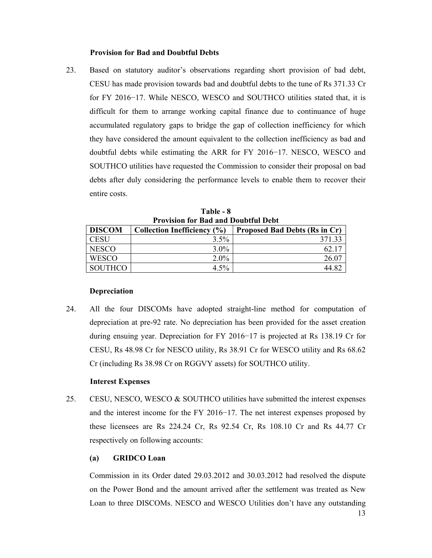### **Provision for Bad and Doubtful Debts**

23. Based on statutory auditor's observations regarding short provision of bad debt, CESU has made provision towards bad and doubtful debts to the tune of Rs 371.33 Cr for FY 2016−17. While NESCO, WESCO and SOUTHCO utilities stated that, it is difficult for them to arrange working capital finance due to continuance of huge accumulated regulatory gaps to bridge the gap of collection inefficiency for which they have considered the amount equivalent to the collection inefficiency as bad and doubtful debts while estimating the ARR for FY 2016−17. NESCO, WESCO and SOUTHCO utilities have requested the Commission to consider their proposal on bad debts after duly considering the performance levels to enable them to recover their entire costs.

| TTUVISION TOI DAU ANU DOUDLIUI DUDI |                             |                                      |  |  |  |  |  |
|-------------------------------------|-----------------------------|--------------------------------------|--|--|--|--|--|
| <b>DISCOM</b>                       | Collection Inefficiency (%) | <b>Proposed Bad Debts (Rs in Cr)</b> |  |  |  |  |  |
| CESU                                | 3.5%                        | 371 33                               |  |  |  |  |  |
| <b>NESCO</b>                        | $3.0\%$                     | 62.11                                |  |  |  |  |  |
| <b>WESCO</b>                        | $2.0\%$                     | 26.07                                |  |  |  |  |  |
| <b>SOUTHCO</b>                      | 4.5%                        |                                      |  |  |  |  |  |

**Table - 8 Provision for Bad and Doubtful Debt** 

# **Depreciation**

24. All the four DISCOMs have adopted straight-line method for computation of depreciation at pre-92 rate. No depreciation has been provided for the asset creation during ensuing year. Depreciation for FY 2016−17 is projected at Rs 138.19 Cr for CESU, Rs 48.98 Cr for NESCO utility, Rs 38.91 Cr for WESCO utility and Rs 68.62 Cr (including Rs 38.98 Cr on RGGVY assets) for SOUTHCO utility.

### **Interest Expenses**

25. CESU, NESCO, WESCO & SOUTHCO utilities have submitted the interest expenses and the interest income for the FY 2016−17. The net interest expenses proposed by these licensees are Rs 224.24 Cr, Rs 92.54 Cr, Rs 108.10 Cr and Rs 44.77 Cr respectively on following accounts:

# **(a) GRIDCO Loan**

Commission in its Order dated 29.03.2012 and 30.03.2012 had resolved the dispute on the Power Bond and the amount arrived after the settlement was treated as New Loan to three DISCOMs. NESCO and WESCO Utilities don't have any outstanding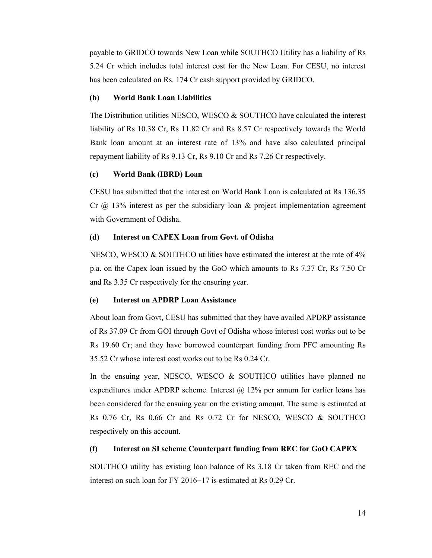payable to GRIDCO towards New Loan while SOUTHCO Utility has a liability of Rs 5.24 Cr which includes total interest cost for the New Loan. For CESU, no interest has been calculated on Rs. 174 Cr cash support provided by GRIDCO.

# **(b) World Bank Loan Liabilities**

The Distribution utilities NESCO, WESCO & SOUTHCO have calculated the interest liability of Rs 10.38 Cr, Rs 11.82 Cr and Rs 8.57 Cr respectively towards the World Bank loan amount at an interest rate of 13% and have also calculated principal repayment liability of Rs 9.13 Cr, Rs 9.10 Cr and Rs 7.26 Cr respectively.

# **(c) World Bank (IBRD) Loan**

CESU has submitted that the interest on World Bank Loan is calculated at Rs 136.35 Cr  $\omega$  13% interest as per the subsidiary loan  $\&$  project implementation agreement with Government of Odisha.

# **(d) Interest on CAPEX Loan from Govt. of Odisha**

NESCO, WESCO & SOUTHCO utilities have estimated the interest at the rate of 4% p.a. on the Capex loan issued by the GoO which amounts to Rs 7.37 Cr, Rs 7.50 Cr and Rs 3.35 Cr respectively for the ensuring year.

### **(e) Interest on APDRP Loan Assistance**

About loan from Govt, CESU has submitted that they have availed APDRP assistance of Rs 37.09 Cr from GOI through Govt of Odisha whose interest cost works out to be Rs 19.60 Cr; and they have borrowed counterpart funding from PFC amounting Rs 35.52 Cr whose interest cost works out to be Rs 0.24 Cr.

In the ensuing year, NESCO, WESCO  $\&$  SOUTHCO utilities have planned no expenditures under APDRP scheme. Interest  $\omega$  12% per annum for earlier loans has been considered for the ensuing year on the existing amount. The same is estimated at Rs 0.76 Cr, Rs 0.66 Cr and Rs 0.72 Cr for NESCO, WESCO & SOUTHCO respectively on this account.

# **(f) Interest on SI scheme Counterpart funding from REC for GoO CAPEX**

SOUTHCO utility has existing loan balance of Rs 3.18 Cr taken from REC and the interest on such loan for FY 2016−17 is estimated at Rs 0.29 Cr.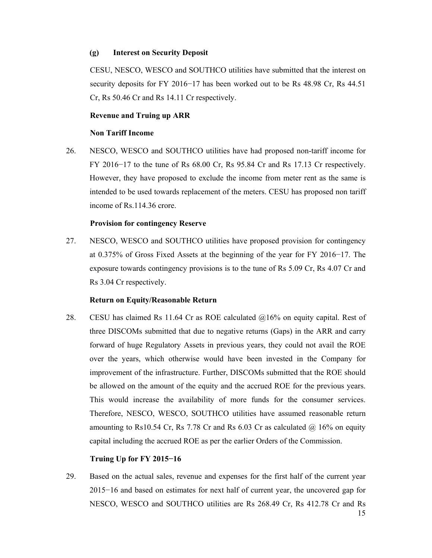### **(g) Interest on Security Deposit**

CESU, NESCO, WESCO and SOUTHCO utilities have submitted that the interest on security deposits for FY 2016−17 has been worked out to be Rs 48.98 Cr, Rs 44.51 Cr, Rs 50.46 Cr and Rs 14.11 Cr respectively.

# **Revenue and Truing up ARR**

## **Non Tariff Income**

26. NESCO, WESCO and SOUTHCO utilities have had proposed non-tariff income for FY 2016−17 to the tune of Rs 68.00 Cr, Rs 95.84 Cr and Rs 17.13 Cr respectively. However, they have proposed to exclude the income from meter rent as the same is intended to be used towards replacement of the meters. CESU has proposed non tariff income of Rs.114.36 crore.

# **Provision for contingency Reserve**

27. NESCO, WESCO and SOUTHCO utilities have proposed provision for contingency at 0.375% of Gross Fixed Assets at the beginning of the year for FY 2016−17. The exposure towards contingency provisions is to the tune of Rs 5.09 Cr, Rs 4.07 Cr and Rs 3.04 Cr respectively.

# **Return on Equity/Reasonable Return**

28. CESU has claimed Rs 11.64 Cr as ROE calculated @16% on equity capital. Rest of three DISCOMs submitted that due to negative returns (Gaps) in the ARR and carry forward of huge Regulatory Assets in previous years, they could not avail the ROE over the years, which otherwise would have been invested in the Company for improvement of the infrastructure. Further, DISCOMs submitted that the ROE should be allowed on the amount of the equity and the accrued ROE for the previous years. This would increase the availability of more funds for the consumer services. Therefore, NESCO, WESCO, SOUTHCO utilities have assumed reasonable return amounting to Rs10.54 Cr, Rs 7.78 Cr and Rs 6.03 Cr as calculated  $\omega$  16% on equity capital including the accrued ROE as per the earlier Orders of the Commission.

# **Truing Up for FY 2015−16**

29. Based on the actual sales, revenue and expenses for the first half of the current year 2015−16 and based on estimates for next half of current year, the uncovered gap for NESCO, WESCO and SOUTHCO utilities are Rs 268.49 Cr, Rs 412.78 Cr and Rs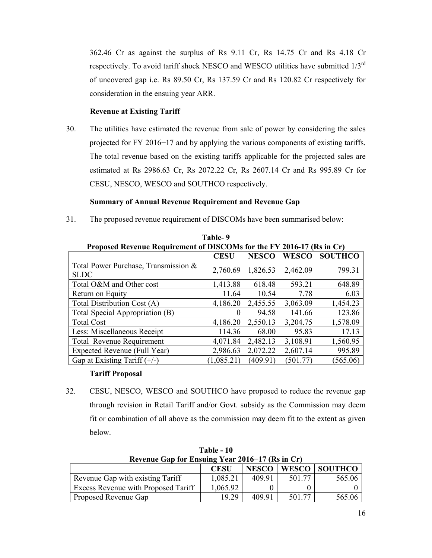362.46 Cr as against the surplus of Rs 9.11 Cr, Rs 14.75 Cr and Rs 4.18 Cr respectively. To avoid tariff shock NESCO and WESCO utilities have submitted 1/3rd of uncovered gap i.e. Rs 89.50 Cr, Rs 137.59 Cr and Rs 120.82 Cr respectively for consideration in the ensuing year ARR.

# **Revenue at Existing Tariff**

30. The utilities have estimated the revenue from sale of power by considering the sales projected for FY 2016−17 and by applying the various components of existing tariffs. The total revenue based on the existing tariffs applicable for the projected sales are estimated at Rs 2986.63 Cr, Rs 2072.22 Cr, Rs 2607.14 Cr and Rs 995.89 Cr for CESU, NESCO, WESCO and SOUTHCO respectively.

# **Summary of Annual Revenue Requirement and Revenue Gap**

31. The proposed revenue requirement of DISCOMs have been summarised below:

| Proposed Revenue Requirement of DISCOMs for the FY 2016-17 (Rs in Cr) |             |              |              |                |  |  |  |
|-----------------------------------------------------------------------|-------------|--------------|--------------|----------------|--|--|--|
|                                                                       | <b>CESU</b> | <b>NESCO</b> | <b>WESCO</b> | <b>SOUTHCO</b> |  |  |  |
| Total Power Purchase, Transmission &<br><b>SLDC</b>                   | 2,760.69    | 1,826.53     | 2,462.09     | 799.31         |  |  |  |
| Total O&M and Other cost                                              | 1,413.88    | 618.48       | 593.21       | 648.89         |  |  |  |
| Return on Equity                                                      | 11.64       | 10.54        | 7.78         | 6.03           |  |  |  |
| Total Distribution Cost (A)                                           | 4,186.20    | 2,455.55     | 3,063.09     | 1,454.23       |  |  |  |
| Total Special Appropriation (B)                                       | $\theta$    | 94.58        | 141.66       | 123.86         |  |  |  |
| <b>Total Cost</b>                                                     | 4,186.20    | 2,550.13     | 3,204.75     | 1,578.09       |  |  |  |
| Less: Miscellaneous Receipt                                           | 114.36      | 68.00        | 95.83        | 17.13          |  |  |  |
| <b>Total Revenue Requirement</b>                                      | 4,071.84    | 2,482.13     | 3,108.91     | 1,560.95       |  |  |  |
| Expected Revenue (Full Year)                                          | 2,986.63    | 2,072.22     | 2,607.14     | 995.89         |  |  |  |
| Gap at Existing Tariff $(+/-)$                                        | (1,085.21)  | (409.91)     | (501.77)     | (565.06)       |  |  |  |

**Table- 9** 

# **Tariff Proposal**

32. CESU, NESCO, WESCO and SOUTHCO have proposed to reduce the revenue gap through revision in Retail Tariff and/or Govt. subsidy as the Commission may deem fit or combination of all above as the commission may deem fit to the extent as given below.

| Revenue Gap for Ensuing Year 2016–17 (Rs in Cr) |             |              |        |               |  |  |  |
|-------------------------------------------------|-------------|--------------|--------|---------------|--|--|--|
|                                                 | <b>CESU</b> | <b>NESCO</b> |        | WESCO SOUTHCO |  |  |  |
| Revenue Gap with existing Tariff                | 1,085.21    | 409.91       | 501 77 | 565.06        |  |  |  |
| Excess Revenue with Proposed Tariff             | 1,065.92    |              |        |               |  |  |  |
| <b>Proposed Revenue Gap</b>                     | 19.29       | 409.91       | 501 77 | 565.06        |  |  |  |

**Table - 10**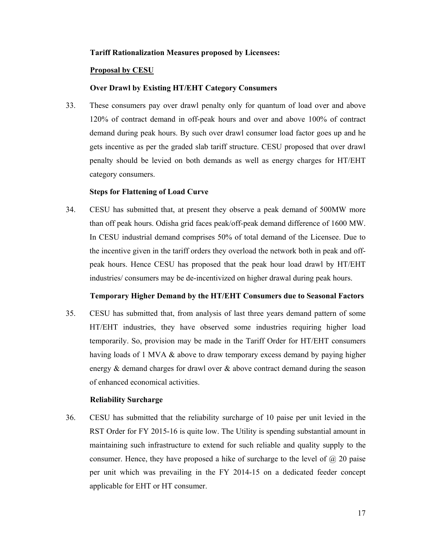### **Tariff Rationalization Measures proposed by Licensees:**

### **Proposal by CESU**

# **Over Drawl by Existing HT/EHT Category Consumers**

33. These consumers pay over drawl penalty only for quantum of load over and above 120% of contract demand in off-peak hours and over and above 100% of contract demand during peak hours. By such over drawl consumer load factor goes up and he gets incentive as per the graded slab tariff structure. CESU proposed that over drawl penalty should be levied on both demands as well as energy charges for HT/EHT category consumers.

### **Steps for Flattening of Load Curve**

34. CESU has submitted that, at present they observe a peak demand of 500MW more than off peak hours. Odisha grid faces peak/off-peak demand difference of 1600 MW. In CESU industrial demand comprises 50% of total demand of the Licensee. Due to the incentive given in the tariff orders they overload the network both in peak and offpeak hours. Hence CESU has proposed that the peak hour load drawl by HT/EHT industries/ consumers may be de-incentivized on higher drawal during peak hours.

### **Temporary Higher Demand by the HT/EHT Consumers due to Seasonal Factors**

35. CESU has submitted that, from analysis of last three years demand pattern of some HT/EHT industries, they have observed some industries requiring higher load temporarily. So, provision may be made in the Tariff Order for HT/EHT consumers having loads of 1 MVA & above to draw temporary excess demand by paying higher energy & demand charges for drawl over & above contract demand during the season of enhanced economical activities.

### **Reliability Surcharge**

36. CESU has submitted that the reliability surcharge of 10 paise per unit levied in the RST Order for FY 2015-16 is quite low. The Utility is spending substantial amount in maintaining such infrastructure to extend for such reliable and quality supply to the consumer. Hence, they have proposed a hike of surcharge to the level of  $\omega$  20 paise per unit which was prevailing in the FY 2014-15 on a dedicated feeder concept applicable for EHT or HT consumer.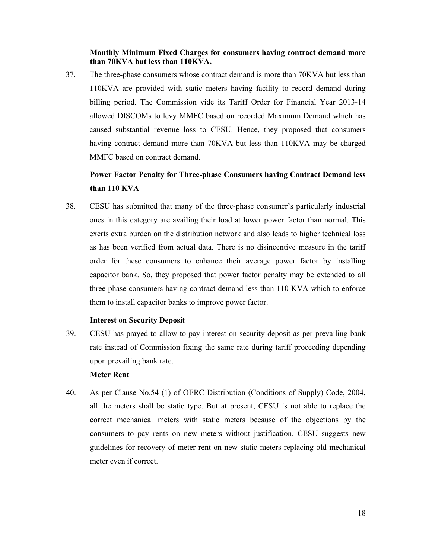**Monthly Minimum Fixed Charges for consumers having contract demand more than 70KVA but less than 110KVA.** 

37. The three-phase consumers whose contract demand is more than 70KVA but less than 110KVA are provided with static meters having facility to record demand during billing period. The Commission vide its Tariff Order for Financial Year 2013-14 allowed DISCOMs to levy MMFC based on recorded Maximum Demand which has caused substantial revenue loss to CESU. Hence, they proposed that consumers having contract demand more than 70KVA but less than 110KVA may be charged MMFC based on contract demand.

# **Power Factor Penalty for Three-phase Consumers having Contract Demand less than 110 KVA**

38. CESU has submitted that many of the three-phase consumer's particularly industrial ones in this category are availing their load at lower power factor than normal. This exerts extra burden on the distribution network and also leads to higher technical loss as has been verified from actual data. There is no disincentive measure in the tariff order for these consumers to enhance their average power factor by installing capacitor bank. So, they proposed that power factor penalty may be extended to all three-phase consumers having contract demand less than 110 KVA which to enforce them to install capacitor banks to improve power factor.

### **Interest on Security Deposit**

39. CESU has prayed to allow to pay interest on security deposit as per prevailing bank rate instead of Commission fixing the same rate during tariff proceeding depending upon prevailing bank rate.

### **Meter Rent**

40. As per Clause No.54 (1) of OERC Distribution (Conditions of Supply) Code, 2004, all the meters shall be static type. But at present, CESU is not able to replace the correct mechanical meters with static meters because of the objections by the consumers to pay rents on new meters without justification. CESU suggests new guidelines for recovery of meter rent on new static meters replacing old mechanical meter even if correct.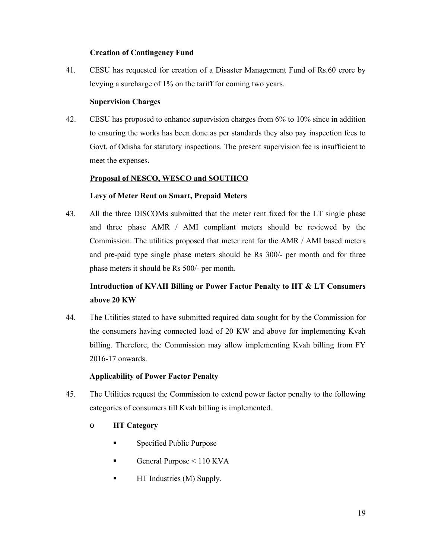# **Creation of Contingency Fund**

41. CESU has requested for creation of a Disaster Management Fund of Rs.60 crore by levying a surcharge of 1% on the tariff for coming two years.

# **Supervision Charges**

42. CESU has proposed to enhance supervision charges from 6% to 10% since in addition to ensuring the works has been done as per standards they also pay inspection fees to Govt. of Odisha for statutory inspections. The present supervision fee is insufficient to meet the expenses.

# **Proposal of NESCO, WESCO and SOUTHCO**

# **Levy of Meter Rent on Smart, Prepaid Meters**

43. All the three DISCOMs submitted that the meter rent fixed for the LT single phase and three phase AMR / AMI compliant meters should be reviewed by the Commission. The utilities proposed that meter rent for the AMR / AMI based meters and pre-paid type single phase meters should be Rs 300/- per month and for three phase meters it should be Rs 500/- per month.

# **Introduction of KVAH Billing or Power Factor Penalty to HT & LT Consumers above 20 KW**

44. The Utilities stated to have submitted required data sought for by the Commission for the consumers having connected load of 20 KW and above for implementing Kvah billing. Therefore, the Commission may allow implementing Kvah billing from FY 2016-17 onwards.

# **Applicability of Power Factor Penalty**

- 45. The Utilities request the Commission to extend power factor penalty to the following categories of consumers till Kvah billing is implemented.
	- o **HT Category** 
		- **Specified Public Purpose**
		- General Purpose  $\leq 110$  KVA
		- HT Industries (M) Supply.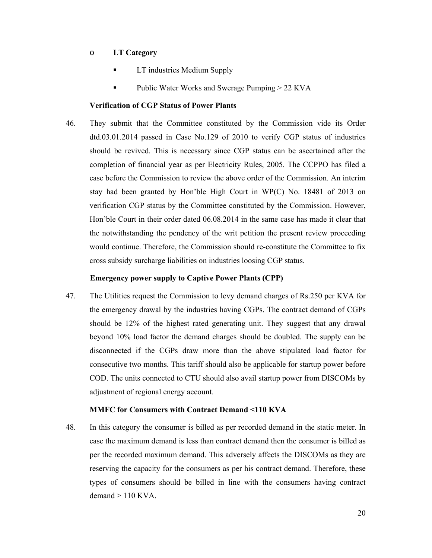# o **LT Category**

- LT industries Medium Supply
- Public Water Works and Swerage Pumping > 22 KVA

# **Verification of CGP Status of Power Plants**

46. They submit that the Committee constituted by the Commission vide its Order dtd.03.01.2014 passed in Case No.129 of 2010 to verify CGP status of industries should be revived. This is necessary since CGP status can be ascertained after the completion of financial year as per Electricity Rules, 2005. The CCPPO has filed a case before the Commission to review the above order of the Commission. An interim stay had been granted by Hon'ble High Court in WP(C) No. 18481 of 2013 on verification CGP status by the Committee constituted by the Commission. However, Hon'ble Court in their order dated 06.08.2014 in the same case has made it clear that the notwithstanding the pendency of the writ petition the present review proceeding would continue. Therefore, the Commission should re-constitute the Committee to fix cross subsidy surcharge liabilities on industries loosing CGP status.

### **Emergency power supply to Captive Power Plants (CPP)**

47. The Utilities request the Commission to levy demand charges of Rs.250 per KVA for the emergency drawal by the industries having CGPs. The contract demand of CGPs should be 12% of the highest rated generating unit. They suggest that any drawal beyond 10% load factor the demand charges should be doubled. The supply can be disconnected if the CGPs draw more than the above stipulated load factor for consecutive two months. This tariff should also be applicable for startup power before COD. The units connected to CTU should also avail startup power from DISCOMs by adjustment of regional energy account.

#### **MMFC for Consumers with Contract Demand <110 KVA**

48. In this category the consumer is billed as per recorded demand in the static meter. In case the maximum demand is less than contract demand then the consumer is billed as per the recorded maximum demand. This adversely affects the DISCOMs as they are reserving the capacity for the consumers as per his contract demand. Therefore, these types of consumers should be billed in line with the consumers having contract  $d$ emand  $> 110$  KVA.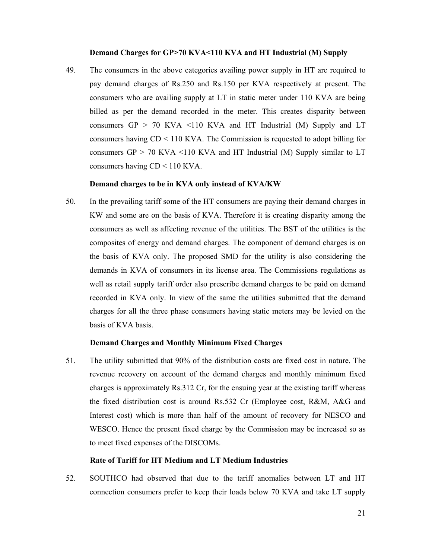#### **Demand Charges for GP>70 KVA<110 KVA and HT Industrial (M) Supply**

49. The consumers in the above categories availing power supply in HT are required to pay demand charges of Rs.250 and Rs.150 per KVA respectively at present. The consumers who are availing supply at LT in static meter under 110 KVA are being billed as per the demand recorded in the meter. This creates disparity between consumers  $GP > 70$  KVA  $\leq 110$  KVA and HT Industrial (M) Supply and LT consumers having CD < 110 KVA. The Commission is requested to adopt billing for consumers  $GP > 70$  KVA  $\leq 110$  KVA and HT Industrial (M) Supply similar to LT consumers having CD < 110 KVA.

### **Demand charges to be in KVA only instead of KVA/KW**

50. In the prevailing tariff some of the HT consumers are paying their demand charges in KW and some are on the basis of KVA. Therefore it is creating disparity among the consumers as well as affecting revenue of the utilities. The BST of the utilities is the composites of energy and demand charges. The component of demand charges is on the basis of KVA only. The proposed SMD for the utility is also considering the demands in KVA of consumers in its license area. The Commissions regulations as well as retail supply tariff order also prescribe demand charges to be paid on demand recorded in KVA only. In view of the same the utilities submitted that the demand charges for all the three phase consumers having static meters may be levied on the basis of KVA basis.

### **Demand Charges and Monthly Minimum Fixed Charges**

51. The utility submitted that 90% of the distribution costs are fixed cost in nature. The revenue recovery on account of the demand charges and monthly minimum fixed charges is approximately Rs.312 Cr, for the ensuing year at the existing tariff whereas the fixed distribution cost is around Rs.532 Cr (Employee cost, R&M, A&G and Interest cost) which is more than half of the amount of recovery for NESCO and WESCO. Hence the present fixed charge by the Commission may be increased so as to meet fixed expenses of the DISCOMs.

#### **Rate of Tariff for HT Medium and LT Medium Industries**

52. SOUTHCO had observed that due to the tariff anomalies between LT and HT connection consumers prefer to keep their loads below 70 KVA and take LT supply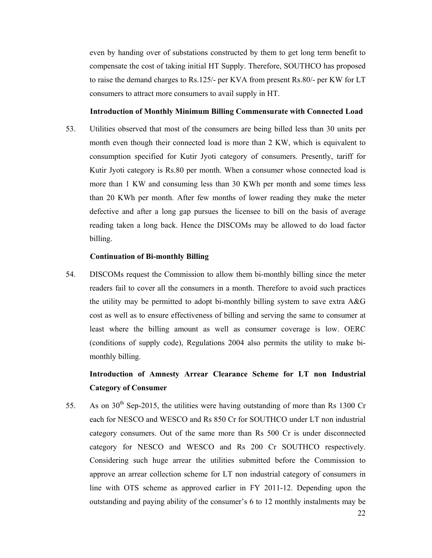even by handing over of substations constructed by them to get long term benefit to compensate the cost of taking initial HT Supply. Therefore, SOUTHCO has proposed to raise the demand charges to Rs.125/- per KVA from present Rs.80/- per KW for LT consumers to attract more consumers to avail supply in HT.

#### **Introduction of Monthly Minimum Billing Commensurate with Connected Load**

53. Utilities observed that most of the consumers are being billed less than 30 units per month even though their connected load is more than 2 KW, which is equivalent to consumption specified for Kutir Jyoti category of consumers. Presently, tariff for Kutir Jyoti category is Rs.80 per month. When a consumer whose connected load is more than 1 KW and consuming less than 30 KWh per month and some times less than 20 KWh per month. After few months of lower reading they make the meter defective and after a long gap pursues the licensee to bill on the basis of average reading taken a long back. Hence the DISCOMs may be allowed to do load factor billing.

#### **Continuation of Bi-monthly Billing**

54. DISCOMs request the Commission to allow them bi-monthly billing since the meter readers fail to cover all the consumers in a month. Therefore to avoid such practices the utility may be permitted to adopt bi-monthly billing system to save extra A&G cost as well as to ensure effectiveness of billing and serving the same to consumer at least where the billing amount as well as consumer coverage is low. OERC (conditions of supply code), Regulations 2004 also permits the utility to make bimonthly billing.

# **Introduction of Amnesty Arrear Clearance Scheme for LT non Industrial Category of Consumer**

55. As on  $30<sup>th</sup>$  Sep-2015, the utilities were having outstanding of more than Rs 1300 Cr each for NESCO and WESCO and Rs 850 Cr for SOUTHCO under LT non industrial category consumers. Out of the same more than Rs 500 Cr is under disconnected category for NESCO and WESCO and Rs 200 Cr SOUTHCO respectively. Considering such huge arrear the utilities submitted before the Commission to approve an arrear collection scheme for LT non industrial category of consumers in line with OTS scheme as approved earlier in FY 2011-12. Depending upon the outstanding and paying ability of the consumer's 6 to 12 monthly instalments may be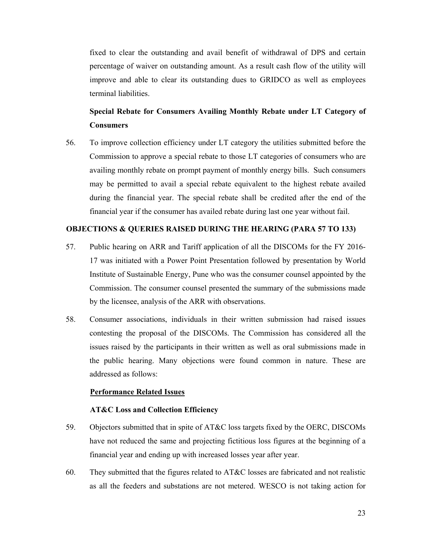fixed to clear the outstanding and avail benefit of withdrawal of DPS and certain percentage of waiver on outstanding amount. As a result cash flow of the utility will improve and able to clear its outstanding dues to GRIDCO as well as employees terminal liabilities.

# **Special Rebate for Consumers Availing Monthly Rebate under LT Category of Consumers**

56. To improve collection efficiency under LT category the utilities submitted before the Commission to approve a special rebate to those LT categories of consumers who are availing monthly rebate on prompt payment of monthly energy bills. Such consumers may be permitted to avail a special rebate equivalent to the highest rebate availed during the financial year. The special rebate shall be credited after the end of the financial year if the consumer has availed rebate during last one year without fail.

# **OBJECTIONS & QUERIES RAISED DURING THE HEARING (PARA 57 TO 133)**

- 57. Public hearing on ARR and Tariff application of all the DISCOMs for the FY 2016- 17 was initiated with a Power Point Presentation followed by presentation by World Institute of Sustainable Energy, Pune who was the consumer counsel appointed by the Commission. The consumer counsel presented the summary of the submissions made by the licensee, analysis of the ARR with observations.
- 58. Consumer associations, individuals in their written submission had raised issues contesting the proposal of the DISCOMs. The Commission has considered all the issues raised by the participants in their written as well as oral submissions made in the public hearing. Many objections were found common in nature. These are addressed as follows:

### **Performance Related Issues**

### **AT&C Loss and Collection Efficiency**

- 59. Objectors submitted that in spite of AT&C loss targets fixed by the OERC, DISCOMs have not reduced the same and projecting fictitious loss figures at the beginning of a financial year and ending up with increased losses year after year.
- 60. They submitted that the figures related to AT&C losses are fabricated and not realistic as all the feeders and substations are not metered. WESCO is not taking action for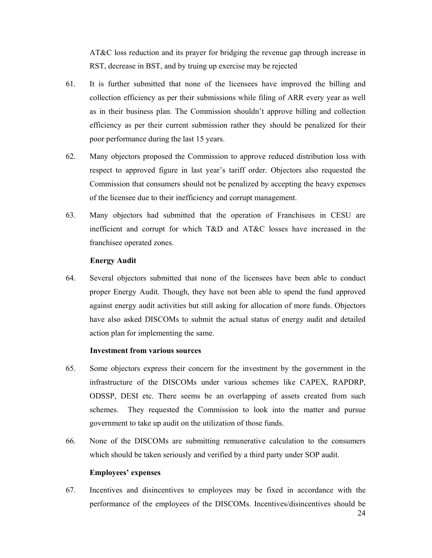AT&C loss reduction and its prayer for bridging the revenue gap through increase in RST, decrease in BST, and by truing up exercise may be rejected

- 61. It is further submitted that none of the licensees have improved the billing and collection efficiency as per their submissions while filing of ARR every year as well as in their business plan. The Commission shouldn't approve billing and collection efficiency as per their current submission rather they should be penalized for their poor performance during the last 15 years.
- 62. Many objectors proposed the Commission to approve reduced distribution loss with respect to approved figure in last year's tariff order. Objectors also requested the Commission that consumers should not be penalized by accepting the heavy expenses of the licensee due to their inefficiency and corrupt management.
- 63. Many objectors had submitted that the operation of Franchisees in CESU are inefficient and corrupt for which T&D and AT&C losses have increased in the franchisee operated zones.

# **Energy Audit**

64. Several objectors submitted that none of the licensees have been able to conduct proper Energy Audit. Though, they have not been able to spend the fund approved against energy audit activities but still asking for allocation of more funds. Objectors have also asked DISCOMs to submit the actual status of energy audit and detailed action plan for implementing the same.

## **Investment from various sources**

- 65. Some objectors express their concern for the investment by the government in the infrastructure of the DISCOMs under various schemes like CAPEX, RAPDRP, ODSSP, DESI etc. There seems be an overlapping of assets created from such schemes. They requested the Commission to look into the matter and pursue government to take up audit on the utilization of those funds.
- 66. None of the DISCOMs are submitting remunerative calculation to the consumers which should be taken seriously and verified by a third party under SOP audit.

# **Employees' expenses**

67. Incentives and disincentives to employees may be fixed in accordance with the performance of the employees of the DISCOMs. Incentives/disincentives should be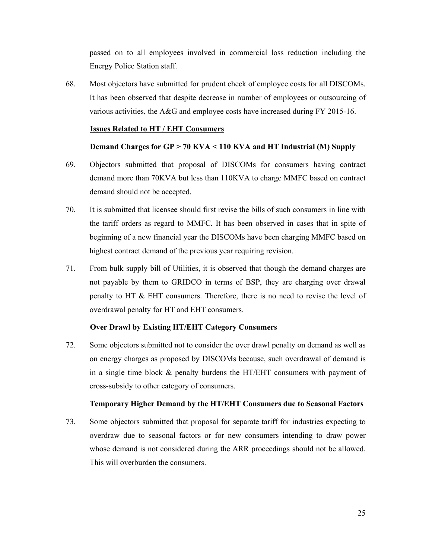passed on to all employees involved in commercial loss reduction including the Energy Police Station staff.

68. Most objectors have submitted for prudent check of employee costs for all DISCOMs. It has been observed that despite decrease in number of employees or outsourcing of various activities, the A&G and employee costs have increased during FY 2015-16.

# **Issues Related to HT / EHT Consumers**

# **Demand Charges for GP > 70 KVA < 110 KVA and HT Industrial (M) Supply**

- 69. Objectors submitted that proposal of DISCOMs for consumers having contract demand more than 70KVA but less than 110KVA to charge MMFC based on contract demand should not be accepted.
- 70. It is submitted that licensee should first revise the bills of such consumers in line with the tariff orders as regard to MMFC. It has been observed in cases that in spite of beginning of a new financial year the DISCOMs have been charging MMFC based on highest contract demand of the previous year requiring revision.
- 71. From bulk supply bill of Utilities, it is observed that though the demand charges are not payable by them to GRIDCO in terms of BSP, they are charging over drawal penalty to HT & EHT consumers. Therefore, there is no need to revise the level of overdrawal penalty for HT and EHT consumers.

# **Over Drawl by Existing HT/EHT Category Consumers**

72. Some objectors submitted not to consider the over drawl penalty on demand as well as on energy charges as proposed by DISCOMs because, such overdrawal of demand is in a single time block & penalty burdens the HT/EHT consumers with payment of cross-subsidy to other category of consumers.

# **Temporary Higher Demand by the HT/EHT Consumers due to Seasonal Factors**

73. Some objectors submitted that proposal for separate tariff for industries expecting to overdraw due to seasonal factors or for new consumers intending to draw power whose demand is not considered during the ARR proceedings should not be allowed. This will overburden the consumers.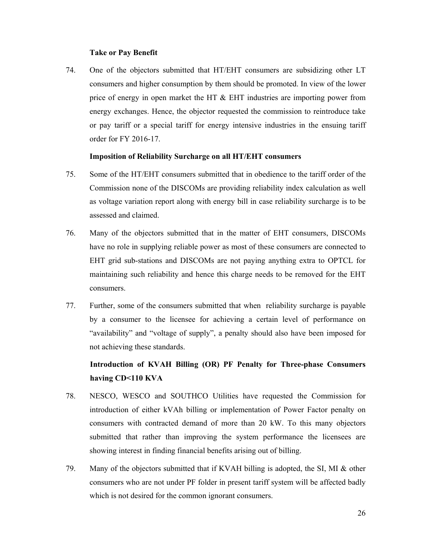### **Take or Pay Benefit**

74. One of the objectors submitted that HT/EHT consumers are subsidizing other LT consumers and higher consumption by them should be promoted. In view of the lower price of energy in open market the HT & EHT industries are importing power from energy exchanges. Hence, the objector requested the commission to reintroduce take or pay tariff or a special tariff for energy intensive industries in the ensuing tariff order for FY 2016-17.

### **Imposition of Reliability Surcharge on all HT/EHT consumers**

- 75. Some of the HT/EHT consumers submitted that in obedience to the tariff order of the Commission none of the DISCOMs are providing reliability index calculation as well as voltage variation report along with energy bill in case reliability surcharge is to be assessed and claimed.
- 76. Many of the objectors submitted that in the matter of EHT consumers, DISCOMs have no role in supplying reliable power as most of these consumers are connected to EHT grid sub-stations and DISCOMs are not paying anything extra to OPTCL for maintaining such reliability and hence this charge needs to be removed for the EHT consumers.
- 77. Further, some of the consumers submitted that when reliability surcharge is payable by a consumer to the licensee for achieving a certain level of performance on "availability" and "voltage of supply", a penalty should also have been imposed for not achieving these standards.

# **Introduction of KVAH Billing (OR) PF Penalty for Three-phase Consumers having CD<110 KVA**

- 78. NESCO, WESCO and SOUTHCO Utilities have requested the Commission for introduction of either kVAh billing or implementation of Power Factor penalty on consumers with contracted demand of more than 20 kW. To this many objectors submitted that rather than improving the system performance the licensees are showing interest in finding financial benefits arising out of billing.
- 79. Many of the objectors submitted that if KVAH billing is adopted, the SI, MI & other consumers who are not under PF folder in present tariff system will be affected badly which is not desired for the common ignorant consumers.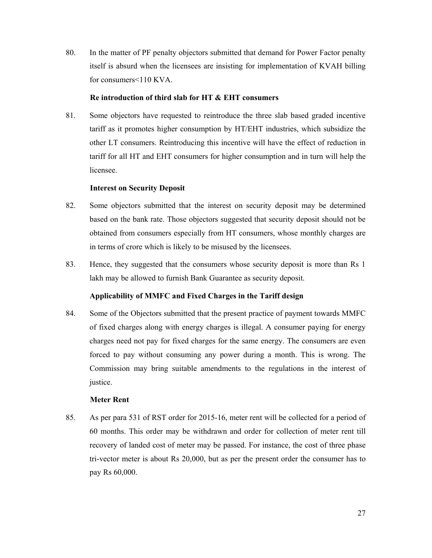80. In the matter of PF penalty objectors submitted that demand for Power Factor penalty itself is absurd when the licensees are insisting for implementation of KVAH billing for consumers<110 KVA.

### **Re introduction of third slab for HT & EHT consumers**

81. Some objectors have requested to reintroduce the three slab based graded incentive tariff as it promotes higher consumption by HT/EHT industries, which subsidize the other LT consumers. Reintroducing this incentive will have the effect of reduction in tariff for all HT and EHT consumers for higher consumption and in turn will help the licensee.

# **Interest on Security Deposit**

- 82. Some objectors submitted that the interest on security deposit may be determined based on the bank rate. Those objectors suggested that security deposit should not be obtained from consumers especially from HT consumers, whose monthly charges are in terms of crore which is likely to be misused by the licensees.
- 83. Hence, they suggested that the consumers whose security deposit is more than Rs 1 lakh may be allowed to furnish Bank Guarantee as security deposit.

# **Applicability of MMFC and Fixed Charges in the Tariff design**

84. Some of the Objectors submitted that the present practice of payment towards MMFC of fixed charges along with energy charges is illegal. A consumer paying for energy charges need not pay for fixed charges for the same energy. The consumers are even forced to pay without consuming any power during a month. This is wrong. The Commission may bring suitable amendments to the regulations in the interest of justice.

### **Meter Rent**

85. As per para 531 of RST order for 2015-16, meter rent will be collected for a period of 60 months. This order may be withdrawn and order for collection of meter rent till recovery of landed cost of meter may be passed. For instance, the cost of three phase tri-vector meter is about Rs 20,000, but as per the present order the consumer has to pay Rs 60,000.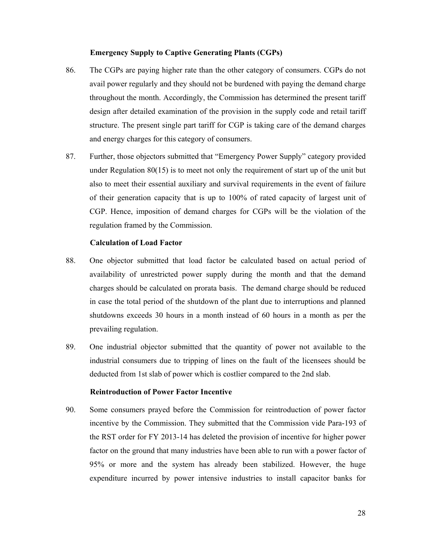### **Emergency Supply to Captive Generating Plants (CGPs)**

- 86. The CGPs are paying higher rate than the other category of consumers. CGPs do not avail power regularly and they should not be burdened with paying the demand charge throughout the month. Accordingly, the Commission has determined the present tariff design after detailed examination of the provision in the supply code and retail tariff structure. The present single part tariff for CGP is taking care of the demand charges and energy charges for this category of consumers.
- 87. Further, those objectors submitted that "Emergency Power Supply" category provided under Regulation 80(15) is to meet not only the requirement of start up of the unit but also to meet their essential auxiliary and survival requirements in the event of failure of their generation capacity that is up to 100% of rated capacity of largest unit of CGP. Hence, imposition of demand charges for CGPs will be the violation of the regulation framed by the Commission.

# **Calculation of Load Factor**

- 88. One objector submitted that load factor be calculated based on actual period of availability of unrestricted power supply during the month and that the demand charges should be calculated on prorata basis. The demand charge should be reduced in case the total period of the shutdown of the plant due to interruptions and planned shutdowns exceeds 30 hours in a month instead of 60 hours in a month as per the prevailing regulation.
- 89. One industrial objector submitted that the quantity of power not available to the industrial consumers due to tripping of lines on the fault of the licensees should be deducted from 1st slab of power which is costlier compared to the 2nd slab.

# **Reintroduction of Power Factor Incentive**

90. Some consumers prayed before the Commission for reintroduction of power factor incentive by the Commission. They submitted that the Commission vide Para-193 of the RST order for FY 2013-14 has deleted the provision of incentive for higher power factor on the ground that many industries have been able to run with a power factor of 95% or more and the system has already been stabilized. However, the huge expenditure incurred by power intensive industries to install capacitor banks for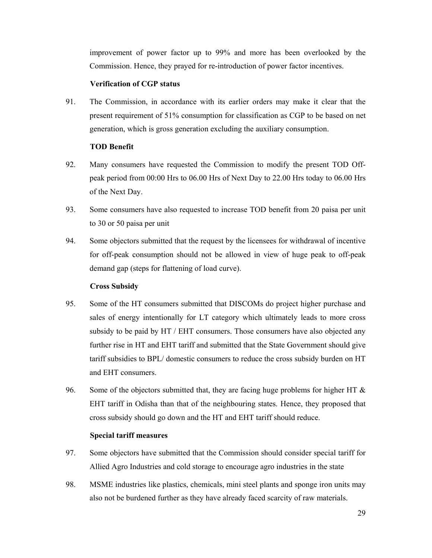improvement of power factor up to 99% and more has been overlooked by the Commission. Hence, they prayed for re-introduction of power factor incentives.

# **Verification of CGP status**

91. The Commission, in accordance with its earlier orders may make it clear that the present requirement of 51% consumption for classification as CGP to be based on net generation, which is gross generation excluding the auxiliary consumption.

# **TOD Benefit**

- 92. Many consumers have requested the Commission to modify the present TOD Offpeak period from 00:00 Hrs to 06.00 Hrs of Next Day to 22.00 Hrs today to 06.00 Hrs of the Next Day.
- 93. Some consumers have also requested to increase TOD benefit from 20 paisa per unit to 30 or 50 paisa per unit
- 94. Some objectors submitted that the request by the licensees for withdrawal of incentive for off-peak consumption should not be allowed in view of huge peak to off-peak demand gap (steps for flattening of load curve).

# **Cross Subsidy**

- 95. Some of the HT consumers submitted that DISCOMs do project higher purchase and sales of energy intentionally for LT category which ultimately leads to more cross subsidy to be paid by HT / EHT consumers. Those consumers have also objected any further rise in HT and EHT tariff and submitted that the State Government should give tariff subsidies to BPL/ domestic consumers to reduce the cross subsidy burden on HT and EHT consumers.
- 96. Some of the objectors submitted that, they are facing huge problems for higher HT  $\&$ EHT tariff in Odisha than that of the neighbouring states. Hence, they proposed that cross subsidy should go down and the HT and EHT tariff should reduce.

# **Special tariff measures**

- 97. Some objectors have submitted that the Commission should consider special tariff for Allied Agro Industries and cold storage to encourage agro industries in the state
- 98. MSME industries like plastics, chemicals, mini steel plants and sponge iron units may also not be burdened further as they have already faced scarcity of raw materials.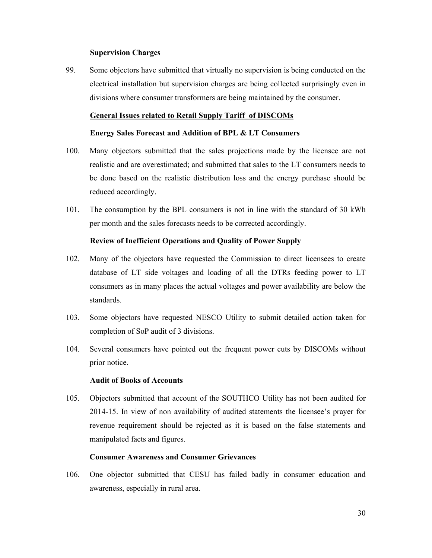### **Supervision Charges**

99. Some objectors have submitted that virtually no supervision is being conducted on the electrical installation but supervision charges are being collected surprisingly even in divisions where consumer transformers are being maintained by the consumer.

### **General Issues related to Retail Supply Tariff of DISCOMs**

## **Energy Sales Forecast and Addition of BPL & LT Consumers**

- 100. Many objectors submitted that the sales projections made by the licensee are not realistic and are overestimated; and submitted that sales to the LT consumers needs to be done based on the realistic distribution loss and the energy purchase should be reduced accordingly.
- 101. The consumption by the BPL consumers is not in line with the standard of 30 kWh per month and the sales forecasts needs to be corrected accordingly.

# **Review of Inefficient Operations and Quality of Power Supply**

- 102. Many of the objectors have requested the Commission to direct licensees to create database of LT side voltages and loading of all the DTRs feeding power to LT consumers as in many places the actual voltages and power availability are below the standards.
- 103. Some objectors have requested NESCO Utility to submit detailed action taken for completion of SoP audit of 3 divisions.
- 104. Several consumers have pointed out the frequent power cuts by DISCOMs without prior notice.

# **Audit of Books of Accounts**

105. Objectors submitted that account of the SOUTHCO Utility has not been audited for 2014-15. In view of non availability of audited statements the licensee's prayer for revenue requirement should be rejected as it is based on the false statements and manipulated facts and figures.

# **Consumer Awareness and Consumer Grievances**

106. One objector submitted that CESU has failed badly in consumer education and awareness, especially in rural area.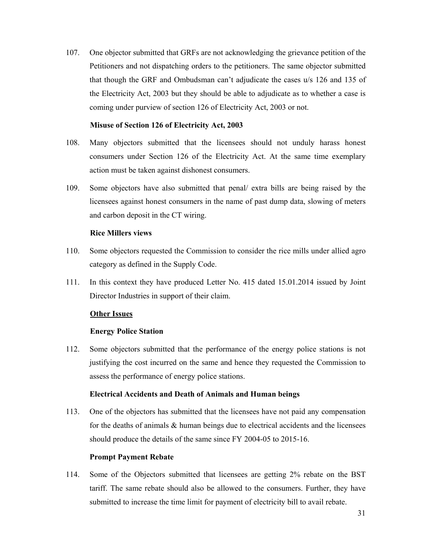107. One objector submitted that GRFs are not acknowledging the grievance petition of the Petitioners and not dispatching orders to the petitioners. The same objector submitted that though the GRF and Ombudsman can't adjudicate the cases u/s 126 and 135 of the Electricity Act, 2003 but they should be able to adjudicate as to whether a case is coming under purview of section 126 of Electricity Act, 2003 or not.

# **Misuse of Section 126 of Electricity Act, 2003**

- 108. Many objectors submitted that the licensees should not unduly harass honest consumers under Section 126 of the Electricity Act. At the same time exemplary action must be taken against dishonest consumers.
- 109. Some objectors have also submitted that penal/ extra bills are being raised by the licensees against honest consumers in the name of past dump data, slowing of meters and carbon deposit in the CT wiring.

# **Rice Millers views**

- 110. Some objectors requested the Commission to consider the rice mills under allied agro category as defined in the Supply Code.
- 111. In this context they have produced Letter No. 415 dated 15.01.2014 issued by Joint Director Industries in support of their claim.

# **Other Issues**

# **Energy Police Station**

112. Some objectors submitted that the performance of the energy police stations is not justifying the cost incurred on the same and hence they requested the Commission to assess the performance of energy police stations.

### **Electrical Accidents and Death of Animals and Human beings**

113. One of the objectors has submitted that the licensees have not paid any compensation for the deaths of animals  $\&$  human beings due to electrical accidents and the licensees should produce the details of the same since FY 2004-05 to 2015-16.

### **Prompt Payment Rebate**

114. Some of the Objectors submitted that licensees are getting 2% rebate on the BST tariff. The same rebate should also be allowed to the consumers. Further, they have submitted to increase the time limit for payment of electricity bill to avail rebate.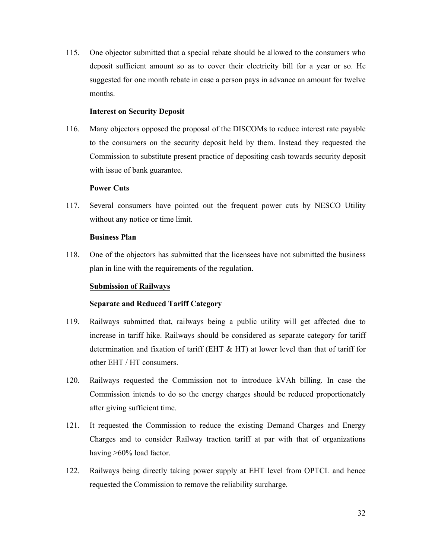115. One objector submitted that a special rebate should be allowed to the consumers who deposit sufficient amount so as to cover their electricity bill for a year or so. He suggested for one month rebate in case a person pays in advance an amount for twelve months.

### **Interest on Security Deposit**

116. Many objectors opposed the proposal of the DISCOMs to reduce interest rate payable to the consumers on the security deposit held by them. Instead they requested the Commission to substitute present practice of depositing cash towards security deposit with issue of bank guarantee.

# **Power Cuts**

117. Several consumers have pointed out the frequent power cuts by NESCO Utility without any notice or time limit.

## **Business Plan**

118. One of the objectors has submitted that the licensees have not submitted the business plan in line with the requirements of the regulation.

# **Submission of Railways**

# **Separate and Reduced Tariff Category**

- 119. Railways submitted that, railways being a public utility will get affected due to increase in tariff hike. Railways should be considered as separate category for tariff determination and fixation of tariff (EHT & HT) at lower level than that of tariff for other EHT / HT consumers.
- 120. Railways requested the Commission not to introduce kVAh billing. In case the Commission intends to do so the energy charges should be reduced proportionately after giving sufficient time.
- 121. It requested the Commission to reduce the existing Demand Charges and Energy Charges and to consider Railway traction tariff at par with that of organizations having >60% load factor.
- 122. Railways being directly taking power supply at EHT level from OPTCL and hence requested the Commission to remove the reliability surcharge.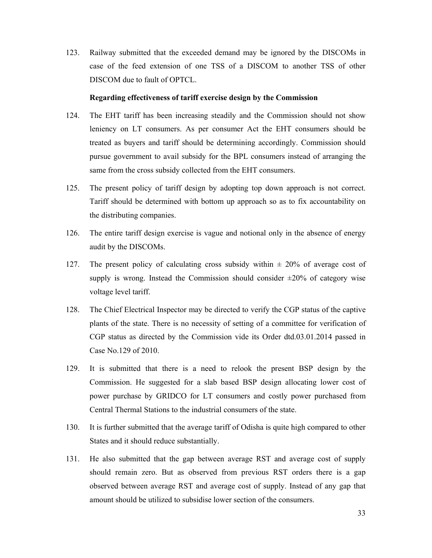123. Railway submitted that the exceeded demand may be ignored by the DISCOMs in case of the feed extension of one TSS of a DISCOM to another TSS of other DISCOM due to fault of OPTCL.

# **Regarding effectiveness of tariff exercise design by the Commission**

- 124. The EHT tariff has been increasing steadily and the Commission should not show leniency on LT consumers. As per consumer Act the EHT consumers should be treated as buyers and tariff should be determining accordingly. Commission should pursue government to avail subsidy for the BPL consumers instead of arranging the same from the cross subsidy collected from the EHT consumers.
- 125. The present policy of tariff design by adopting top down approach is not correct. Tariff should be determined with bottom up approach so as to fix accountability on the distributing companies.
- 126. The entire tariff design exercise is vague and notional only in the absence of energy audit by the DISCOMs.
- 127. The present policy of calculating cross subsidy within  $\pm$  20% of average cost of supply is wrong. Instead the Commission should consider  $\pm 20\%$  of category wise voltage level tariff.
- 128. The Chief Electrical Inspector may be directed to verify the CGP status of the captive plants of the state. There is no necessity of setting of a committee for verification of CGP status as directed by the Commission vide its Order dtd.03.01.2014 passed in Case No.129 of 2010.
- 129. It is submitted that there is a need to relook the present BSP design by the Commission. He suggested for a slab based BSP design allocating lower cost of power purchase by GRIDCO for LT consumers and costly power purchased from Central Thermal Stations to the industrial consumers of the state.
- 130. It is further submitted that the average tariff of Odisha is quite high compared to other States and it should reduce substantially.
- 131. He also submitted that the gap between average RST and average cost of supply should remain zero. But as observed from previous RST orders there is a gap observed between average RST and average cost of supply. Instead of any gap that amount should be utilized to subsidise lower section of the consumers.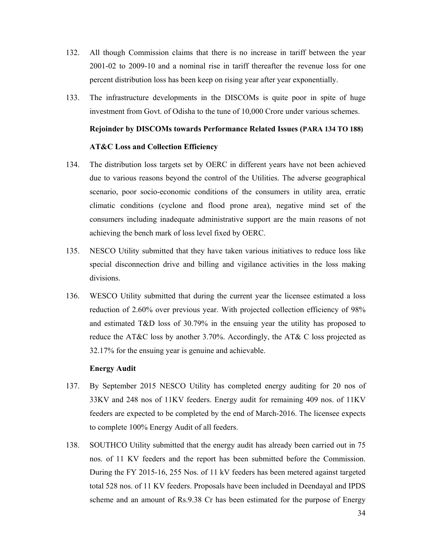- 132. All though Commission claims that there is no increase in tariff between the year 2001-02 to 2009-10 and a nominal rise in tariff thereafter the revenue loss for one percent distribution loss has been keep on rising year after year exponentially.
- 133. The infrastructure developments in the DISCOMs is quite poor in spite of huge investment from Govt. of Odisha to the tune of 10,000 Crore under various schemes.

# **Rejoinder by DISCOMs towards Performance Related Issues (PARA 134 TO 188)**

### **AT&C Loss and Collection Efficiency**

- 134. The distribution loss targets set by OERC in different years have not been achieved due to various reasons beyond the control of the Utilities. The adverse geographical scenario, poor socio-economic conditions of the consumers in utility area, erratic climatic conditions (cyclone and flood prone area), negative mind set of the consumers including inadequate administrative support are the main reasons of not achieving the bench mark of loss level fixed by OERC.
- 135. NESCO Utility submitted that they have taken various initiatives to reduce loss like special disconnection drive and billing and vigilance activities in the loss making divisions.
- 136. WESCO Utility submitted that during the current year the licensee estimated a loss reduction of 2.60% over previous year. With projected collection efficiency of 98% and estimated T&D loss of 30.79% in the ensuing year the utility has proposed to reduce the AT&C loss by another 3.70%. Accordingly, the AT& C loss projected as 32.17% for the ensuing year is genuine and achievable.

#### **Energy Audit**

- 137. By September 2015 NESCO Utility has completed energy auditing for 20 nos of 33KV and 248 nos of 11KV feeders. Energy audit for remaining 409 nos. of 11KV feeders are expected to be completed by the end of March-2016. The licensee expects to complete 100% Energy Audit of all feeders.
- 138. SOUTHCO Utility submitted that the energy audit has already been carried out in 75 nos. of 11 KV feeders and the report has been submitted before the Commission. During the FY 2015-16, 255 Nos. of 11 kV feeders has been metered against targeted total 528 nos. of 11 KV feeders. Proposals have been included in Deendayal and IPDS scheme and an amount of Rs.9.38 Cr has been estimated for the purpose of Energy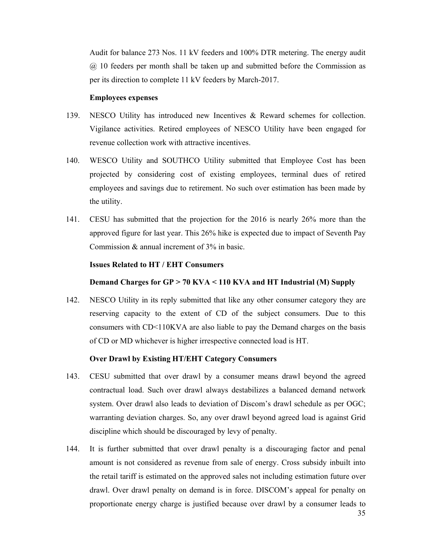Audit for balance 273 Nos. 11 kV feeders and 100% DTR metering. The energy audit @ 10 feeders per month shall be taken up and submitted before the Commission as per its direction to complete 11 kV feeders by March-2017.

# **Employees expenses**

- 139. NESCO Utility has introduced new Incentives & Reward schemes for collection. Vigilance activities. Retired employees of NESCO Utility have been engaged for revenue collection work with attractive incentives.
- 140. WESCO Utility and SOUTHCO Utility submitted that Employee Cost has been projected by considering cost of existing employees, terminal dues of retired employees and savings due to retirement. No such over estimation has been made by the utility.
- 141. CESU has submitted that the projection for the 2016 is nearly 26% more than the approved figure for last year. This 26% hike is expected due to impact of Seventh Pay Commission & annual increment of 3% in basic.

# **Issues Related to HT / EHT Consumers**

# **Demand Charges for GP > 70 KVA < 110 KVA and HT Industrial (M) Supply**

142. NESCO Utility in its reply submitted that like any other consumer category they are reserving capacity to the extent of CD of the subject consumers. Due to this consumers with CD<110KVA are also liable to pay the Demand charges on the basis of CD or MD whichever is higher irrespective connected load is HT.

### **Over Drawl by Existing HT/EHT Category Consumers**

- 143. CESU submitted that over drawl by a consumer means drawl beyond the agreed contractual load. Such over drawl always destabilizes a balanced demand network system. Over drawl also leads to deviation of Discom's drawl schedule as per OGC; warranting deviation charges. So, any over drawl beyond agreed load is against Grid discipline which should be discouraged by levy of penalty.
- 144. It is further submitted that over drawl penalty is a discouraging factor and penal amount is not considered as revenue from sale of energy. Cross subsidy inbuilt into the retail tariff is estimated on the approved sales not including estimation future over drawl. Over drawl penalty on demand is in force. DISCOM's appeal for penalty on proportionate energy charge is justified because over drawl by a consumer leads to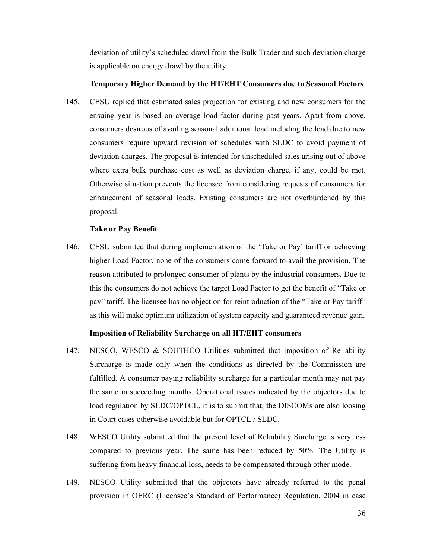deviation of utility's scheduled drawl from the Bulk Trader and such deviation charge is applicable on energy drawl by the utility.

### **Temporary Higher Demand by the HT/EHT Consumers due to Seasonal Factors**

145. CESU replied that estimated sales projection for existing and new consumers for the ensuing year is based on average load factor during past years. Apart from above, consumers desirous of availing seasonal additional load including the load due to new consumers require upward revision of schedules with SLDC to avoid payment of deviation charges. The proposal is intended for unscheduled sales arising out of above where extra bulk purchase cost as well as deviation charge, if any, could be met. Otherwise situation prevents the licensee from considering requests of consumers for enhancement of seasonal loads. Existing consumers are not overburdened by this proposal.

# **Take or Pay Benefit**

146. CESU submitted that during implementation of the 'Take or Pay' tariff on achieving higher Load Factor, none of the consumers come forward to avail the provision. The reason attributed to prolonged consumer of plants by the industrial consumers. Due to this the consumers do not achieve the target Load Factor to get the benefit of "Take or pay" tariff. The licensee has no objection for reintroduction of the "Take or Pay tariff" as this will make optimum utilization of system capacity and guaranteed revenue gain.

# **Imposition of Reliability Surcharge on all HT/EHT consumers**

- 147. NESCO, WESCO & SOUTHCO Utilities submitted that imposition of Reliability Surcharge is made only when the conditions as directed by the Commission are fulfilled. A consumer paying reliability surcharge for a particular month may not pay the same in succeeding months. Operational issues indicated by the objectors due to load regulation by SLDC/OPTCL, it is to submit that, the DISCOMs are also loosing in Court cases otherwise avoidable but for OPTCL / SLDC.
- 148. WESCO Utility submitted that the present level of Reliability Surcharge is very less compared to previous year. The same has been reduced by 50%. The Utility is suffering from heavy financial loss, needs to be compensated through other mode.
- 149. NESCO Utility submitted that the objectors have already referred to the penal provision in OERC (Licensee's Standard of Performance) Regulation, 2004 in case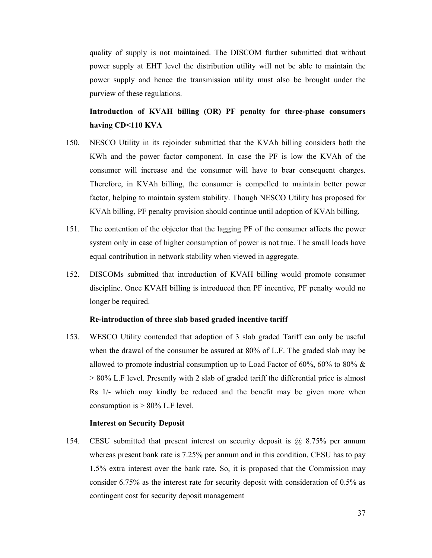quality of supply is not maintained. The DISCOM further submitted that without power supply at EHT level the distribution utility will not be able to maintain the power supply and hence the transmission utility must also be brought under the purview of these regulations.

# **Introduction of KVAH billing (OR) PF penalty for three-phase consumers having CD<110 KVA**

- 150. NESCO Utility in its rejoinder submitted that the KVAh billing considers both the KWh and the power factor component. In case the PF is low the KVAh of the consumer will increase and the consumer will have to bear consequent charges. Therefore, in KVAh billing, the consumer is compelled to maintain better power factor, helping to maintain system stability. Though NESCO Utility has proposed for KVAh billing, PF penalty provision should continue until adoption of KVAh billing.
- 151. The contention of the objector that the lagging PF of the consumer affects the power system only in case of higher consumption of power is not true. The small loads have equal contribution in network stability when viewed in aggregate.
- 152. DISCOMs submitted that introduction of KVAH billing would promote consumer discipline. Once KVAH billing is introduced then PF incentive, PF penalty would no longer be required.

## **Re-introduction of three slab based graded incentive tariff**

153. WESCO Utility contended that adoption of 3 slab graded Tariff can only be useful when the drawal of the consumer be assured at 80% of L.F. The graded slab may be allowed to promote industrial consumption up to Load Factor of 60%, 60% to 80%  $\&$ > 80% L.F level. Presently with 2 slab of graded tariff the differential price is almost Rs 1/- which may kindly be reduced and the benefit may be given more when consumption is  $> 80\%$  L.F level.

## **Interest on Security Deposit**

154. CESU submitted that present interest on security deposit is @ 8.75% per annum whereas present bank rate is 7.25% per annum and in this condition, CESU has to pay 1.5% extra interest over the bank rate. So, it is proposed that the Commission may consider 6.75% as the interest rate for security deposit with consideration of 0.5% as contingent cost for security deposit management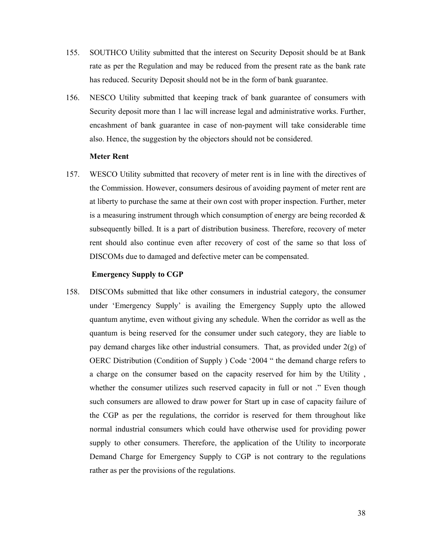- 155. SOUTHCO Utility submitted that the interest on Security Deposit should be at Bank rate as per the Regulation and may be reduced from the present rate as the bank rate has reduced. Security Deposit should not be in the form of bank guarantee.
- 156. NESCO Utility submitted that keeping track of bank guarantee of consumers with Security deposit more than 1 lac will increase legal and administrative works. Further, encashment of bank guarantee in case of non-payment will take considerable time also. Hence, the suggestion by the objectors should not be considered.

## **Meter Rent**

157. WESCO Utility submitted that recovery of meter rent is in line with the directives of the Commission. However, consumers desirous of avoiding payment of meter rent are at liberty to purchase the same at their own cost with proper inspection. Further, meter is a measuring instrument through which consumption of energy are being recorded  $\&$ subsequently billed. It is a part of distribution business. Therefore, recovery of meter rent should also continue even after recovery of cost of the same so that loss of DISCOMs due to damaged and defective meter can be compensated.

### **Emergency Supply to CGP**

158. DISCOMs submitted that like other consumers in industrial category, the consumer under 'Emergency Supply' is availing the Emergency Supply upto the allowed quantum anytime, even without giving any schedule. When the corridor as well as the quantum is being reserved for the consumer under such category, they are liable to pay demand charges like other industrial consumers. That, as provided under 2(g) of OERC Distribution (Condition of Supply ) Code '2004 " the demand charge refers to a charge on the consumer based on the capacity reserved for him by the Utility , whether the consumer utilizes such reserved capacity in full or not ." Even though such consumers are allowed to draw power for Start up in case of capacity failure of the CGP as per the regulations, the corridor is reserved for them throughout like normal industrial consumers which could have otherwise used for providing power supply to other consumers. Therefore, the application of the Utility to incorporate Demand Charge for Emergency Supply to CGP is not contrary to the regulations rather as per the provisions of the regulations.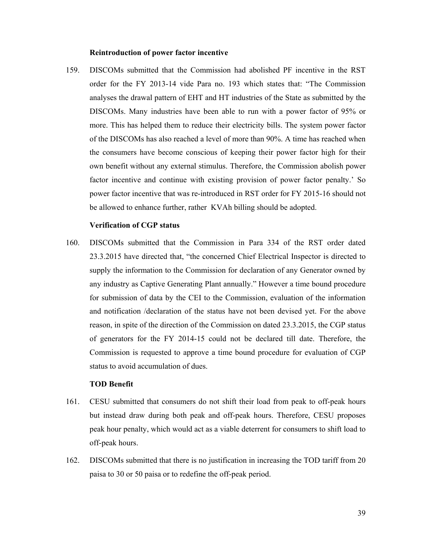#### **Reintroduction of power factor incentive**

159. DISCOMs submitted that the Commission had abolished PF incentive in the RST order for the FY 2013-14 vide Para no. 193 which states that: "The Commission analyses the drawal pattern of EHT and HT industries of the State as submitted by the DISCOMs. Many industries have been able to run with a power factor of 95% or more. This has helped them to reduce their electricity bills. The system power factor of the DISCOMs has also reached a level of more than 90%. A time has reached when the consumers have become conscious of keeping their power factor high for their own benefit without any external stimulus. Therefore, the Commission abolish power factor incentive and continue with existing provision of power factor penalty.' So power factor incentive that was re-introduced in RST order for FY 2015-16 should not be allowed to enhance further, rather KVAh billing should be adopted.

## **Verification of CGP status**

160. DISCOMs submitted that the Commission in Para 334 of the RST order dated 23.3.2015 have directed that, "the concerned Chief Electrical Inspector is directed to supply the information to the Commission for declaration of any Generator owned by any industry as Captive Generating Plant annually." However a time bound procedure for submission of data by the CEI to the Commission, evaluation of the information and notification /declaration of the status have not been devised yet. For the above reason, in spite of the direction of the Commission on dated 23.3.2015, the CGP status of generators for the FY 2014-15 could not be declared till date. Therefore, the Commission is requested to approve a time bound procedure for evaluation of CGP status to avoid accumulation of dues.

## **TOD Benefit**

- 161. CESU submitted that consumers do not shift their load from peak to off-peak hours but instead draw during both peak and off-peak hours. Therefore, CESU proposes peak hour penalty, which would act as a viable deterrent for consumers to shift load to off-peak hours.
- 162. DISCOMs submitted that there is no justification in increasing the TOD tariff from 20 paisa to 30 or 50 paisa or to redefine the off-peak period.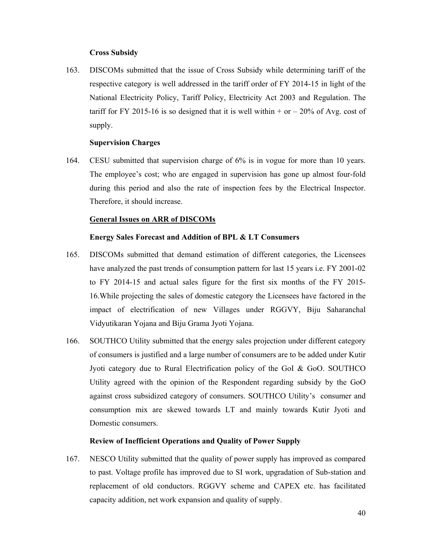## **Cross Subsidy**

163. DISCOMs submitted that the issue of Cross Subsidy while determining tariff of the respective category is well addressed in the tariff order of FY 2014-15 in light of the National Electricity Policy, Tariff Policy, Electricity Act 2003 and Regulation. The tariff for FY 2015-16 is so designed that it is well within  $+$  or  $-$  20% of Avg. cost of supply.

### **Supervision Charges**

164. CESU submitted that supervision charge of 6% is in vogue for more than 10 years. The employee's cost; who are engaged in supervision has gone up almost four-fold during this period and also the rate of inspection fees by the Electrical Inspector. Therefore, it should increase.

## **General Issues on ARR of DISCOMs**

## **Energy Sales Forecast and Addition of BPL & LT Consumers**

- 165. DISCOMs submitted that demand estimation of different categories, the Licensees have analyzed the past trends of consumption pattern for last 15 years i.e. FY 2001-02 to FY 2014-15 and actual sales figure for the first six months of the FY 2015- 16.While projecting the sales of domestic category the Licensees have factored in the impact of electrification of new Villages under RGGVY, Biju Saharanchal Vidyutikaran Yojana and Biju Grama Jyoti Yojana.
- 166. SOUTHCO Utility submitted that the energy sales projection under different category of consumers is justified and a large number of consumers are to be added under Kutir Jyoti category due to Rural Electrification policy of the GoI & GoO. SOUTHCO Utility agreed with the opinion of the Respondent regarding subsidy by the GoO against cross subsidized category of consumers. SOUTHCO Utility's consumer and consumption mix are skewed towards LT and mainly towards Kutir Jyoti and Domestic consumers.

## **Review of Inefficient Operations and Quality of Power Supply**

167. NESCO Utility submitted that the quality of power supply has improved as compared to past. Voltage profile has improved due to SI work, upgradation of Sub-station and replacement of old conductors. RGGVY scheme and CAPEX etc. has facilitated capacity addition, net work expansion and quality of supply.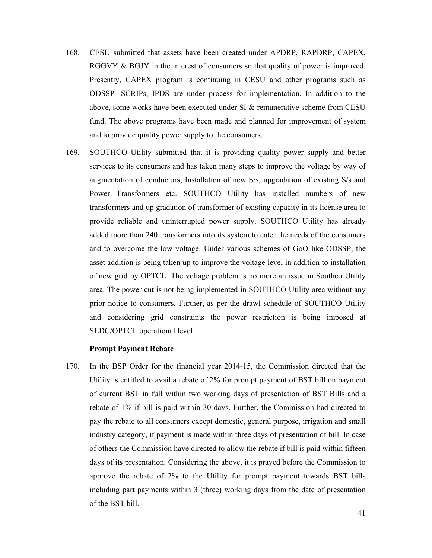- 168. CESU submitted that assets have been created under APDRP, RAPDRP, CAPEX, RGGVY & BGJY in the interest of consumers so that quality of power is improved. Presently, CAPEX program is continuing in CESU and other programs such as ODSSP- SCRIPs, IPDS are under process for implementation. In addition to the above, some works have been executed under SI & remunerative scheme from CESU fund. The above programs have been made and planned for improvement of system and to provide quality power supply to the consumers.
- 169. SOUTHCO Utility submitted that it is providing quality power supply and better services to its consumers and has taken many steps to improve the voltage by way of augmentation of conductors, Installation of new S/s, upgradation of existing S/s and Power Transformers etc. SOUTHCO Utility has installed numbers of new transformers and up gradation of transformer of existing capacity in its license area to provide reliable and uninterrupted power supply. SOUTHCO Utility has already added more than 240 transformers into its system to cater the needs of the consumers and to overcome the low voltage. Under various schemes of GoO like ODSSP, the asset addition is being taken up to improve the voltage level in addition to installation of new grid by OPTCL. The voltage problem is no more an issue in Southco Utility area. The power cut is not being implemented in SOUTHCO Utility area without any prior notice to consumers. Further, as per the drawl schedule of SOUTHCO Utility and considering grid constraints the power restriction is being imposed at SLDC/OPTCL operational level.

## **Prompt Payment Rebate**

170. In the BSP Order for the financial year 2014-15, the Commission directed that the Utility is entitled to avail a rebate of 2% for prompt payment of BST bill on payment of current BST in full within two working days of presentation of BST Bills and a rebate of 1% if bill is paid within 30 days. Further, the Commission had directed to pay the rebate to all consumers except domestic, general purpose, irrigation and small industry category, if payment is made within three days of presentation of bill. In case of others the Commission have directed to allow the rebate if bill is paid within fifteen days of its presentation. Considering the above, it is prayed before the Commission to approve the rebate of 2% to the Utility for prompt payment towards BST bills including part payments within 3 (three) working days from the date of presentation of the BST bill.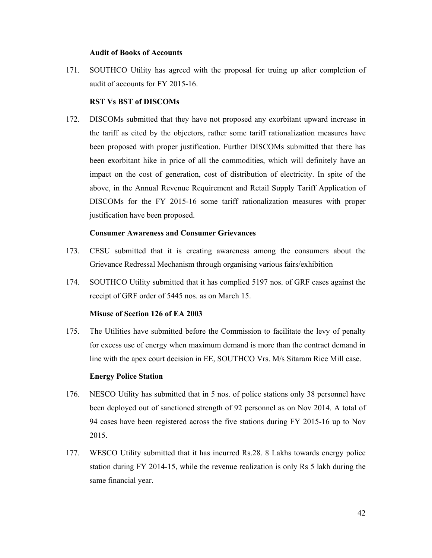#### **Audit of Books of Accounts**

171. SOUTHCO Utility has agreed with the proposal for truing up after completion of audit of accounts for FY 2015-16.

## **RST Vs BST of DISCOMs**

172. DISCOMs submitted that they have not proposed any exorbitant upward increase in the tariff as cited by the objectors, rather some tariff rationalization measures have been proposed with proper justification. Further DISCOMs submitted that there has been exorbitant hike in price of all the commodities, which will definitely have an impact on the cost of generation, cost of distribution of electricity. In spite of the above, in the Annual Revenue Requirement and Retail Supply Tariff Application of DISCOMs for the FY 2015-16 some tariff rationalization measures with proper justification have been proposed.

## **Consumer Awareness and Consumer Grievances**

- 173. CESU submitted that it is creating awareness among the consumers about the Grievance Redressal Mechanism through organising various fairs/exhibition
- 174. SOUTHCO Utility submitted that it has complied 5197 nos. of GRF cases against the receipt of GRF order of 5445 nos. as on March 15.

## **Misuse of Section 126 of EA 2003**

175. The Utilities have submitted before the Commission to facilitate the levy of penalty for excess use of energy when maximum demand is more than the contract demand in line with the apex court decision in EE, SOUTHCO Vrs. M/s Sitaram Rice Mill case.

## **Energy Police Station**

- 176. NESCO Utility has submitted that in 5 nos. of police stations only 38 personnel have been deployed out of sanctioned strength of 92 personnel as on Nov 2014. A total of 94 cases have been registered across the five stations during FY 2015-16 up to Nov 2015.
- 177. WESCO Utility submitted that it has incurred Rs.28. 8 Lakhs towards energy police station during FY 2014-15, while the revenue realization is only Rs 5 lakh during the same financial year.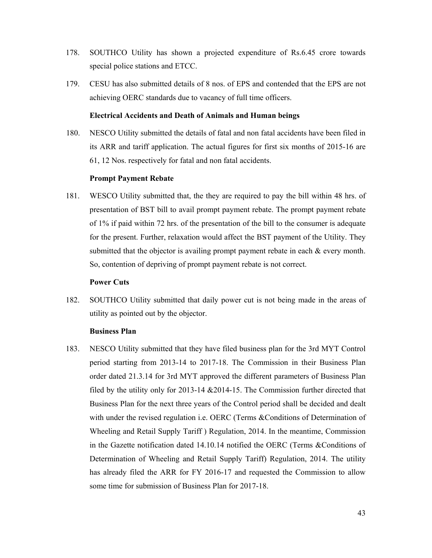- 178. SOUTHCO Utility has shown a projected expenditure of Rs.6.45 crore towards special police stations and ETCC.
- 179. CESU has also submitted details of 8 nos. of EPS and contended that the EPS are not achieving OERC standards due to vacancy of full time officers.

## **Electrical Accidents and Death of Animals and Human beings**

180. NESCO Utility submitted the details of fatal and non fatal accidents have been filed in its ARR and tariff application. The actual figures for first six months of 2015-16 are 61, 12 Nos. respectively for fatal and non fatal accidents.

## **Prompt Payment Rebate**

181. WESCO Utility submitted that, the they are required to pay the bill within 48 hrs. of presentation of BST bill to avail prompt payment rebate. The prompt payment rebate of 1% if paid within 72 hrs. of the presentation of the bill to the consumer is adequate for the present. Further, relaxation would affect the BST payment of the Utility. They submitted that the objector is availing prompt payment rebate in each & every month. So, contention of depriving of prompt payment rebate is not correct.

### **Power Cuts**

182. SOUTHCO Utility submitted that daily power cut is not being made in the areas of utility as pointed out by the objector.

### **Business Plan**

183. NESCO Utility submitted that they have filed business plan for the 3rd MYT Control period starting from 2013-14 to 2017-18. The Commission in their Business Plan order dated 21.3.14 for 3rd MYT approved the different parameters of Business Plan filed by the utility only for 2013-14 &2014-15. The Commission further directed that Business Plan for the next three years of the Control period shall be decided and dealt with under the revised regulation i.e. OERC (Terms & Conditions of Determination of Wheeling and Retail Supply Tariff ) Regulation, 2014. In the meantime, Commission in the Gazette notification dated 14.10.14 notified the OERC (Terms &Conditions of Determination of Wheeling and Retail Supply Tariff) Regulation, 2014. The utility has already filed the ARR for FY 2016-17 and requested the Commission to allow some time for submission of Business Plan for 2017-18.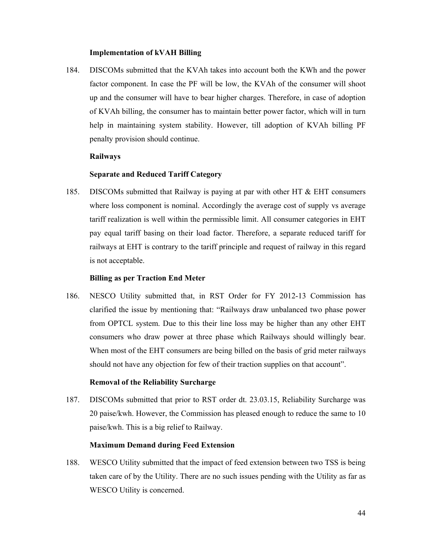#### **Implementation of kVAH Billing**

184. DISCOMs submitted that the KVAh takes into account both the KWh and the power factor component. In case the PF will be low, the KVAh of the consumer will shoot up and the consumer will have to bear higher charges. Therefore, in case of adoption of KVAh billing, the consumer has to maintain better power factor, which will in turn help in maintaining system stability. However, till adoption of KVAh billing PF penalty provision should continue.

#### **Railways**

### **Separate and Reduced Tariff Category**

185. DISCOMs submitted that Railway is paying at par with other HT  $\&$  EHT consumers where loss component is nominal. Accordingly the average cost of supply vs average tariff realization is well within the permissible limit. All consumer categories in EHT pay equal tariff basing on their load factor. Therefore, a separate reduced tariff for railways at EHT is contrary to the tariff principle and request of railway in this regard is not acceptable.

#### **Billing as per Traction End Meter**

186. NESCO Utility submitted that, in RST Order for FY 2012-13 Commission has clarified the issue by mentioning that: "Railways draw unbalanced two phase power from OPTCL system. Due to this their line loss may be higher than any other EHT consumers who draw power at three phase which Railways should willingly bear. When most of the EHT consumers are being billed on the basis of grid meter railways should not have any objection for few of their traction supplies on that account".

#### **Removal of the Reliability Surcharge**

187. DISCOMs submitted that prior to RST order dt. 23.03.15, Reliability Surcharge was 20 paise/kwh. However, the Commission has pleased enough to reduce the same to 10 paise/kwh. This is a big relief to Railway.

#### **Maximum Demand during Feed Extension**

188. WESCO Utility submitted that the impact of feed extension between two TSS is being taken care of by the Utility. There are no such issues pending with the Utility as far as WESCO Utility is concerned.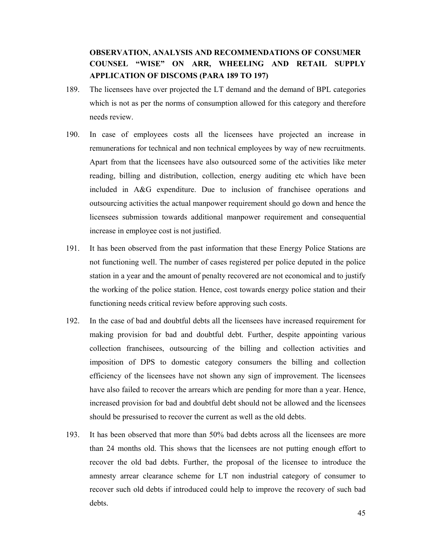# **OBSERVATION, ANALYSIS AND RECOMMENDATIONS OF CONSUMER COUNSEL "WISE" ON ARR, WHEELING AND RETAIL SUPPLY APPLICATION OF DISCOMS (PARA 189 TO 197)**

- 189. The licensees have over projected the LT demand and the demand of BPL categories which is not as per the norms of consumption allowed for this category and therefore needs review.
- 190. In case of employees costs all the licensees have projected an increase in remunerations for technical and non technical employees by way of new recruitments. Apart from that the licensees have also outsourced some of the activities like meter reading, billing and distribution, collection, energy auditing etc which have been included in A&G expenditure. Due to inclusion of franchisee operations and outsourcing activities the actual manpower requirement should go down and hence the licensees submission towards additional manpower requirement and consequential increase in employee cost is not justified.
- 191. It has been observed from the past information that these Energy Police Stations are not functioning well. The number of cases registered per police deputed in the police station in a year and the amount of penalty recovered are not economical and to justify the working of the police station. Hence, cost towards energy police station and their functioning needs critical review before approving such costs.
- 192. In the case of bad and doubtful debts all the licensees have increased requirement for making provision for bad and doubtful debt. Further, despite appointing various collection franchisees, outsourcing of the billing and collection activities and imposition of DPS to domestic category consumers the billing and collection efficiency of the licensees have not shown any sign of improvement. The licensees have also failed to recover the arrears which are pending for more than a year. Hence, increased provision for bad and doubtful debt should not be allowed and the licensees should be pressurised to recover the current as well as the old debts.
- 193. It has been observed that more than 50% bad debts across all the licensees are more than 24 months old. This shows that the licensees are not putting enough effort to recover the old bad debts. Further, the proposal of the licensee to introduce the amnesty arrear clearance scheme for LT non industrial category of consumer to recover such old debts if introduced could help to improve the recovery of such bad debts.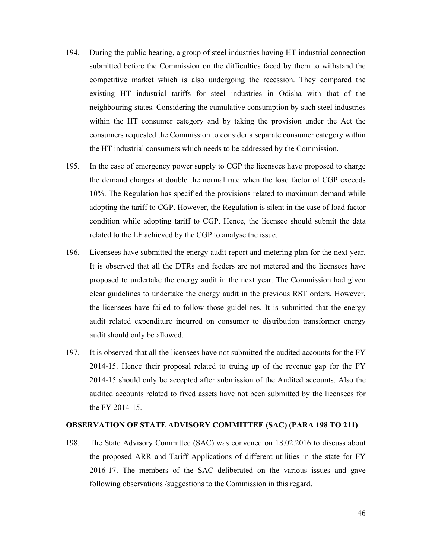- 194. During the public hearing, a group of steel industries having HT industrial connection submitted before the Commission on the difficulties faced by them to withstand the competitive market which is also undergoing the recession. They compared the existing HT industrial tariffs for steel industries in Odisha with that of the neighbouring states. Considering the cumulative consumption by such steel industries within the HT consumer category and by taking the provision under the Act the consumers requested the Commission to consider a separate consumer category within the HT industrial consumers which needs to be addressed by the Commission.
- 195. In the case of emergency power supply to CGP the licensees have proposed to charge the demand charges at double the normal rate when the load factor of CGP exceeds 10%. The Regulation has specified the provisions related to maximum demand while adopting the tariff to CGP. However, the Regulation is silent in the case of load factor condition while adopting tariff to CGP. Hence, the licensee should submit the data related to the LF achieved by the CGP to analyse the issue.
- 196. Licensees have submitted the energy audit report and metering plan for the next year. It is observed that all the DTRs and feeders are not metered and the licensees have proposed to undertake the energy audit in the next year. The Commission had given clear guidelines to undertake the energy audit in the previous RST orders. However, the licensees have failed to follow those guidelines. It is submitted that the energy audit related expenditure incurred on consumer to distribution transformer energy audit should only be allowed.
- 197. It is observed that all the licensees have not submitted the audited accounts for the FY 2014-15. Hence their proposal related to truing up of the revenue gap for the FY 2014-15 should only be accepted after submission of the Audited accounts. Also the audited accounts related to fixed assets have not been submitted by the licensees for the FY 2014-15.

## **OBSERVATION OF STATE ADVISORY COMMITTEE (SAC) (PARA 198 TO 211)**

198. The State Advisory Committee (SAC) was convened on 18.02.2016 to discuss about the proposed ARR and Tariff Applications of different utilities in the state for FY 2016-17. The members of the SAC deliberated on the various issues and gave following observations /suggestions to the Commission in this regard.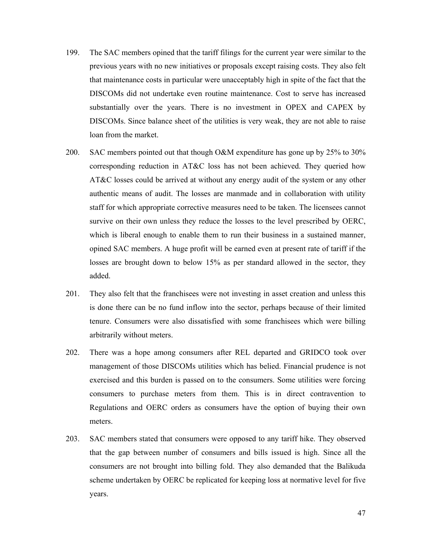- 199. The SAC members opined that the tariff filings for the current year were similar to the previous years with no new initiatives or proposals except raising costs. They also felt that maintenance costs in particular were unacceptably high in spite of the fact that the DISCOMs did not undertake even routine maintenance. Cost to serve has increased substantially over the years. There is no investment in OPEX and CAPEX by DISCOMs. Since balance sheet of the utilities is very weak, they are not able to raise loan from the market.
- 200. SAC members pointed out that though O&M expenditure has gone up by 25% to 30% corresponding reduction in AT&C loss has not been achieved. They queried how AT&C losses could be arrived at without any energy audit of the system or any other authentic means of audit. The losses are manmade and in collaboration with utility staff for which appropriate corrective measures need to be taken. The licensees cannot survive on their own unless they reduce the losses to the level prescribed by OERC, which is liberal enough to enable them to run their business in a sustained manner, opined SAC members. A huge profit will be earned even at present rate of tariff if the losses are brought down to below 15% as per standard allowed in the sector, they added.
- 201. They also felt that the franchisees were not investing in asset creation and unless this is done there can be no fund inflow into the sector, perhaps because of their limited tenure. Consumers were also dissatisfied with some franchisees which were billing arbitrarily without meters.
- 202. There was a hope among consumers after REL departed and GRIDCO took over management of those DISCOMs utilities which has belied. Financial prudence is not exercised and this burden is passed on to the consumers. Some utilities were forcing consumers to purchase meters from them. This is in direct contravention to Regulations and OERC orders as consumers have the option of buying their own meters.
- 203. SAC members stated that consumers were opposed to any tariff hike. They observed that the gap between number of consumers and bills issued is high. Since all the consumers are not brought into billing fold. They also demanded that the Balikuda scheme undertaken by OERC be replicated for keeping loss at normative level for five years.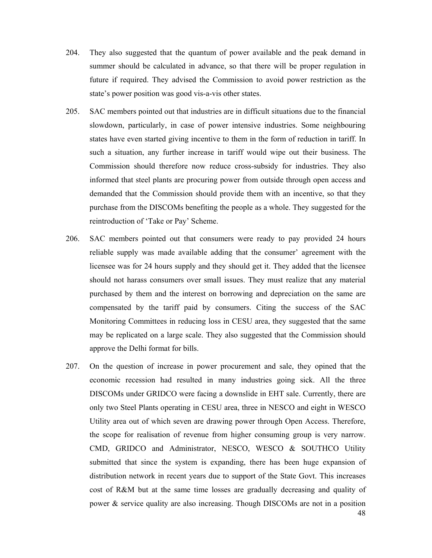- 204. They also suggested that the quantum of power available and the peak demand in summer should be calculated in advance, so that there will be proper regulation in future if required. They advised the Commission to avoid power restriction as the state's power position was good vis-a-vis other states.
- 205. SAC members pointed out that industries are in difficult situations due to the financial slowdown, particularly, in case of power intensive industries. Some neighbouring states have even started giving incentive to them in the form of reduction in tariff. In such a situation, any further increase in tariff would wipe out their business. The Commission should therefore now reduce cross-subsidy for industries. They also informed that steel plants are procuring power from outside through open access and demanded that the Commission should provide them with an incentive, so that they purchase from the DISCOMs benefiting the people as a whole. They suggested for the reintroduction of 'Take or Pay' Scheme.
- 206. SAC members pointed out that consumers were ready to pay provided 24 hours reliable supply was made available adding that the consumer' agreement with the licensee was for 24 hours supply and they should get it. They added that the licensee should not harass consumers over small issues. They must realize that any material purchased by them and the interest on borrowing and depreciation on the same are compensated by the tariff paid by consumers. Citing the success of the SAC Monitoring Committees in reducing loss in CESU area, they suggested that the same may be replicated on a large scale. They also suggested that the Commission should approve the Delhi format for bills.
- 207. On the question of increase in power procurement and sale, they opined that the economic recession had resulted in many industries going sick. All the three DISCOMs under GRIDCO were facing a downslide in EHT sale. Currently, there are only two Steel Plants operating in CESU area, three in NESCO and eight in WESCO Utility area out of which seven are drawing power through Open Access. Therefore, the scope for realisation of revenue from higher consuming group is very narrow. CMD, GRIDCO and Administrator, NESCO, WESCO & SOUTHCO Utility submitted that since the system is expanding, there has been huge expansion of distribution network in recent years due to support of the State Govt. This increases cost of R&M but at the same time losses are gradually decreasing and quality of power & service quality are also increasing. Though DISCOMs are not in a position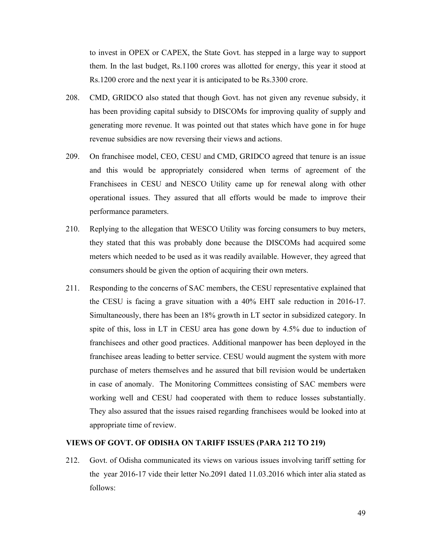to invest in OPEX or CAPEX, the State Govt. has stepped in a large way to support them. In the last budget, Rs.1100 crores was allotted for energy, this year it stood at Rs.1200 crore and the next year it is anticipated to be Rs.3300 crore.

- 208. CMD, GRIDCO also stated that though Govt. has not given any revenue subsidy, it has been providing capital subsidy to DISCOMs for improving quality of supply and generating more revenue. It was pointed out that states which have gone in for huge revenue subsidies are now reversing their views and actions.
- 209. On franchisee model, CEO, CESU and CMD, GRIDCO agreed that tenure is an issue and this would be appropriately considered when terms of agreement of the Franchisees in CESU and NESCO Utility came up for renewal along with other operational issues. They assured that all efforts would be made to improve their performance parameters.
- 210. Replying to the allegation that WESCO Utility was forcing consumers to buy meters, they stated that this was probably done because the DISCOMs had acquired some meters which needed to be used as it was readily available. However, they agreed that consumers should be given the option of acquiring their own meters.
- 211. Responding to the concerns of SAC members, the CESU representative explained that the CESU is facing a grave situation with a 40% EHT sale reduction in 2016-17. Simultaneously, there has been an 18% growth in LT sector in subsidized category. In spite of this, loss in LT in CESU area has gone down by 4.5% due to induction of franchisees and other good practices. Additional manpower has been deployed in the franchisee areas leading to better service. CESU would augment the system with more purchase of meters themselves and he assured that bill revision would be undertaken in case of anomaly. The Monitoring Committees consisting of SAC members were working well and CESU had cooperated with them to reduce losses substantially. They also assured that the issues raised regarding franchisees would be looked into at appropriate time of review.

## **VIEWS OF GOVT. OF ODISHA ON TARIFF ISSUES (PARA 212 TO 219)**

212. Govt. of Odisha communicated its views on various issues involving tariff setting for the year 2016-17 vide their letter No.2091 dated 11.03.2016 which inter alia stated as follows: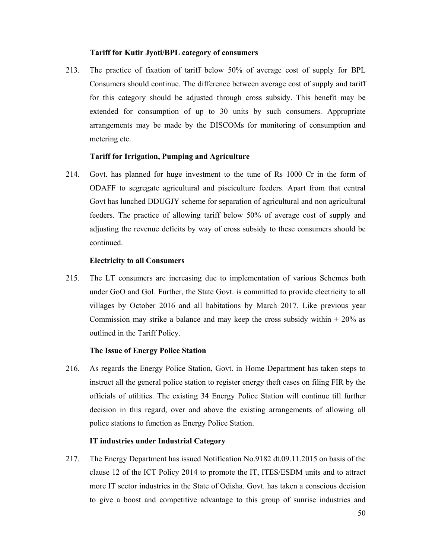#### **Tariff for Kutir Jyoti/BPL category of consumers**

213. The practice of fixation of tariff below 50% of average cost of supply for BPL Consumers should continue. The difference between average cost of supply and tariff for this category should be adjusted through cross subsidy. This benefit may be extended for consumption of up to 30 units by such consumers. Appropriate arrangements may be made by the DISCOMs for monitoring of consumption and metering etc.

### **Tariff for Irrigation, Pumping and Agriculture**

214. Govt. has planned for huge investment to the tune of Rs 1000 Cr in the form of ODAFF to segregate agricultural and pisciculture feeders. Apart from that central Govt has lunched DDUGJY scheme for separation of agricultural and non agricultural feeders. The practice of allowing tariff below 50% of average cost of supply and adjusting the revenue deficits by way of cross subsidy to these consumers should be continued.

#### **Electricity to all Consumers**

215. The LT consumers are increasing due to implementation of various Schemes both under GoO and GoI. Further, the State Govt. is committed to provide electricity to all villages by October 2016 and all habitations by March 2017. Like previous year Commission may strike a balance and may keep the cross subsidy within  $+20\%$  as outlined in the Tariff Policy.

## **The Issue of Energy Police Station**

216. As regards the Energy Police Station, Govt. in Home Department has taken steps to instruct all the general police station to register energy theft cases on filing FIR by the officials of utilities. The existing 34 Energy Police Station will continue till further decision in this regard, over and above the existing arrangements of allowing all police stations to function as Energy Police Station.

## **IT industries under Industrial Category**

217. The Energy Department has issued Notification No.9182 dt.09.11.2015 on basis of the clause 12 of the ICT Policy 2014 to promote the IT, ITES/ESDM units and to attract more IT sector industries in the State of Odisha. Govt. has taken a conscious decision to give a boost and competitive advantage to this group of sunrise industries and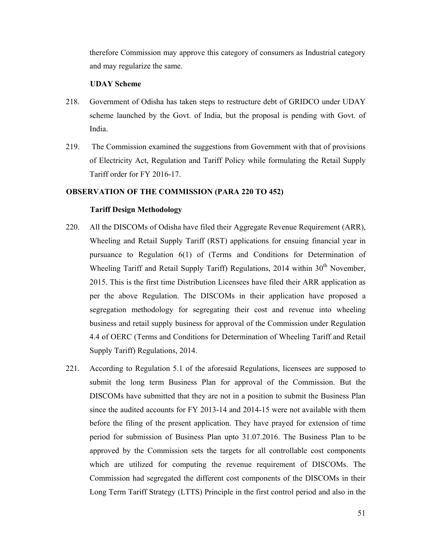therefore Commission may approve this category of consumers as Industrial category and may regularize the same.

#### **UDAY Scheme**

- 218. Government of Odisha has taken steps to restructure debt of GRIDCO under UDAY scheme launched by the Govt. of India, but the proposal is pending with Govt. of India.
- 219. The Commission examined the suggestions from Government with that of provisions of Electricity Act, Regulation and Tariff Policy while formulating the Retail Supply Tariff order for FY 2016-17.

## **OBSERVATION OF THE COMMISSION (PARA 220 TO 452)**

### **Tariff Design Methodology**

- 220. All the DISCOMs of Odisha have filed their Aggregate Revenue Requirement (ARR), Wheeling and Retail Supply Tariff (RST) applications for ensuing financial year in pursuance to Regulation 6(1) of (Terms and Conditions for Determination of Wheeling Tariff and Retail Supply Tariff) Regulations, 2014 within 30<sup>th</sup> November, 2015. This is the first time Distribution Licensees have filed their ARR application as per the above Regulation. The DISCOMs in their application have proposed a segregation methodology for segregating their cost and revenue into wheeling business and retail supply business for approval of the Commission under Regulation 4.4 of OERC (Terms and Conditions for Determination of Wheeling Tariff and Retail Supply Tariff) Regulations, 2014.
- 221. According to Regulation 5.1 of the aforesaid Regulations, licensees are supposed to submit the long term Business Plan for approval of the Commission. But the DISCOMs have submitted that they are not in a position to submit the Business Plan since the audited accounts for FY 2013-14 and 2014-15 were not available with them before the filing of the present application. They have prayed for extension of time period for submission of Business Plan upto 31.07.2016. The Business Plan to be approved by the Commission sets the targets for all controllable cost components which are utilized for computing the revenue requirement of DISCOMs. The Commission had segregated the different cost components of the DISCOMs in their Long Term Tariff Strategy (LTTS) Principle in the first control period and also in the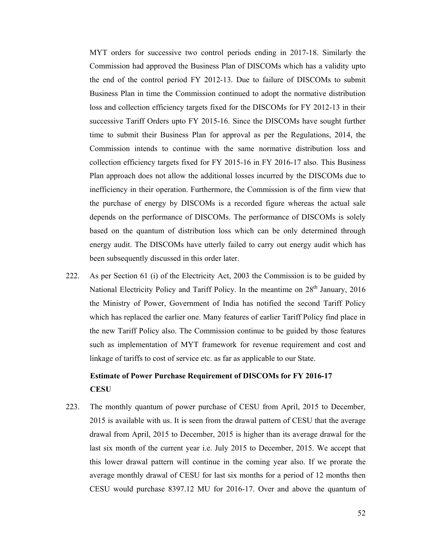MYT orders for successive two control periods ending in 2017-18. Similarly the Commission had approved the Business Plan of DISCOMs which has a validity upto the end of the control period FY 2012-13. Due to failure of DISCOMs to submit Business Plan in time the Commission continued to adopt the normative distribution loss and collection efficiency targets fixed for the DISCOMs for FY 2012-13 in their successive Tariff Orders upto FY 2015-16. Since the DISCOMs have sought further time to submit their Business Plan for approval as per the Regulations, 2014, the Commission intends to continue with the same normative distribution loss and collection efficiency targets fixed for FY 2015-16 in FY 2016-17 also. This Business Plan approach does not allow the additional losses incurred by the DISCOMs due to inefficiency in their operation. Furthermore, the Commission is of the firm view that the purchase of energy by DISCOMs is a recorded figure whereas the actual sale depends on the performance of DISCOMs. The performance of DISCOMs is solely based on the quantum of distribution loss which can be only determined through energy audit. The DISCOMs have utterly failed to carry out energy audit which has been subsequently discussed in this order later.

222. As per Section 61 (i) of the Electricity Act, 2003 the Commission is to be guided by National Electricity Policy and Tariff Policy. In the meantime on  $28<sup>th</sup>$  January, 2016 the Ministry of Power, Government of India has notified the second Tariff Policy which has replaced the earlier one. Many features of earlier Tariff Policy find place in the new Tariff Policy also. The Commission continue to be guided by those features such as implementation of MYT framework for revenue requirement and cost and linkage of tariffs to cost of service etc. as far as applicable to our State.

# **Estimate of Power Purchase Requirement of DISCOMs for FY 2016-17 CESU**

223. The monthly quantum of power purchase of CESU from April, 2015 to December, 2015 is available with us. It is seen from the drawal pattern of CESU that the average drawal from April, 2015 to December, 2015 is higher than its average drawal for the last six month of the current year i.e. July 2015 to December, 2015. We accept that this lower drawal pattern will continue in the coming year also. If we prorate the average monthly drawal of CESU for last six months for a period of 12 months then CESU would purchase 8397.12 MU for 2016-17. Over and above the quantum of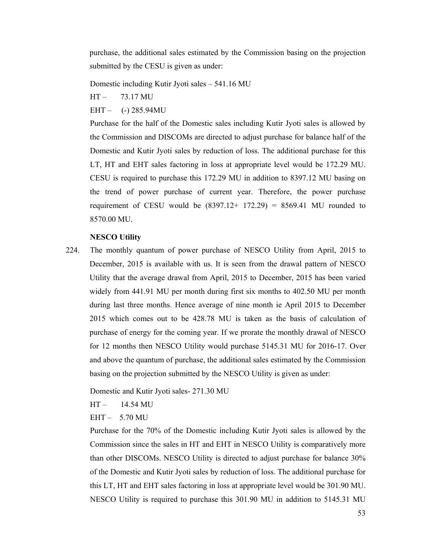purchase, the additional sales estimated by the Commission basing on the projection submitted by the CESU is given as under:

Domestic including Kutir Jyoti sales – 541.16 MU

HT – 73.17 MU

 $EHT -$  (-) 285.94MU

Purchase for the half of the Domestic sales including Kutir Jyoti sales is allowed by the Commission and DISCOMs are directed to adjust purchase for balance half of the Domestic and Kutir Jyoti sales by reduction of loss. The additional purchase for this LT, HT and EHT sales factoring in loss at appropriate level would be 172.29 MU. CESU is required to purchase this 172.29 MU in addition to 8397.12 MU basing on the trend of power purchase of current year. Therefore, the power purchase requirement of CESU would be  $(8397.12+ 172.29) = 8569.41$  MU rounded to 8570.00 MU.

## **NESCO Utility**

224. The monthly quantum of power purchase of NESCO Utility from April, 2015 to December, 2015 is available with us. It is seen from the drawal pattern of NESCO Utility that the average drawal from April, 2015 to December, 2015 has been varied widely from 441.91 MU per month during first six months to 402.50 MU per month during last three months. Hence average of nine month ie April 2015 to December 2015 which comes out to be 428.78 MU is taken as the basis of calculation of purchase of energy for the coming year. If we prorate the monthly drawal of NESCO for 12 months then NESCO Utility would purchase 5145.31 MU for 2016-17. Over and above the quantum of purchase, the additional sales estimated by the Commission basing on the projection submitted by the NESCO Utility is given as under:

Domestic and Kutir Jyoti sales- 271.30 MU

 $HT - 14.54 \text{ MU}$ 

EHT – 5.70 MU

Purchase for the 70% of the Domestic including Kutir Jyoti sales is allowed by the Commission since the sales in HT and EHT in NESCO Utility is comparatively more than other DISCOMs. NESCO Utility is directed to adjust purchase for balance 30% of the Domestic and Kutir Jyoti sales by reduction of loss. The additional purchase for this LT, HT and EHT sales factoring in loss at appropriate level would be 301.90 MU. NESCO Utility is required to purchase this 301.90 MU in addition to 5145.31 MU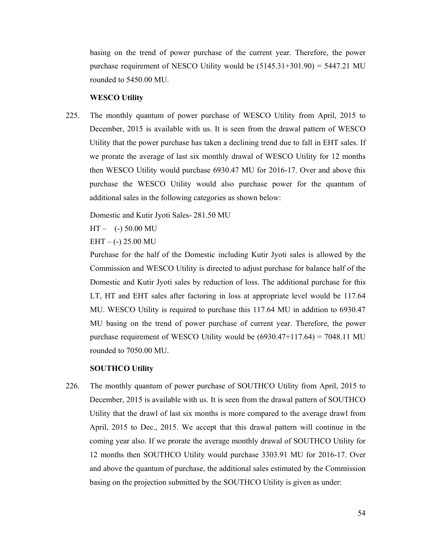basing on the trend of power purchase of the current year. Therefore, the power purchase requirement of NESCO Utility would be  $(5145.31+301.90) = 5447.21$  MU rounded to 5450.00 MU.

#### **WESCO Utility**

225. The monthly quantum of power purchase of WESCO Utility from April, 2015 to December, 2015 is available with us. It is seen from the drawal pattern of WESCO Utility that the power purchase has taken a declining trend due to fall in EHT sales. If we prorate the average of last six monthly drawal of WESCO Utility for 12 months then WESCO Utility would purchase 6930.47 MU for 2016-17. Over and above this purchase the WESCO Utility would also purchase power for the quantum of additional sales in the following categories as shown below:

Domestic and Kutir Jyoti Sales- 281.50 MU

 $HT - (-) 50.00 MU$ 

 $EHT - (-) 25.00 MU$ 

Purchase for the half of the Domestic including Kutir Jyoti sales is allowed by the Commission and WESCO Utility is directed to adjust purchase for balance half of the Domestic and Kutir Jyoti sales by reduction of loss. The additional purchase for this LT, HT and EHT sales after factoring in loss at appropriate level would be 117.64 MU. WESCO Utility is required to purchase this 117.64 MU in addition to 6930.47 MU basing on the trend of power purchase of current year. Therefore, the power purchase requirement of WESCO Utility would be  $(6930.47+117.64) = 7048.11$  MU rounded to 7050.00 MU.

## **SOUTHCO Utility**

226. The monthly quantum of power purchase of SOUTHCO Utility from April, 2015 to December, 2015 is available with us. It is seen from the drawal pattern of SOUTHCO Utility that the drawl of last six months is more compared to the average drawl from April, 2015 to Dec., 2015. We accept that this drawal pattern will continue in the coming year also. If we prorate the average monthly drawal of SOUTHCO Utility for 12 months then SOUTHCO Utility would purchase 3303.91 MU for 2016-17. Over and above the quantum of purchase, the additional sales estimated by the Commission basing on the projection submitted by the SOUTHCO Utility is given as under: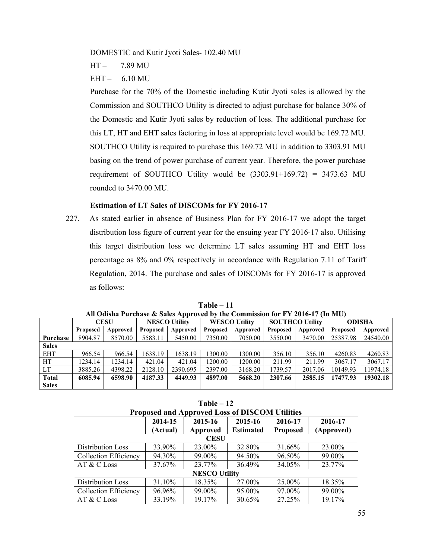DOMESTIC and Kutir Jyoti Sales- 102.40 MU

HT – 7.89 MU

EHT – 6.10 MU

Purchase for the 70% of the Domestic including Kutir Jyoti sales is allowed by the Commission and SOUTHCO Utility is directed to adjust purchase for balance 30% of the Domestic and Kutir Jyoti sales by reduction of loss. The additional purchase for this LT, HT and EHT sales factoring in loss at appropriate level would be 169.72 MU. SOUTHCO Utility is required to purchase this 169.72 MU in addition to 3303.91 MU basing on the trend of power purchase of current year. Therefore, the power purchase requirement of SOUTHCO Utility would be  $(3303.91+169.72) = 3473.63$  MU rounded to 3470.00 MU.

# **Estimation of LT Sales of DISCOMs for FY 2016-17**

227. As stated earlier in absence of Business Plan for FY 2016-17 we adopt the target distribution loss figure of current year for the ensuing year FY 2016-17 also. Utilising this target distribution loss we determine LT sales assuming HT and EHT loss percentage as 8% and 0% respectively in accordance with Regulation 7.11 of Tariff Regulation, 2014. The purchase and sales of DISCOMs for FY 2016-17 is approved as follows:

| An Ouisna Furchase & Sales Approved by the Commission for FT 2010-17 (In 1910) |                 |          |          |                      |          |                                                |          |          |               |          |
|--------------------------------------------------------------------------------|-----------------|----------|----------|----------------------|----------|------------------------------------------------|----------|----------|---------------|----------|
|                                                                                | <b>CESU</b>     |          |          | <b>NESCO Utility</b> |          | <b>SOUTHCO Utility</b><br><b>WESCO Utility</b> |          |          | <b>ODISHA</b> |          |
|                                                                                | <b>Proposed</b> | Approved | Proposed | Approved             | Proposed | Approved                                       | Proposed | Approved | Proposed      | Approved |
| Purchase                                                                       | 8904.87         | 8570.00  | 5583.11  | 5450.00              | 7350.00  | 7050.00                                        | 3550.00  | 3470.00  | 25387.98      | 24540.00 |
| <b>Sales</b>                                                                   |                 |          |          |                      |          |                                                |          |          |               |          |
| <b>EHT</b>                                                                     | 966.54          | 966.54   | 1638.19  | 1638.19              | 1300.00  | 1300.00                                        | 356.10   | 356.10   | 4260.83       | 4260.83  |
| HT.                                                                            | 1234.14         | 1234.14  | 421.04   | 421.04               | 1200.00  | 1200.00                                        | 211.99   | 211.99   | 3067.17       | 3067.17  |
| LT                                                                             | 3885.26         | 4398.22  | 2128.10  | 2390.695             | 2397.00  | 3168.20                                        | 1739.57  | 2017.06  | 10149.93      | 11974.18 |
| <b>Total</b>                                                                   | 6085.94         | 6598.90  | 4187.33  | 4449.93              | 4897.00  | 5668.20                                        | 2307.66  | 2585.15  | 17477.93      | 19302.18 |
| <b>Sales</b>                                                                   |                 |          |          |                      |          |                                                |          |          |               |          |

**Table – 11 All Odisha Purchase & Sales Approved by the Commission for FY 2016-17 (In MU)**

**Table – 12** 

| <b>Proposed and Approved Loss of DISCOM Utilities</b> |          |                      |                  |                 |            |  |  |  |
|-------------------------------------------------------|----------|----------------------|------------------|-----------------|------------|--|--|--|
|                                                       | 2014-15  | 2015-16              | 2015-16          | 2016-17         | 2016-17    |  |  |  |
|                                                       | (Actual) | Approved             | <b>Estimated</b> | <b>Proposed</b> | (Approved) |  |  |  |
| <b>CESU</b>                                           |          |                      |                  |                 |            |  |  |  |
| Distribution Loss                                     | 33.90%   | 23.00%               | 32.80%           | 31.66%          | 23.00%     |  |  |  |
| <b>Collection Efficiency</b>                          | 94.30%   | 99.00%               | 94.50%           | 96.50%          | 99.00%     |  |  |  |
| AT & C Loss                                           | 37.67%   | 23.77%               | 36.49%           | 34.05%          | 23.77%     |  |  |  |
|                                                       |          | <b>NESCO Utility</b> |                  |                 |            |  |  |  |
| <b>Distribution Loss</b>                              | 31.10%   | 18.35%               | 27.00%           | 25.00%          | 18.35%     |  |  |  |
| <b>Collection Efficiency</b>                          | 96.96%   | 99.00%               | 95.00%           | 97.00%          | 99.00%     |  |  |  |
| AT & C Loss                                           | 33.19%   | 19.17%               | 30.65%           | 27.25%          | 19.17%     |  |  |  |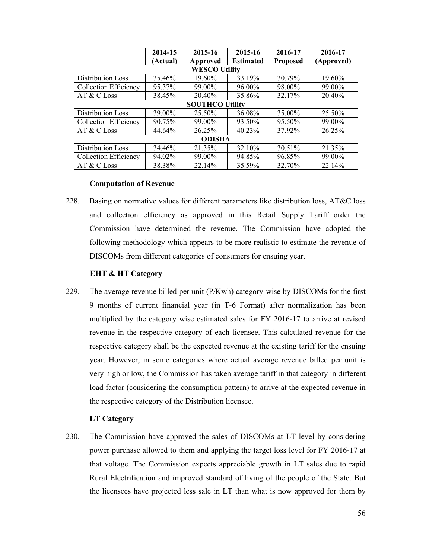|                              | 2014-15  | 2015-16                | 2015-16          | 2016-17         | 2016-17    |  |  |  |
|------------------------------|----------|------------------------|------------------|-----------------|------------|--|--|--|
|                              | (Actual) | Approved               | <b>Estimated</b> | <b>Proposed</b> | (Approved) |  |  |  |
| <b>WESCO Utility</b>         |          |                        |                  |                 |            |  |  |  |
| <b>Distribution Loss</b>     | 35.46%   | 19.60%                 | 33.19%           | 30.79%          | 19.60%     |  |  |  |
| <b>Collection Efficiency</b> | 95.37%   | 99.00%                 | 96.00%           | 98.00%          | 99.00%     |  |  |  |
| $AT & C$ Loss                | 38.45%   | 20.40%                 | 35.86%           | 32.17%          | 20.40%     |  |  |  |
|                              |          | <b>SOUTHCO Utility</b> |                  |                 |            |  |  |  |
| <b>Distribution Loss</b>     | 39.00%   | 25.50%                 | 36.08%           | 35.00%          | 25.50%     |  |  |  |
| <b>Collection Efficiency</b> | 90.75%   | 99.00%                 | 93.50%           | 95.50%          | 99.00%     |  |  |  |
| AT & C Loss                  | 44.64%   | 26.25%                 | $40.23\%$        | 37.92%          | 26.25%     |  |  |  |
| <b>ODISHA</b>                |          |                        |                  |                 |            |  |  |  |
| Distribution Loss            | 34.46%   | 21.35%                 | 32.10%           | 30.51%          | 21.35%     |  |  |  |
| <b>Collection Efficiency</b> | 94.02%   | 99.00%                 | 94.85%           | 96.85%          | 99.00%     |  |  |  |
| AT & C Loss                  | 38.38%   | 22.14%                 | 35.59%           | 32.70%          | 22.14%     |  |  |  |

## **Computation of Revenue**

228. Basing on normative values for different parameters like distribution loss, AT&C loss and collection efficiency as approved in this Retail Supply Tariff order the Commission have determined the revenue. The Commission have adopted the following methodology which appears to be more realistic to estimate the revenue of DISCOMs from different categories of consumers for ensuing year.

### **EHT & HT Category**

229. The average revenue billed per unit (P/Kwh) category-wise by DISCOMs for the first 9 months of current financial year (in T-6 Format) after normalization has been multiplied by the category wise estimated sales for FY 2016-17 to arrive at revised revenue in the respective category of each licensee. This calculated revenue for the respective category shall be the expected revenue at the existing tariff for the ensuing year. However, in some categories where actual average revenue billed per unit is very high or low, the Commission has taken average tariff in that category in different load factor (considering the consumption pattern) to arrive at the expected revenue in the respective category of the Distribution licensee.

## **LT Category**

230. The Commission have approved the sales of DISCOMs at LT level by considering power purchase allowed to them and applying the target loss level for FY 2016-17 at that voltage. The Commission expects appreciable growth in LT sales due to rapid Rural Electrification and improved standard of living of the people of the State. But the licensees have projected less sale in LT than what is now approved for them by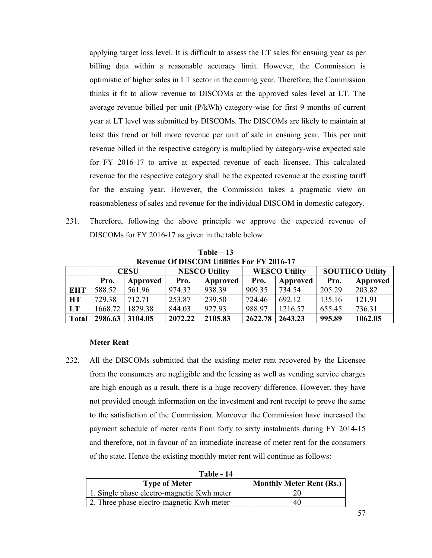applying target loss level. It is difficult to assess the LT sales for ensuing year as per billing data within a reasonable accuracy limit. However, the Commission is optimistic of higher sales in LT sector in the coming year. Therefore, the Commission thinks it fit to allow revenue to DISCOMs at the approved sales level at LT. The average revenue billed per unit (P/kWh) category-wise for first 9 months of current year at LT level was submitted by DISCOMs. The DISCOMs are likely to maintain at least this trend or bill more revenue per unit of sale in ensuing year. This per unit revenue billed in the respective category is multiplied by category-wise expected sale for FY 2016-17 to arrive at expected revenue of each licensee. This calculated revenue for the respective category shall be the expected revenue at the existing tariff for the ensuing year. However, the Commission takes a pragmatic view on reasonableness of sales and revenue for the individual DISCOM in domestic category.

231. Therefore, following the above principle we approve the expected revenue of DISCOMs for FY 2016-17 as given in the table below:

| <b>Revenue Of DISCOM Utilities For FY 2016-17</b> |             |          |                      |          |                      |          |                        |          |  |
|---------------------------------------------------|-------------|----------|----------------------|----------|----------------------|----------|------------------------|----------|--|
|                                                   | <b>CESU</b> |          | <b>NESCO Utility</b> |          | <b>WESCO Utility</b> |          | <b>SOUTHCO Utility</b> |          |  |
|                                                   | Pro.        | Approved | Pro.                 | Approved | Pro.                 | Approved | Pro.                   | Approved |  |
| <b>EHT</b>                                        | 588.52      | 561.96   | 974.32               | 938.39   | 909.35               | 734.54   | 205.29                 | 203.82   |  |
| <b>HT</b>                                         | 729.38      | 712.71   | 253.87               | 239.50   | 724.46               | 692.12   | 135.16                 | 121.91   |  |
| LT                                                | 1668.72     | 1829.38  | 844.03               | 927.93   | 988.97               | 1216.57  | 655.45                 | 736.31   |  |
| <b>Total</b>                                      | 2986.63     | 3104.05  | 2072.22              | 2105.83  | 2622.78              | 2643.23  | 995.89                 | 1062.05  |  |

**Table – 13** 

### **Meter Rent**

232. All the DISCOMs submitted that the existing meter rent recovered by the Licensee from the consumers are negligible and the leasing as well as vending service charges are high enough as a result, there is a huge recovery difference. However, they have not provided enough information on the investment and rent receipt to prove the same to the satisfaction of the Commission. Moreover the Commission have increased the payment schedule of meter rents from forty to sixty instalments during FY 2014-15 and therefore, not in favour of an immediate increase of meter rent for the consumers of the state. Hence the existing monthly meter rent will continue as follows:

| Table - 14                                 |                                 |
|--------------------------------------------|---------------------------------|
| <b>Type of Meter</b>                       | <b>Monthly Meter Rent (Rs.)</b> |
| 1. Single phase electro-magnetic Kwh meter |                                 |
| 2. Three phase electro-magnetic Kwh meter  | 40                              |

**Table 14**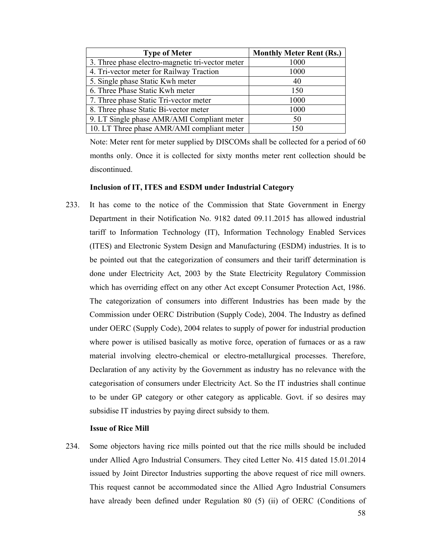| <b>Type of Meter</b>                             | <b>Monthly Meter Rent (Rs.)</b> |
|--------------------------------------------------|---------------------------------|
| 3. Three phase electro-magnetic tri-vector meter | 1000                            |
| 4. Tri-vector meter for Railway Traction         | 1000                            |
| 5. Single phase Static Kwh meter                 | 40                              |
| 6. Three Phase Static Kwh meter                  | 150                             |
| 7. Three phase Static Tri-vector meter           | 1000                            |
| 8. Three phase Static Bi-vector meter            | 1000                            |
| 9. LT Single phase AMR/AMI Compliant meter       | 50                              |
| 10. LT Three phase AMR/AMI compliant meter       | 150                             |

Note: Meter rent for meter supplied by DISCOMs shall be collected for a period of 60 months only. Once it is collected for sixty months meter rent collection should be discontinued.

## **Inclusion of IT, ITES and ESDM under Industrial Category**

233. It has come to the notice of the Commission that State Government in Energy Department in their Notification No. 9182 dated 09.11.2015 has allowed industrial tariff to Information Technology (IT), Information Technology Enabled Services (ITES) and Electronic System Design and Manufacturing (ESDM) industries. It is to be pointed out that the categorization of consumers and their tariff determination is done under Electricity Act, 2003 by the State Electricity Regulatory Commission which has overriding effect on any other Act except Consumer Protection Act, 1986. The categorization of consumers into different Industries has been made by the Commission under OERC Distribution (Supply Code), 2004. The Industry as defined under OERC (Supply Code), 2004 relates to supply of power for industrial production where power is utilised basically as motive force, operation of furnaces or as a raw material involving electro-chemical or electro-metallurgical processes. Therefore, Declaration of any activity by the Government as industry has no relevance with the categorisation of consumers under Electricity Act. So the IT industries shall continue to be under GP category or other category as applicable. Govt. if so desires may subsidise IT industries by paying direct subsidy to them.

#### **Issue of Rice Mill**

234. Some objectors having rice mills pointed out that the rice mills should be included under Allied Agro Industrial Consumers. They cited Letter No. 415 dated 15.01.2014 issued by Joint Director Industries supporting the above request of rice mill owners. This request cannot be accommodated since the Allied Agro Industrial Consumers have already been defined under Regulation 80 (5) (ii) of OERC (Conditions of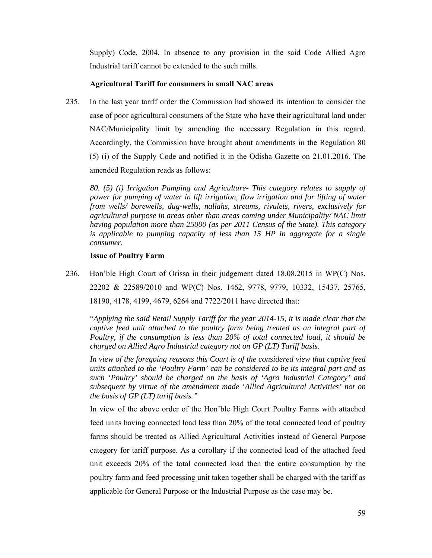Supply) Code, 2004. In absence to any provision in the said Code Allied Agro Industrial tariff cannot be extended to the such mills.

## **Agricultural Tariff for consumers in small NAC areas**

235. In the last year tariff order the Commission had showed its intention to consider the case of poor agricultural consumers of the State who have their agricultural land under NAC/Municipality limit by amending the necessary Regulation in this regard. Accordingly, the Commission have brought about amendments in the Regulation 80 (5) (i) of the Supply Code and notified it in the Odisha Gazette on 21.01.2016. The amended Regulation reads as follows:

*80. (5) (i) Irrigation Pumping and Agriculture- This category relates to supply of power for pumping of water in lift irrigation, flow irrigation and for lifting of water from wells/ borewells, dug-wells, nallahs, streams, rivulets, rivers, exclusively for agricultural purpose in areas other than areas coming under Municipality/ NAC limit having population more than 25000 (as per 2011 Census of the State). This category is applicable to pumping capacity of less than 15 HP in aggregate for a single consumer.* 

## **Issue of Poultry Farm**

236. Hon'ble High Court of Orissa in their judgement dated 18.08.2015 in WP(C) Nos. 22202 & 22589/2010 and WP(C) Nos. 1462, 9778, 9779, 10332, 15437, 25765, 18190, 4178, 4199, 4679, 6264 and 7722/2011 have directed that:

"*Applying the said Retail Supply Tariff for the year 2014-15, it is made clear that the captive feed unit attached to the poultry farm being treated as an integral part of Poultry, if the consumption is less than 20% of total connected load, it should be charged on Allied Agro Industrial category not on GP (LT) Tariff basis.* 

*In view of the foregoing reasons this Court is of the considered view that captive feed units attached to the 'Poultry Farm' can be considered to be its integral part and as such 'Poultry' should be charged on the basis of 'Agro Industrial Category' and subsequent by virtue of the amendment made 'Allied Agricultural Activities' not on the basis of GP (LT) tariff basis."* 

In view of the above order of the Hon'ble High Court Poultry Farms with attached feed units having connected load less than 20% of the total connected load of poultry farms should be treated as Allied Agricultural Activities instead of General Purpose category for tariff purpose. As a corollary if the connected load of the attached feed unit exceeds 20% of the total connected load then the entire consumption by the poultry farm and feed processing unit taken together shall be charged with the tariff as applicable for General Purpose or the Industrial Purpose as the case may be.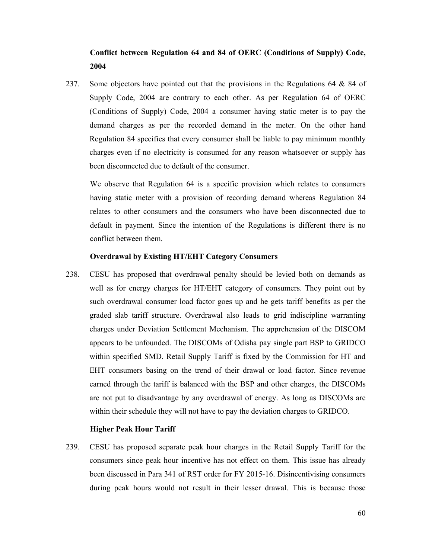# **Conflict between Regulation 64 and 84 of OERC (Conditions of Supply) Code, 2004**

237. Some objectors have pointed out that the provisions in the Regulations 64 & 84 of Supply Code, 2004 are contrary to each other. As per Regulation 64 of OERC (Conditions of Supply) Code, 2004 a consumer having static meter is to pay the demand charges as per the recorded demand in the meter. On the other hand Regulation 84 specifies that every consumer shall be liable to pay minimum monthly charges even if no electricity is consumed for any reason whatsoever or supply has been disconnected due to default of the consumer.

We observe that Regulation 64 is a specific provision which relates to consumers having static meter with a provision of recording demand whereas Regulation 84 relates to other consumers and the consumers who have been disconnected due to default in payment. Since the intention of the Regulations is different there is no conflict between them.

### **Overdrawal by Existing HT/EHT Category Consumers**

238. CESU has proposed that overdrawal penalty should be levied both on demands as well as for energy charges for HT/EHT category of consumers. They point out by such overdrawal consumer load factor goes up and he gets tariff benefits as per the graded slab tariff structure. Overdrawal also leads to grid indiscipline warranting charges under Deviation Settlement Mechanism. The apprehension of the DISCOM appears to be unfounded. The DISCOMs of Odisha pay single part BSP to GRIDCO within specified SMD. Retail Supply Tariff is fixed by the Commission for HT and EHT consumers basing on the trend of their drawal or load factor. Since revenue earned through the tariff is balanced with the BSP and other charges, the DISCOMs are not put to disadvantage by any overdrawal of energy. As long as DISCOMs are within their schedule they will not have to pay the deviation charges to GRIDCO.

## **Higher Peak Hour Tariff**

239. CESU has proposed separate peak hour charges in the Retail Supply Tariff for the consumers since peak hour incentive has not effect on them. This issue has already been discussed in Para 341 of RST order for FY 2015-16. Disincentivising consumers during peak hours would not result in their lesser drawal. This is because those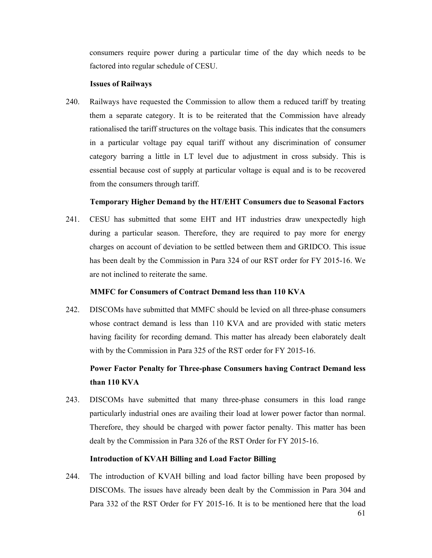consumers require power during a particular time of the day which needs to be factored into regular schedule of CESU.

### **Issues of Railways**

240. Railways have requested the Commission to allow them a reduced tariff by treating them a separate category. It is to be reiterated that the Commission have already rationalised the tariff structures on the voltage basis. This indicates that the consumers in a particular voltage pay equal tariff without any discrimination of consumer category barring a little in LT level due to adjustment in cross subsidy. This is essential because cost of supply at particular voltage is equal and is to be recovered from the consumers through tariff.

## **Temporary Higher Demand by the HT/EHT Consumers due to Seasonal Factors**

241. CESU has submitted that some EHT and HT industries draw unexpectedly high during a particular season. Therefore, they are required to pay more for energy charges on account of deviation to be settled between them and GRIDCO. This issue has been dealt by the Commission in Para 324 of our RST order for FY 2015-16. We are not inclined to reiterate the same.

## **MMFC for Consumers of Contract Demand less than 110 KVA**

242. DISCOMs have submitted that MMFC should be levied on all three-phase consumers whose contract demand is less than 110 KVA and are provided with static meters having facility for recording demand. This matter has already been elaborately dealt with by the Commission in Para 325 of the RST order for FY 2015-16.

# **Power Factor Penalty for Three-phase Consumers having Contract Demand less than 110 KVA**

243. DISCOMs have submitted that many three-phase consumers in this load range particularly industrial ones are availing their load at lower power factor than normal. Therefore, they should be charged with power factor penalty. This matter has been dealt by the Commission in Para 326 of the RST Order for FY 2015-16.

## **Introduction of KVAH Billing and Load Factor Billing**

244. The introduction of KVAH billing and load factor billing have been proposed by DISCOMs. The issues have already been dealt by the Commission in Para 304 and Para 332 of the RST Order for FY 2015-16. It is to be mentioned here that the load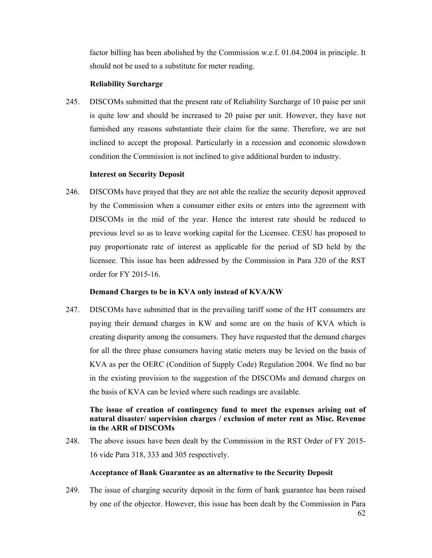factor billing has been abolished by the Commission w.e.f. 01.04.2004 in principle. It should not be used to a substitute for meter reading.

## **Reliability Surcharge**

245. DISCOMs submitted that the present rate of Reliability Surcharge of 10 paise per unit is quite low and should be increased to 20 paise per unit. However, they have not furnished any reasons substantiate their claim for the same. Therefore, we are not inclined to accept the proposal. Particularly in a recession and economic slowdown condition the Commission is not inclined to give additional burden to industry.

# **Interest on Security Deposit**

246. DISCOMs have prayed that they are not able the realize the security deposit approved by the Commission when a consumer either exits or enters into the agreement with DISCOMs in the mid of the year. Hence the interest rate should be reduced to previous level so as to leave working capital for the Licensee. CESU has proposed to pay proportionate rate of interest as applicable for the period of SD held by the licensee. This issue has been addressed by the Commission in Para 320 of the RST order for FY 2015-16.

## **Demand Charges to be in KVA only instead of KVA/KW**

247. DISCOMs have submitted that in the prevailing tariff some of the HT consumers are paying their demand charges in KW and some are on the basis of KVA which is creating disparity among the consumers. They have requested that the demand charges for all the three phase consumers having static meters may be levied on the basis of KVA as per the OERC (Condition of Supply Code) Regulation 2004. We find no bar in the existing provision to the suggestion of the DISCOMs and demand charges on the basis of KVA can be levied where such readings are available.

# **The issue of creation of contingency fund to meet the expenses arising out of natural disaster/ supervision charges / exclusion of meter rent as Misc. Revenue in the ARR of DISCOMs**

248. The above issues have been dealt by the Commission in the RST Order of FY 2015- 16 vide Para 318, 333 and 305 respectively.

## **Acceptance of Bank Guarantee as an alternative to the Security Deposit**

249. The issue of charging security deposit in the form of bank guarantee has been raised by one of the objector. However, this issue has been dealt by the Commission in Para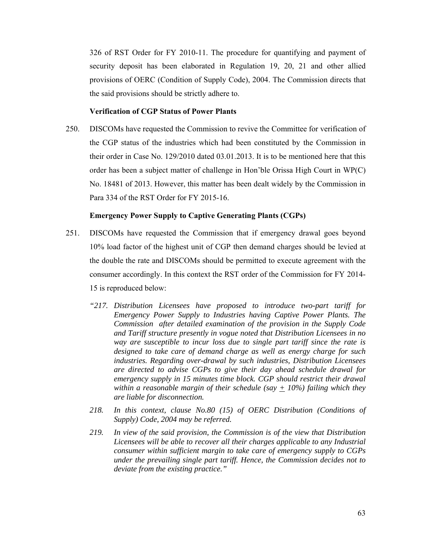326 of RST Order for FY 2010-11. The procedure for quantifying and payment of security deposit has been elaborated in Regulation 19, 20, 21 and other allied provisions of OERC (Condition of Supply Code), 2004. The Commission directs that the said provisions should be strictly adhere to.

#### **Verification of CGP Status of Power Plants**

250. DISCOMs have requested the Commission to revive the Committee for verification of the CGP status of the industries which had been constituted by the Commission in their order in Case No. 129/2010 dated 03.01.2013. It is to be mentioned here that this order has been a subject matter of challenge in Hon'ble Orissa High Court in WP(C) No. 18481 of 2013. However, this matter has been dealt widely by the Commission in Para 334 of the RST Order for FY 2015-16.

#### **Emergency Power Supply to Captive Generating Plants (CGPs)**

- 251. DISCOMs have requested the Commission that if emergency drawal goes beyond 10% load factor of the highest unit of CGP then demand charges should be levied at the double the rate and DISCOMs should be permitted to execute agreement with the consumer accordingly. In this context the RST order of the Commission for FY 2014- 15 is reproduced below:
	- *"217. Distribution Licensees have proposed to introduce two-part tariff for Emergency Power Supply to Industries having Captive Power Plants. The Commission after detailed examination of the provision in the Supply Code and Tariff structure presently in vogue noted that Distribution Licensees in no way are susceptible to incur loss due to single part tariff since the rate is designed to take care of demand charge as well as energy charge for such industries. Regarding over-drawal by such industries, Distribution Licensees are directed to advise CGPs to give their day ahead schedule drawal for emergency supply in 15 minutes time block. CGP should restrict their drawal within a reasonable margin of their schedule (say + 10%) failing which they are liable for disconnection.*
	- *218. In this context, clause No.80 (15) of OERC Distribution (Conditions of Supply) Code, 2004 may be referred.*
	- *219. In view of the said provision, the Commission is of the view that Distribution Licensees will be able to recover all their charges applicable to any Industrial consumer within sufficient margin to take care of emergency supply to CGPs under the prevailing single part tariff. Hence, the Commission decides not to deviate from the existing practice."*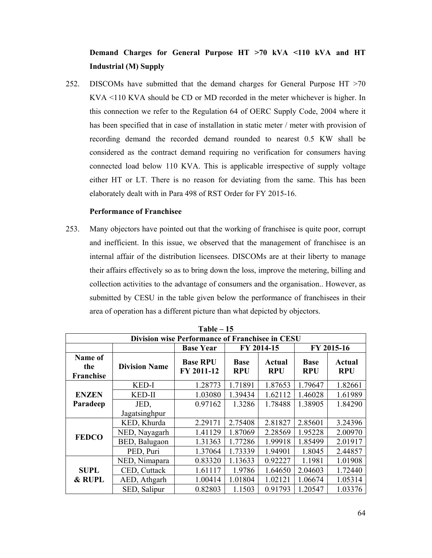# **Demand Charges for General Purpose HT >70 kVA <110 kVA and HT Industrial (M) Supply**

252. DISCOMs have submitted that the demand charges for General Purpose HT >70 KVA <110 KVA should be CD or MD recorded in the meter whichever is higher. In this connection we refer to the Regulation 64 of OERC Supply Code, 2004 where it has been specified that in case of installation in static meter / meter with provision of recording demand the recorded demand rounded to nearest 0.5 KW shall be considered as the contract demand requiring no verification for consumers having connected load below 110 KVA. This is applicable irrespective of supply voltage either HT or LT. There is no reason for deviating from the same. This has been elaborately dealt with in Para 498 of RST Order for FY 2015-16.

## **Performance of Franchisee**

253. Many objectors have pointed out that the working of franchisee is quite poor, corrupt and inefficient. In this issue, we observed that the management of franchisee is an internal affair of the distribution licensees. DISCOMs are at their liberty to manage their affairs effectively so as to bring down the loss, improve the metering, billing and collection activities to the advantage of consumers and the organisation.. However, as submitted by CESU in the table given below the performance of franchisees in their area of operation has a different picture than what depicted by objectors.

| 1 able – 15<br>Division wise Performance of Franchisee in CESU |                      |                               |                           |                      |                           |                      |  |  |
|----------------------------------------------------------------|----------------------|-------------------------------|---------------------------|----------------------|---------------------------|----------------------|--|--|
|                                                                |                      | <b>Base Year</b>              |                           | FY 2014-15           | FY 2015-16                |                      |  |  |
| Name of<br>the<br>Franchise                                    | <b>Division Name</b> | <b>Base RPU</b><br>FY 2011-12 | <b>Base</b><br><b>RPU</b> | Actual<br><b>RPU</b> | <b>Base</b><br><b>RPU</b> | Actual<br><b>RPU</b> |  |  |
|                                                                | KED-I                | 1.28773                       | 1.71891                   | 1.87653              | 1.79647                   | 1.82661              |  |  |
| <b>ENZEN</b>                                                   | KED-II               | 1.03080                       | 1.39434                   | 1.62112              | 1.46028                   | 1.61989              |  |  |
| Paradeep                                                       | JED,                 | 0.97162                       | 1.3286                    | 1.78488              | 1.38905                   | 1.84290              |  |  |
|                                                                | Jagatsinghpur        |                               |                           |                      |                           |                      |  |  |
|                                                                | KED, Khurda          | 2.29171                       | 2.75408                   | 2.81827              | 2.85601                   | 3.24396              |  |  |
| <b>FEDCO</b>                                                   | NED, Nayagarh        | 1.41129                       | 1.87069                   | 2.28569              | 1.95228                   | 2.00970              |  |  |
|                                                                | BED, Balugaon        | 1.31363                       | 1.77286                   | 1.99918              | 1.85499                   | 2.01917              |  |  |
|                                                                | PED, Puri            | 1.37064                       | 1.73339                   | 1.94901              | 1.8045                    | 2.44857              |  |  |
|                                                                | NED, Nimapara        | 0.83320                       | 1.13633                   | 0.92227              | 1.1981                    | 1.01908              |  |  |
| <b>SUPL</b>                                                    | CED, Cuttack         | 1.61117                       | 1.9786                    | 1.64650              | 2.04603                   | 1.72440              |  |  |
| & RUPL                                                         | AED, Athgarh         | 1.00414                       | 1.01804                   | 1.02121              | 1.06674                   | 1.05314              |  |  |
|                                                                | SED, Salipur         | 0.82803                       | 1.1503                    | 0.91793              | 1.20547                   | 1.03376              |  |  |

**Table – 15**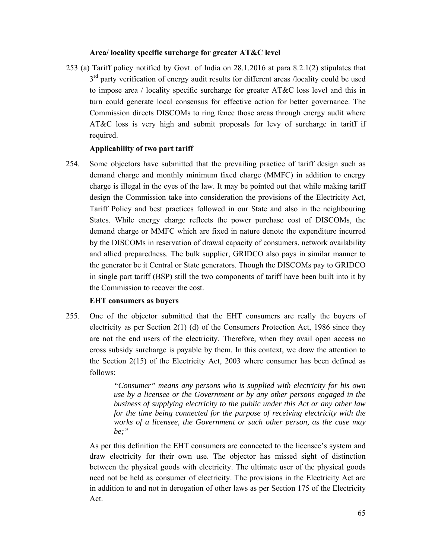## **Area/ locality specific surcharge for greater AT&C level**

253 (a) Tariff policy notified by Govt. of India on 28.1.2016 at para 8.2.1(2) stipulates that  $3<sup>rd</sup>$  party verification of energy audit results for different areas /locality could be used to impose area / locality specific surcharge for greater AT&C loss level and this in turn could generate local consensus for effective action for better governance. The Commission directs DISCOMs to ring fence those areas through energy audit where AT&C loss is very high and submit proposals for levy of surcharge in tariff if required.

# **Applicability of two part tariff**

254. Some objectors have submitted that the prevailing practice of tariff design such as demand charge and monthly minimum fixed charge (MMFC) in addition to energy charge is illegal in the eyes of the law. It may be pointed out that while making tariff design the Commission take into consideration the provisions of the Electricity Act, Tariff Policy and best practices followed in our State and also in the neighbouring States. While energy charge reflects the power purchase cost of DISCOMs, the demand charge or MMFC which are fixed in nature denote the expenditure incurred by the DISCOMs in reservation of drawal capacity of consumers, network availability and allied preparedness. The bulk supplier, GRIDCO also pays in similar manner to the generator be it Central or State generators. Though the DISCOMs pay to GRIDCO in single part tariff (BSP) still the two components of tariff have been built into it by the Commission to recover the cost.

# **EHT consumers as buyers**

255. One of the objector submitted that the EHT consumers are really the buyers of electricity as per Section  $2(1)$  (d) of the Consumers Protection Act, 1986 since they are not the end users of the electricity. Therefore, when they avail open access no cross subsidy surcharge is payable by them. In this context, we draw the attention to the Section 2(15) of the Electricity Act, 2003 where consumer has been defined as follows:

> *"Consumer" means any persons who is supplied with electricity for his own use by a licensee or the Government or by any other persons engaged in the business of supplying electricity to the public under this Act or any other law for the time being connected for the purpose of receiving electricity with the works of a licensee, the Government or such other person, as the case may be;"*

As per this definition the EHT consumers are connected to the licensee's system and draw electricity for their own use. The objector has missed sight of distinction between the physical goods with electricity. The ultimate user of the physical goods need not be held as consumer of electricity. The provisions in the Electricity Act are in addition to and not in derogation of other laws as per Section 175 of the Electricity Act.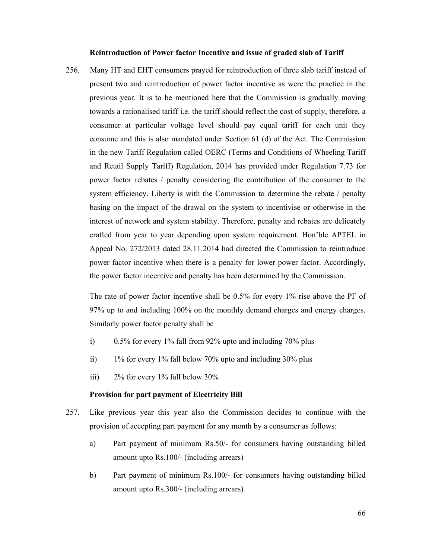#### **Reintroduction of Power factor Incentive and issue of graded slab of Tariff**

256. Many HT and EHT consumers prayed for reintroduction of three slab tariff instead of present two and reintroduction of power factor incentive as were the practice in the previous year. It is to be mentioned here that the Commission is gradually moving towards a rationalised tariff i.e. the tariff should reflect the cost of supply, therefore, a consumer at particular voltage level should pay equal tariff for each unit they consume and this is also mandated under Section 61 (d) of the Act. The Commission in the new Tariff Regulation called OERC (Terms and Conditions of Wheeling Tariff and Retail Supply Tariff) Regulation, 2014 has provided under Regulation 7.73 for power factor rebates / penalty considering the contribution of the consumer to the system efficiency. Liberty is with the Commission to determine the rebate / penalty basing on the impact of the drawal on the system to incentivise or otherwise in the interest of network and system stability. Therefore, penalty and rebates are delicately crafted from year to year depending upon system requirement. Hon'ble APTEL in Appeal No. 272/2013 dated 28.11.2014 had directed the Commission to reintroduce power factor incentive when there is a penalty for lower power factor. Accordingly, the power factor incentive and penalty has been determined by the Commission.

The rate of power factor incentive shall be 0.5% for every 1% rise above the PF of 97% up to and including 100% on the monthly demand charges and energy charges. Similarly power factor penalty shall be

- i)  $0.5\%$  for every 1% fall from 92% upto and including 70% plus
- ii) 1% for every 1% fall below 70% upto and including 30% plus
- iii) 2% for every 1% fall below 30%

## **Provision for part payment of Electricity Bill**

- 257. Like previous year this year also the Commission decides to continue with the provision of accepting part payment for any month by a consumer as follows:
	- a) Part payment of minimum Rs.50/- for consumers having outstanding billed amount upto Rs.100/- (including arrears)
	- b) Part payment of minimum Rs.100/- for consumers having outstanding billed amount upto Rs.300/- (including arrears)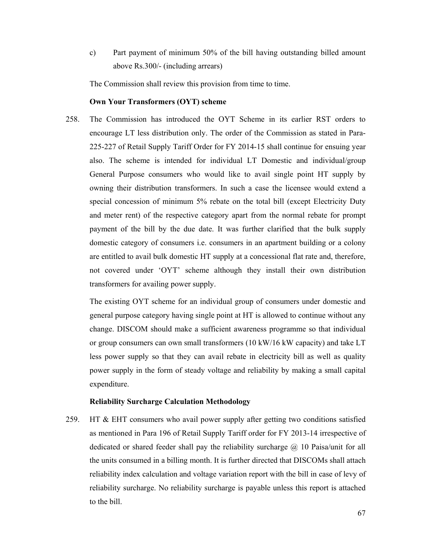c) Part payment of minimum 50% of the bill having outstanding billed amount above Rs.300/- (including arrears)

The Commission shall review this provision from time to time.

## **Own Your Transformers (OYT) scheme**

258. The Commission has introduced the OYT Scheme in its earlier RST orders to encourage LT less distribution only. The order of the Commission as stated in Para-225-227 of Retail Supply Tariff Order for FY 2014-15 shall continue for ensuing year also. The scheme is intended for individual LT Domestic and individual/group General Purpose consumers who would like to avail single point HT supply by owning their distribution transformers. In such a case the licensee would extend a special concession of minimum 5% rebate on the total bill (except Electricity Duty and meter rent) of the respective category apart from the normal rebate for prompt payment of the bill by the due date. It was further clarified that the bulk supply domestic category of consumers i.e. consumers in an apartment building or a colony are entitled to avail bulk domestic HT supply at a concessional flat rate and, therefore, not covered under 'OYT' scheme although they install their own distribution transformers for availing power supply.

The existing OYT scheme for an individual group of consumers under domestic and general purpose category having single point at HT is allowed to continue without any change. DISCOM should make a sufficient awareness programme so that individual or group consumers can own small transformers (10 kW/16 kW capacity) and take LT less power supply so that they can avail rebate in electricity bill as well as quality power supply in the form of steady voltage and reliability by making a small capital expenditure.

#### **Reliability Surcharge Calculation Methodology**

259. HT & EHT consumers who avail power supply after getting two conditions satisfied as mentioned in Para 196 of Retail Supply Tariff order for FY 2013-14 irrespective of dedicated or shared feeder shall pay the reliability surcharge  $\omega$  10 Paisa/unit for all the units consumed in a billing month. It is further directed that DISCOMs shall attach reliability index calculation and voltage variation report with the bill in case of levy of reliability surcharge. No reliability surcharge is payable unless this report is attached to the bill.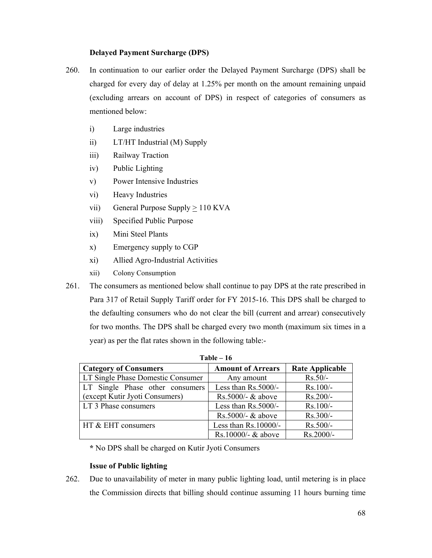## **Delayed Payment Surcharge (DPS)**

- 260. In continuation to our earlier order the Delayed Payment Surcharge (DPS) shall be charged for every day of delay at 1.25% per month on the amount remaining unpaid (excluding arrears on account of DPS) in respect of categories of consumers as mentioned below:
	- i) Large industries
	- ii) LT/HT Industrial (M) Supply
	- iii) Railway Traction
	- iv) Public Lighting
	- v) Power Intensive Industries
	- vi) Heavy Industries
	- vii) General Purpose Supply  $\geq 110$  KVA
	- viii) Specified Public Purpose
	- ix) Mini Steel Plants
	- x) Emergency supply to CGP
	- xi) Allied Agro-Industrial Activities
	- xii) Colony Consumption
- 261. The consumers as mentioned below shall continue to pay DPS at the rate prescribed in Para 317 of Retail Supply Tariff order for FY 2015-16. This DPS shall be charged to the defaulting consumers who do not clear the bill (current and arrear) consecutively for two months. The DPS shall be charged every two month (maximum six times in a year) as per the flat rates shown in the following table:-

| $Table - 16$                      |                          |                        |  |  |  |  |  |
|-----------------------------------|--------------------------|------------------------|--|--|--|--|--|
| <b>Category of Consumers</b>      | <b>Amount of Arrears</b> | <b>Rate Applicable</b> |  |  |  |  |  |
| LT Single Phase Domestic Consumer | Any amount               | $Rs.50/-$              |  |  |  |  |  |
| LT Single Phase other consumers   | Less than Rs.5000/-      | $Rs.100/-$             |  |  |  |  |  |
| (except Kutir Jyoti Consumers)    | Rs.5000/- $&$ above      | $Rs.200/-$             |  |  |  |  |  |
| LT 3 Phase consumers              | Less than $Rs.5000/-$    | $Rs.100/-$             |  |  |  |  |  |
|                                   | Rs.5000/- $&$ above      | $Rs.300/-$             |  |  |  |  |  |
| HT & EHT consumers                | Less than $Rs.10000/-$   | Rs.500/-               |  |  |  |  |  |
|                                   | Rs.10000/- $&$ above     | $Rs.2000/-$            |  |  |  |  |  |

**\*** No DPS shall be charged on Kutir Jyoti Consumers

# **Issue of Public lighting**

262. Due to unavailability of meter in many public lighting load, until metering is in place the Commission directs that billing should continue assuming 11 hours burning time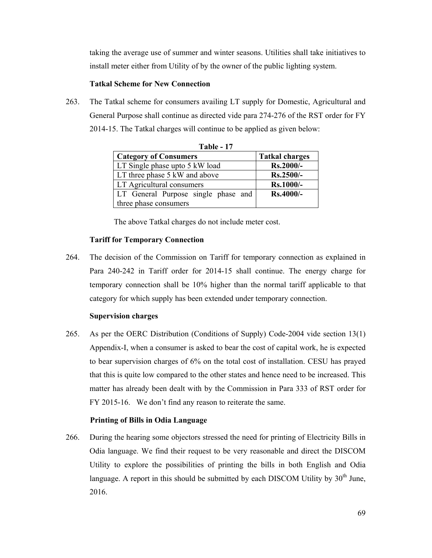taking the average use of summer and winter seasons. Utilities shall take initiatives to install meter either from Utility of by the owner of the public lighting system.

## **Tatkal Scheme for New Connection**

263. The Tatkal scheme for consumers availing LT supply for Domestic, Agricultural and General Purpose shall continue as directed vide para 274-276 of the RST order for FY 2014-15. The Tatkal charges will continue to be applied as given below:

| 1 able - 17                         |                       |  |  |  |  |  |  |  |
|-------------------------------------|-----------------------|--|--|--|--|--|--|--|
| <b>Category of Consumers</b>        | <b>Tatkal charges</b> |  |  |  |  |  |  |  |
| LT Single phase upto 5 kW load      | $Rs.2000/-$           |  |  |  |  |  |  |  |
| LT three phase 5 kW and above       | Rs.2500/-             |  |  |  |  |  |  |  |
| LT Agricultural consumers           | Rs.1000/-             |  |  |  |  |  |  |  |
| LT General Purpose single phase and | Rs.4000/-             |  |  |  |  |  |  |  |
| three phase consumers               |                       |  |  |  |  |  |  |  |

**Table 17** 

The above Tatkal charges do not include meter cost.

### **Tariff for Temporary Connection**

264. The decision of the Commission on Tariff for temporary connection as explained in Para 240-242 in Tariff order for 2014-15 shall continue. The energy charge for temporary connection shall be 10% higher than the normal tariff applicable to that category for which supply has been extended under temporary connection.

### **Supervision charges**

265. As per the OERC Distribution (Conditions of Supply) Code-2004 vide section 13(1) Appendix-I, when a consumer is asked to bear the cost of capital work, he is expected to bear supervision charges of 6% on the total cost of installation. CESU has prayed that this is quite low compared to the other states and hence need to be increased. This matter has already been dealt with by the Commission in Para 333 of RST order for FY 2015-16. We don't find any reason to reiterate the same.

## **Printing of Bills in Odia Language**

266. During the hearing some objectors stressed the need for printing of Electricity Bills in Odia language. We find their request to be very reasonable and direct the DISCOM Utility to explore the possibilities of printing the bills in both English and Odia language. A report in this should be submitted by each DISCOM Utility by  $30<sup>th</sup>$  June, 2016.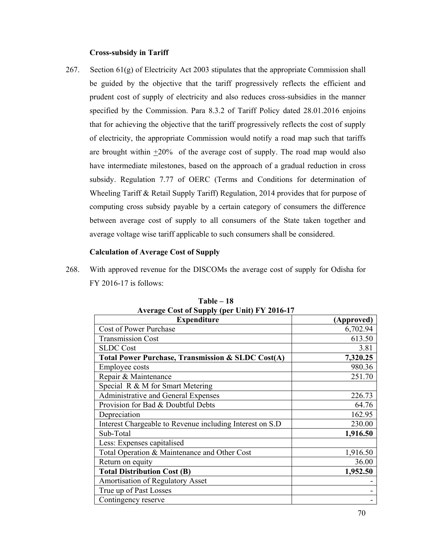## **Cross-subsidy in Tariff**

267. Section 61(g) of Electricity Act 2003 stipulates that the appropriate Commission shall be guided by the objective that the tariff progressively reflects the efficient and prudent cost of supply of electricity and also reduces cross-subsidies in the manner specified by the Commission. Para 8.3.2 of Tariff Policy dated 28.01.2016 enjoins that for achieving the objective that the tariff progressively reflects the cost of supply of electricity, the appropriate Commission would notify a road map such that tariffs are brought within +20% of the average cost of supply. The road map would also have intermediate milestones, based on the approach of a gradual reduction in cross subsidy. Regulation 7.77 of OERC (Terms and Conditions for determination of Wheeling Tariff & Retail Supply Tariff) Regulation, 2014 provides that for purpose of computing cross subsidy payable by a certain category of consumers the difference between average cost of supply to all consumers of the State taken together and average voltage wise tariff applicable to such consumers shall be considered.

## **Calculation of Average Cost of Supply**

268. With approved revenue for the DISCOMs the average cost of supply for Odisha for FY 2016-17 is follows:

| $\frac{1}{2}$ and $\frac{1}{2}$ cost of supply (per emit) $\frac{1}{2}$ 2010 1.<br><b>Expenditure</b> | (Approved) |
|-------------------------------------------------------------------------------------------------------|------------|
| Cost of Power Purchase                                                                                | 6,702.94   |
| <b>Transmission Cost</b>                                                                              | 613.50     |
| <b>SLDC</b> Cost                                                                                      | 3.81       |
| <b>Total Power Purchase, Transmission &amp; SLDC Cost(A)</b>                                          | 7,320.25   |
| <b>Employee costs</b>                                                                                 | 980.36     |
| Repair & Maintenance                                                                                  | 251.70     |
| Special R & M for Smart Metering                                                                      |            |
| Administrative and General Expenses                                                                   | 226.73     |
| Provision for Bad & Doubtful Debts                                                                    | 64.76      |
| Depreciation                                                                                          | 162.95     |
| Interest Chargeable to Revenue including Interest on S.D                                              | 230.00     |
| Sub-Total                                                                                             | 1,916.50   |
| Less: Expenses capitalised                                                                            |            |
| Total Operation & Maintenance and Other Cost                                                          | 1,916.50   |
| Return on equity                                                                                      | 36.00      |
| <b>Total Distribution Cost (B)</b>                                                                    | 1,952.50   |
| <b>Amortisation of Regulatory Asset</b>                                                               |            |
| True up of Past Losses                                                                                |            |
| Contingency reserve                                                                                   |            |

**Table – 18 Average Cost of Supply (per Unit) FY 2016-17**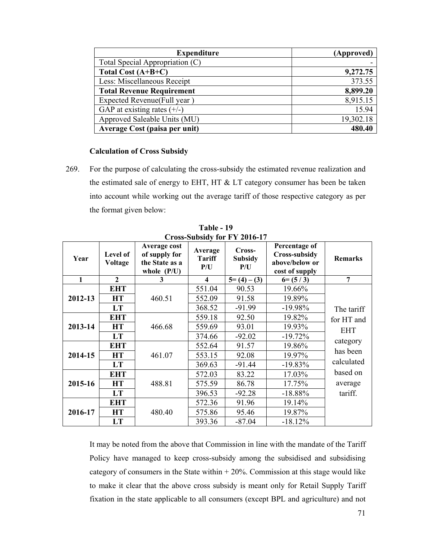| <b>Expenditure</b>               | (Approved) |
|----------------------------------|------------|
| Total Special Appropriation (C)  |            |
| Total Cost $(A+B+C)$             | 9,272.75   |
| Less: Miscellaneous Receipt      | 373.55     |
| <b>Total Revenue Requirement</b> | 8,899.20   |
| Expected Revenue(Full year)      | 8,915.15   |
| GAP at existing rates $(+/-)$    | 15.94      |
| Approved Saleable Units (MU)     | 19,302.18  |
| Average Cost (paisa per unit)    | 480.40     |

## **Calculation of Cross Subsidy**

269. For the purpose of calculating the cross-subsidy the estimated revenue realization and the estimated sale of energy to EHT, HT & LT category consumer has been be taken into account while working out the average tariff of those respective category as per the format given below:

| Year    | Level of<br>Voltage | Average cost<br>of supply for<br>the State as a<br>whole $(P/U)$ | Average<br><b>Tariff</b><br>P/U | Cross-<br><b>Subsidy</b><br>P/U | Percentage of<br><b>Cross-subsidy</b><br>above/below or<br>cost of supply | <b>Remarks</b>                                   |
|---------|---------------------|------------------------------------------------------------------|---------------------------------|---------------------------------|---------------------------------------------------------------------------|--------------------------------------------------|
| 1       | $\mathbf{2}$        | 3                                                                | $\overline{\mathbf{4}}$         | $5=(4)-(3)$                     | $6= (5/3)$                                                                | 7                                                |
|         | <b>EHT</b>          |                                                                  | 551.04                          | 90.53                           | 19.66%                                                                    |                                                  |
| 2012-13 | <b>HT</b>           | 460.51                                                           | 552.09                          | 91.58                           | 19.89%                                                                    |                                                  |
|         | LT                  |                                                                  | 368.52                          | $-91.99$                        | $-19.98%$                                                                 | The tariff                                       |
| 2013-14 | <b>EHT</b>          | 466.68                                                           | 559.18                          | 92.50                           | 19.82%                                                                    | for HT and                                       |
|         | <b>HT</b>           |                                                                  | 559.69                          | 93.01                           | 19.93%                                                                    | <b>EHT</b><br>category<br>has been<br>calculated |
|         | LT                  |                                                                  | 374.66                          | $-92.02$                        | $-19.72%$                                                                 |                                                  |
| 2014-15 | <b>EHT</b>          |                                                                  | 552.64                          | 91.57                           | 19.86%                                                                    |                                                  |
|         | <b>HT</b>           | 461.07                                                           | 553.15                          | 92.08                           | 19.97%                                                                    |                                                  |
|         | <b>LT</b>           |                                                                  | 369.63                          | $-91.44$                        | $-19.83%$                                                                 |                                                  |
| 2015-16 | <b>EHT</b>          |                                                                  | 572.03                          | 83.22                           | 17.03%                                                                    | based on                                         |
|         | <b>HT</b>           | 488.81                                                           | 575.59                          | 86.78                           | 17.75%                                                                    | average                                          |
|         | LT                  |                                                                  | 396.53                          | $-92.28$                        | $-18.88%$                                                                 | tariff.                                          |
|         | <b>EHT</b>          |                                                                  | 572.36                          | 91.96                           | 19.14%                                                                    |                                                  |
| 2016-17 | <b>HT</b>           | 480.40                                                           | 575.86                          | 95.46                           | 19.87%                                                                    |                                                  |
|         | LT                  |                                                                  | 393.36                          | $-87.04$                        | $-18.12%$                                                                 |                                                  |

**Table - 19 Cross-Subsidy for FY 2016-17** 

It may be noted from the above that Commission in line with the mandate of the Tariff Policy have managed to keep cross-subsidy among the subsidised and subsidising category of consumers in the State within  $+ 20\%$ . Commission at this stage would like to make it clear that the above cross subsidy is meant only for Retail Supply Tariff fixation in the state applicable to all consumers (except BPL and agriculture) and not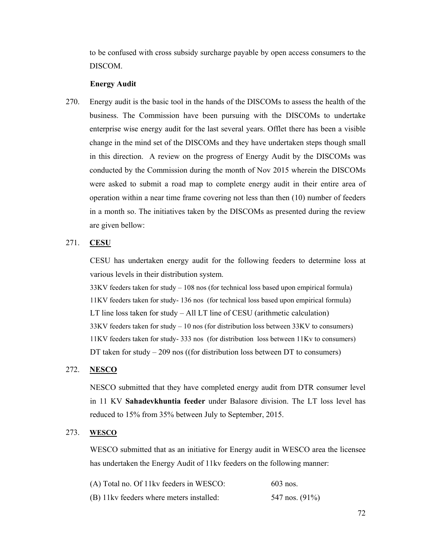to be confused with cross subsidy surcharge payable by open access consumers to the DISCOM.

## **Energy Audit**

270. Energy audit is the basic tool in the hands of the DISCOMs to assess the health of the business. The Commission have been pursuing with the DISCOMs to undertake enterprise wise energy audit for the last several years. Offlet there has been a visible change in the mind set of the DISCOMs and they have undertaken steps though small in this direction. A review on the progress of Energy Audit by the DISCOMs was conducted by the Commission during the month of Nov 2015 wherein the DISCOMs were asked to submit a road map to complete energy audit in their entire area of operation within a near time frame covering not less than then (10) number of feeders in a month so. The initiatives taken by the DISCOMs as presented during the review are given bellow:

## 271. **CESU**

CESU has undertaken energy audit for the following feeders to determine loss at various levels in their distribution system.

33KV feeders taken for study – 108 nos (for technical loss based upon empirical formula) 11KV feeders taken for study- 136 nos (for technical loss based upon empirical formula) LT line loss taken for study – All LT line of CESU (arithmetic calculation) 33KV feeders taken for study – 10 nos (for distribution loss between 33KV to consumers) 11KV feeders taken for study- 333 nos (for distribution loss between 11Kv to consumers) DT taken for study – 209 nos ((for distribution loss between DT to consumers)

## 272. **NESCO**

NESCO submitted that they have completed energy audit from DTR consumer level in 11 KV **Sahadevkhuntia feeder** under Balasore division. The LT loss level has reduced to 15% from 35% between July to September, 2015.

### 273. **WESCO**

WESCO submitted that as an initiative for Energy audit in WESCO area the licensee has undertaken the Energy Audit of 11kv feeders on the following manner:

| (A) Total no. Of 11kv feeders in WESCO:  | $603$ nos.        |
|------------------------------------------|-------------------|
| (B) 11kv feeders where meters installed: | 547 nos. $(91\%)$ |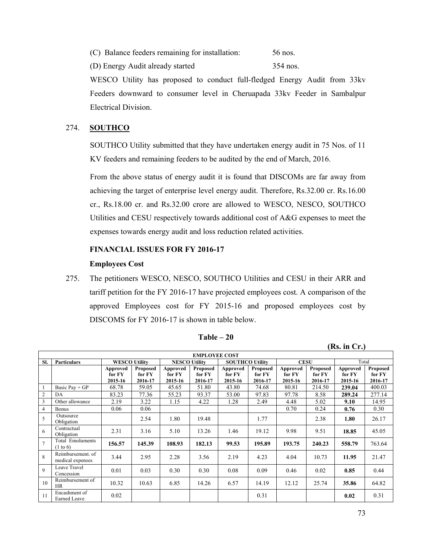|  |  | (C) Balance feeders remaining for installation: | 56 nos. |
|--|--|-------------------------------------------------|---------|
|  |  |                                                 |         |

(D) Energy Audit already started 354 nos.

WESCO Utility has proposed to conduct full-fledged Energy Audit from 33kv Feeders downward to consumer level in Cheruapada 33kv Feeder in Sambalpur Electrical Division.

## 274. **SOUTHCO**

SOUTHCO Utility submitted that they have undertaken energy audit in 75 Nos. of 11 KV feeders and remaining feeders to be audited by the end of March, 2016.

From the above status of energy audit it is found that DISCOMs are far away from achieving the target of enterprise level energy audit. Therefore, Rs.32.00 cr. Rs.16.00 cr., Rs.18.00 cr. and Rs.32.00 crore are allowed to WESCO, NESCO, SOUTHCO Utilities and CESU respectively towards additional cost of A&G expenses to meet the expenses towards energy audit and loss reduction related activities.

## **FINANCIAL ISSUES FOR FY 2016-17**

### **Employees Cost**

275. The petitioners WESCO, NESCO, SOUTHCO Utilities and CESU in their ARR and tariff petition for the FY 2016-17 have projected employees cost. A comparison of the approved Employees cost for FY 2015-16 and proposed employees cost by DISCOMS for FY 2016-17 is shown in table below.

|                | <b>EMPLOYEE COST</b>                  |                      |                    |                    |                      |                    |                           |                    |                    |                    |                    |
|----------------|---------------------------------------|----------------------|--------------------|--------------------|----------------------|--------------------|---------------------------|--------------------|--------------------|--------------------|--------------------|
| SI.            | <b>Particulars</b>                    | <b>WESCO Utility</b> |                    |                    | <b>NESCO Utility</b> |                    | <b>SOUTHCO Utility</b>    | <b>CESU</b>        |                    | Total              |                    |
|                |                                       | Approved<br>for FY   | Proposed<br>for FY | Approved<br>for FY | Proposed<br>for FY   | Approved<br>for FY | <b>Proposed</b><br>for FY | Approved<br>for FY | Proposed<br>for FY | Approved<br>for FY | Proposed<br>for FY |
|                |                                       | 2015-16              | 2016-17            | 2015-16            | 2016-17              | 2015-16            | 2016-17                   | 2015-16            | 2016-17            | 2015-16            | 2016-17            |
|                | Basic Pay $+GP$                       | 68.78                | 59.05              | 45.65              | 51.80                | 43.80              | 74.68                     | 80.81              | 214.50             | 239.04             | 400.03             |
| $\overline{c}$ | DA                                    | 83.23                | 77.36              | 55.23              | 93.37                | 53.00              | 97.83                     | 97.78              | 8.58               | 289.24             | 277.14             |
| 3              | Other allowance                       | 2.19                 | 3.22               | 1.15               | 4.22                 | 1.28               | 2.49                      | 4.48               | 5.02               | 9.10               | 14.95              |
| $\overline{4}$ | <b>Bonus</b>                          | 0.06                 | 0.06               |                    |                      |                    |                           | 0.70               | 0.24               | 0.76               | 0.30               |
| 5              | Outsource<br>Obligation               |                      | 2.54               | 1.80               | 19.48                |                    | 1.77                      |                    | 2.38               | 1.80               | 26.17              |
| 6              | Contractual<br>Obligation             | 2.31                 | 3.16               | 5.10               | 13.26                | 1.46               | 19.12                     | 9.98               | 9.51               | 18.85              | 45.05              |
| $\overline{7}$ | <b>Total Emoluments</b><br>(1 to 6)   | 156.57               | 145.39             | 108.93             | 182.13               | 99.53              | 195.89                    | 193.75             | 240.23             | 558.79             | 763.64             |
| 8              | Reimbursement, of<br>medical expenses | 3.44                 | 2.95               | 2.28               | 3.56                 | 2.19               | 4.23                      | 4.04               | 10.73              | 11.95              | 21.47              |
| $\mathbf Q$    | Leave Travel<br>Concession            | 0.01                 | 0.03               | 0.30               | 0.30                 | 0.08               | 0.09                      | 0.46               | 0.02               | 0.85               | 0.44               |
| 10             | Reimbursement of<br><b>HR</b>         | 10.32                | 10.63              | 6.85               | 14.26                | 6.57               | 14.19                     | 12.12              | 25.74              | 35.86              | 64.82              |
| 11             | Encashment of<br>Earned Leave         | 0.02                 |                    |                    |                      |                    | 0.31                      |                    |                    | 0.02               | 0.31               |

**Table – 20** 

**(Rs. in Cr.)**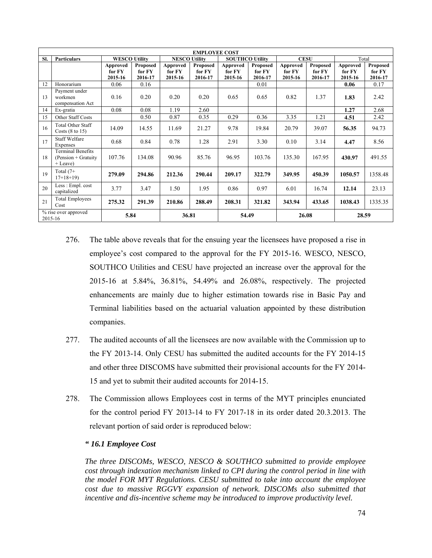|                                 | <b>EMPLOYEE COST</b>                                            |                      |          |                      |          |                        |                 |             |          |          |          |
|---------------------------------|-----------------------------------------------------------------|----------------------|----------|----------------------|----------|------------------------|-----------------|-------------|----------|----------|----------|
| SI.                             | <b>Particulars</b>                                              | <b>WESCO Utility</b> |          | <b>NESCO Utility</b> |          | <b>SOUTHCO Utility</b> |                 | <b>CESU</b> |          | Total    |          |
|                                 |                                                                 | Approved             | Proposed | Approved             | Proposed | Approved               | <b>Proposed</b> | Approved    | Proposed | Approved | Proposed |
|                                 |                                                                 | for FY               | for FY   | for FY               | for FY   | for FY                 | for FY          | for FY      | for FY   | for FY   | for FY   |
|                                 |                                                                 | 2015-16              | 2016-17  | 2015-16              | 2016-17  | 2015-16                | 2016-17         | 2015-16     | 2016-17  | 2015-16  | 2016-17  |
| 12                              | Honorarium                                                      | 0.06                 | 0.16     |                      |          |                        | 0.01            |             |          | 0.06     | 0.17     |
| 13                              | Payment under<br>workmen                                        | 0.16                 | 0.20     | 0.20                 | 0.20     | 0.65                   | 0.65            | 0.82        | 1.37     | 1.83     | 2.42     |
|                                 | compensation Act                                                |                      |          |                      |          |                        |                 |             |          |          |          |
| 14                              | Ex-gratia                                                       | 0.08                 | 0.08     | 1.19                 | 2.60     |                        |                 |             |          | 1.27     | 2.68     |
| 15                              | Other Staff Costs                                               |                      | 0.50     | 0.87                 | 0.35     | 0.29                   | 0.36            | 3.35        | 1.21     | 4.51     | 2.42     |
| 16                              | <b>Total Other Staff</b><br>Costs $(8 \text{ to } 15)$          | 14.09                | 14.55    | 11.69                | 21.27    | 9.78                   | 19.84           | 20.79       | 39.07    | 56.35    | 94.73    |
| 17                              | <b>Staff Welfare</b><br>Expenses                                | 0.68                 | 0.84     | 0.78                 | 1.28     | 2.91                   | 3.30            | 0.10        | 3.14     | 4.47     | 8.56     |
| 18                              | <b>Terminal Benefits</b><br>$(Pension + Gravity)$<br>$+$ Leave) | 107.76               | 134.08   | 90.96                | 85.76    | 96.95                  | 103.76          | 135.30      | 167.95   | 430.97   | 491.55   |
| 19                              | Total $(7+)$<br>$17+18+19$                                      | 279.09               | 294.86   | 212.36               | 290.44   | 209.17                 | 322.79          | 349.95      | 450.39   | 1050.57  | 1358.48  |
| 20                              | Less: Empl. cost<br>capitalized                                 | 3.77                 | 3.47     | 1.50                 | 1.95     | 0.86                   | 0.97            | 6.01        | 16.74    | 12.14    | 23.13    |
| 21                              | <b>Total Employees</b><br>Cost                                  | 275.32               | 291.39   | 210.86               | 288.49   | 208.31                 | 321.82          | 343.94      | 433.65   | 1038.43  | 1335.35  |
| % rise over approved<br>2015-16 |                                                                 | 5.84                 |          | 36.81                |          | 54.49                  |                 | 26.08       |          | 28.59    |          |

- 276. The table above reveals that for the ensuing year the licensees have proposed a rise in employee's cost compared to the approval for the FY 2015-16. WESCO, NESCO, SOUTHCO Utilities and CESU have projected an increase over the approval for the 2015-16 at 5.84%, 36.81%, 54.49% and 26.08%, respectively. The projected enhancements are mainly due to higher estimation towards rise in Basic Pay and Terminal liabilities based on the actuarial valuation appointed by these distribution companies.
- 277. The audited accounts of all the licensees are now available with the Commission up to the FY 2013-14. Only CESU has submitted the audited accounts for the FY 2014-15 and other three DISCOMS have submitted their provisional accounts for the FY 2014- 15 and yet to submit their audited accounts for 2014-15.
- 278. The Commission allows Employees cost in terms of the MYT principles enunciated for the control period FY 2013-14 to FY 2017-18 in its order dated 20.3.2013. The relevant portion of said order is reproduced below:

### *" 16.1 Employee Cost*

*The three DISCOMs, WESCO, NESCO & SOUTHCO submitted to provide employee cost through indexation mechanism linked to CPI during the control period in line with the model FOR MYT Regulations. CESU submitted to take into account the employee cost due to massive RGGVY expansion of network. DISCOMs also submitted that incentive and dis-incentive scheme may be introduced to improve productivity level.*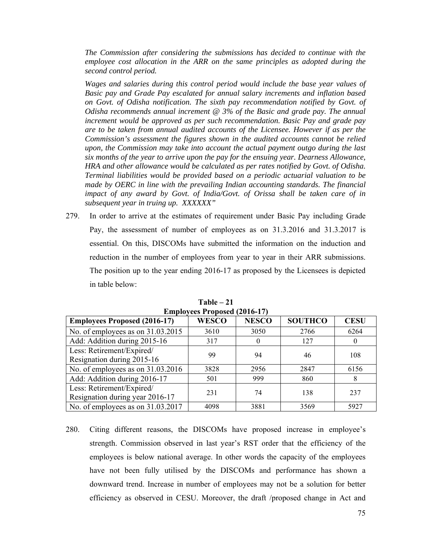*The Commission after considering the submissions has decided to continue with the employee cost allocation in the ARR on the same principles as adopted during the second control period.* 

*Wages and salaries during this control period would include the base year values of Basic pay and Grade Pay escalated for annual salary increments and inflation based on Govt. of Odisha notification. The sixth pay recommendation notified by Govt. of Odisha recommends annual increment @ 3% of the Basic and grade pay. The annual increment would be approved as per such recommendation. Basic Pay and grade pay are to be taken from annual audited accounts of the Licensee. However if as per the Commission's assessment the figures shown in the audited accounts cannot be relied upon, the Commission may take into account the actual payment outgo during the last six months of the year to arrive upon the pay for the ensuing year. Dearness Allowance, HRA and other allowance would be calculated as per rates notified by Govt. of Odisha. Terminal liabilities would be provided based on a periodic actuarial valuation to be made by OERC in line with the prevailing Indian accounting standards. The financial impact of any award by Govt. of India/Govt. of Orissa shall be taken care of in subsequent year in truing up. XXXXXX"* 

279. In order to arrive at the estimates of requirement under Basic Pay including Grade Pay, the assessment of number of employees as on 31.3.2016 and 31.3.2017 is essential. On this, DISCOMs have submitted the information on the induction and reduction in the number of employees from year to year in their ARR submissions. The position up to the year ending 2016-17 as proposed by the Licensees is depicted in table below:

| <b>EMPROVECS Proposed (2010-17)</b>                          |              |              |                |             |  |  |  |  |  |  |
|--------------------------------------------------------------|--------------|--------------|----------------|-------------|--|--|--|--|--|--|
| <b>Employees Proposed (2016-17)</b>                          | <b>WESCO</b> | <b>NESCO</b> | <b>SOUTHCO</b> | <b>CESU</b> |  |  |  |  |  |  |
| No. of employees as on $31.03.2015$                          | 3610         | 3050         | 2766           | 6264        |  |  |  |  |  |  |
| Add: Addition during 2015-16                                 | 317          | $\theta$     | 127            | $\theta$    |  |  |  |  |  |  |
| Less: Retirement/Expired/<br>Resignation during 2015-16      | 99           | 94           | 46             | 108         |  |  |  |  |  |  |
| No. of employees as on 31.03.2016                            | 3828         | 2956         | 2847           | 6156        |  |  |  |  |  |  |
| Add: Addition during 2016-17                                 | 501          | 999          | 860            | 8           |  |  |  |  |  |  |
| Less: Retirement/Expired/<br>Resignation during year 2016-17 | 231          | 74           | 138            | 237         |  |  |  |  |  |  |
| No. of employees as on 31.03.2017                            | 4098         | 3881         | 3569           | 5927        |  |  |  |  |  |  |

**Table – 21 Employees Proposed (2016-17)** 

280. Citing different reasons, the DISCOMs have proposed increase in employee's strength. Commission observed in last year's RST order that the efficiency of the employees is below national average. In other words the capacity of the employees have not been fully utilised by the DISCOMs and performance has shown a downward trend. Increase in number of employees may not be a solution for better efficiency as observed in CESU. Moreover, the draft /proposed change in Act and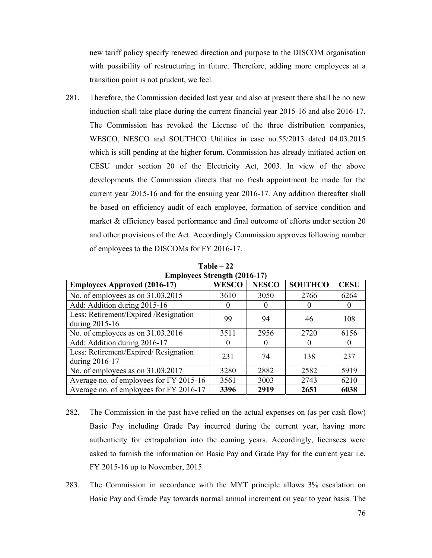new tariff policy specify renewed direction and purpose to the DISCOM organisation with possibility of restructuring in future. Therefore, adding more employees at a transition point is not prudent, we feel.

281. Therefore, the Commission decided last year and also at present there shall be no new induction shall take place during the current financial year 2015-16 and also 2016-17. The Commission has revoked the License of the three distribution companies, WESCO, NESCO and SOUTHCO Utilities in case no.55/2013 dated 04.03.2015 which is still pending at the higher forum. Commission has already initiated action on CESU under section 20 of the Electricity Act, 2003. In view of the above developments the Commission directs that no fresh appointment be made for the current year 2015-16 and for the ensuing year 2016-17. Any addition thereafter shall be based on efficiency audit of each employee, formation of service condition and market & efficiency based performance and final outcome of efforts under section 20 and other provisions of the Act. Accordingly Commission approves following number of employees to the DISCOMs for FY 2016-17.

| LIII DIOVEES SUEII 2010-17                              |              |              |                  |             |
|---------------------------------------------------------|--------------|--------------|------------------|-------------|
| <b>Employees Approved (2016-17)</b>                     | <b>WESCO</b> | <b>NESCO</b> | <b>SOUTHCO</b>   | <b>CESU</b> |
| No. of employees as on 31.03.2015                       | 3610         | 3050         | 2766             | 6264        |
| Add: Addition during 2015-16                            |              |              |                  |             |
| Less: Retirement/Expired /Resignation<br>during 2015-16 | 99           | 94           | 46               | 108         |
| No. of employees as on 31.03.2016                       | 3511         | 2956         | 2720             | 6156        |
| Add: Addition during 2016-17                            | $\Omega$     | $\Omega$     | $\left( \right)$ | $\theta$    |
| Less: Retirement/Expired/Resignation<br>during 2016-17  | 231          | 74           | 138              | 237         |
| No. of employees as on 31.03.2017                       | 3280         | 2882         | 2582             | 5919        |
| Average no. of employees for FY 2015-16                 | 3561         | 3003         | 2743             | 6210        |
| Average no. of employees for FY 2016-17                 | 3396         | 2919         | 2651             | 6038        |

**Table – 22 Employees Strength (2016-17)** 

- 282. The Commission in the past have relied on the actual expenses on (as per cash flow) Basic Pay including Grade Pay incurred during the current year, having more authenticity for extrapolation into the coming years. Accordingly, licensees were asked to furnish the information on Basic Pay and Grade Pay for the current year i.e. FY 2015-16 up to November, 2015.
- 283. The Commission in accordance with the MYT principle allows 3% escalation on Basic Pay and Grade Pay towards normal annual increment on year to year basis. The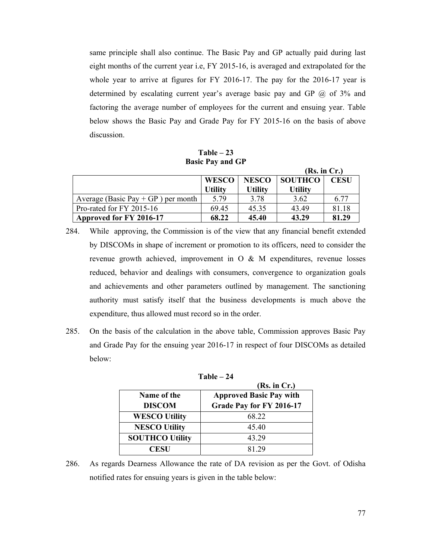same principle shall also continue. The Basic Pay and GP actually paid during last eight months of the current year i.e, FY 2015-16, is averaged and extrapolated for the whole year to arrive at figures for FY 2016-17. The pay for the 2016-17 year is determined by escalating current year's average basic pay and GP @ of 3% and factoring the average number of employees for the current and ensuing year. Table below shows the Basic Pay and Grade Pay for FY 2015-16 on the basis of above discussion.

**Table – 23 Basic Pay and GP** 

|                                    |                |                |                | (Rs. in Cr.) |
|------------------------------------|----------------|----------------|----------------|--------------|
|                                    | <b>WESCO</b>   | <b>NESCO</b>   | <b>SOUTHCO</b> | <b>CESU</b>  |
|                                    | <b>Utility</b> | <b>Utility</b> | <b>Utility</b> |              |
| Average (Basic Pay + GP) per month | 5.79           | 3.78           | 3.62           | 6.77         |
| Pro-rated for FY 2015-16           | 69.45          | 45.35          | 43.49          | 81 18        |
| Approved for FY 2016-17            | 68.22          | 45.40          | 43.29          | 81.29        |

- 284. While approving, the Commission is of the view that any financial benefit extended by DISCOMs in shape of increment or promotion to its officers, need to consider the revenue growth achieved, improvement in O & M expenditures, revenue losses reduced, behavior and dealings with consumers, convergence to organization goals and achievements and other parameters outlined by management. The sanctioning authority must satisfy itself that the business developments is much above the expenditure, thus allowed must record so in the order.
- 285. On the basis of the calculation in the above table, Commission approves Basic Pay and Grade Pay for the ensuing year 2016-17 in respect of four DISCOMs as detailed below:

|                        | (Rs. in Cr.)                   |
|------------------------|--------------------------------|
| Name of the            | <b>Approved Basic Pay with</b> |
| <b>DISCOM</b>          | Grade Pay for FY 2016-17       |
| <b>WESCO Utility</b>   | 68 22                          |
| <b>NESCO Utility</b>   | 45.40                          |
| <b>SOUTHCO Utility</b> | 43.29                          |
| <b>CESU</b>            | 81 29                          |

**Table – 24** 

286. As regards Dearness Allowance the rate of DA revision as per the Govt. of Odisha notified rates for ensuing years is given in the table below: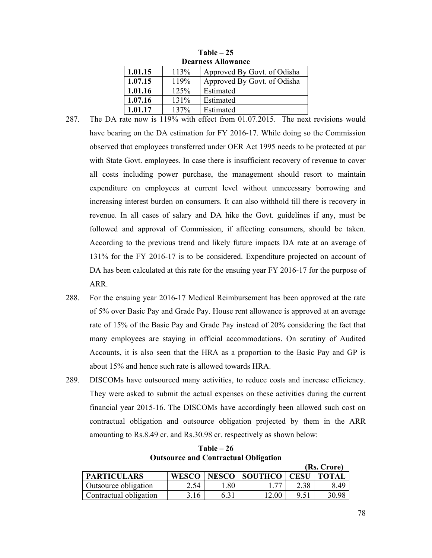| <b>Dearness Allowance</b> |      |                             |  |  |  |  |  |  |  |
|---------------------------|------|-----------------------------|--|--|--|--|--|--|--|
| 1.01.15                   | 113% | Approved By Govt. of Odisha |  |  |  |  |  |  |  |
| 1.07.15                   | 119% | Approved By Govt. of Odisha |  |  |  |  |  |  |  |
| 1.01.16                   | 125% | Estimated                   |  |  |  |  |  |  |  |
| 1.07.16                   | 131% | Estimated                   |  |  |  |  |  |  |  |
| 1.01.17                   | 137% | Estimated                   |  |  |  |  |  |  |  |

**Table – 25** 

- 287. The DA rate now is 119% with effect from 01.07.2015. The next revisions would have bearing on the DA estimation for FY 2016-17. While doing so the Commission observed that employees transferred under OER Act 1995 needs to be protected at par with State Govt. employees. In case there is insufficient recovery of revenue to cover all costs including power purchase, the management should resort to maintain expenditure on employees at current level without unnecessary borrowing and increasing interest burden on consumers. It can also withhold till there is recovery in revenue. In all cases of salary and DA hike the Govt. guidelines if any, must be followed and approval of Commission, if affecting consumers, should be taken. According to the previous trend and likely future impacts DA rate at an average of 131% for the FY 2016-17 is to be considered. Expenditure projected on account of DA has been calculated at this rate for the ensuing year FY 2016-17 for the purpose of ARR.
- 288. For the ensuing year 2016-17 Medical Reimbursement has been approved at the rate of 5% over Basic Pay and Grade Pay. House rent allowance is approved at an average rate of 15% of the Basic Pay and Grade Pay instead of 20% considering the fact that many employees are staying in official accommodations. On scrutiny of Audited Accounts, it is also seen that the HRA as a proportion to the Basic Pay and GP is about 15% and hence such rate is allowed towards HRA.
- 289. DISCOMs have outsourced many activities, to reduce costs and increase efficiency. They were asked to submit the actual expenses on these activities during the current financial year 2015-16. The DISCOMs have accordingly been allowed such cost on contractual obligation and outsource obligation projected by them in the ARR amounting to Rs.8.49 cr. and Rs.30.98 cr. respectively as shown below:

|                             |      |     |                                        |      | (Rs. Crore) |
|-----------------------------|------|-----|----------------------------------------|------|-------------|
| <b>PARTICULARS</b>          |      |     | WESCO   NESCO   SOUTHCO   CESU   TOTAL |      |             |
| <b>Outsource obligation</b> | 2.54 | .80 |                                        | 2.38 | 8 49        |
| Contractual obligation      | 3.16 |     | 12.00                                  |      | 30.98       |

**Table – 26 Outsource and Contractual Obligation**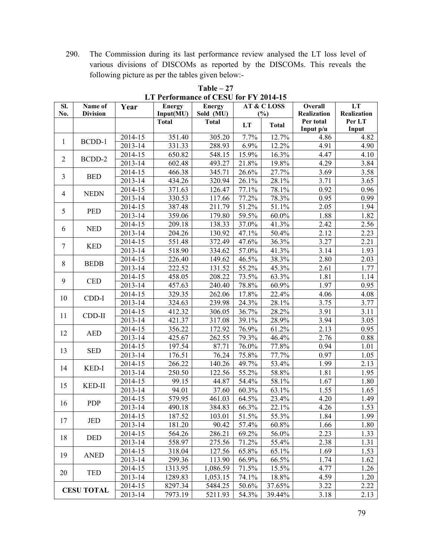290. The Commission during its last performance review analysed the LT loss level of various divisions of DISCOMs as reported by the DISCOMs. This reveals the following picture as per the tables given below:-

| SI.            | Name of           | Year    | <b>Energy</b> | <b>Energy</b> | <b>AT &amp; CLOSS</b> |              | Overall                                                                                              | LT                                           |
|----------------|-------------------|---------|---------------|---------------|-----------------------|--------------|------------------------------------------------------------------------------------------------------|----------------------------------------------|
| No.            | <b>Division</b>   |         | Input(MU)     | Sold (MU)     |                       | (%)          | Realization                                                                                          | Realization                                  |
|                |                   |         | <b>Total</b>  | <b>Total</b>  | LT                    | <b>Total</b> | Per total<br>Input $p/u$                                                                             | Per LT<br>Input                              |
|                |                   | 2014-15 | 351.40        | 305.20        | 7.7%                  | 12.7%        | 4.86                                                                                                 | 4.82                                         |
| 1              | BCDD-1            | 2013-14 | 331.33        | 288.93        | 6.9%                  | 12.2%        | 4.91                                                                                                 | 4.90                                         |
| $\overline{2}$ |                   | 2014-15 | 650.82        | 548.15        | 15.9%                 | 16.3%        | 4.47                                                                                                 | 4.10                                         |
|                | BCDD-2            | 2013-14 | 602.48        | 493.27        | 21.8%                 | 19.8%        | 4.29                                                                                                 | $\overline{3.84}$                            |
| 3              | <b>BED</b>        | 2014-15 | 466.38        | 345.71        | 26.6%                 | 27.7%        | 3.69                                                                                                 | 3.58                                         |
|                |                   | 2013-14 | 434.26        | 320.94        | 26.1%                 | 28.1%        | 3.71                                                                                                 | 3.65                                         |
| $\overline{4}$ | <b>NEDN</b>       | 2014-15 | 371.63        | 126.47        | 77.1%                 | 78.1%        | 0.92                                                                                                 | 0.96                                         |
|                |                   | 2013-14 | 330.53        | 117.66        | 77.2%                 | 78.3%        | 0.95                                                                                                 | 0.99                                         |
| 5              | <b>PED</b>        | 2014-15 | 387.48        | 211.79        | 51.2%                 | 51.1%        |                                                                                                      | 1.94                                         |
|                |                   | 2013-14 | 359.06        | 179.80        | 59.5%                 | $60.0\%$     | 1.88                                                                                                 | 1.82                                         |
| 6              | <b>NED</b>        | 2014-15 | 209.18        | 138.33        | 37.0%                 | 41.3%        | 2.42                                                                                                 | 2.56                                         |
|                |                   | 2013-14 | 204.26        | 130.92        | 47.1%                 | 50.4%        |                                                                                                      | 2.23                                         |
| $\tau$         | <b>KED</b>        | 2014-15 | 551.48        | 372.49        | 47.6%                 | 36.3%        |                                                                                                      | 2.21                                         |
|                |                   | 2013-14 | 518.90        | 334.62        | 57.0%                 | 41.3%        | 3.14                                                                                                 | 1.93                                         |
| 8              | <b>BEDB</b>       | 2014-15 | 226.40        | 149.62        | 46.5%                 | 38.3%        | 2.80                                                                                                 | 2.03                                         |
|                |                   | 2013-14 | 222.52        | 131.52        | 55.2%                 | 45.3%        | 2.61                                                                                                 | 1.77                                         |
| 9<br>10        | <b>CED</b>        | 2014-15 | 458.05        | 208.22        | 73.5%                 | 63.3%        | 1.81                                                                                                 | 1.14                                         |
|                |                   | 2013-14 | 457.63        | 240.40        | 78.8%                 | 60.9%        | 1.97                                                                                                 | 0.95                                         |
|                | CDD-I             | 2014-15 | 329.35        | 262.06        | 17.8%                 | 22.4%        | 4.06                                                                                                 | 4.08                                         |
|                |                   | 2013-14 | 324.63        | 239.98        | 24.3%                 | 28.1%        |                                                                                                      | 3.77<br>3.11<br>3.05<br>0.95<br>0.88<br>1.01 |
| 11             | CDD-II            | 2014-15 | 412.32        | 306.05        | 36.7%                 | 28.2%        | 3.91                                                                                                 |                                              |
|                |                   | 2013-14 | 421.37        | 317.08        | 39.1%                 | 28.9%        | 3.94                                                                                                 |                                              |
| 12             | <b>AED</b>        | 2014-15 | 356.22        | 172.92        | 76.9%                 | 61.2%        |                                                                                                      |                                              |
|                |                   | 2013-14 | 425.67        | 262.55        | 79.3%                 | 46.4%        | 3.75<br>2.13<br>2.76<br>0.94                                                                         |                                              |
| 13             | <b>SED</b>        | 2014-15 | 197.54        | 87.71         | 76.0%                 | 77.8%        |                                                                                                      |                                              |
|                |                   | 2013-14 | 176.51        | 76.24         | 75.8%                 | 77.7%        | 0.97<br>1.99<br>1.81                                                                                 | 1.05                                         |
| 14             | KED-I             | 2014-15 | 266.22        | 140.26        | 49.7%                 | 53.4%        | 2.05<br>2.12<br>3.27<br>1.67<br>1.55<br>4.20<br>4.26<br>1.84<br>1.66<br>2.23<br>2.38<br>1.69<br>1.74 | 2.13                                         |
|                |                   | 2013-14 | 250.50        | 122.56        | 55.2%                 | 58.8%        |                                                                                                      | 1.95                                         |
| 15             | KED-II            | 2014-15 | 99.15         | 44.87         | 54.4%                 | 58.1%        |                                                                                                      | 1.80                                         |
|                |                   | 2013-14 | 94.01         | 37.60         | 60.3%                 | 63.1%        |                                                                                                      | 1.65                                         |
| 16             | <b>PDP</b>        | 2014-15 | 579.95        | 461.03        | 64.5%                 | 23.4%        |                                                                                                      | 1.49                                         |
|                |                   | 2013-14 | 490.18        | 384.83        | 66.3%                 | 22.1%        |                                                                                                      | 1.53                                         |
| 17             | <b>JED</b>        | 2014-15 | 187.52        | 103.01        | 51.5%                 | 55.3%        |                                                                                                      | 1.99                                         |
|                |                   | 2013-14 | 181.20        | 90.42         | 57.4%                 | 60.8%        |                                                                                                      | 1.80                                         |
| 18             | <b>DED</b>        | 2014-15 | 564.26        | 286.21        | 69.2%                 | 56.0%        |                                                                                                      | 1.33                                         |
|                |                   | 2013-14 | 558.97        | 275.56        | 71.2%                 | 55.4%        |                                                                                                      | 1.31                                         |
| 19             | <b>ANED</b>       | 2014-15 | 318.04        | 127.56        | 65.8%                 | 65.1%        |                                                                                                      | 1.53                                         |
|                |                   | 2013-14 | 299.36        | 113.90        | 66.9%                 | 66.5%        |                                                                                                      | 1.62                                         |
| 20             | <b>TED</b>        | 2014-15 | 1313.95       | 1,086.59      | 71.5%                 | 15.5%        | 4.77                                                                                                 | 1.26                                         |
|                |                   | 2013-14 | 1289.83       | 1,053.15      | 74.1%                 | 18.8%        | 4.59                                                                                                 | 1.20                                         |
|                | <b>CESU TOTAL</b> | 2014-15 | 8297.34       | 5484.25       | 50.6%                 | 37.65%       | 3.22                                                                                                 | 2.22                                         |
|                |                   | 2013-14 | 7973.19       | 5211.93       | 54.3%                 | 39.44%       | 3.18                                                                                                 | 2.13                                         |

**Table – 27 LT Performance of CESU for FY 2014-15**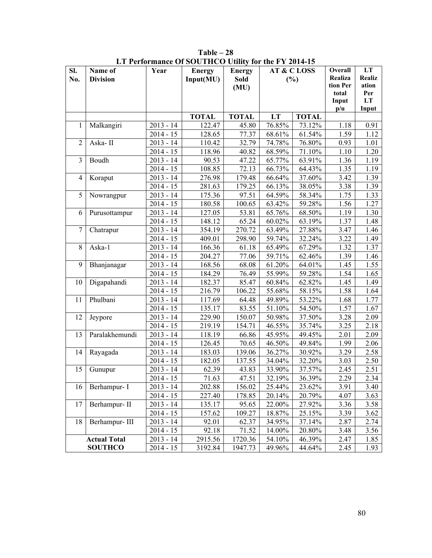| SI.            | Name of             | Year        | <b>Energy</b> | <b>Energy</b>       | <b>AT &amp; CLOSS</b> |              | Overall                 | LT        |
|----------------|---------------------|-------------|---------------|---------------------|-----------------------|--------------|-------------------------|-----------|
| No.            | <b>Division</b>     |             | Input(MU)     | <b>Sold</b>         |                       | (%)          | Realiza                 | Realiz    |
|                |                     |             |               | (MU)                |                       |              | tion Per                | ation     |
|                |                     |             |               |                     |                       |              | total<br>Input          | Per<br>LT |
|                |                     |             |               |                     |                       |              | $\mathbf{p}/\mathbf{u}$ | Input     |
|                |                     |             | <b>TOTAL</b>  | <b>TOTAL</b>        | LT                    | <b>TOTAL</b> |                         |           |
| 1              | Malkangiri          | $2013 - 14$ | 122.47        | 45.80               | 76.85%                | 73.12%       | 1.18                    | 0.91      |
|                |                     | $2014 - 15$ | 128.65        | 77.37               | 68.61%                | 61.54%       | 1.59                    | 1.12      |
| $\overline{2}$ | Aska-II             | $2013 - 14$ | 110.42        | 32.79               | 74.78%                | 76.80%       | 0.93                    | 1.01      |
|                |                     | $2014 - 15$ | 118.96        | 40.82               | 68.59%                | 71.10%       | 1.10                    | 1.20      |
| $\overline{3}$ | Boudh               | $2013 - 14$ | 90.53         | 47.22               | 65.77%                | 63.91%       | 1.36                    | 1.19      |
|                |                     | $2014 - 15$ | 108.85        | 72.13               | 66.73%                | 64.43%       | 1.35                    | 1.19      |
| $\overline{4}$ | Koraput             | $2013 - 14$ | 276.98        | $\overline{179.48}$ | 66.64%                | 37.60%       | 3.42                    | 1.39      |
|                |                     | $2014 - 15$ | 281.63        | 179.25              | 66.13%                | 38.05%       | 3.38                    | 1.39      |
| 5              | Nowrangpur          | $2013 - 14$ | 175.36        | 97.51               | 64.59%                | 58.34%       | 1.75                    | 1.33      |
|                |                     | $2014 - 15$ | 180.58        | 100.65              | 63.42%                | 59.28%       | 1.56                    | 1.27      |
| 6              | Purusottampur       | $2013 - 14$ | 127.05        | 53.81               | 65.76%                | 68.50%       | 1.19                    | 1.30      |
|                |                     | $2014 - 15$ | 148.12        | 65.24               | 60.02%                | 63.19%       | 1.37                    | 1.48      |
| 7              | Chatrapur           | $2013 - 14$ | 354.19        | 270.72              | 63.49%                | 27.88%       | 3.47                    | 1.46      |
|                |                     | $2014 - 15$ | 409.01        | 298.90              | 59.74%                | 32.24%       | 3.22                    | 1.49      |
| 8              | Aska-1              | $2013 - 14$ | 166.36        | 61.18               | 65.49%                | 67.29%       | 1.32                    | 1.37      |
|                |                     | $2014 - 15$ | 204.27        | 77.06               | 59.71%                | 62.46%       | 1.39                    | 1.46      |
| 9              | Bhanjanagar         | $2013 - 14$ | 168.56        | 68.08               | 61.20%                | 64.01%       | 1.45                    | 1.55      |
|                |                     | $2014 - 15$ | 184.29        | 76.49               | 55.99%                | 59.28%       | 1.54                    | 1.65      |
| 10             | Digapahandi         | $2013 - 14$ | 182.37        | 85.47               | 60.84%                | 62.82%       | 1.45                    | 1.49      |
|                |                     | $2014 - 15$ | 216.79        | 106.22              | 55.68%                | 58.15%       | 1.58                    | 1.64      |
| 11             | Phulbani            | $2013 - 14$ | 117.69        | 64.48               | 49.89%                | 53.22%       | 1.68                    | 1.77      |
|                |                     | $2014 - 15$ | 135.17        | 83.55               | 51.10%                | 54.50%       | 1.57                    | 1.67      |
| 12             | Jeypore             | $2013 - 14$ | 229.90        | 150.07              | 50.98%                | 37.50%       | 3.28                    | 2.09      |
|                |                     | $2014 - 15$ | 219.19        | 154.71              | 46.55%                | 35.74%       | 3.25                    | 2.18      |
| 13             | Paralakhemundi      | $2013 - 14$ | 118.19        | 66.86               | 45.95%                | 49.45%       | 2.01                    | 2.09      |
|                |                     | $2014 - 15$ | 126.45        | 70.65               | 46.50%                | 49.84%       | 1.99                    | 2.06      |
| 14             | Rayagada            | $2013 - 14$ | 183.03        | 139.06              | 36.27%                | 30.92%       | 3.29                    | 2.58      |
|                |                     | $2014 - 15$ | 182.05        | 137.55              | 34.04%                | 32.20%       | 3.03                    | 2.50      |
| 15             | Gunupur             | $2013 - 14$ | 62.39         | 43.83               | 33.90%                | 37.57%       | 2.45                    | 2.51      |
|                |                     | $2014 - 15$ | 71.63         | 47.51               | 32.19%                | 36.39%       | 2.29                    | 2.34      |
| 16             | Berhampur- I        | $2013 - 14$ | 202.88        | 156.02              | 25.44%                | 23.62%       | 3.91                    | 3.40      |
|                |                     | $2014 - 15$ | 227.40        | 178.85              | 20.14%                | 20.79%       | 4.07                    | 3.63      |
| 17             | Berhampur-II        | $2013 - 14$ | 135.17        | 95.65               | 22.00%                | 27.92%       | 3.36                    | 3.58      |
|                |                     | $2014 - 15$ | 157.62        | 109.27              | 18.87%                | 25.15%       | 3.39                    | 3.62      |
| 18             | Berhampur- III      | $2013 - 14$ | 92.01         | 62.37               | 34.95%                | 37.14%       | 2.87                    | 2.74      |
|                |                     | $2014 - 15$ | 92.18         | 71.52               | 14.00%                | 20.80%       | 3.48                    | 3.56      |
|                | <b>Actual Total</b> | $2013 - 14$ | 2915.56       | 1720.36             | 54.10%                | 46.39%       | 2.47                    | 1.85      |
|                | <b>SOUTHCO</b>      | $2014 - 15$ | 3192.84       | 1947.73             | 49.96%                | 44.64%       | 2.45                    | 1.93      |

**Table – 28 LT Performance Of SOUTHCO Utility for the FY 2014-15**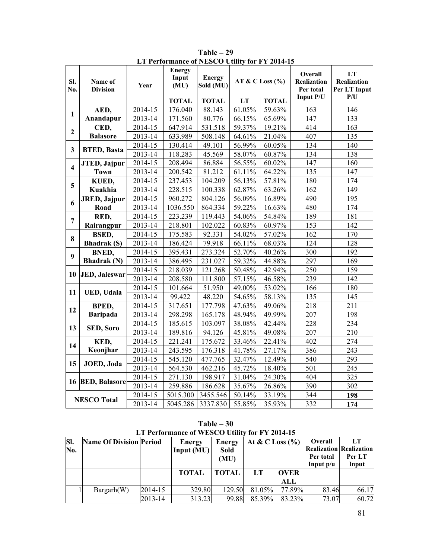| SI.<br>No.              | Name of<br><b>Division</b> | Year    | <b>Energy</b><br>Input<br>(MU) | <b>Energy</b><br>Sold (MU) | AT & C Loss $(\%$ |              | Overall<br>Realization<br>Per total<br>Input P/U | LT<br>Realization<br>Per LT Input<br>P/U |
|-------------------------|----------------------------|---------|--------------------------------|----------------------------|-------------------|--------------|--------------------------------------------------|------------------------------------------|
|                         |                            |         | <b>TOTAL</b>                   | <b>TOTAL</b>               | LT                | <b>TOTAL</b> |                                                  |                                          |
| 1                       | AED,                       | 2014-15 | 176.040                        | 88.143                     | 61.05%            | 59.63%       | 163                                              | 146                                      |
|                         | Anandapur                  | 2013-14 | 171.560                        | 80.776                     | 66.15%            | 65.69%       | 147                                              | 133                                      |
| $\overline{2}$          | CED,                       | 2014-15 | 647.914                        | 531.518                    | 59.37%            | 19.21%       | 414                                              | 163                                      |
|                         | <b>Balasore</b>            | 2013-14 | 633.989                        | 508.148                    | 64.61%            | 21.04%       | 407                                              | 135                                      |
| $\overline{\mathbf{3}}$ | <b>BTED, Basta</b>         | 2014-15 | 130.414                        | 49.101                     | 56.99%            | 60.05%       | 134                                              | 140                                      |
|                         |                            | 2013-14 | 118.283                        | 45.569                     | 58.07%            | 60.87%       | 134                                              | 138                                      |
| $\overline{\mathbf{4}}$ | JTED, Jajpur               | 2014-15 | 208.494                        | 86.884                     | 56.55%            | 60.02%       | 147                                              | 160                                      |
|                         | <b>Town</b>                | 2013-14 | 200.542                        | 81.212                     | 61.11%            | 64.22%       | 135                                              | 147                                      |
| 5                       | KUED,                      | 2014-15 | 237.453                        | 104.209                    | 56.13%            | 57.81%       | 180                                              | 174                                      |
|                         | Kuakhia                    | 2013-14 | 228.515                        | 100.338                    | 62.87%            | 63.26%       | 162                                              | 149                                      |
| 6                       | <b>JRED</b> , Jajpur       | 2014-15 | 960.272                        | 804.126                    | 56.09%            | 16.89%       | 490                                              | 195                                      |
|                         | Road                       | 2013-14 | 1036.550                       | 864.334                    | 59.22%            | 16.63%       | 480                                              | 174                                      |
| $\overline{7}$          | RED,                       | 2014-15 | 223.239                        | 119.443                    | 54.06%            | 54.84%       | 189                                              | 181                                      |
|                         | Rairangpur                 | 2013-14 | 218.801                        | 102.022                    | 60.83%            | 60.97%       | 153                                              | 142                                      |
| 8                       | <b>BSED,</b>               | 2014-15 | 175.583                        | 92.331                     | 54.02%            | 57.02%       | 162                                              | 170                                      |
|                         | <b>Bhadrak</b> (S)         | 2013-14 | 186.424                        | 79.918                     | 66.11%            | 68.03%       | 124                                              | 128                                      |
| 9                       | <b>BNED,</b>               | 2014-15 | 395.431                        | 273.324                    | 52.70%            | 40.26%       | 300                                              | 192                                      |
|                         | <b>Bhadrak</b> (N)         | 2013-14 | 386.495                        | 231.027                    | 59.32%            | 44.88%       | 297                                              | 169                                      |
| 10                      |                            | 2014-15 | 218.039                        | 121.268                    | 50.48%            | 42.94%       | 250                                              | 159                                      |
|                         | JED, Jaleswar              | 2013-14 | 208.580                        | 111.800                    | 57.15%            | 46.58%       | 239                                              | 142                                      |
|                         |                            | 2014-15 | 101.664                        | 51.950                     | 49.00%            | 53.02%       | 166                                              | 180                                      |
| 11                      | <b>UED, Udala</b>          | 2013-14 | 99.422                         | 48.220                     | 54.65%            | 58.13%       | 135                                              | 145                                      |
|                         | BPED,                      | 2014-15 | 317.651                        | 177.798                    | 47.63%            | 49.06%       | 218                                              | 211                                      |
| 12                      | <b>Baripada</b>            | 2013-14 | 298.298                        | 165.178                    | 48.94%            | 49.99%       | 207                                              | 198                                      |
|                         |                            | 2014-15 | 185.615                        | 103.097                    | 38.08%            | 42.44%       | 228                                              | 234                                      |
| 13                      | SED, Soro                  | 2013-14 | 189.816                        | 94.126                     | 45.81%            | 49.08%       | 207                                              | 210                                      |
|                         | KED,                       | 2014-15 | 221.241                        | 175.672                    | 33.46%            | 22.41%       | 402                                              | 274                                      |
| 14                      | Keonjhar                   | 2013-14 | 243.595                        | 176.318                    | 41.78%            | 27.17%       | 386                                              | 243                                      |
|                         |                            | 2014-15 | 545.120                        | 477.765                    | 32.47%            | 12.49%       | 540                                              | 293                                      |
| 15                      | JOED, Joda                 | 2013-14 | 564.530                        | 462.216                    | 45.72%            | 18.40%       | 501                                              | 245                                      |
|                         |                            | 2014-15 | 271.130                        | 198.917                    | 31.04%            | 24.30%       | 404                                              | 325                                      |
|                         | 16 BED, Balasore           | 2013-14 | 259.886                        | 186.628                    | 35.67%            | 26.86%       | 390                                              | 302                                      |
|                         |                            | 2014-15 | 5015.300                       | 3455.546                   | 50.14%            | 33.19%       | 344                                              | 198                                      |
| <b>NESCO Total</b>      |                            | 2013-14 | 5045.286                       | 3337.830                   | 55.85%            | 35.93%       | 332                                              | 174                                      |

**Table – 29 LT Performance of NESCO Utility for FY 2014-15**

| Table $-30$ |  |                                                |  |  |  |  |  |  |  |  |  |
|-------------|--|------------------------------------------------|--|--|--|--|--|--|--|--|--|
|             |  | LT Performance of WESCO Utility for FY 2014-15 |  |  |  |  |  |  |  |  |  |
|             |  |                                                |  |  |  |  |  |  |  |  |  |

| SI.<br>No. | <b>Name Of Division Period</b> |         | Energy<br>Input $(MU)$ | <b>Energy</b><br>Sold<br>(MU) | At & C Loss $(\% )$ |             | Overall<br>Per total<br>Input $p/u$ | LT<br><b>Realization Realization</b><br>Per LT<br>Input |
|------------|--------------------------------|---------|------------------------|-------------------------------|---------------------|-------------|-------------------------------------|---------------------------------------------------------|
|            |                                |         | <b>TOTAL</b>           | <b>TOTAL</b>                  | LT                  | <b>OVER</b> |                                     |                                                         |
|            |                                |         |                        |                               |                     | ALL         |                                     |                                                         |
|            | Barganh(W)                     | 2014-15 | 329.80                 | 129.50                        | 81.05%              | 77.89%      | 83.46                               | 66.17                                                   |
|            |                                | 2013-14 | 313.23                 | 99.88                         | 85.39%              | 83.23%      | 73.07                               | 60.72                                                   |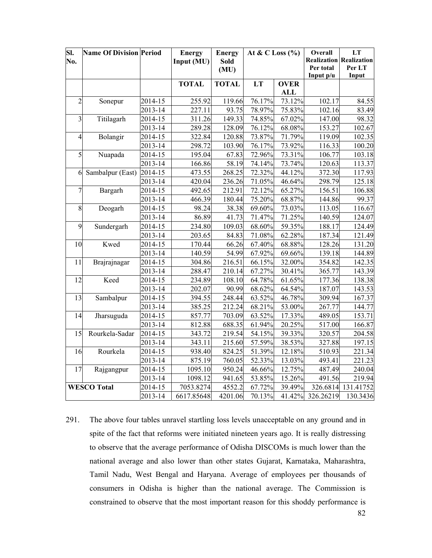| SI.<br>No.     | <b>Name Of Division Period</b> |         | <b>Energy</b><br>Input (MU) | <b>Energy</b><br>Sold<br>(MU) | At & C Loss $(\%$ |             | Overall<br>Per total<br>Input p/u | LT<br><b>Realization Realization</b><br>Per LT<br>Input |
|----------------|--------------------------------|---------|-----------------------------|-------------------------------|-------------------|-------------|-----------------------------------|---------------------------------------------------------|
|                |                                |         | <b>TOTAL</b>                | <b>TOTAL</b>                  | LT                | <b>OVER</b> |                                   |                                                         |
|                |                                |         |                             |                               |                   | <b>ALL</b>  |                                   |                                                         |
| $\overline{2}$ | Sonepur                        | 2014-15 | 255.92                      | 119.66                        | 76.17%            | 73.12%      | 102.17                            | 84.55                                                   |
|                |                                | 2013-14 | 227.11                      | 93.75                         | 78.97%            | 75.83%      | 102.16                            | 83.49                                                   |
| 3              | Titilagarh                     | 2014-15 | 311.26                      | 149.33                        | 74.85%            | 67.02%      | 147.00                            | 98.32                                                   |
|                |                                | 2013-14 | 289.28                      | 128.09                        | 76.12%            | 68.08%      | 153.27                            | 102.67                                                  |
| $\overline{4}$ | Bolangir                       | 2014-15 | 322.84                      | 120.88                        | 73.87%            | 71.79%      | 119.09                            | 102.35                                                  |
|                |                                | 2013-14 | 298.72                      | 103.90                        | 76.17%            | 73.92%      | 116.33                            | 100.20                                                  |
| 5              | Nuapada                        | 2014-15 | 195.04                      | 67.83                         | 72.96%            | 73.31%      | 106.77                            | 103.18                                                  |
|                |                                | 2013-14 | 166.86                      | 58.19                         | 74.14%            | 73.74%      | 120.63                            | 113.37                                                  |
| 6              | Sambalpur (East)               | 2014-15 | 473.55                      | 268.25                        | 72.32%            | 44.12%      | 372.30                            | 117.93                                                  |
|                |                                | 2013-14 | 420.04                      | 236.26                        | 71.05%            | 46.64%      | 298.79                            | 125.18                                                  |
| 7              | Bargarh                        | 2014-15 | 492.65                      | 212.91                        | 72.12%            | 65.27%      | 156.51                            | 106.88                                                  |
|                |                                | 2013-14 | 466.39                      | 180.44                        | 75.20%            | 68.87%      | 144.86                            | 99.37                                                   |
| 8              | Deogarh                        | 2014-15 | 98.24                       | 38.38                         | 69.60%            | 73.03%      | 113.05                            | 116.67                                                  |
|                |                                | 2013-14 | 86.89                       | 41.73                         | 71.47%            | 71.25%      | 140.59                            | 124.07                                                  |
| 9              | Sundergarh                     | 2014-15 | 234.80                      | 109.03                        | 68.60%            | 59.35%      | 188.17                            | 124.49                                                  |
|                |                                | 2013-14 | 203.65                      | 84.83                         | 71.08%            | 62.28%      | 187.34                            | 121.49                                                  |
| 10             | Kwed                           | 2014-15 | 170.44                      | 66.26                         | 67.40%            | 68.88%      | 128.26                            | 131.20                                                  |
|                |                                | 2013-14 | 140.59                      | 54.99                         | 67.92%            | 69.66%      | 139.18                            | 144.89                                                  |
| 11             | Brajrajnagar                   | 2014-15 | 304.86                      | 216.51                        | 66.15%            | 32.00%      | 354.82                            | 142.35                                                  |
|                |                                | 2013-14 | 288.47                      | 210.14                        | 67.27%            | 30.41%      | 365.77                            | 143.39                                                  |
| 12             | Keed                           | 2014-15 | 234.89                      | 108.10                        | 64.78%            | 61.65%      | 177.36                            | 138.38                                                  |
|                |                                | 2013-14 | 202.07                      | 90.99                         | 68.62%            | 64.54%      | 187.07                            | 143.53                                                  |
| 13             | Sambalpur                      | 2014-15 | 394.55                      | 248.44                        | 63.52%            | 46.78%      | 309.94                            | 167.37                                                  |
|                |                                | 2013-14 | 385.25                      | 212.24                        | 68.21%            | 53.00%      | 267.77                            | 144.77                                                  |
| 14             | Jharsuguda                     | 2014-15 | 857.77                      | 703.09                        | 63.52%            | 17.33%      | 489.05                            | 153.71                                                  |
|                |                                | 2013-14 | 812.88                      | 688.35                        | 61.94%            | 20.25%      | 517.00                            | 166.87                                                  |
| 15             | Rourkela-Sadar                 | 2014-15 | 343.72                      | 219.54                        | 54.15%            | 39.33%      | 320.57                            | 204.58                                                  |
|                |                                | 2013-14 | 343.11                      | 215.60                        | 57.59%            | 38.53%      | 327.88                            | 197.15                                                  |
| 16             | Rourkela                       | 2014-15 | 938.40                      | 824.25                        | 51.39%            | 12.18%      | 510.93                            | 221.34                                                  |
|                |                                | 2013-14 | 875.19                      | 760.05                        | 52.33%            | 13.03%      | 493.41                            | 221.23                                                  |
| 17             | Rajgangpur                     | 2014-15 | 1095.10                     | 950.24                        | 46.66%            | 12.75%      | 487.49                            | 240.04                                                  |
|                |                                | 2013-14 | 1098.12                     | 941.65                        | 53.85%            | 15.26%      | 491.56                            | 219.94                                                  |
|                | <b>WESCO Total</b>             | 2014-15 | 7053.8274                   | 4552.2                        | 67.72%            | 39.49%      | 326.6814                          | 131.41752                                               |
|                |                                | 2013-14 | 6617.85648                  | 4201.06                       | 70.13%            |             | 41.42% 326.26219                  | 130.3436                                                |

291. The above four tables unravel startling loss levels unacceptable on any ground and in spite of the fact that reforms were initiated nineteen years ago. It is really distressing to observe that the average performance of Odisha DISCOMs is much lower than the national average and also lower than other states Gujarat, Karnataka, Maharashtra, Tamil Nadu, West Bengal and Haryana. Average of employees per thousands of consumers in Odisha is higher than the national average. The Commission is constrained to observe that the most important reason for this shoddy performance is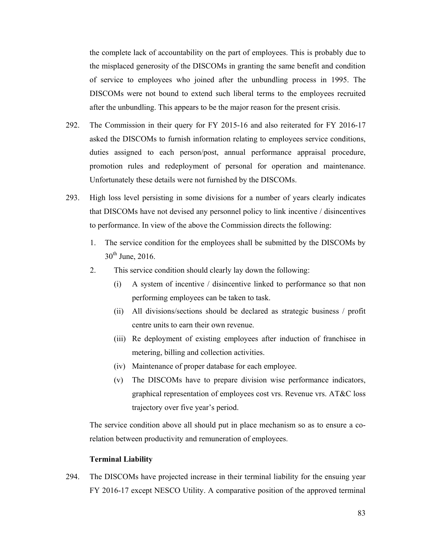the complete lack of accountability on the part of employees. This is probably due to the misplaced generosity of the DISCOMs in granting the same benefit and condition of service to employees who joined after the unbundling process in 1995. The DISCOMs were not bound to extend such liberal terms to the employees recruited after the unbundling. This appears to be the major reason for the present crisis.

- 292. The Commission in their query for FY 2015-16 and also reiterated for FY 2016-17 asked the DISCOMs to furnish information relating to employees service conditions, duties assigned to each person/post, annual performance appraisal procedure, promotion rules and redeployment of personal for operation and maintenance. Unfortunately these details were not furnished by the DISCOMs.
- 293. High loss level persisting in some divisions for a number of years clearly indicates that DISCOMs have not devised any personnel policy to link incentive / disincentives to performance. In view of the above the Commission directs the following:
	- 1. The service condition for the employees shall be submitted by the DISCOMs by  $30<sup>th</sup>$  June, 2016.
	- 2. This service condition should clearly lay down the following:
		- (i) A system of incentive / disincentive linked to performance so that non performing employees can be taken to task.
		- (ii) All divisions/sections should be declared as strategic business / profit centre units to earn their own revenue.
		- (iii) Re deployment of existing employees after induction of franchisee in metering, billing and collection activities.
		- (iv) Maintenance of proper database for each employee.
		- (v) The DISCOMs have to prepare division wise performance indicators, graphical representation of employees cost vrs. Revenue vrs. AT&C loss trajectory over five year's period.

The service condition above all should put in place mechanism so as to ensure a corelation between productivity and remuneration of employees.

#### **Terminal Liability**

294. The DISCOMs have projected increase in their terminal liability for the ensuing year FY 2016-17 except NESCO Utility. A comparative position of the approved terminal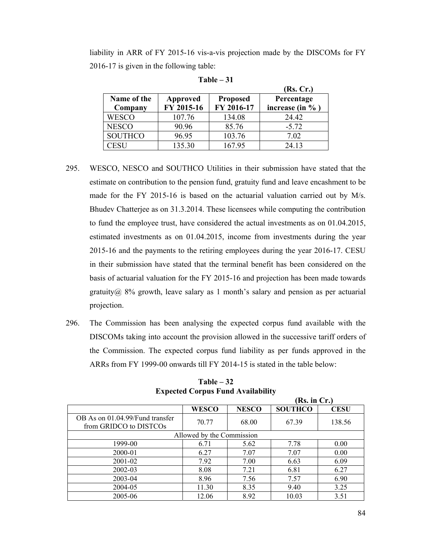liability in ARR of FY 2015-16 vis-a-vis projection made by the DISCOMs for FY 2016-17 is given in the following table:

|                |            |                 | (Rs, Cr.)      |
|----------------|------------|-----------------|----------------|
| Name of the    | Approved   | <b>Proposed</b> | Percentage     |
| Company        | FY 2015-16 | FY 2016-17      | increase (in % |
| <b>WESCO</b>   | 107.76     | 134.08          | 24.42          |
| <b>NESCO</b>   | 90.96      | 85.76           | $-5.72$        |
| <b>SOUTHCO</b> | 96.95      | 103.76          | 7.02           |
| CESH           | 135.30     | 167.95          | 24.13          |

**Table – 31** 

- 295. WESCO, NESCO and SOUTHCO Utilities in their submission have stated that the estimate on contribution to the pension fund, gratuity fund and leave encashment to be made for the FY 2015-16 is based on the actuarial valuation carried out by M/s. Bhudev Chatterjee as on 31.3.2014. These licensees while computing the contribution to fund the employee trust, have considered the actual investments as on 01.04.2015, estimated investments as on 01.04.2015, income from investments during the year 2015-16 and the payments to the retiring employees during the year 2016-17. CESU in their submission have stated that the terminal benefit has been considered on the basis of actuarial valuation for the FY 2015-16 and projection has been made towards gratuity $@ 8\%$  growth, leave salary as 1 month's salary and pension as per actuarial projection.
- 296. The Commission has been analysing the expected corpus fund available with the DISCOMs taking into account the provision allowed in the successive tariff orders of the Commission. The expected corpus fund liability as per funds approved in the ARRs from FY 1999-00 onwards till FY 2014-15 is stated in the table below:

|                                                           |              |              | (Rs. in Cr.)   |             |  |  |  |  |  |  |
|-----------------------------------------------------------|--------------|--------------|----------------|-------------|--|--|--|--|--|--|
|                                                           | <b>WESCO</b> | <b>NESCO</b> | <b>SOUTHCO</b> | <b>CESU</b> |  |  |  |  |  |  |
| OB As on 01.04.99/Fund transfer<br>from GRIDCO to DISTCOs | 70.77        | 68.00        | 67.39          | 138.56      |  |  |  |  |  |  |
| Allowed by the Commission                                 |              |              |                |             |  |  |  |  |  |  |
| 1999-00                                                   | 6.71         | 5.62         | 7.78           | 0.00        |  |  |  |  |  |  |
| 2000-01                                                   | 6.27         | 7.07         | 7.07           | 0.00        |  |  |  |  |  |  |
| 2001-02                                                   | 7.92         | 7.00         | 6.63           | 6.09        |  |  |  |  |  |  |
| 2002-03                                                   | 8.08         | 7.21         | 6.81           | 6.27        |  |  |  |  |  |  |
| 2003-04                                                   | 8.96         | 7.56         | 7.57           | 6.90        |  |  |  |  |  |  |
| 2004-05                                                   | 11.30        | 8.35         | 9.40           | 3.25        |  |  |  |  |  |  |
| 2005-06                                                   | 12.06        | 8.92         | 10.03          | 3.51        |  |  |  |  |  |  |

**Table – 32 Expected Corpus Fund Availability**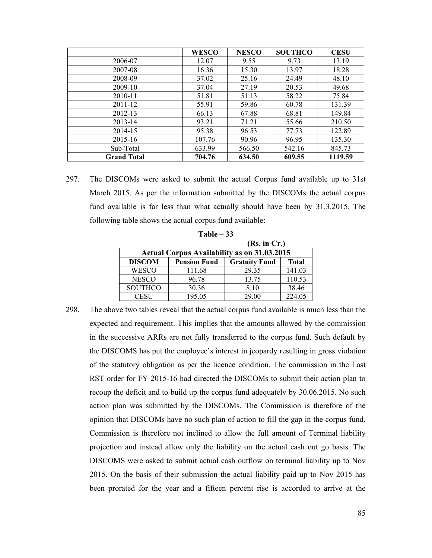|                    | <b>WESCO</b> | <b>NESCO</b> | <b>SOUTHCO</b> | <b>CESU</b> |
|--------------------|--------------|--------------|----------------|-------------|
| 2006-07            | 12.07        | 9.55         | 9.73           | 13.19       |
| 2007-08            | 16.36        | 15.30        | 13.97          | 18.28       |
| 2008-09            | 37.02        | 25.16        | 24.49          | 48.10       |
| 2009-10            | 37.04        | 27.19        | 20.53          | 49.68       |
| 2010-11            | 51.81        | 51.13        | 58.22          | 75.84       |
| $2011 - 12$        | 55.91        | 59.86        | 60.78          | 131.39      |
| 2012-13            | 66.13        | 67.88        | 68.81          | 149.84      |
| 2013-14            | 93.21        | 71.21        | 55.66          | 210.50      |
| 2014-15            | 95.38        | 96.53        | 77.73          | 122.89      |
| 2015-16            | 107.76       | 90.96        | 96.95          | 135.30      |
| Sub-Total          | 633.99       | 566.50       | 542.16         | 845.73      |
| <b>Grand Total</b> | 704.76       | 634.50       | 609.55         | 1119.59     |

297. The DISCOMs were asked to submit the actual Corpus fund available up to 31st March 2015. As per the information submitted by the DISCOMs the actual corpus fund available is far less than what actually should have been by 31.3.2015. The following table shows the actual corpus fund available:

| (Rs. in Cr.)                                       |                     |                      |              |  |  |  |  |  |  |  |
|----------------------------------------------------|---------------------|----------------------|--------------|--|--|--|--|--|--|--|
| <b>Actual Corpus Availability as on 31.03.2015</b> |                     |                      |              |  |  |  |  |  |  |  |
| <b>DISCOM</b>                                      | <b>Pension Fund</b> | <b>Gratuity Fund</b> | <b>Total</b> |  |  |  |  |  |  |  |
| <b>WESCO</b>                                       | 111.68              | 29.35                | 141.03       |  |  |  |  |  |  |  |
| <b>NESCO</b>                                       | 96.78               | 13.75                | 110.53       |  |  |  |  |  |  |  |
| <b>SOUTHCO</b>                                     | 30.36               | 8.10                 | 38.46        |  |  |  |  |  |  |  |
| CESU                                               | 195.05              | 29.00                | 224.05       |  |  |  |  |  |  |  |

**Table – 33** 

298. The above two tables reveal that the actual corpus fund available is much less than the expected and requirement. This implies that the amounts allowed by the commission in the successive ARRs are not fully transferred to the corpus fund. Such default by the DISCOMS has put the employee's interest in jeopardy resulting in gross violation of the statutory obligation as per the licence condition. The commission in the Last RST order for FY 2015-16 had directed the DISCOMs to submit their action plan to recoup the deficit and to build up the corpus fund adequately by 30.06.2015. No such action plan was submitted by the DISCOMs. The Commission is therefore of the opinion that DISCOMs have no such plan of action to fill the gap in the corpus fund. Commission is therefore not inclined to allow the full amount of Terminal liability projection and instead allow only the liability on the actual cash out go basis. The DISCOMS were asked to submit actual cash outflow on terminal liability up to Nov 2015. On the basis of their submission the actual liability paid up to Nov 2015 has been prorated for the year and a fifteen percent rise is accorded to arrive at the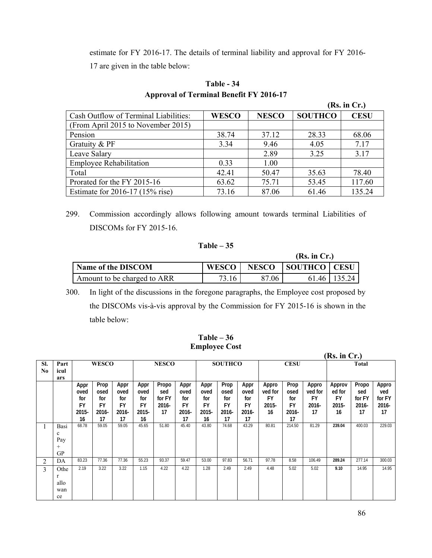estimate for FY 2016-17. The details of terminal liability and approval for FY 2016- 17 are given in the table below:

|                                       |              |              |                | (Rs. in Cr.) |
|---------------------------------------|--------------|--------------|----------------|--------------|
| Cash Outflow of Terminal Liabilities: | <b>WESCO</b> | <b>NESCO</b> | <b>SOUTHCO</b> | <b>CESU</b>  |
| (From April 2015 to November 2015)    |              |              |                |              |
| Pension                               | 38.74        | 37.12        | 28.33          | 68.06        |
| Gratuity & PF                         | 3.34         | 9.46         | 4.05           | 7.17         |
| Leave Salary                          |              | 2.89         | 3.25           | 3.17         |
| <b>Employee Rehabilitation</b>        | 0.33         | 1.00         |                |              |
| Total                                 | 42.41        | 50.47        | 35.63          | 78.40        |
| Prorated for the FY 2015-16           | 63.62        | 75.71        | 53.45          | 117.60       |
| Estimate for 2016-17 (15% rise)       | 73.16        | 87.06        | 61.46          | 135.24       |

## **Table - 34 Approval of Terminal Benefit FY 2016-17**

299. Commission accordingly allows following amount towards terminal Liabilities of DISCOMs for FY 2015-16.

### **Table – 35**

|                             |                    |              |                | (Rs. in Cr.)   |  |  |  |
|-----------------------------|--------------------|--------------|----------------|----------------|--|--|--|
| Name of the DISCOM          | WESCO <sup>1</sup> | <b>NESCO</b> | SOUTHCO   CESU |                |  |  |  |
| Amount to be charged to ARR | 73.16              | 87.06        |                | 61.46   135.24 |  |  |  |

300. In light of the discussions in the foregone paragraphs, the Employee cost proposed by the DISCOMs vis-à-vis approval by the Commission for FY 2015-16 is shown in the table below:

| $Table - 36$         |  |
|----------------------|--|
| <b>Employee Cost</b> |  |

|           |                                         |                                                 |                                          |                                          |                                          | (Rs. in Cr.)                             |                                                 |                                                 |                                                 |                                                 |                                              |                                             |                                              |                                              |                                          |                                       |
|-----------|-----------------------------------------|-------------------------------------------------|------------------------------------------|------------------------------------------|------------------------------------------|------------------------------------------|-------------------------------------------------|-------------------------------------------------|-------------------------------------------------|-------------------------------------------------|----------------------------------------------|---------------------------------------------|----------------------------------------------|----------------------------------------------|------------------------------------------|---------------------------------------|
| SI.<br>No | Part<br>icul                            |                                                 | <b>WESCO</b>                             |                                          | <b>NESCO</b>                             |                                          |                                                 | <b>SOUTHCO</b>                                  |                                                 | <b>CESU</b>                                     |                                              |                                             | <b>Total</b>                                 |                                              |                                          |                                       |
|           | ars                                     |                                                 |                                          |                                          |                                          |                                          |                                                 |                                                 |                                                 |                                                 |                                              |                                             |                                              |                                              |                                          |                                       |
|           |                                         | Appr<br>oved<br>for<br><b>FY</b><br>2015-<br>16 | Prop<br>osed<br>for<br>FY<br>2016-<br>17 | Appr<br>oved<br>for<br>FY<br>2016-<br>17 | Appr<br>oved<br>for<br>FY<br>2015-<br>16 | Propo<br>sed<br>for FY<br>$2016 -$<br>17 | Appr<br>oved<br>for<br><b>FY</b><br>2016-<br>17 | Appr<br>oved<br>for<br><b>FY</b><br>2015-<br>16 | Prop<br>osed<br>for<br><b>FY</b><br>2016-<br>17 | Appr<br>oved<br>for<br><b>FY</b><br>2016-<br>17 | Appro<br>ved for<br><b>FY</b><br>2015-<br>16 | Prop<br>osed<br>for<br>FY<br>$2016 -$<br>17 | Appro<br>ved for<br><b>FY</b><br>2016-<br>17 | Approv<br>ed for<br><b>FY</b><br>2015-<br>16 | Propo<br>sed<br>for FY<br>$2016 -$<br>17 | Appro<br>ved<br>for FY<br>2016-<br>17 |
|           | Basi<br>c<br>Pay<br>$^{+}$<br><b>GP</b> | 68.78                                           | 59.05                                    | 59.05                                    | 45.65                                    | 51.80                                    | 45.40                                           | 43.80                                           | 74.68                                           | 43.29                                           | 80.81                                        | 214.50                                      | 81.29                                        | 239.04                                       | 400.03                                   | 229.03                                |
| 2         | DA                                      | 83.23                                           | 77.36                                    | 77.36                                    | 55.23                                    | 93.37                                    | 59.47                                           | 53.00                                           | 97.83                                           | 56.71                                           | 97.78                                        | 8.58                                        | 106.49                                       | 289.24                                       | 277.14                                   | 300.03                                |
| 3         | Othe<br>r<br>allo<br>wan<br>ce          | 2.19                                            | 3.22                                     | 3.22                                     | 1.15                                     | 4.22                                     | 4.22                                            | 1.28                                            | 2.49                                            | 2.49                                            | 4.48                                         | 5.02                                        | 5.02                                         | 9.10                                         | 14.95                                    | 14.95                                 |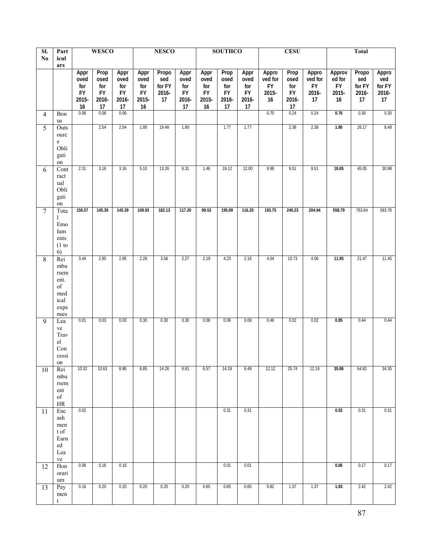| SI.             | Part                                                            |                                                 | <b>WESCO</b>                                    |                                                 |                                                 | <b>NESCO</b>                          |                                                 |                                                     | <b>SOUTHCO</b>                                  |                                                 |                                              | <b>CESU</b>                                      |                                              | <b>Total</b>                                 |                                       |                                       |  |  |
|-----------------|-----------------------------------------------------------------|-------------------------------------------------|-------------------------------------------------|-------------------------------------------------|-------------------------------------------------|---------------------------------------|-------------------------------------------------|-----------------------------------------------------|-------------------------------------------------|-------------------------------------------------|----------------------------------------------|--------------------------------------------------|----------------------------------------------|----------------------------------------------|---------------------------------------|---------------------------------------|--|--|
| No              | icul<br>ars                                                     |                                                 |                                                 |                                                 |                                                 |                                       |                                                 |                                                     |                                                 |                                                 |                                              |                                                  |                                              |                                              |                                       |                                       |  |  |
|                 |                                                                 | Appr<br>oved<br>for<br><b>FY</b><br>2015-<br>16 | Prop<br>osed<br>for<br><b>FY</b><br>2016-<br>17 | Appr<br>oved<br>for<br><b>FY</b><br>2016-<br>17 | Appr<br>oved<br>for<br><b>FY</b><br>2015-<br>16 | Propo<br>sed<br>for FY<br>2016-<br>17 | Appr<br>oved<br>for<br><b>FY</b><br>2016-<br>17 | Appr<br>oved<br>for<br><b>FY</b><br>2015-<br>$16\,$ | Prop<br>osed<br>for<br><b>FY</b><br>2016-<br>17 | Appr<br>oved<br>for<br><b>FY</b><br>2016-<br>17 | Appro<br>ved for<br><b>FY</b><br>2015-<br>16 | Prop<br>osed<br>for<br>${\sf FY}$<br>2016-<br>17 | Appro<br>ved for<br><b>FY</b><br>2016-<br>17 | Approv<br>ed for<br><b>FY</b><br>2015-<br>16 | Propo<br>sed<br>for FY<br>2016-<br>17 | Appro<br>ved<br>for FY<br>2016-<br>17 |  |  |
| $\overline{4}$  | Bon                                                             | 0.06                                            | 0.06                                            | 0.06                                            |                                                 |                                       |                                                 |                                                     |                                                 |                                                 | 0.70                                         | 0.24                                             | 0.24                                         | 0.76                                         | 0.30                                  | 0.30                                  |  |  |
| 5               | us<br>Outs<br>ourc                                              |                                                 | 2.54                                            | 2.54                                            | 1.80                                            | 19.48                                 | 1.80                                            |                                                     | 1.77                                            | 1.77                                            |                                              | 2.38                                             | 2.38                                         | 1.80                                         | 26.17                                 | 8.49                                  |  |  |
|                 | $\rm e$<br>Obli<br>gati<br>on                                   |                                                 |                                                 |                                                 |                                                 |                                       |                                                 |                                                     |                                                 |                                                 |                                              |                                                  |                                              |                                              |                                       |                                       |  |  |
| 6               | Cont<br>ract<br>ual<br>Obli<br>gati<br>on                       | 2.31                                            | 3.16                                            | 3.16                                            | 5.10                                            | 13.26                                 | 6.31                                            | 1.46                                                | 19.12                                           | 12.00                                           | 9.98                                         | 9.51                                             | 9.51                                         | 18.85                                        | 45.05                                 | 30.98                                 |  |  |
| $7\phantom{.0}$ | Tota<br>1<br>Emo<br>lum<br>ents<br>(1 to<br>6)                  | 156.57                                          | 145.39                                          | 145.39                                          | 108.93                                          | 182.13                                | 117.20                                          | 99.53                                               | 195.89                                          | 116.25                                          | 193.75                                       | 240.23                                           | 204.94                                       | 558.79                                       | 763.64                                | 583.78                                |  |  |
| 8               | Rei<br>mbu<br>rsem<br>ent.<br>of<br>med<br>ical<br>expe<br>nses | 3.44                                            | 2.95                                            | 2.95                                            | 2.28                                            | 3.56                                  | 2.27                                            | 2.19                                                | 4.23                                            | 2.16                                            | 4.04                                         | 10.73                                            | 4.06                                         | 11.95                                        | 21.47                                 | 11.45                                 |  |  |
| 9               | Lea<br>ve<br>Trav<br>${\rm el}$<br>Con<br>cessi<br>$\,$ on $\,$ | 0.01                                            | 0.03                                            | 0.03                                            | 0.30                                            | 0.30                                  | 0.30                                            | 0.08                                                | 0.09                                            | 0.09                                            | 0.46                                         | 0.02                                             | 0.02                                         | 0.85                                         | 0.44                                  | 0.44                                  |  |  |
| 10              | Rei<br>mbu<br>rsem<br>ent<br>of<br>HR                           | 10.32                                           | 10.63                                           | 8.86                                            | 6.85                                            | 14.26                                 | 6.81                                            | 6.57                                                | 14.19                                           | 6.49                                            | 12.12                                        | 25.74                                            | 12.19                                        | 35.86                                        | 64.82                                 | 34.35                                 |  |  |
| 11              | Enc<br>ash<br>men<br>t of<br>Earn<br>ed<br>Lea<br>ve            | 0.02                                            |                                                 |                                                 |                                                 |                                       |                                                 |                                                     | 0.31                                            | 0.31                                            |                                              |                                                  |                                              | 0.02                                         | 0.31                                  | 0.31                                  |  |  |
| 12              | Hon<br>orari<br>um                                              | 0.06                                            | 0.16                                            | 0.16                                            |                                                 |                                       |                                                 |                                                     | 0.01                                            | 0.01                                            |                                              |                                                  |                                              | 0.06                                         | 0.17                                  | 0.17                                  |  |  |
| 13              | Pay<br>men<br>$\ensuremath{\mathbf{t}}$                         | 0.16                                            | 0.20                                            | 0.20                                            | 0.20                                            | 0.20                                  | 0.20                                            | 0.65                                                | 0.65                                            | 0.65                                            | 0.82                                         | 1.37                                             | 1.37                                         | 1.83                                         | 2.42                                  | 2.42                                  |  |  |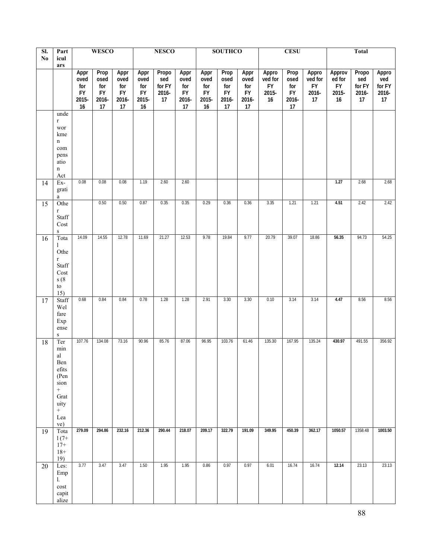| $\overline{sl}$ . | Part                                                                                                                                              | <b>WESCO</b>                                    |                                                 | <b>NESCO</b>                                    |                                                     | <b>SOUTHCO</b>                        |                                                 | <b>CESU</b>                                         |                                                 |                                          | <b>Total</b>                                 |                                                 |                                              |                                       |                                       |                                       |
|-------------------|---------------------------------------------------------------------------------------------------------------------------------------------------|-------------------------------------------------|-------------------------------------------------|-------------------------------------------------|-----------------------------------------------------|---------------------------------------|-------------------------------------------------|-----------------------------------------------------|-------------------------------------------------|------------------------------------------|----------------------------------------------|-------------------------------------------------|----------------------------------------------|---------------------------------------|---------------------------------------|---------------------------------------|
| No                | icul<br>ars                                                                                                                                       |                                                 |                                                 |                                                 |                                                     |                                       |                                                 |                                                     |                                                 |                                          |                                              |                                                 |                                              |                                       |                                       |                                       |
|                   |                                                                                                                                                   | Appr<br>oved<br>for<br><b>FY</b><br>2015-<br>16 | Prop<br>osed<br>for<br><b>FY</b><br>2016-<br>17 | Appr<br>oved<br>for<br><b>FY</b><br>2016-<br>17 | Appr<br>oved<br>for<br><b>FY</b><br>2015-<br>$16\,$ | Propo<br>sed<br>for FY<br>2016-<br>17 | Appr<br>oved<br>for<br><b>FY</b><br>2016-<br>17 | Appr<br>oved<br>for<br><b>FY</b><br>2015-<br>$16\,$ | Prop<br>osed<br>for<br><b>FY</b><br>2016-<br>17 | Appr<br>oved<br>for<br>FY<br>2016-<br>17 | Appro<br>ved for<br><b>FY</b><br>2015-<br>16 | Prop<br>osed<br>for<br><b>FY</b><br>2016-<br>17 | Appro<br>ved for<br><b>FY</b><br>2016-<br>17 | Approv<br>ed for<br>FY<br>2015-<br>16 | Propo<br>sed<br>for FY<br>2016-<br>17 | Appro<br>ved<br>for FY<br>2016-<br>17 |
|                   | unde                                                                                                                                              |                                                 |                                                 |                                                 |                                                     |                                       |                                                 |                                                     |                                                 |                                          |                                              |                                                 |                                              |                                       |                                       |                                       |
|                   | $\mathbf r$<br>wor<br>kme<br>$\mathbf n$<br>com<br>pens<br>atio<br>$\mathbf n$<br>Act                                                             |                                                 |                                                 |                                                 |                                                     |                                       |                                                 |                                                     |                                                 |                                          |                                              |                                                 |                                              |                                       |                                       |                                       |
| 14                | Ex-<br>grati<br>$\rm{a}$                                                                                                                          | 0.08                                            | 0.08                                            | 0.08                                            | 1.19                                                | 2.60                                  | 2.60                                            |                                                     |                                                 |                                          |                                              |                                                 |                                              | 1.27                                  | 2.68                                  | 2.68                                  |
| 15                | Othe<br>$\mathbf r$<br>Staff<br>Cost<br>$\, {\bf S}$                                                                                              |                                                 | 0.50                                            | 0.50                                            | 0.87                                                | 0.35                                  | 0.35                                            | 0.29                                                | 0.36                                            | 0.36                                     | 3.35                                         | 1.21                                            | 1.21                                         | 4.51                                  | 2.42                                  | 2.42                                  |
| 16                | Tota<br>1<br>Othe<br>$\, {\bf r}$<br>Staff<br>Cost<br>s(8)<br>to<br>15)                                                                           | 14.09                                           | 14.55                                           | 12.78                                           | 11.69                                               | 21.27                                 | 12.53                                           | 9.78                                                | 19.84                                           | 9.77                                     | 20.79                                        | 39.07                                           | 18.86                                        | 56.35                                 | 94.73                                 | 54.25                                 |
| 17                | Staff<br>Wel<br>fare<br>Exp<br>ense<br>${\bf S}$                                                                                                  | 0.68                                            | 0.84                                            | 0.84                                            | 0.78                                                | 1.28                                  | 1.28                                            | 2.91                                                | 3.30                                            | 3.30                                     | 0.10                                         | 3.14                                            | 3.14                                         | 4.47                                  | 8.56                                  | 8.56                                  |
| 18                | Ter<br>$\min$<br>$\mathop{\rm al}\nolimits$<br>Ben<br>efits<br>(Pen<br>sion<br>$\boldsymbol{+}$<br>Grat<br>uity<br>$\boldsymbol{+}$<br>Lea<br>ve) | 107.76                                          | 134.08                                          | 73.16                                           | 90.96                                               | 85.76                                 | 87.06                                           | 96.95                                               | 103.76                                          | 61.46                                    | 135.30                                       | 167.95                                          | 135.24                                       | 430.97                                | 491.55                                | 356.92                                |
| 19                | Tota<br>$1(7+$<br>$17+$<br>$18+$<br>19)                                                                                                           | 279.09                                          | 294.86                                          | 232.16                                          | 212.36                                              | 290.44                                | 218.07                                          | 209.17                                              | 322.79                                          | 191.09                                   | 349.95                                       | 450.39                                          | 362.17                                       | 1050.57                               | 1358.48                               | 1003.50                               |
| 20                | Les:<br>Emp<br>1.<br>cost<br>capit<br>alize                                                                                                       | 3.77                                            | 3.47                                            | 3.47                                            | 1.50                                                | 1.95                                  | 1.95                                            | 0.86                                                | 0.97                                            | 0.97                                     | 6.01                                         | 16.74                                           | 16.74                                        | 12.14                                 | 23.13                                 | 23.13                                 |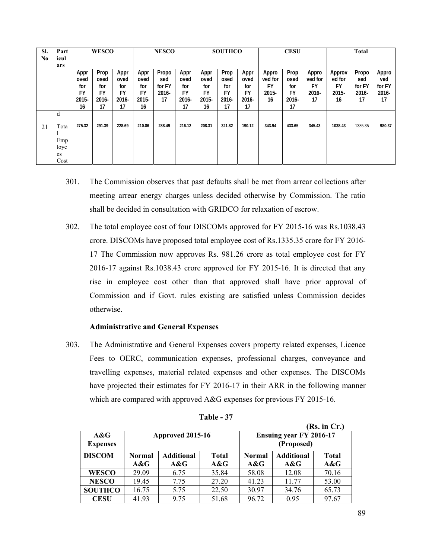| SI.<br>No | Part<br>icul | <b>WESCO</b> |           | <b>NESCO</b> |        | <b>SOUTHCO</b> |           | <b>CESU</b> |           | <b>Total</b> |           |           |         |         |          |          |
|-----------|--------------|--------------|-----------|--------------|--------|----------------|-----------|-------------|-----------|--------------|-----------|-----------|---------|---------|----------|----------|
|           | ars          |              |           |              |        |                |           |             |           |              |           |           |         |         |          |          |
|           |              | Appr         | Prop      | Appr         | Appr   | Propo          | Appr      | Appr        | Prop      | Appr         | Appro     | Prop      | Appro   | Approv  | Propo    | Appro    |
|           |              | oved         | osed      | oved         | oved   | sed            | oved      | oved        | osed      | oved         | ved for   | osed      | ved for | ed for  | sed      | ved      |
|           |              | for          | for       | for          | for    | for FY         | for       | for         | for       | for          | <b>FY</b> | for       | FY      | FY      | for FY   | for FY   |
|           |              | <b>FY</b>    | <b>FY</b> | FY           | FY     | $2016 -$       | <b>FY</b> | <b>FY</b>   | <b>FY</b> | FY           | 2015-     | <b>FY</b> | 2016-   | 2015-   | $2016 -$ | $2016 -$ |
|           |              | $2015 -$     | $2016 -$  | $2016 -$     | 2015-  | 17             | 2016-     | $2015 -$    | 2016-     | 2016-        | 16        | $2016 -$  | 17      | 16      | 17       | 17       |
|           |              | 16           | 17        | 17           | 16     |                | 17        | 16          | 17        | 17           |           | 17        |         |         |          |          |
|           | d            |              |           |              |        |                |           |             |           |              |           |           |         |         |          |          |
| 21        | Tota         | 275.32       | 291.39    | 228.69       | 210.86 | 288.49         | 216.12    | 208.31      | 321.82    | 190.12       | 343.94    | 433.65    | 345.43  | 1038.43 | 1335.35  | 980.37   |
|           |              |              |           |              |        |                |           |             |           |              |           |           |         |         |          |          |
|           | Emp          |              |           |              |        |                |           |             |           |              |           |           |         |         |          |          |
|           | loye         |              |           |              |        |                |           |             |           |              |           |           |         |         |          |          |
|           | es           |              |           |              |        |                |           |             |           |              |           |           |         |         |          |          |
|           | Cost         |              |           |              |        |                |           |             |           |              |           |           |         |         |          |          |

- 301. The Commission observes that past defaults shall be met from arrear collections after meeting arrear energy charges unless decided otherwise by Commission. The ratio shall be decided in consultation with GRIDCO for relaxation of escrow.
- 302. The total employee cost of four DISCOMs approved for FY 2015-16 was Rs.1038.43 crore. DISCOMs have proposed total employee cost of Rs.1335.35 crore for FY 2016- 17 The Commission now approves Rs. 981.26 crore as total employee cost for FY 2016-17 against Rs.1038.43 crore approved for FY 2015-16. It is directed that any rise in employee cost other than that approved shall have prior approval of Commission and if Govt. rules existing are satisfied unless Commission decides otherwise.

#### **Administrative and General Expenses**

303. The Administrative and General Expenses covers property related expenses, Licence Fees to OERC, communication expenses, professional charges, conveyance and travelling expenses, material related expenses and other expenses. The DISCOMs have projected their estimates for FY 2016-17 in their ARR in the following manner which are compared with approved A&G expenses for previous FY 2015-16.

|                        |               |                   |              |                                              |                   | (Rs. in Cr.) |  |
|------------------------|---------------|-------------------|--------------|----------------------------------------------|-------------------|--------------|--|
| A&G<br><b>Expenses</b> |               | Approved 2015-16  |              | <b>Ensuing year FY 2016-17</b><br>(Proposed) |                   |              |  |
| <b>DISCOM</b>          | <b>Normal</b> | <b>Additional</b> | <b>Total</b> | <b>Normal</b>                                | <b>Additional</b> | <b>Total</b> |  |
|                        | A&G           | A&G               | $A\&G$       | A&G                                          | A&G               | A&G          |  |
| <b>WESCO</b>           | 29.09         | 6.75              | 35.84        | 58.08                                        | 12.08             | 70.16        |  |
| <b>NESCO</b>           | 19.45         | 7.75              | 27.20        | 41.23                                        | 11 77             | 53.00        |  |
| <b>SOUTHCO</b>         | 16.75         | 5.75              | 22.50        | 30.97                                        | 34.76             | 65.73        |  |
| <b>CESU</b>            | 41.93         | 9.75              | 51.68        | 96.72                                        | 0.95              | 97.67        |  |

| <b>Table</b> |  |
|--------------|--|
|--------------|--|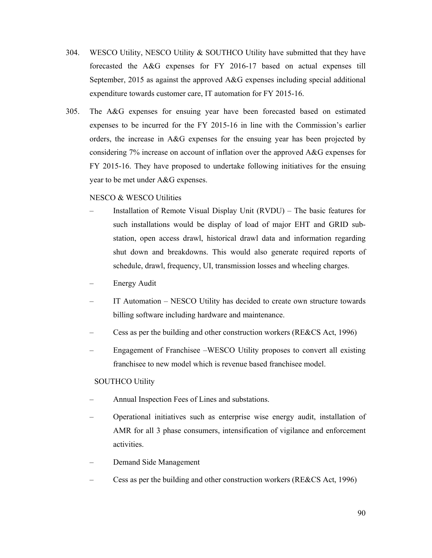- 304. WESCO Utility, NESCO Utility & SOUTHCO Utility have submitted that they have forecasted the A&G expenses for FY 2016-17 based on actual expenses till September, 2015 as against the approved A&G expenses including special additional expenditure towards customer care, IT automation for FY 2015-16.
- 305. The A&G expenses for ensuing year have been forecasted based on estimated expenses to be incurred for the FY 2015-16 in line with the Commission's earlier orders, the increase in A&G expenses for the ensuing year has been projected by considering 7% increase on account of inflation over the approved A&G expenses for FY 2015-16. They have proposed to undertake following initiatives for the ensuing year to be met under A&G expenses.

#### NESCO & WESCO Utilities

- Installation of Remote Visual Display Unit (RVDU) The basic features for such installations would be display of load of major EHT and GRID substation, open access drawl, historical drawl data and information regarding shut down and breakdowns. This would also generate required reports of schedule, drawl, frequency, UI, transmission losses and wheeling charges.
- Energy Audit
- IT Automation NESCO Utility has decided to create own structure towards billing software including hardware and maintenance.
- Cess as per the building and other construction workers (RE&CS Act, 1996)
- Engagement of Franchisee –WESCO Utility proposes to convert all existing franchisee to new model which is revenue based franchisee model.

#### SOUTHCO Utility

- Annual Inspection Fees of Lines and substations.
- Operational initiatives such as enterprise wise energy audit, installation of AMR for all 3 phase consumers, intensification of vigilance and enforcement activities.
- Demand Side Management
- Cess as per the building and other construction workers (RE&CS Act, 1996)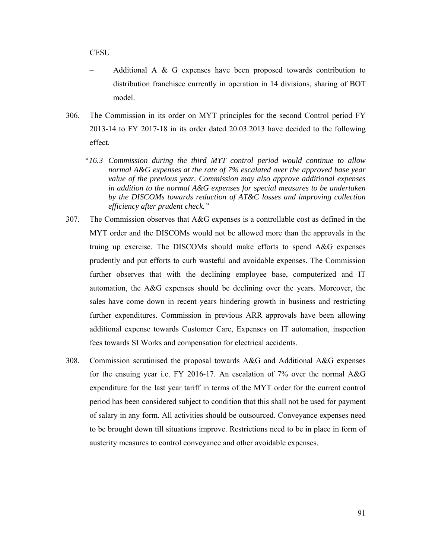**CESU** 

- Additional A & G expenses have been proposed towards contribution to distribution franchisee currently in operation in 14 divisions, sharing of BOT model.
- 306. The Commission in its order on MYT principles for the second Control period FY 2013-14 to FY 2017-18 in its order dated 20.03.2013 have decided to the following effect.
	- *"16.3 Commission during the third MYT control period would continue to allow normal A&G expenses at the rate of 7% escalated over the approved base year value of the previous year. Commission may also approve additional expenses in addition to the normal A&G expenses for special measures to be undertaken by the DISCOMs towards reduction of AT&C losses and improving collection efficiency after prudent check."*
- 307. The Commission observes that A&G expenses is a controllable cost as defined in the MYT order and the DISCOMs would not be allowed more than the approvals in the truing up exercise. The DISCOMs should make efforts to spend A&G expenses prudently and put efforts to curb wasteful and avoidable expenses. The Commission further observes that with the declining employee base, computerized and IT automation, the A&G expenses should be declining over the years. Moreover, the sales have come down in recent years hindering growth in business and restricting further expenditures. Commission in previous ARR approvals have been allowing additional expense towards Customer Care, Expenses on IT automation, inspection fees towards SI Works and compensation for electrical accidents.
- 308. Commission scrutinised the proposal towards A&G and Additional A&G expenses for the ensuing year i.e. FY 2016-17. An escalation of 7% over the normal A&G expenditure for the last year tariff in terms of the MYT order for the current control period has been considered subject to condition that this shall not be used for payment of salary in any form. All activities should be outsourced. Conveyance expenses need to be brought down till situations improve. Restrictions need to be in place in form of austerity measures to control conveyance and other avoidable expenses.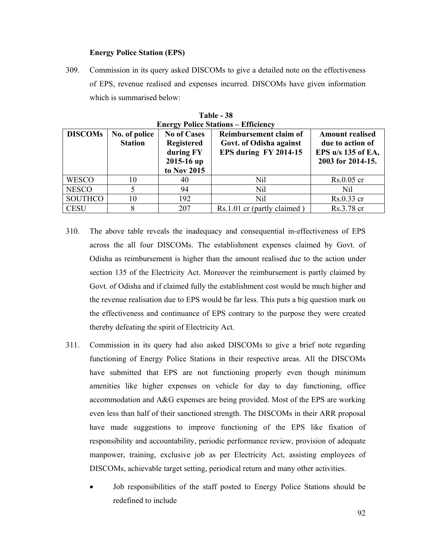#### **Energy Police Station (EPS)**

309. Commission in its query asked DISCOMs to give a detailed note on the effectiveness of EPS, revenue realised and expenses incurred. DISCOMs have given information which is summarised below:

|                                                   | <b>Energy Police Stations – Efficiency</b> |                                                                                   |                                                                            |                                                                                       |  |  |  |  |  |  |  |  |
|---------------------------------------------------|--------------------------------------------|-----------------------------------------------------------------------------------|----------------------------------------------------------------------------|---------------------------------------------------------------------------------------|--|--|--|--|--|--|--|--|
| <b>DISCOMs</b><br>No. of police<br><b>Station</b> |                                            | <b>No of Cases</b><br><b>Registered</b><br>during FY<br>2015-16 up<br>to Nov 2015 | Reimbursement claim of<br>Govt. of Odisha against<br>EPS during FY 2014-15 | <b>Amount realised</b><br>due to action of<br>EPS u/s 135 of EA,<br>2003 for 2014-15. |  |  |  |  |  |  |  |  |
| <b>WESCO</b>                                      | 10                                         | 40                                                                                | Nil                                                                        | $Rs.0.05$ cr                                                                          |  |  |  |  |  |  |  |  |
| <b>NESCO</b>                                      |                                            | 94                                                                                | Nil                                                                        | Nil                                                                                   |  |  |  |  |  |  |  |  |
| <b>SOUTHCO</b>                                    | 10                                         | 192                                                                               | N <sub>il</sub>                                                            | Rs.0.33 cr                                                                            |  |  |  |  |  |  |  |  |
| <b>CESU</b>                                       | 8                                          | 207                                                                               | Rs.1.01 cr (partly claimed)                                                | Rs.3.78 cr                                                                            |  |  |  |  |  |  |  |  |

**Table - 38** 

- 310. The above table reveals the inadequacy and consequential in-effectiveness of EPS across the all four DISCOMs. The establishment expenses claimed by Govt. of Odisha as reimbursement is higher than the amount realised due to the action under section 135 of the Electricity Act. Moreover the reimbursement is partly claimed by Govt. of Odisha and if claimed fully the establishment cost would be much higher and the revenue realisation due to EPS would be far less. This puts a big question mark on the effectiveness and continuance of EPS contrary to the purpose they were created thereby defeating the spirit of Electricity Act.
- 311. Commission in its query had also asked DISCOMs to give a brief note regarding functioning of Energy Police Stations in their respective areas. All the DISCOMs have submitted that EPS are not functioning properly even though minimum amenities like higher expenses on vehicle for day to day functioning, office accommodation and A&G expenses are being provided. Most of the EPS are working even less than half of their sanctioned strength. The DISCOMs in their ARR proposal have made suggestions to improve functioning of the EPS like fixation of responsibility and accountability, periodic performance review, provision of adequate manpower, training, exclusive job as per Electricity Act, assisting employees of DISCOMs, achievable target setting, periodical return and many other activities.
	- Job responsibilities of the staff posted to Energy Police Stations should be redefined to include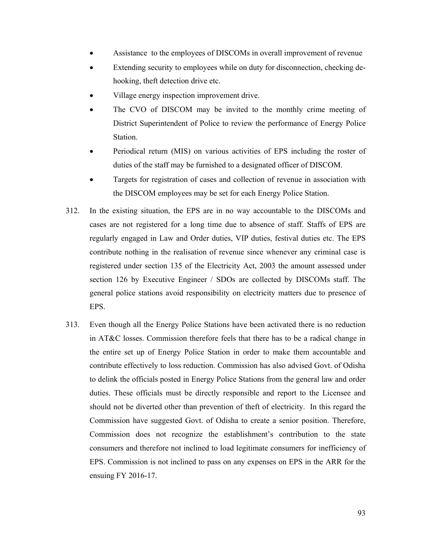- Assistance to the employees of DISCOMs in overall improvement of revenue
- Extending security to employees while on duty for disconnection, checking dehooking, theft detection drive etc.
- Village energy inspection improvement drive.
- The CVO of DISCOM may be invited to the monthly crime meeting of District Superintendent of Police to review the performance of Energy Police Station.
- Periodical return (MIS) on various activities of EPS including the roster of duties of the staff may be furnished to a designated officer of DISCOM.
- Targets for registration of cases and collection of revenue in association with the DISCOM employees may be set for each Energy Police Station.
- 312. In the existing situation, the EPS are in no way accountable to the DISCOMs and cases are not registered for a long time due to absence of staff. Staffs of EPS are regularly engaged in Law and Order duties, VIP duties, festival duties etc. The EPS contribute nothing in the realisation of revenue since whenever any criminal case is registered under section 135 of the Electricity Act, 2003 the amount assessed under section 126 by Executive Engineer / SDOs are collected by DISCOMs staff. The general police stations avoid responsibility on electricity matters due to presence of EPS.
- 313. Even though all the Energy Police Stations have been activated there is no reduction in AT&C losses. Commission therefore feels that there has to be a radical change in the entire set up of Energy Police Station in order to make them accountable and contribute effectively to loss reduction. Commission has also advised Govt. of Odisha to delink the officials posted in Energy Police Stations from the general law and order duties. These officials must be directly responsible and report to the Licensee and should not be diverted other than prevention of theft of electricity. In this regard the Commission have suggested Govt. of Odisha to create a senior position. Therefore, Commission does not recognize the establishment's contribution to the state consumers and therefore not inclined to load legitimate consumers for inefficiency of EPS. Commission is not inclined to pass on any expenses on EPS in the ARR for the ensuing FY 2016-17.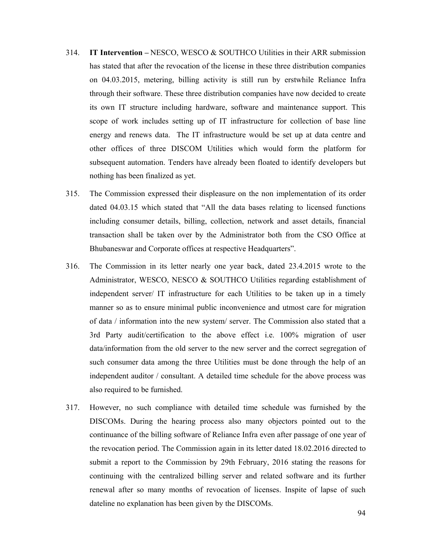- 314. **IT Intervention –** NESCO, WESCO & SOUTHCO Utilities in their ARR submission has stated that after the revocation of the license in these three distribution companies on 04.03.2015, metering, billing activity is still run by erstwhile Reliance Infra through their software. These three distribution companies have now decided to create its own IT structure including hardware, software and maintenance support. This scope of work includes setting up of IT infrastructure for collection of base line energy and renews data. The IT infrastructure would be set up at data centre and other offices of three DISCOM Utilities which would form the platform for subsequent automation. Tenders have already been floated to identify developers but nothing has been finalized as yet.
- 315. The Commission expressed their displeasure on the non implementation of its order dated 04.03.15 which stated that "All the data bases relating to licensed functions including consumer details, billing, collection, network and asset details, financial transaction shall be taken over by the Administrator both from the CSO Office at Bhubaneswar and Corporate offices at respective Headquarters".
- 316. The Commission in its letter nearly one year back, dated 23.4.2015 wrote to the Administrator, WESCO, NESCO & SOUTHCO Utilities regarding establishment of independent server/ IT infrastructure for each Utilities to be taken up in a timely manner so as to ensure minimal public inconvenience and utmost care for migration of data / information into the new system/ server. The Commission also stated that a 3rd Party audit/certification to the above effect i.e. 100% migration of user data/information from the old server to the new server and the correct segregation of such consumer data among the three Utilities must be done through the help of an independent auditor / consultant. A detailed time schedule for the above process was also required to be furnished.
- 317. However, no such compliance with detailed time schedule was furnished by the DISCOMs. During the hearing process also many objectors pointed out to the continuance of the billing software of Reliance Infra even after passage of one year of the revocation period. The Commission again in its letter dated 18.02.2016 directed to submit a report to the Commission by 29th February, 2016 stating the reasons for continuing with the centralized billing server and related software and its further renewal after so many months of revocation of licenses. Inspite of lapse of such dateline no explanation has been given by the DISCOMs.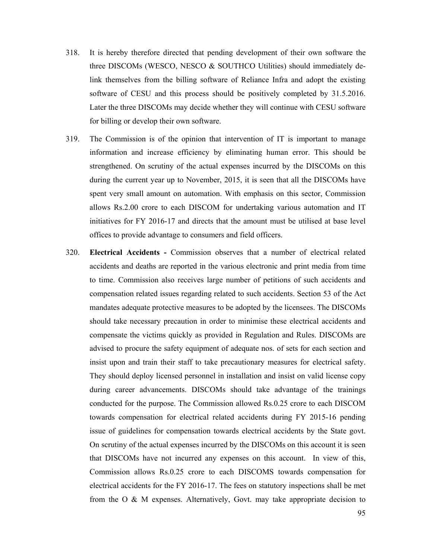- 318. It is hereby therefore directed that pending development of their own software the three DISCOMs (WESCO, NESCO & SOUTHCO Utilities) should immediately delink themselves from the billing software of Reliance Infra and adopt the existing software of CESU and this process should be positively completed by 31.5.2016. Later the three DISCOMs may decide whether they will continue with CESU software for billing or develop their own software.
- 319. The Commission is of the opinion that intervention of IT is important to manage information and increase efficiency by eliminating human error. This should be strengthened. On scrutiny of the actual expenses incurred by the DISCOMs on this during the current year up to November, 2015, it is seen that all the DISCOMs have spent very small amount on automation. With emphasis on this sector, Commission allows Rs.2.00 crore to each DISCOM for undertaking various automation and IT initiatives for FY 2016-17 and directs that the amount must be utilised at base level offices to provide advantage to consumers and field officers.
- 320. **Electrical Accidents -** Commission observes that a number of electrical related accidents and deaths are reported in the various electronic and print media from time to time. Commission also receives large number of petitions of such accidents and compensation related issues regarding related to such accidents. Section 53 of the Act mandates adequate protective measures to be adopted by the licensees. The DISCOMs should take necessary precaution in order to minimise these electrical accidents and compensate the victims quickly as provided in Regulation and Rules. DISCOMs are advised to procure the safety equipment of adequate nos. of sets for each section and insist upon and train their staff to take precautionary measures for electrical safety. They should deploy licensed personnel in installation and insist on valid license copy during career advancements. DISCOMs should take advantage of the trainings conducted for the purpose. The Commission allowed Rs.0.25 crore to each DISCOM towards compensation for electrical related accidents during FY 2015-16 pending issue of guidelines for compensation towards electrical accidents by the State govt. On scrutiny of the actual expenses incurred by the DISCOMs on this account it is seen that DISCOMs have not incurred any expenses on this account. In view of this, Commission allows Rs.0.25 crore to each DISCOMS towards compensation for electrical accidents for the FY 2016-17. The fees on statutory inspections shall be met from the O & M expenses. Alternatively, Govt. may take appropriate decision to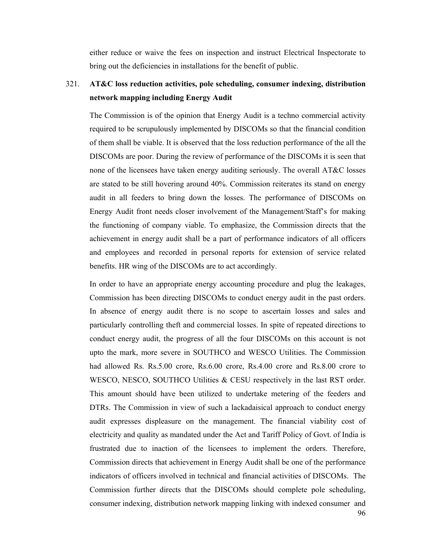either reduce or waive the fees on inspection and instruct Electrical Inspectorate to bring out the deficiencies in installations for the benefit of public.

# 321. **AT&C loss reduction activities, pole scheduling, consumer indexing, distribution network mapping including Energy Audit**

The Commission is of the opinion that Energy Audit is a techno commercial activity required to be scrupulously implemented by DISCOMs so that the financial condition of them shall be viable. It is observed that the loss reduction performance of the all the DISCOMs are poor. During the review of performance of the DISCOMs it is seen that none of the licensees have taken energy auditing seriously. The overall AT&C losses are stated to be still hovering around 40%. Commission reiterates its stand on energy audit in all feeders to bring down the losses. The performance of DISCOMs on Energy Audit front needs closer involvement of the Management/Staff's for making the functioning of company viable. To emphasize, the Commission directs that the achievement in energy audit shall be a part of performance indicators of all officers and employees and recorded in personal reports for extension of service related benefits. HR wing of the DISCOMs are to act accordingly.

In order to have an appropriate energy accounting procedure and plug the leakages, Commission has been directing DISCOMs to conduct energy audit in the past orders. In absence of energy audit there is no scope to ascertain losses and sales and particularly controlling theft and commercial losses. In spite of repeated directions to conduct energy audit, the progress of all the four DISCOMs on this account is not upto the mark, more severe in SOUTHCO and WESCO Utilities. The Commission had allowed Rs. Rs.5.00 crore, Rs.6.00 crore, Rs.4.00 crore and Rs.8.00 crore to WESCO, NESCO, SOUTHCO Utilities & CESU respectively in the last RST order. This amount should have been utilized to undertake metering of the feeders and DTRs. The Commission in view of such a lackadaisical approach to conduct energy audit expresses displeasure on the management. The financial viability cost of electricity and quality as mandated under the Act and Tariff Policy of Govt. of India is frustrated due to inaction of the licensees to implement the orders. Therefore, Commission directs that achievement in Energy Audit shall be one of the performance indicators of officers involved in technical and financial activities of DISCOMs. The Commission further directs that the DISCOMs should complete pole scheduling, consumer indexing, distribution network mapping linking with indexed consumer and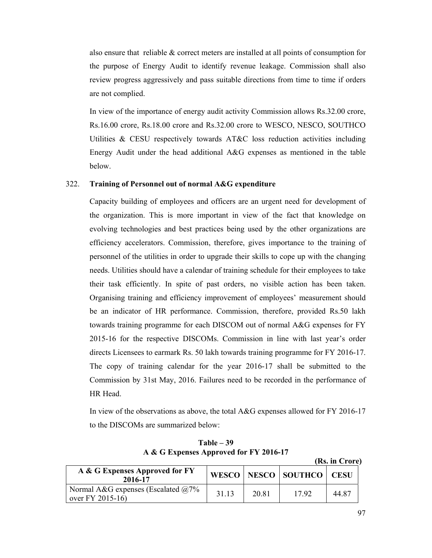also ensure that reliable & correct meters are installed at all points of consumption for the purpose of Energy Audit to identify revenue leakage. Commission shall also review progress aggressively and pass suitable directions from time to time if orders are not complied.

In view of the importance of energy audit activity Commission allows Rs.32.00 crore, Rs.16.00 crore, Rs.18.00 crore and Rs.32.00 crore to WESCO, NESCO, SOUTHCO Utilities & CESU respectively towards AT&C loss reduction activities including Energy Audit under the head additional A&G expenses as mentioned in the table below.

#### 322. **Training of Personnel out of normal A&G expenditure**

Capacity building of employees and officers are an urgent need for development of the organization. This is more important in view of the fact that knowledge on evolving technologies and best practices being used by the other organizations are efficiency accelerators. Commission, therefore, gives importance to the training of personnel of the utilities in order to upgrade their skills to cope up with the changing needs. Utilities should have a calendar of training schedule for their employees to take their task efficiently. In spite of past orders, no visible action has been taken. Organising training and efficiency improvement of employees' measurement should be an indicator of HR performance. Commission, therefore, provided Rs.50 lakh towards training programme for each DISCOM out of normal A&G expenses for FY 2015-16 for the respective DISCOMs. Commission in line with last year's order directs Licensees to earmark Rs. 50 lakh towards training programme for FY 2016-17. The copy of training calendar for the year 2016-17 shall be submitted to the Commission by 31st May, 2016. Failures need to be recorded in the performance of HR Head.

In view of the observations as above, the total A&G expenses allowed for FY 2016-17 to the DISCOMs are summarized below:

 **(Rs. in Crore) A & G Expenses Approved for FY 2016-17 WESCO NESCO SOUTHCO CESU** Normal A&G expenses (Escalated @7% over FY 2015-16) 31.13 20.81 17.92 44.87

|  |                                        | $Table - 39$ |  |  |
|--|----------------------------------------|--------------|--|--|
|  | A & G Expenses Approved for FY 2016-17 |              |  |  |

97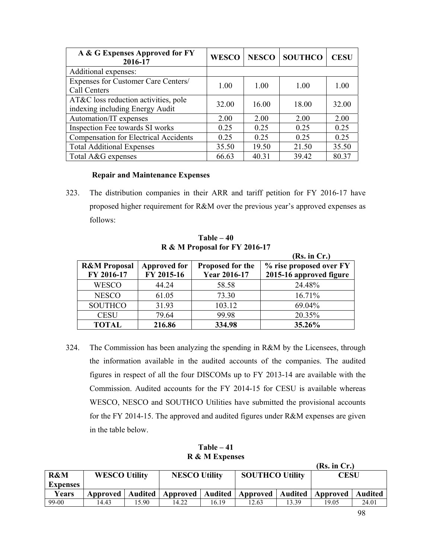| A & G Expenses Approved for FY<br>2016-17                               | <b>WESCO</b> | <b>NESCO</b> | <b>SOUTHCO</b> | <b>CESU</b> |
|-------------------------------------------------------------------------|--------------|--------------|----------------|-------------|
| Additional expenses:                                                    |              |              |                |             |
| Expenses for Customer Care Centers/<br>Call Centers                     | 1.00         | 1.00         | 1.00           | 1.00        |
| AT&C loss reduction activities, pole<br>indexing including Energy Audit | 32.00        | 16.00        | 18.00          | 32.00       |
| Automation/IT expenses                                                  | 2.00         | 2.00         | 2.00           | 2.00        |
| Inspection Fee towards SI works                                         | 0.25         | 0.25         | 0.25           | 0.25        |
| <b>Compensation for Electrical Accidents</b>                            | 0.25         | 0.25         | 0.25           | 0.25        |
| <b>Total Additional Expenses</b>                                        | 35.50        | 19.50        | 21.50          | 35.50       |
| Total A&G expenses                                                      | 66.63        | 40.31        | 39.42          | 80.37       |

#### **Repair and Maintenance Expenses**

323. The distribution companies in their ARR and tariff petition for FY 2016-17 have proposed higher requirement for R&M over the previous year's approved expenses as follows:

|                                       |                                   |                                         | (Rs. in Cr.)            |
|---------------------------------------|-----------------------------------|-----------------------------------------|-------------------------|
| <b>R&amp;M</b> Proposal<br>FY 2016-17 | <b>Approved for</b><br>FY 2015-16 | Proposed for the<br><b>Year 2016-17</b> | % rise proposed over FY |
|                                       |                                   |                                         | 2015-16 approved figure |
| <b>WESCO</b>                          | 44.24                             | 58.58                                   | 24.48%                  |
| <b>NESCO</b>                          | 61.05                             | 73.30                                   | 16.71%                  |
| <b>SOUTHCO</b>                        | 31.93                             | 103.12                                  | 69.04%                  |
| <b>CESU</b>                           | 79.64                             | 99.98                                   | 20.35%                  |
| <b>TOTAL</b>                          | 216.86                            | 334.98                                  | 35.26%                  |

**Table – 40 R & M Proposal for FY 2016-17** 

324. The Commission has been analyzing the spending in R&M by the Licensees, through the information available in the audited accounts of the companies. The audited figures in respect of all the four DISCOMs up to FY 2013-14 are available with the Commission. Audited accounts for the FY 2014-15 for CESU is available whereas WESCO, NESCO and SOUTHCO Utilities have submitted the provisional accounts for the FY 2014-15. The approved and audited figures under R&M expenses are given in the table below.

|  | Table – 41     |  |
|--|----------------|--|
|  | R & M Expenses |  |

|                 |                      |       |                              |       |                        |       | (Rs. in Cr.)                  |         |  |
|-----------------|----------------------|-------|------------------------------|-------|------------------------|-------|-------------------------------|---------|--|
| R&M             | <b>WESCO Utility</b> |       | <b>NESCO Utility</b>         |       | <b>SOUTHCO Utility</b> |       | CESU                          |         |  |
| <b>Expenses</b> |                      |       |                              |       |                        |       |                               |         |  |
| Years           | Approved             |       | Audited   Approved   Audited |       |                        |       | Approved   Audited   Approved | Audited |  |
| 99-00           | 14.43                | 15.90 | 14.22                        | 16.19 | 12.63                  | 13.39 | 19.05                         | 24.01   |  |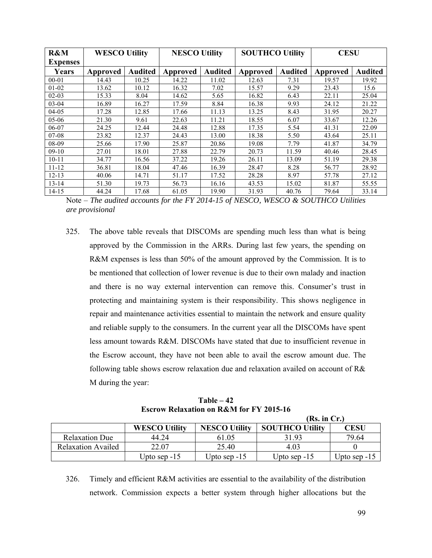| R&M             | <b>WESCO Utility</b> |                | <b>NESCO Utility</b> |                | <b>SOUTHCO Utility</b> |                | <b>CESU</b> |                |
|-----------------|----------------------|----------------|----------------------|----------------|------------------------|----------------|-------------|----------------|
| <b>Expenses</b> |                      |                |                      |                |                        |                |             |                |
| Years           | <b>Approved</b>      | <b>Audited</b> | <b>Approved</b>      | <b>Audited</b> | <b>Approved</b>        | <b>Audited</b> | Approved    | <b>Audited</b> |
| $00 - 01$       | 14.43                | 10.25          | 14.22                | 11.02          | 12.63                  | 7.31           | 19.57       | 19.92          |
| $01-02$         | 13.62                | 10.12          | 16.32                | 7.02           | 15.57                  | 9.29           | 23.43       | 15.6           |
| $02 - 03$       | 15.33                | 8.04           | 14.62                | 5.65           | 16.82                  | 6.43           | 22.11       | 25.04          |
| $03-04$         | 16.89                | 16.27          | 17.59                | 8.84           | 16.38                  | 9.93           | 24.12       | 21.22          |
| 04-05           | 17.28                | 12.85          | 17.66                | 11.13          | 13.25                  | 8.43           | 31.95       | 20.27          |
| $05-06$         | 21.30                | 9.61           | 22.63                | 11.21          | 18.55                  | 6.07           | 33.67       | 12.26          |
| 06-07           | 24.25                | 12.44          | 24.48                | 12.88          | 17.35                  | 5.54           | 41.31       | 22.09          |
| $07-08$         | 23.82                | 12.37          | 24.43                | 13.00          | 18.38                  | 5.50           | 43.64       | 25.11          |
| 08-09           | 25.66                | 17.90          | 25.87                | 20.86          | 19.08                  | 7.79           | 41.87       | 34.79          |
| $09-10$         | 27.01                | 18.01          | 27.88                | 22.79          | 20.73                  | 11.59          | 40.46       | 28.45          |
| $10 - 11$       | 34.77                | 16.56          | 37.22                | 19.26          | 26.11                  | 13.09          | 51.19       | 29.38          |
| $11 - 12$       | 36.81                | 18.04          | 47.46                | 16.39          | 28.47                  | 8.28           | 56.77       | 28.92          |
| $12 - 13$       | 40.06                | 14.71          | 51.17                | 17.52          | 28.28                  | 8.97           | 57.78       | 27.12          |
| $13 - 14$       | 51.30                | 19.73          | 56.73                | 16.16          | 43.53                  | 15.02          | 81.87       | 55.55          |
| $14 - 15$       | 44.24                | 17.68          | 61.05                | 19.90          | 31.93                  | 40.76          | 79.64       | 33.14          |

Note – *The audited accounts for the FY 2014-15 of NESCO, WESCO & SOUTHCO Utilities are provisional* 

325. The above table reveals that DISCOMs are spending much less than what is being approved by the Commission in the ARRs. During last few years, the spending on R&M expenses is less than 50% of the amount approved by the Commission. It is to be mentioned that collection of lower revenue is due to their own malady and inaction and there is no way external intervention can remove this. Consumer's trust in protecting and maintaining system is their responsibility. This shows negligence in repair and maintenance activities essential to maintain the network and ensure quality and reliable supply to the consumers. In the current year all the DISCOMs have spent less amount towards R&M. DISCOMs have stated that due to insufficient revenue in the Escrow account, they have not been able to avail the escrow amount due. The following table shows escrow relaxation due and relaxation availed on account of R& M during the year:

**Table – 42 Escrow Relaxation on R&M for FY 2015-16** 

|                           |                      |                      | (Rs. in Cr.)           |                |
|---------------------------|----------------------|----------------------|------------------------|----------------|
|                           | <b>WESCO Utility</b> | <b>NESCO Utility</b> | <b>SOUTHCO Utility</b> | <b>CESU</b>    |
| <b>Relaxation Due</b>     | 44 24                | 61.05                | 31.93                  | 79.64          |
| <b>Relaxation Availed</b> | 22.07                | 25.40                | 4.03                   |                |
|                           | Upto sep $-15$       | Upto sep $-15$       | Upto sep $-15$         | Upto sep $-15$ |

326. Timely and efficient R&M activities are essential to the availability of the distribution network. Commission expects a better system through higher allocations but the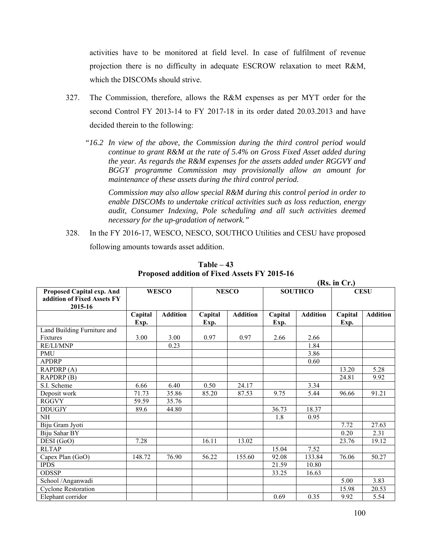activities have to be monitored at field level. In case of fulfilment of revenue projection there is no difficulty in adequate ESCROW relaxation to meet R&M, which the DISCOMs should strive.

- 327. The Commission, therefore, allows the R&M expenses as per MYT order for the second Control FY 2013-14 to FY 2017-18 in its order dated 20.03.2013 and have decided therein to the following:
	- *"16.2 In view of the above, the Commission during the third control period would continue to grant R&M at the rate of 5.4% on Gross Fixed Asset added during the year. As regards the R&M expenses for the assets added under RGGVY and BGGY programme Commission may provisionally allow an amount for maintenance of these assets during the third control period.*

 *Commission may also allow special R&M during this control period in order to enable DISCOMs to undertake critical activities such as loss reduction, energy audit, Consumer Indexing, Pole scheduling and all such activities deemed necessary for the up-gradation of network."* 

328. In the FY 2016-17, WESCO, NESCO, SOUTHCO Utilities and CESU have proposed following amounts towards asset addition.

|                                                                     |                 |                 | (Rs. in Cr.)    |                 |                 |                 |                 |                 |  |  |
|---------------------------------------------------------------------|-----------------|-----------------|-----------------|-----------------|-----------------|-----------------|-----------------|-----------------|--|--|
| Proposed Capital exp. And<br>addition of Fixed Assets FY<br>2015-16 | <b>WESCO</b>    |                 |                 | <b>NESCO</b>    |                 | <b>SOUTHCO</b>  | <b>CESU</b>     |                 |  |  |
|                                                                     | Capital<br>Exp. | <b>Addition</b> | Capital<br>Exp. | <b>Addition</b> | Capital<br>Exp. | <b>Addition</b> | Capital<br>Exp. | <b>Addition</b> |  |  |
| Land Building Furniture and                                         |                 |                 |                 |                 |                 |                 |                 |                 |  |  |
| Fixtures                                                            | 3.00            | 3.00            | 0.97            | 0.97            | 2.66            | 2.66            |                 |                 |  |  |
| RE/LI/MNP                                                           |                 | 0.23            |                 |                 |                 | 1.84            |                 |                 |  |  |
| <b>PMU</b>                                                          |                 |                 |                 |                 |                 | 3.86            |                 |                 |  |  |
| <b>APDRP</b>                                                        |                 |                 |                 |                 |                 | 0.60            |                 |                 |  |  |
| RAPDRP(A)                                                           |                 |                 |                 |                 |                 |                 | 13.20           | 5.28            |  |  |
| $RAPDRP$ <sup>(B)</sup>                                             |                 |                 |                 |                 |                 |                 | 24.81           | 9.92            |  |  |
| S.I. Scheme                                                         | 6.66            | 6.40            | 0.50            | 24.17           |                 | 3.34            |                 |                 |  |  |
| Deposit work                                                        | 71.73           | 35.86           | 85.20           | 87.53           | 9.75            | 5.44            | 96.66           | 91.21           |  |  |
| <b>RGGVY</b>                                                        | 59.59           | 35.76           |                 |                 |                 |                 |                 |                 |  |  |
| <b>DDUGJY</b>                                                       | 89.6            | 44.80           |                 |                 | 36.73           | 18.37           |                 |                 |  |  |
| <b>NH</b>                                                           |                 |                 |                 |                 | 1.8             | 0.95            |                 |                 |  |  |
| Biju Gram Jyoti                                                     |                 |                 |                 |                 |                 |                 | 7.72            | 27.63           |  |  |
| Biju Sahar BY                                                       |                 |                 |                 |                 |                 |                 | 0.20            | 2.31            |  |  |
| DESI (GoO)                                                          | 7.28            |                 | 16.11           | 13.02           |                 |                 | 23.76           | 19.12           |  |  |
| <b>RLTAP</b>                                                        |                 |                 |                 |                 | 15.04           | 7.52            |                 |                 |  |  |
| Capex Plan (GoO)                                                    | 148.72          | 76.90           | 56.22           | 155.60          | 92.08           | 133.84          | 76.06           | 50.27           |  |  |
| <b>IPDS</b>                                                         |                 |                 |                 |                 | 21.59           | 10.80           |                 |                 |  |  |
| <b>ODSSP</b>                                                        |                 |                 |                 |                 | 33.25           | 16.63           |                 |                 |  |  |
| School /Anganwadi                                                   |                 |                 |                 |                 |                 |                 | 5.00            | 3.83            |  |  |
| <b>Cyclone Restoration</b>                                          |                 |                 |                 |                 |                 |                 | 15.98           | 20.53           |  |  |
| Elephant corridor                                                   |                 |                 |                 |                 | 0.69            | 0.35            | 9.92            | 5.54            |  |  |

**Table – 43 Proposed addition of Fixed Assets FY 2015-16**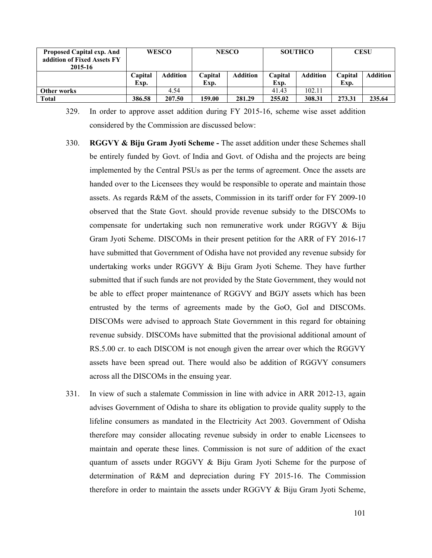| <b>Proposed Capital exp. And</b><br>addition of Fixed Assets FY<br>2015-16 | <b>WESCO</b>                       |        |                 | <b>NESCO</b> |                 | <b>SOUTHCO</b>  | <b>CESU</b>     |                 |
|----------------------------------------------------------------------------|------------------------------------|--------|-----------------|--------------|-----------------|-----------------|-----------------|-----------------|
|                                                                            | <b>Addition</b><br>Capital<br>Exp. |        | Capital<br>Exp. | Addition     | Capital<br>Exp. | <b>Addition</b> | Capital<br>Exp. | <b>Addition</b> |
| Other works                                                                |                                    | 4.54   |                 |              | 41.43           | 102.11          |                 |                 |
| <b>Total</b>                                                               | 386.58                             | 207.50 | 159.00          | 281.29       | 255.02          | 308.31          | 273.31          | 235.64          |

329. In order to approve asset addition during FY 2015-16, scheme wise asset addition considered by the Commission are discussed below:

- 330. **RGGVY & Biju Gram Jyoti Scheme** The asset addition under these Schemes shall be entirely funded by Govt. of India and Govt. of Odisha and the projects are being implemented by the Central PSUs as per the terms of agreement. Once the assets are handed over to the Licensees they would be responsible to operate and maintain those assets. As regards R&M of the assets, Commission in its tariff order for FY 2009-10 observed that the State Govt. should provide revenue subsidy to the DISCOMs to compensate for undertaking such non remunerative work under RGGVY & Biju Gram Jyoti Scheme. DISCOMs in their present petition for the ARR of FY 2016-17 have submitted that Government of Odisha have not provided any revenue subsidy for undertaking works under RGGVY & Biju Gram Jyoti Scheme. They have further submitted that if such funds are not provided by the State Government, they would not be able to effect proper maintenance of RGGVY and BGJY assets which has been entrusted by the terms of agreements made by the GoO, GoI and DISCOMs. DISCOMs were advised to approach State Government in this regard for obtaining revenue subsidy. DISCOMs have submitted that the provisional additional amount of RS.5.00 cr. to each DISCOM is not enough given the arrear over which the RGGVY assets have been spread out. There would also be addition of RGGVY consumers across all the DISCOMs in the ensuing year.
- 331. In view of such a stalemate Commission in line with advice in ARR 2012-13, again advises Government of Odisha to share its obligation to provide quality supply to the lifeline consumers as mandated in the Electricity Act 2003. Government of Odisha therefore may consider allocating revenue subsidy in order to enable Licensees to maintain and operate these lines. Commission is not sure of addition of the exact quantum of assets under RGGVY & Biju Gram Jyoti Scheme for the purpose of determination of R&M and depreciation during FY 2015-16. The Commission therefore in order to maintain the assets under RGGVY & Biju Gram Jyoti Scheme,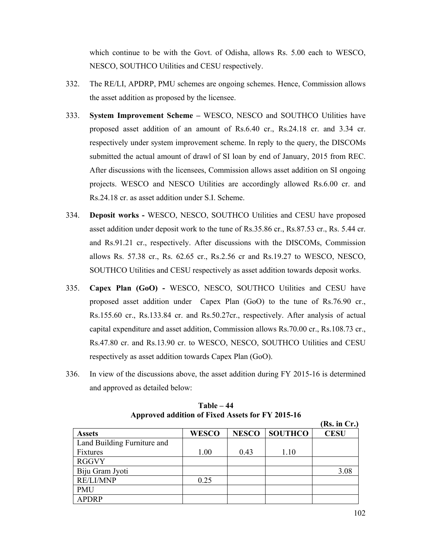which continue to be with the Govt. of Odisha, allows Rs. 5.00 each to WESCO, NESCO, SOUTHCO Utilities and CESU respectively.

- 332. The RE/LI, APDRP, PMU schemes are ongoing schemes. Hence, Commission allows the asset addition as proposed by the licensee.
- 333. **System Improvement Scheme –** WESCO, NESCO and SOUTHCO Utilities have proposed asset addition of an amount of Rs.6.40 cr., Rs.24.18 cr. and 3.34 cr. respectively under system improvement scheme. In reply to the query, the DISCOMs submitted the actual amount of drawl of SI loan by end of January, 2015 from REC. After discussions with the licensees, Commission allows asset addition on SI ongoing projects. WESCO and NESCO Utilities are accordingly allowed Rs.6.00 cr. and Rs.24.18 cr. as asset addition under S.I. Scheme.
- 334. **Deposit works -** WESCO, NESCO, SOUTHCO Utilities and CESU have proposed asset addition under deposit work to the tune of Rs.35.86 cr., Rs.87.53 cr., Rs. 5.44 cr. and Rs.91.21 cr., respectively. After discussions with the DISCOMs, Commission allows Rs. 57.38 cr., Rs. 62.65 cr., Rs.2.56 cr and Rs.19.27 to WESCO, NESCO, SOUTHCO Utilities and CESU respectively as asset addition towards deposit works.
- 335. **Capex Plan (GoO) -** WESCO, NESCO, SOUTHCO Utilities and CESU have proposed asset addition under Capex Plan (GoO) to the tune of Rs.76.90 cr., Rs.155.60 cr., Rs.133.84 cr. and Rs.50.27cr., respectively. After analysis of actual capital expenditure and asset addition, Commission allows Rs.70.00 cr., Rs.108.73 cr., Rs.47.80 cr. and Rs.13.90 cr. to WESCO, NESCO, SOUTHCO Utilities and CESU respectively as asset addition towards Capex Plan (GoO).
- 336. In view of the discussions above, the asset addition during FY 2015-16 is determined and approved as detailed below:

|                             |              |              |                | (Rs. in Cr.) |
|-----------------------------|--------------|--------------|----------------|--------------|
| <b>Assets</b>               | <b>WESCO</b> | <b>NESCO</b> | <b>SOUTHCO</b> | <b>CESU</b>  |
| Land Building Furniture and |              |              |                |              |
| Fixtures                    | 1.00         | 0.43         | 1.10           |              |
| <b>RGGVY</b>                |              |              |                |              |
| Biju Gram Jyoti             |              |              |                | 3.08         |
| <b>RE/LI/MNP</b>            | 0.25         |              |                |              |
| <b>PMU</b>                  |              |              |                |              |
| <b>APDRP</b>                |              |              |                |              |

**Table – 44 Approved addition of Fixed Assets for FY 2015-16**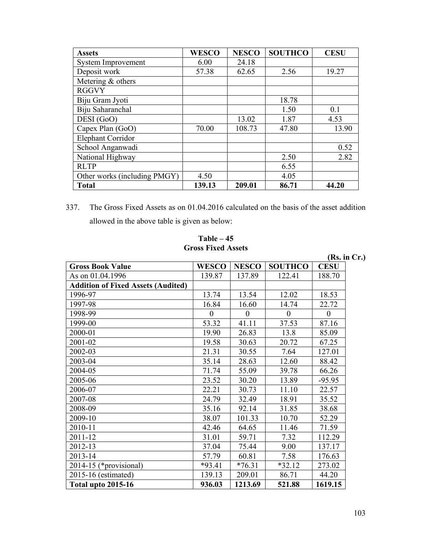| <b>Assets</b>                | <b>WESCO</b> | <b>NESCO</b> | <b>SOUTHCO</b> | <b>CESU</b> |
|------------------------------|--------------|--------------|----------------|-------------|
| <b>System Improvement</b>    | 6.00         | 24.18        |                |             |
| Deposit work                 | 57.38        | 62.65        | 2.56           | 19.27       |
| Metering $&$ others          |              |              |                |             |
| <b>RGGVY</b>                 |              |              |                |             |
| Biju Gram Jyoti              |              |              | 18.78          |             |
| Biju Saharanchal             |              |              | 1.50           | 0.1         |
| DESI (GoO)                   |              | 13.02        | 1.87           | 4.53        |
| Capex Plan (GoO)             | 70.00        | 108.73       | 47.80          | 13.90       |
| <b>Elephant Corridor</b>     |              |              |                |             |
| School Anganwadi             |              |              |                | 0.52        |
| National Highway             |              |              | 2.50           | 2.82        |
| <b>RLTP</b>                  |              |              | 6.55           |             |
| Other works (including PMGY) | 4.50         |              | 4.05           |             |
| <b>Total</b>                 | 139.13       | 209.01       | 86.71          | 44.20       |

337. The Gross Fixed Assets as on 01.04.2016 calculated on the basis of the asset addition allowed in the above table is given as below:

## **Table – 45 Gross Fixed Assets**

|                                           | UTUSS FIACU ASSCIS |              |                |              |
|-------------------------------------------|--------------------|--------------|----------------|--------------|
|                                           |                    |              |                | (Rs. in Cr.) |
| <b>Gross Book Value</b>                   | <b>WESCO</b>       | <b>NESCO</b> | <b>SOUTHCO</b> | <b>CESU</b>  |
| As on 01.04.1996                          | 139.87             | 137.89       | 122.41         | 188.70       |
| <b>Addition of Fixed Assets (Audited)</b> |                    |              |                |              |
| 1996-97                                   | 13.74              | 13.54        | 12.02          | 18.53        |
| 1997-98                                   | 16.84              | 16.60        | 14.74          | 22.72        |
| 1998-99                                   | $\theta$           | $\theta$     | $\theta$       | $\mathbf{0}$ |
| 1999-00                                   | 53.32              | 41.11        | 37.53          | 87.16        |
| 2000-01                                   | 19.90              | 26.83        | 13.8           | 85.09        |
| 2001-02                                   | 19.58              | 30.63        | 20.72          | 67.25        |
| 2002-03                                   | 21.31              | 30.55        | 7.64           | 127.01       |
| 2003-04                                   | 35.14              | 28.63        | 12.60          | 88.42        |
| 2004-05                                   | 71.74              | 55.09        | 39.78          | 66.26        |
| 2005-06                                   | 23.52              | 30.20        | 13.89          | $-95.95$     |
| 2006-07                                   | 22.21              | 30.73        | 11.10          | 22.57        |
| 2007-08                                   | 24.79              | 32.49        | 18.91          | 35.52        |
| 2008-09                                   | 35.16              | 92.14        | 31.85          | 38.68        |
| 2009-10                                   | 38.07              | 101.33       | 10.70          | 52.29        |
| 2010-11                                   | 42.46              | 64.65        | 11.46          | 71.59        |
| 2011-12                                   | 31.01              | 59.71        | 7.32           | 112.29       |
| 2012-13                                   | 37.04              | 75.44        | 9.00           | 137.17       |
| 2013-14                                   | 57.79              | 60.81        | 7.58           | 176.63       |
| 2014-15 (*provisional)                    | $*93.41$           | $*76.31$     | $*32.12$       | 273.02       |
| 2015-16 (estimated)                       | 139.13             | 209.01       | 86.71          | 44.20        |
| <b>Total upto 2015-16</b>                 | 936.03             | 1213.69      | 521.88         | 1619.15      |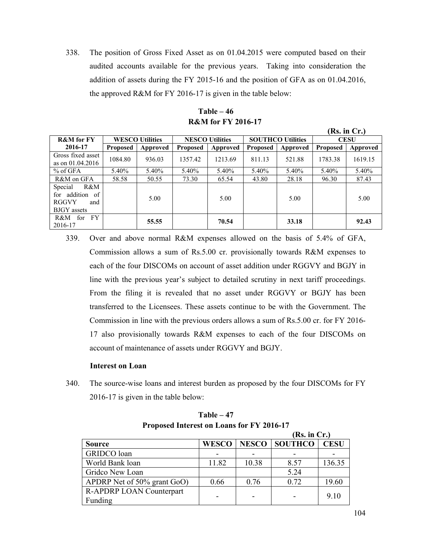338. The position of Gross Fixed Asset as on 01.04.2015 were computed based on their audited accounts available for the previous years. Taking into consideration the addition of assets during the FY 2015-16 and the position of GFA as on 01.04.2016, the approved R&M for FY 2016-17 is given in the table below:

|                                                                                |                 |                                                  |                 |          |                          |             |                 | <b>IV2. III C1.1</b> |
|--------------------------------------------------------------------------------|-----------------|--------------------------------------------------|-----------------|----------|--------------------------|-------------|-----------------|----------------------|
| <b>R&amp;M</b> for FY                                                          |                 | <b>WESCO Utilities</b><br><b>NESCO Utilities</b> |                 |          | <b>SOUTHCO Utilities</b> | <b>CESU</b> |                 |                      |
| 2016-17                                                                        | <b>Proposed</b> | Approved                                         | <b>Proposed</b> | Approved | <b>Proposed</b>          | Approved    | <b>Proposed</b> | Approved             |
| Gross fixed asset<br>as on $01.04.2016$                                        | 1084.80         | 936.03                                           | 1357.42         | 1213.69  | 811.13                   | 521.88      | 1783.38         | 1619.15              |
| $%$ of GFA                                                                     | 5.40%           | 5.40%                                            | 5.40%           | 5.40%    | 5.40%                    | 5.40%       | 5.40%           | 5.40%                |
| R&M on GFA                                                                     | 58.58           | 50.55                                            | 73.30           | 65.54    | 43.80                    | 28.18       | 96.30           | 87.43                |
| R&M<br>Special<br>for addition of<br><b>RGGVY</b><br>and<br><b>BJGY</b> assets |                 | 5.00                                             |                 | 5.00     |                          | 5.00        |                 | 5.00                 |
| FY.<br>R&M<br>for<br>2016-17                                                   |                 | 55.55                                            |                 | 70.54    |                          | 33.18       |                 | 92.43                |

**Table – 46 R&M for FY 2016-17** 

339. Over and above normal R&M expenses allowed on the basis of 5.4% of GFA, Commission allows a sum of Rs.5.00 cr. provisionally towards R&M expenses to each of the four DISCOMs on account of asset addition under RGGVY and BGJY in line with the previous year's subject to detailed scrutiny in next tariff proceedings. From the filing it is revealed that no asset under RGGVY or BGJY has been transferred to the Licensees. These assets continue to be with the Government. The Commission in line with the previous orders allows a sum of Rs.5.00 cr. for FY 2016- 17 also provisionally towards R&M expenses to each of the four DISCOMs on account of maintenance of assets under RGGVY and BGJY.

#### **Interest on Loan**

340. The source-wise loans and interest burden as proposed by the four DISCOMs for FY 2016-17 is given in the table below:

|                                 |              |       | (Rs. in Cr.)  |             |
|---------------------------------|--------------|-------|---------------|-------------|
| <b>Source</b>                   | <b>WESCO</b> |       | NESCO SOUTHCO | <b>CESU</b> |
| GRIDCO loan                     |              |       |               |             |
| World Bank loan                 | 11.82        | 10.38 | 8.57          | 136.35      |
| Gridco New Loan                 |              |       | 5.24          |             |
| APDRP Net of 50% grant GoO)     | 0.66         | 0.76  | 0.72          | 19.60       |
| <b>R-APDRP LOAN Counterpart</b> |              |       |               | 9.10        |
| Funding                         |              |       |               |             |

**Table – 47 Proposed Interest on Loans for FY 2016-17**

**(Rs. in Cr.)**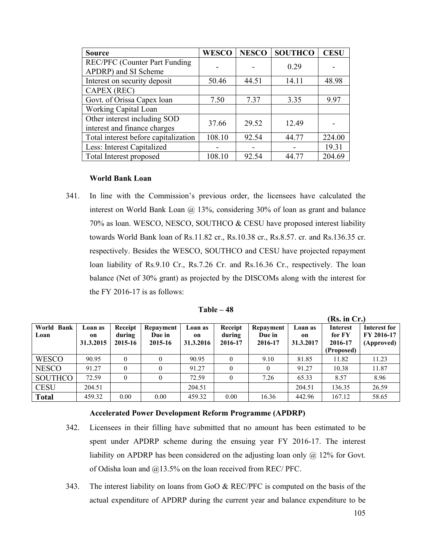| <b>Source</b>                                                | <b>WESCO</b> | <b>NESCO</b> | <b>SOUTHCO</b> | <b>CESU</b> |
|--------------------------------------------------------------|--------------|--------------|----------------|-------------|
| <b>REC/PFC</b> (Counter Part Funding<br>APDRP) and SI Scheme |              |              | 0.29           |             |
|                                                              |              |              |                |             |
| Interest on security deposit                                 | 50.46        | 44.51        | 14.11          | 48.98       |
| CAPEX (REC)                                                  |              |              |                |             |
| Govt. of Orissa Capex loan                                   | 7.50         | 7.37         | 3.35           | 9.97        |
| Working Capital Loan                                         |              |              |                |             |
| Other interest including SOD<br>interest and finance charges | 37.66        | 29.52        | 12.49          |             |
| Total interest before capitalization                         | 108.10       | 92.54        | 44.77          | 224.00      |
| Less: Interest Capitalized                                   |              |              |                | 19.31       |
| Total Interest proposed                                      | 108.10       | 92.54        | 44.77          | 204.69      |

#### **World Bank Loan**

341. In line with the Commission's previous order, the licensees have calculated the interest on World Bank Loan @ 13%, considering 30% of loan as grant and balance 70% as loan. WESCO, NESCO, SOUTHCO & CESU have proposed interest liability towards World Bank loan of Rs.11.82 cr., Rs.10.38 cr., Rs.8.57. cr. and Rs.136.35 cr. respectively. Besides the WESCO, SOUTHCO and CESU have projected repayment loan liability of Rs.9.10 Cr., Rs.7.26 Cr. and Rs.16.36 Cr., respectively. The loan balance (Net of 30% grant) as projected by the DISCOMs along with the interest for the FY 2016-17 is as follows:

| Table – 48 |  |
|------------|--|
|------------|--|

|                    |                            |                              |                                |                            |                              |                                |                                       | (Rs. in Cr.)                                       |                                          |
|--------------------|----------------------------|------------------------------|--------------------------------|----------------------------|------------------------------|--------------------------------|---------------------------------------|----------------------------------------------------|------------------------------------------|
| World Bank<br>Loan | Loan as<br>on<br>31.3.2015 | Receipt<br>during<br>2015-16 | Repayment<br>Due in<br>2015-16 | Loan as<br>on<br>31.3.2016 | Receipt<br>during<br>2016-17 | Repayment<br>Due in<br>2016-17 | Loan as<br><sub>on</sub><br>31.3.2017 | <b>Interest</b><br>for FY<br>2016-17<br>(Proposed) | Interest for<br>FY 2016-17<br>(Approved) |
| <b>WESCO</b>       | 90.95                      | 0                            | 0                              | 90.95                      | $\theta$                     | 9.10                           | 81.85                                 | 11.82                                              | 11.23                                    |
| <b>NESCO</b>       | 91.27                      | $\theta$                     | $\theta$                       | 91.27                      | $\theta$                     | $\theta$                       | 91.27                                 | 10.38                                              | 11.87                                    |
| <b>SOUTHCO</b>     | 72.59                      | $\theta$                     | $\mathbf{0}$                   | 72.59                      | $\theta$                     | 7.26                           | 65.33                                 | 8.57                                               | 8.96                                     |
| <b>CESU</b>        | 204.51                     |                              |                                | 204.51                     |                              |                                | 204.51                                | 136.35                                             | 26.59                                    |
| <b>Total</b>       | 459.32                     | 0.00                         | 0.00                           | 459.32                     | 0.00                         | 16.36                          | 442.96                                | 167.12                                             | 58.65                                    |

#### **Accelerated Power Development Reform Programme (APDRP)**

- 342. Licensees in their filling have submitted that no amount has been estimated to be spent under APDRP scheme during the ensuing year FY 2016-17. The interest liability on APDRP has been considered on the adjusting loan only @ 12% for Govt. of Odisha loan and  $@13.5\%$  on the loan received from REC/ PFC.
- 343. The interest liability on loans from GoO & REC/PFC is computed on the basis of the actual expenditure of APDRP during the current year and balance expenditure to be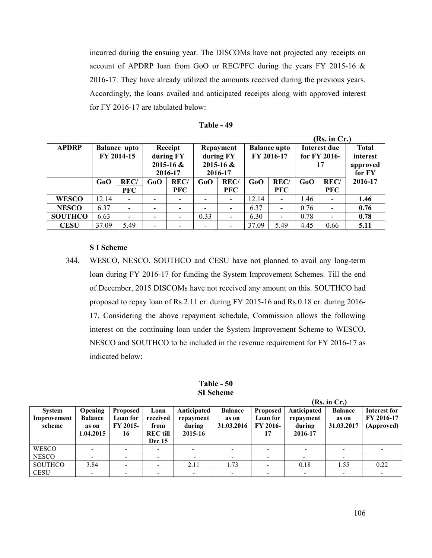incurred during the ensuing year. The DISCOMs have not projected any receipts on account of APDRP loan from GoO or REC/PFC during the years FY 2015-16 & 2016-17. They have already utilized the amounts received during the previous years. Accordingly, the loans availed and anticipated receipts along with approved interest for FY 2016-17 are tabulated below:

|                |       |                     |         |                |           |                          | (Rs. in Cr.)        |                          |              |                          |              |  |  |  |
|----------------|-------|---------------------|---------|----------------|-----------|--------------------------|---------------------|--------------------------|--------------|--------------------------|--------------|--|--|--|
| <b>APDRP</b>   |       | <b>Balance</b> upto | Receipt |                | Repayment |                          | <b>Balance upto</b> |                          | Interest due |                          | <b>Total</b> |  |  |  |
|                |       | FY 2014-15          |         | during FY      |           | during FY                |                     | FY 2016-17               |              | for FY 2016-             | interest     |  |  |  |
|                |       |                     |         | $2015 - 16$ &  |           | $2015 - 16$ &            |                     |                          | 17           |                          | approved     |  |  |  |
|                |       |                     |         | 2016-17        |           | 2016-17                  |                     |                          |              |                          | for FY       |  |  |  |
|                | GoO   | <b>REC/</b>         | GoO     | REC/           | GoO       | REC/                     | GoO                 | <b>REC/</b>              | GoO          | <b>REC/</b>              | 2016-17      |  |  |  |
|                |       | <b>PFC</b>          |         | <b>PFC</b>     |           | <b>PFC</b>               |                     | <b>PFC</b>               |              | <b>PFC</b>               |              |  |  |  |
| <b>WESCO</b>   | 12.14 |                     |         |                |           | $\overline{\phantom{a}}$ | 12.14               |                          | 1.46         |                          | 1.46         |  |  |  |
| <b>NESCO</b>   | 6.37  |                     |         |                |           | $\overline{\phantom{a}}$ | 6.37                | $\overline{\phantom{a}}$ | 0.76         |                          | 0.76         |  |  |  |
| <b>SOUTHCO</b> | 6.63  |                     |         | $\blacksquare$ | 0.33      | $\overline{\phantom{a}}$ | 6.30                | $\overline{\phantom{a}}$ | 0.78         | $\overline{\phantom{a}}$ | 0.78         |  |  |  |
| <b>CESU</b>    | 37.09 | 5.49                |         |                |           | $\blacksquare$           | 37.09               | 5.49                     | 4.45         | 0.66                     | 5.11         |  |  |  |

#### **S I Scheme**

344. WESCO, NESCO, SOUTHCO and CESU have not planned to avail any long-term loan during FY 2016-17 for funding the System Improvement Schemes. Till the end of December, 2015 DISCOMs have not received any amount on this. SOUTHCO had proposed to repay loan of Rs.2.11 cr. during FY 2015-16 and Rs.0.18 cr. during 2016- 17. Considering the above repayment schedule, Commission allows the following interest on the continuing loan under the System Improvement Scheme to WESCO, NESCO and SOUTHCO to be included in the revenue requirement for FY 2016-17 as indicated below:

**Table - 50 SI Scheme** 

|                                        |                                                 |                                               |                                                              |                                               |                                       |                                                      |                                               | (Rs. in Cr.)                          |                                          |
|----------------------------------------|-------------------------------------------------|-----------------------------------------------|--------------------------------------------------------------|-----------------------------------------------|---------------------------------------|------------------------------------------------------|-----------------------------------------------|---------------------------------------|------------------------------------------|
| <b>System</b><br>Improvement<br>scheme | Opening<br><b>Balance</b><br>as on<br>1.04.2015 | <b>Proposed</b><br>Loan for<br>FY 2015-<br>16 | Loan<br>received<br>from<br><b>REC</b> till<br><b>Dec</b> 15 | Anticipated<br>repayment<br>during<br>2015-16 | <b>Balance</b><br>as on<br>31.03.2016 | <b>Proposed</b><br>Loan for<br><b>FY 2016-</b><br>17 | Anticipated<br>repayment<br>during<br>2016-17 | <b>Balance</b><br>as on<br>31.03.2017 | Interest for<br>FY 2016-17<br>(Approved) |
| <b>WESCO</b>                           |                                                 | $\overline{\phantom{0}}$                      |                                                              |                                               |                                       |                                                      | -                                             |                                       |                                          |
| <b>NESCO</b>                           |                                                 | $\overline{\phantom{0}}$                      |                                                              | $\overline{\phantom{a}}$                      |                                       |                                                      |                                               |                                       |                                          |
| <b>SOUTHCO</b>                         | 3.84                                            | $\overline{\phantom{0}}$                      |                                                              | 2.11                                          | 1.73                                  |                                                      | 0.18                                          | 1.55                                  | 0.22                                     |
| <b>CESU</b>                            |                                                 |                                               |                                                              |                                               |                                       |                                                      | $\overline{\phantom{0}}$                      |                                       |                                          |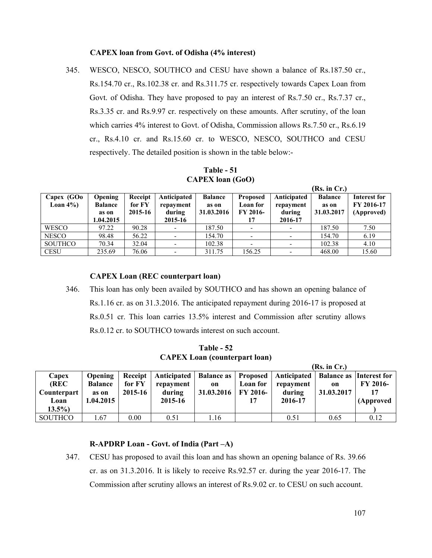#### **CAPEX loan from Govt. of Odisha (4% interest)**

345. WESCO, NESCO, SOUTHCO and CESU have shown a balance of Rs.187.50 cr., Rs.154.70 cr., Rs.102.38 cr. and Rs.311.75 cr. respectively towards Capex Loan from Govt. of Odisha. They have proposed to pay an interest of Rs.7.50 cr., Rs.7.37 cr., Rs.3.35 cr. and Rs.9.97 cr. respectively on these amounts. After scrutiny, of the loan which carries 4% interest to Govt. of Odisha, Commission allows Rs.7.50 cr., Rs.6.19 cr., Rs.4.10 cr. and Rs.15.60 cr. to WESCO, NESCO, SOUTHCO and CESU respectively. The detailed position is shown in the table below:-

**Table - 51 CAPEX loan (GoO)**

|                            |                                  |                   |                     |                     |                             |                          | (Rs. in Cr.)        |                            |
|----------------------------|----------------------------------|-------------------|---------------------|---------------------|-----------------------------|--------------------------|---------------------|----------------------------|
| Capex (GOo<br>Loan $4\%$ ) | <b>Opening</b><br><b>Balance</b> | Receipt<br>for FY | Anticipated         | <b>Balance</b>      | <b>Proposed</b><br>Loan for | Anticipated              | <b>Balance</b>      | Interest for<br>FY 2016-17 |
|                            | as on                            | 2015-16           | repayment<br>during | as on<br>31.03.2016 | <b>FY 2016-</b>             | repayment<br>during      | as on<br>31.03.2017 | (Approved)                 |
|                            | 1.04.2015                        |                   | 2015-16             |                     |                             | 2016-17                  |                     |                            |
| <b>WESCO</b>               | 97.22                            | 90.28             |                     | 187.50              |                             | $\overline{\phantom{0}}$ | 187.50              | 7.50                       |
| <b>NESCO</b>               | 98.48                            | 56.22             |                     | 154.70              |                             | $\overline{\phantom{0}}$ | 154.70              | 6.19                       |
| <b>SOUTHCO</b>             | 70.34                            | 32.04             |                     | 102.38              |                             |                          | 102.38              | 4.10                       |
| <b>CESU</b>                | 235.69                           | 76.06             |                     | 311.75              | 156.25                      |                          | 468.00              | 15.60                      |

### **CAPEX Loan (REC counterpart loan)**

346. This loan has only been availed by SOUTHCO and has shown an opening balance of Rs.1.16 cr. as on 31.3.2016. The anticipated repayment during 2016-17 is proposed at Rs.0.51 cr. This loan carries 13.5% interest and Commission after scrutiny allows Rs.0.12 cr. to SOUTHCO towards interest on such account.

**Table - 52 CAPEX Loan (counterpart loan)** 

|                |                |         |           |                       |          |                                                   | (Rs. in Cr.)  |                                |
|----------------|----------------|---------|-----------|-----------------------|----------|---------------------------------------------------|---------------|--------------------------------|
| Capex          | <b>Opening</b> | Receipt |           |                       |          | Anticipated   Balance as   Proposed   Anticipated |               | <b>Balance as Interest for</b> |
| (REC           | <b>Balance</b> | for FY  | repayment | on                    | Loan for | repayment                                         | <sub>on</sub> | FY 2016-                       |
| Counterpart    | as on          | 2015-16 | during    | 31.03.2016   FY 2016- |          | during                                            | 31.03.2017    | 17                             |
| Loan           | 1.04.2015      |         | 2015-16   |                       |          | 2016-17                                           |               | (Approved                      |
| $13.5\%$       |                |         |           |                       |          |                                                   |               |                                |
| <b>SOUTHCO</b> | 0.67           | 0.00    | 0.51      | 1.16                  |          | 0.51                                              | 0.65          | 0.12                           |

### **R-APDRP Loan - Govt. of India (Part –A)**

347. CESU has proposed to avail this loan and has shown an opening balance of Rs. 39.66 cr. as on 31.3.2016. It is likely to receive Rs.92.57 cr. during the year 2016-17. The Commission after scrutiny allows an interest of Rs.9.02 cr. to CESU on such account.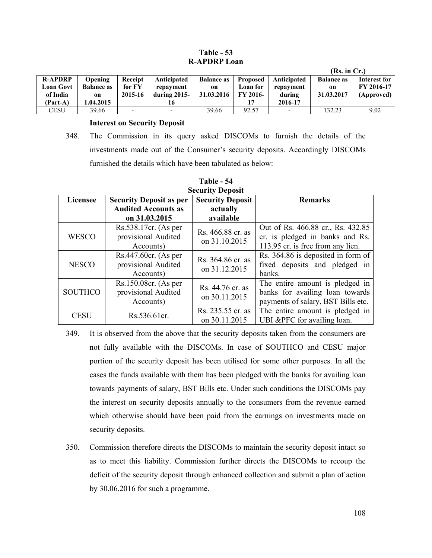### **Table - 53 R-APDRP Loan**

|                |                   |                          |                          |                   |                 |                          | (Rs. in Cr.)      |                   |
|----------------|-------------------|--------------------------|--------------------------|-------------------|-----------------|--------------------------|-------------------|-------------------|
| <b>R-APDRP</b> | <b>Opening</b>    | Receipt                  | Anticipated              | <b>Balance as</b> | <b>Proposed</b> | Anticipated              | <b>Balance as</b> | Interest for      |
| Loan Govt      | <b>Balance as</b> | for FY                   | repayment                | on                | Loan for        | repayment                | on                | <b>FY 2016-17</b> |
| of India       | on                | 2015-16                  | during $2015$ -          | 31.03.2016        | <b>FY 2016-</b> | during                   | 31.03.2017        | (Approved)        |
| (Part-A)       | .04.2015          |                          | 16                       |                   |                 | 2016-17                  |                   |                   |
| <b>CESU</b>    | 39.66             | $\overline{\phantom{0}}$ | $\overline{\phantom{0}}$ | 39.66             | 92.57           | $\overline{\phantom{a}}$ | 132.23            | 9.02              |

#### **Interest on Security Deposit**

348. The Commission in its query asked DISCOMs to furnish the details of the investments made out of the Consumer's security deposits. Accordingly DISCOMs furnished the details which have been tabulated as below:

| Security Deposit |                                |                         |                                    |  |  |  |  |  |
|------------------|--------------------------------|-------------------------|------------------------------------|--|--|--|--|--|
| Licensee         | <b>Security Deposit as per</b> | <b>Security Deposit</b> | <b>Remarks</b>                     |  |  |  |  |  |
|                  | <b>Audited Accounts as</b>     | actually                |                                    |  |  |  |  |  |
|                  | on 31.03.2015                  | available               |                                    |  |  |  |  |  |
| <b>WESCO</b>     | Rs.538.17cr. (As per           | Rs. 466.88 cr. as       | Out of Rs. 466.88 cr., Rs. 432.85  |  |  |  |  |  |
|                  | provisional Audited            | on 31.10.2015           | cr. is pledged in banks and Rs.    |  |  |  |  |  |
|                  | Accounts)                      |                         | 113.95 cr. is free from any lien.  |  |  |  |  |  |
| <b>NESCO</b>     | $Rs.447.60cr.$ (As per         | Rs. 364.86 cr. as       | Rs. 364.86 is deposited in form of |  |  |  |  |  |
|                  | provisional Audited            | on 31.12.2015           | fixed deposits and pledged in      |  |  |  |  |  |
|                  | Accounts)                      |                         | banks.                             |  |  |  |  |  |
| <b>SOUTHCO</b>   | Rs.150.08cr. (As per           | Rs. 44.76 cr. as        | The entire amount is pledged in    |  |  |  |  |  |
|                  | provisional Audited            |                         | banks for availing loan towards    |  |  |  |  |  |
|                  | Accounts)                      | on 30.11.2015           | payments of salary, BST Bills etc. |  |  |  |  |  |
| <b>CESU</b>      | Rs.536.61cr.                   | Rs. 235.55 cr. as       | The entire amount is pledged in    |  |  |  |  |  |
|                  |                                | on 30.11.2015           | UBI & PFC for availing loan.       |  |  |  |  |  |

#### **Table - 54 Security Deposit**

- 349. It is observed from the above that the security deposits taken from the consumers are not fully available with the DISCOMs. In case of SOUTHCO and CESU major portion of the security deposit has been utilised for some other purposes. In all the cases the funds available with them has been pledged with the banks for availing loan towards payments of salary, BST Bills etc. Under such conditions the DISCOMs pay the interest on security deposits annually to the consumers from the revenue earned which otherwise should have been paid from the earnings on investments made on security deposits.
- 350. Commission therefore directs the DISCOMs to maintain the security deposit intact so as to meet this liability. Commission further directs the DISCOMs to recoup the deficit of the security deposit through enhanced collection and submit a plan of action by 30.06.2016 for such a programme.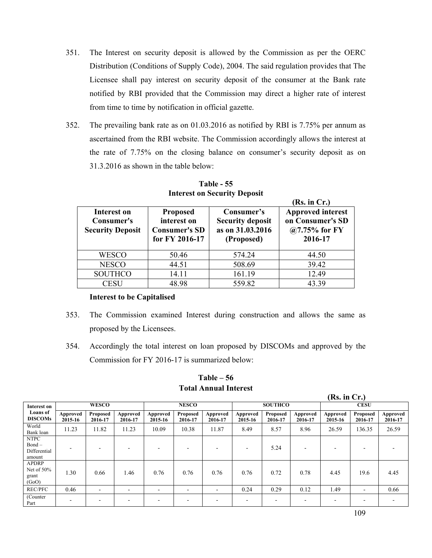- 351. The Interest on security deposit is allowed by the Commission as per the OERC Distribution (Conditions of Supply Code), 2004. The said regulation provides that The Licensee shall pay interest on security deposit of the consumer at the Bank rate notified by RBI provided that the Commission may direct a higher rate of interest from time to time by notification in official gazette.
- 352. The prevailing bank rate as on 01.03.2016 as notified by RBI is 7.75% per annum as ascertained from the RBI website. The Commission accordingly allows the interest at the rate of 7.75% on the closing balance on consumer's security deposit as on 31.3.2016 as shown in the table below:

|                                                      |                                                                          |                                                                         | (Rs. in Cr.)                                                               |
|------------------------------------------------------|--------------------------------------------------------------------------|-------------------------------------------------------------------------|----------------------------------------------------------------------------|
| Interest on<br>Consumer's<br><b>Security Deposit</b> | <b>Proposed</b><br>interest on<br><b>Consumer's SD</b><br>for FY 2016-17 | Consumer's<br><b>Security deposit</b><br>as on 31.03.2016<br>(Proposed) | <b>Approved interest</b><br>on Consumer's SD<br>@7.75% for $FY$<br>2016-17 |
| <b>WESCO</b>                                         | 50.46                                                                    | 574.24                                                                  | 44.50                                                                      |
| <b>NESCO</b>                                         | 44.51                                                                    | 508.69                                                                  | 39.42                                                                      |
| <b>SOUTHCO</b>                                       | 14.11                                                                    | 161.19                                                                  | 12.49                                                                      |
| <b>CESU</b>                                          | 48.98                                                                    | 559.82                                                                  | 43.39                                                                      |

**Table - 55 Interest on Security Deposit** 

#### **Interest to be Capitalised**

- 353. The Commission examined Interest during construction and allows the same as proposed by the Licensees.
- 354. Accordingly the total interest on loan proposed by DISCOMs and approved by the Commission for FY 2016-17 is summarized below:

**Table – 56 Total Annual Interest** 

**(Rs. in Cr.)** 

| Interest on                                       |                     | <b>WESCO</b>        |                     |                          | <b>NESCO</b>        |                     |                          | <b>SOUTHCO</b>             |                     |                     | <b>CESU</b>              |                     |
|---------------------------------------------------|---------------------|---------------------|---------------------|--------------------------|---------------------|---------------------|--------------------------|----------------------------|---------------------|---------------------|--------------------------|---------------------|
| <b>Loans</b> of<br><b>DISCOMs</b>                 | Approved<br>2015-16 | Proposed<br>2016-17 | Approved<br>2016-17 | Approved<br>2015-16      | Proposed<br>2016-17 | Approved<br>2016-17 | Approved<br>2015-16      | <b>Proposed</b><br>2016-17 | Approved<br>2016-17 | Approved<br>2015-16 | Proposed<br>2016-17      | Approved<br>2016-17 |
| World<br>Bank loan                                | 11.23               | 11.82               | 11.23               | 10.09                    | 10.38               | 11.87               | 8.49                     | 8.57                       | 8.96                | 26.59               | 136.35                   | 26.59               |
| <b>NTPC</b><br>$Bond -$<br>Differential<br>amount |                     |                     | -                   |                          |                     |                     | $\overline{\phantom{0}}$ | 5.24                       |                     | -                   |                          |                     |
| <b>APDRP</b><br>Net of $50\%$<br>grant<br>(GoO)   | 1.30                | 0.66                | 1.46                | 0.76                     | 0.76                | 0.76                | 0.76                     | 0.72                       | 0.78                | 4.45                | 19.6                     | 4.45                |
| <b>REC/PFC</b>                                    | 0.46                |                     | $\blacksquare$      | $\overline{\phantom{a}}$ |                     | ۰                   | 0.24                     | 0.29                       | 0.12                | 1.49                | $\overline{\phantom{a}}$ | 0.66                |
| (Counter)<br>Part                                 |                     |                     |                     |                          |                     |                     |                          |                            |                     |                     |                          |                     |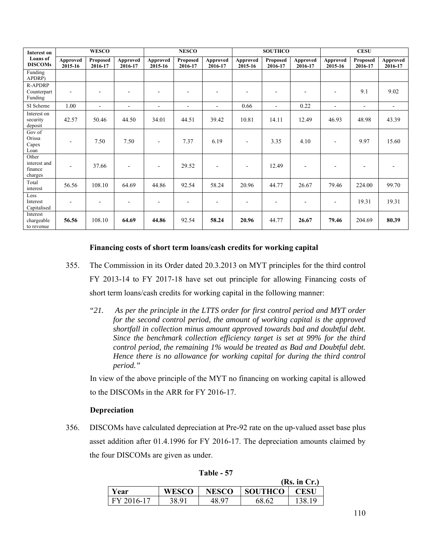| <b>Interest on</b>                          |                     | <b>WESCO</b>        |                          |                          | <b>NESCO</b>        |                     |                          | <b>SOUTHCO</b>           |                     |                          | <b>CESU</b>         |                          |
|---------------------------------------------|---------------------|---------------------|--------------------------|--------------------------|---------------------|---------------------|--------------------------|--------------------------|---------------------|--------------------------|---------------------|--------------------------|
| <b>Loans</b> of<br><b>DISCOMs</b>           | Approved<br>2015-16 | Proposed<br>2016-17 | Approved<br>2016-17      | Approved<br>2015-16      | Proposed<br>2016-17 | Approved<br>2016-17 | Approved<br>2015-16      | Proposed<br>2016-17      | Approved<br>2016-17 | Approved<br>2015-16      | Proposed<br>2016-17 | Approved<br>2016-17      |
| Funding<br>APDRP)                           |                     |                     |                          |                          |                     |                     |                          |                          |                     |                          |                     |                          |
| <b>R-APDRP</b><br>Counterpart<br>Funding    | $\blacksquare$      |                     | $\overline{\phantom{0}}$ | ۰                        |                     |                     | $\overline{\phantom{a}}$ | ۰                        |                     | $\overline{\phantom{a}}$ | 9.1                 | 9.02                     |
| SI Scheme                                   | 1.00                | $\blacksquare$      | $\overline{\phantom{a}}$ | $\overline{\phantom{a}}$ | $\blacksquare$      | $\blacksquare$      | 0.66                     | $\overline{\phantom{a}}$ | 0.22                | $\blacksquare$           | $\blacksquare$      | $\overline{\phantom{a}}$ |
| Interest on<br>security<br>deposit          | 42.57               | 50.46               | 44.50                    | 34.01                    | 44.51               | 39.42               | 10.81                    | 14.11                    | 12.49               | 46.93                    | 48.98               | 43.39                    |
| Gov of<br>Orissa<br>Capex<br>Loan           |                     | 7.50                | 7.50                     | $\overline{\phantom{a}}$ | 7.37                | 6.19                |                          | 3.35                     | 4.10                |                          | 9.97                | 15.60                    |
| Other<br>interest and<br>finance<br>charges | $\blacksquare$      | 37.66               | $\overline{\phantom{a}}$ | $\overline{\phantom{a}}$ | 29.52               |                     | $\blacksquare$           | 12.49                    |                     |                          |                     |                          |
| Total<br>interest                           | 56.56               | 108.10              | 64.69                    | 44.86                    | 92.54               | 58.24               | 20.96                    | 44.77                    | 26.67               | 79.46                    | 224.00              | 99.70                    |
| Less<br>Interest<br>Capitalised             | ٠                   |                     |                          | $\blacksquare$           |                     |                     | $\blacksquare$           |                          |                     | $\blacksquare$           | 19.31               | 19.31                    |
| Interest<br>chargeable<br>to revenue        | 56.56               | 108.10              | 64.69                    | 44.86                    | 92.54               | 58.24               | 20.96                    | 44.77                    | 26.67               | 79.46                    | 204.69              | 80.39                    |

#### **Financing costs of short term loans/cash credits for working capital**

- 355. The Commission in its Order dated 20.3.2013 on MYT principles for the third control FY 2013-14 to FY 2017-18 have set out principle for allowing Financing costs of short term loans/cash credits for working capital in the following manner:
	- *"21. As per the principle in the LTTS order for first control period and MYT order for the second control period, the amount of working capital is the approved shortfall in collection minus amount approved towards bad and doubtful debt. Since the benchmark collection efficiency target is set at 99% for the third control period, the remaining 1% would be treated as Bad and Doubtful debt. Hence there is no allowance for working capital for during the third control period."*

 In view of the above principle of the MYT no financing on working capital is allowed to the DISCOMs in the ARR for FY 2016-17.

#### **Depreciation**

356. DISCOMs have calculated depreciation at Pre-92 rate on the up-valued asset base plus asset addition after 01.4.1996 for FY 2016-17. The depreciation amounts claimed by the four DISCOMs are given as under.

|      |            |              |              |                | (Rs. in Cr.) |
|------|------------|--------------|--------------|----------------|--------------|
| Year |            | <b>WESCO</b> | <b>NESCO</b> | <b>SOUTHCO</b> | <b>CESU</b>  |
|      | FY 2016-17 | 38.91        | 48.97        | 68.62          | 1 Q          |

**Table - 57**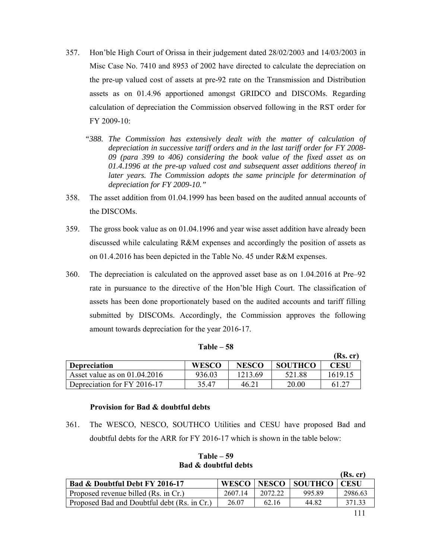- 357. Hon'ble High Court of Orissa in their judgement dated 28/02/2003 and 14/03/2003 in Misc Case No. 7410 and 8953 of 2002 have directed to calculate the depreciation on the pre-up valued cost of assets at pre-92 rate on the Transmission and Distribution assets as on 01.4.96 apportioned amongst GRIDCO and DISCOMs. Regarding calculation of depreciation the Commission observed following in the RST order for FY 2009-10:
	- *"388. The Commission has extensively dealt with the matter of calculation of depreciation in successive tariff orders and in the last tariff order for FY 2008- 09 (para 399 to 406) considering the book value of the fixed asset as on 01.4.1996 at the pre-up valued cost and subsequent asset additions thereof in later years. The Commission adopts the same principle for determination of depreciation for FY 2009-10."*
- 358. The asset addition from 01.04.1999 has been based on the audited annual accounts of the DISCOMs.
- 359. The gross book value as on 01.04.1996 and year wise asset addition have already been discussed while calculating R&M expenses and accordingly the position of assets as on 01.4.2016 has been depicted in the Table No. 45 under R&M expenses.
- 360. The depreciation is calculated on the approved asset base as on 1.04.2016 at Pre–92 rate in pursuance to the directive of the Hon'ble High Court. The classification of assets has been done proportionately based on the audited accounts and tariff filling submitted by DISCOMs. Accordingly, the Commission approves the following amount towards depreciation for the year 2016-17.

|                                |              |              |                | (Rs, cr) |
|--------------------------------|--------------|--------------|----------------|----------|
| <b>Depreciation</b>            | <b>WESCO</b> | <b>NESCO</b> | <b>SOUTHCO</b> | CESU     |
| Asset value as on $01.04.2016$ | 936.03       | 1213.69      | 521.88         | 1619.15  |
| Depreciation for FY 2016-17    | 35.47        | 46.21        | 20.00          |          |

#### **Provision for Bad & doubtful debts**

361. The WESCO, NESCO, SOUTHCO Utilities and CESU have proposed Bad and doubtful debts for the ARR for FY 2016-17 which is shown in the table below:

|                                             |              |              |                | (Rs. cr)    |
|---------------------------------------------|--------------|--------------|----------------|-------------|
| Bad & Doubtful Debt FY 2016-17              | <b>WESCO</b> | <b>NESCO</b> | <b>SOUTHCO</b> | <b>CESU</b> |
| Proposed revenue billed (Rs. in Cr.)        | 2607.14      | 2072.22      | 995.89         | 2986.63     |
| Proposed Bad and Doubtful debt (Rs. in Cr.) | 26.07        | 62.16        | 44.82          | 371.33      |

**Table – 59 Bad & doubtful debts**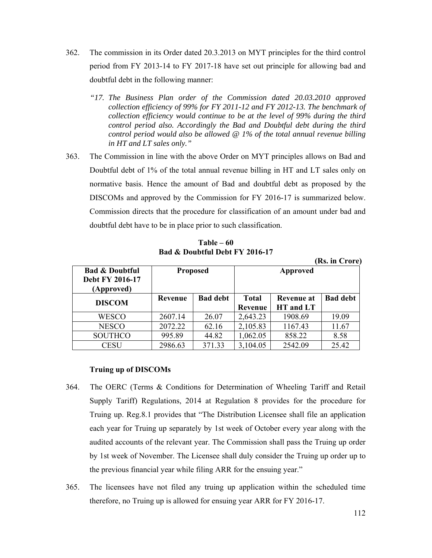- 362. The commission in its Order dated 20.3.2013 on MYT principles for the third control period from FY 2013-14 to FY 2017-18 have set out principle for allowing bad and doubtful debt in the following manner:
	- *"17. The Business Plan order of the Commission dated 20.03.2010 approved collection efficiency of 99% for FY 2011-12 and FY 2012-13. The benchmark of collection efficiency would continue to be at the level of 99% during the third control period also. Accordingly the Bad and Doubtful debt during the third control period would also be allowed @ 1% of the total annual revenue billing in HT and LT sales only."*
- 363. The Commission in line with the above Order on MYT principles allows on Bad and Doubtful debt of 1% of the total annual revenue billing in HT and LT sales only on normative basis. Hence the amount of Bad and doubtful debt as proposed by the DISCOMs and approved by the Commission for FY 2016-17 is summarized below. Commission directs that the procedure for classification of an amount under bad and doubtful debt have to be in place prior to such classification.

**Table – 60 Bad & Doubtful Debt FY 2016-17** 

|                                                            |         |                 |              |            | (Rs. in Crore)  |
|------------------------------------------------------------|---------|-----------------|--------------|------------|-----------------|
| <b>Bad &amp; Doubtful</b><br>Debt FY 2016-17<br>(Approved) |         | <b>Proposed</b> |              | Approved   |                 |
| <b>DISCOM</b>                                              | Revenue | <b>Bad debt</b> | <b>Total</b> | Revenue at | <b>Bad debt</b> |
|                                                            |         |                 | Revenue      | HT and LT  |                 |
| WESCO                                                      | 2607.14 | 26.07           | 2,643.23     | 1908.69    | 19.09           |
| <b>NESCO</b>                                               | 2072.22 | 62.16           | 2,105.83     | 1167.43    | 11.67           |
| <b>SOUTHCO</b>                                             | 995.89  | 44.82           | 1,062.05     | 858.22     | 8.58            |
| CESU                                                       | 2986.63 | 371.33          | 3,104.05     | 2542.09    | 25.42           |

#### **Truing up of DISCOMs**

- 364. The OERC (Terms & Conditions for Determination of Wheeling Tariff and Retail Supply Tariff) Regulations, 2014 at Regulation 8 provides for the procedure for Truing up. Reg.8.1 provides that "The Distribution Licensee shall file an application each year for Truing up separately by 1st week of October every year along with the audited accounts of the relevant year. The Commission shall pass the Truing up order by 1st week of November. The Licensee shall duly consider the Truing up order up to the previous financial year while filing ARR for the ensuing year."
- 365. The licensees have not filed any truing up application within the scheduled time therefore, no Truing up is allowed for ensuing year ARR for FY 2016-17.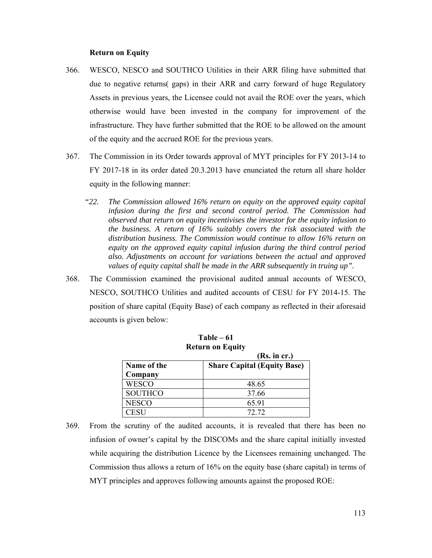#### **Return on Equity**

- 366. WESCO, NESCO and SOUTHCO Utilities in their ARR filing have submitted that due to negative returns( gaps) in their ARR and carry forward of huge Regulatory Assets in previous years, the Licensee could not avail the ROE over the years, which otherwise would have been invested in the company for improvement of the infrastructure. They have further submitted that the ROE to be allowed on the amount of the equity and the accrued ROE for the previous years.
- 367. The Commission in its Order towards approval of MYT principles for FY 2013-14 to FY 2017-18 in its order dated 20.3.2013 have enunciated the return all share holder equity in the following manner:
	- *"22. The Commission allowed 16% return on equity on the approved equity capital infusion during the first and second control period. The Commission had observed that return on equity incentivises the investor for the equity infusion to the business. A return of 16% suitably covers the risk associated with the distribution business. The Commission would continue to allow 16% return on equity on the approved equity capital infusion during the third control period also. Adjustments on account for variations between the actual and approved values of equity capital shall be made in the ARR subsequently in truing up".*
- 368. The Commission examined the provisional audited annual accounts of WESCO, NESCO, SOUTHCO Utilities and audited accounts of CESU for FY 2014-15. The position of share capital (Equity Base) of each company as reflected in their aforesaid accounts is given below:

| Return on Equity |                                    |  |  |  |  |  |
|------------------|------------------------------------|--|--|--|--|--|
| (Rs. incr.)      |                                    |  |  |  |  |  |
| Name of the      | <b>Share Capital (Equity Base)</b> |  |  |  |  |  |
| Company          |                                    |  |  |  |  |  |
| <b>WESCO</b>     | 48.65                              |  |  |  |  |  |
| <b>SOUTHCO</b>   | 37.66                              |  |  |  |  |  |
| <b>NESCO</b>     | 65.91                              |  |  |  |  |  |
| <b>FSU</b>       | 72.72                              |  |  |  |  |  |

**Table – 61 Return on Equity** 

369. From the scrutiny of the audited accounts, it is revealed that there has been no infusion of owner's capital by the DISCOMs and the share capital initially invested while acquiring the distribution Licence by the Licensees remaining unchanged. The Commission thus allows a return of 16% on the equity base (share capital) in terms of MYT principles and approves following amounts against the proposed ROE: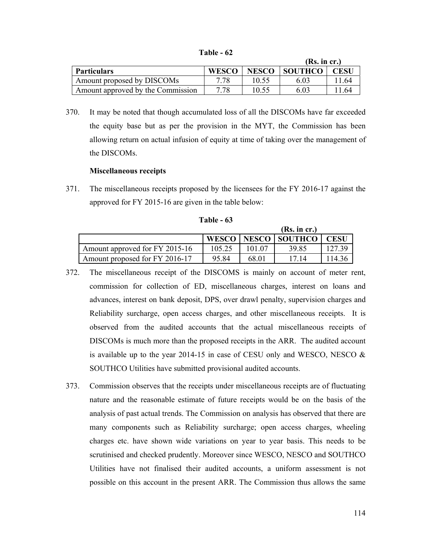| <b>Table</b> |  | 62 |
|--------------|--|----|
|--------------|--|----|

|                                   |              |              | (Rs. in cr.)   |      |
|-----------------------------------|--------------|--------------|----------------|------|
| <b>Particulars</b>                | <b>WESCO</b> | <b>NESCO</b> | <b>SOUTHCO</b> |      |
| Amount proposed by DISCOMs        | 7.78         | 10.55        | 6.03           | 1.64 |
| Amount approved by the Commission | 7.78         | 10.55        | 6.03           | 1.64 |

370. It may be noted that though accumulated loss of all the DISCOMs have far exceeded the equity base but as per the provision in the MYT, the Commission has been allowing return on actual infusion of equity at time of taking over the management of the DISCOMs.

#### **Miscellaneous receipts**

371. The miscellaneous receipts proposed by the licensees for the FY 2016-17 against the approved for FY 2015-16 are given in the table below:

|                                |        |       | (Rs. in cr.)            |             |
|--------------------------------|--------|-------|-------------------------|-------------|
|                                |        |       | WESCO   NESCO   SOUTHCO | <b>CESU</b> |
| Amount approved for FY 2015-16 | 105.25 |       | 39.85                   | 127.39      |
| Amount proposed for FY 2016-17 | 95 84  | 68 01 | 17 14                   | 14.36       |

**Table - 63** 

- 372. The miscellaneous receipt of the DISCOMS is mainly on account of meter rent, commission for collection of ED, miscellaneous charges, interest on loans and advances, interest on bank deposit, DPS, over drawl penalty, supervision charges and Reliability surcharge, open access charges, and other miscellaneous receipts. It is observed from the audited accounts that the actual miscellaneous receipts of DISCOMs is much more than the proposed receipts in the ARR. The audited account is available up to the year 2014-15 in case of CESU only and WESCO, NESCO  $\&$ SOUTHCO Utilities have submitted provisional audited accounts.
- 373. Commission observes that the receipts under miscellaneous receipts are of fluctuating nature and the reasonable estimate of future receipts would be on the basis of the analysis of past actual trends. The Commission on analysis has observed that there are many components such as Reliability surcharge; open access charges, wheeling charges etc. have shown wide variations on year to year basis. This needs to be scrutinised and checked prudently. Moreover since WESCO, NESCO and SOUTHCO Utilities have not finalised their audited accounts, a uniform assessment is not possible on this account in the present ARR. The Commission thus allows the same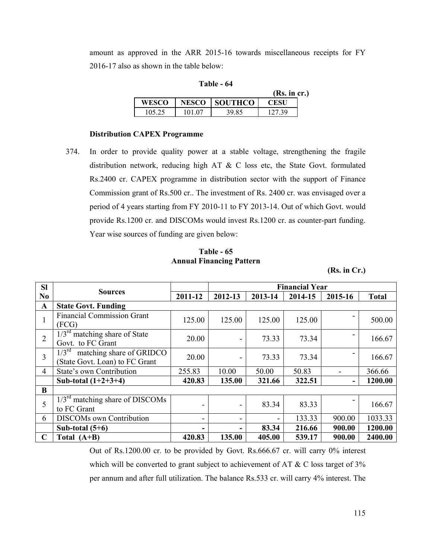amount as approved in the ARR 2015-16 towards miscellaneous receipts for FY 2016-17 also as shown in the table below:

|        |              |                | (Rs. in cr.) |  |
|--------|--------------|----------------|--------------|--|
| WESCO  | <b>NESCO</b> | <b>SOUTHCO</b> | <b>CESU</b>  |  |
| 105.25 | 101 07       | 39.85          | 127 39       |  |

#### **Table - 64**

#### **Distribution CAPEX Programme**

374. In order to provide quality power at a stable voltage, strengthening the fragile distribution network, reducing high AT & C loss etc, the State Govt. formulated Rs.2400 cr. CAPEX programme in distribution sector with the support of Finance Commission grant of Rs.500 cr.. The investment of Rs. 2400 cr. was envisaged over a period of 4 years starting from FY 2010-11 to FY 2013-14. Out of which Govt. would provide Rs.1200 cr. and DISCOMs would invest Rs.1200 cr. as counter-part funding. Year wise sources of funding are given below:

**Table - 65 Annual Financing Pattern** 

|  | (Rs. in Cr.) |
|--|--------------|
|  |              |

| <b>SI</b>      |                                                                                 |         | <b>Financial Year</b>    |                              |         |         |              |
|----------------|---------------------------------------------------------------------------------|---------|--------------------------|------------------------------|---------|---------|--------------|
| N <sub>0</sub> | <b>Sources</b>                                                                  | 2011-12 | 2012-13                  | 2013-14                      | 2014-15 | 2015-16 | <b>Total</b> |
| $\mathbf{A}$   | <b>State Govt. Funding</b>                                                      |         |                          |                              |         |         |              |
|                | <b>Financial Commission Grant</b><br>(FCG)                                      | 125.00  | 125.00                   | 125.00                       | 125.00  |         | 500.00       |
| $\overline{2}$ | $\frac{1}{3}$ <sup>rd</sup> matching share of State<br>Govt. to FC Grant        | 20.00   | $\overline{\phantom{a}}$ | 73.33                        | 73.34   |         | 166.67       |
| 3              | $1/3^{\text{rd}}$<br>matching share of GRIDCO<br>(State Govt. Loan) to FC Grant | 20.00   | $\blacksquare$           | 73.33                        | 73.34   |         | 166.67       |
| 4              | State's own Contribution                                                        | 255.83  | 10.00                    | 50.00                        | 50.83   |         | 366.66       |
|                | Sub-total $(1+2+3+4)$                                                           | 420.83  | 135.00                   | 321.66                       | 322.51  | ۰       | 1200.00      |
| B              |                                                                                 |         |                          |                              |         |         |              |
| 5              | $1/3rd$ matching share of DISCOMs<br>to FC Grant                                |         | $\overline{\phantom{a}}$ | 83.34                        | 83.33   |         | 166.67       |
| 6              | <b>DISCOMs</b> own Contribution                                                 |         | -                        | $\qquad \qquad \blacksquare$ | 133.33  | 900.00  | 1033.33      |
|                | Sub-total $(5+6)$                                                               |         | Ξ.                       | 83.34                        | 216.66  | 900.00  | 1200.00      |
| $\mathbf C$    | Total $(A+B)$                                                                   | 420.83  | 135.00                   | 405.00                       | 539.17  | 900.00  | 2400.00      |

Out of Rs.1200.00 cr. to be provided by Govt. Rs.666.67 cr. will carry 0% interest which will be converted to grant subject to achievement of AT & C loss target of 3% per annum and after full utilization. The balance Rs.533 cr. will carry 4% interest. The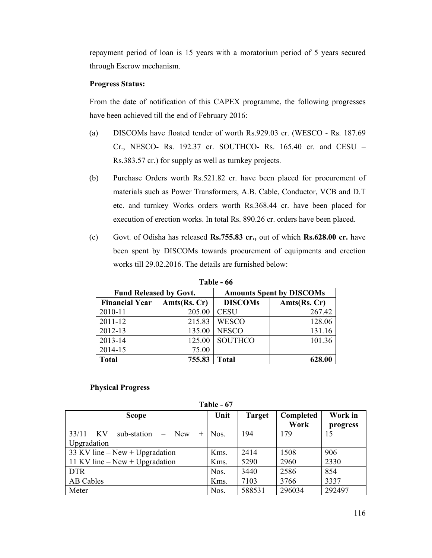repayment period of loan is 15 years with a moratorium period of 5 years secured through Escrow mechanism.

#### **Progress Status:**

From the date of notification of this CAPEX programme, the following progresses have been achieved till the end of February 2016:

- (a) DISCOMs have floated tender of worth Rs.929.03 cr. (WESCO Rs. 187.69 Cr., NESCO- Rs. 192.37 cr. SOUTHCO- Rs. 165.40 cr. and CESU – Rs.383.57 cr.) for supply as well as turnkey projects.
- (b) Purchase Orders worth Rs.521.82 cr. have been placed for procurement of materials such as Power Transformers, A.B. Cable, Conductor, VCB and D.T etc. and turnkey Works orders worth Rs.368.44 cr. have been placed for execution of erection works. In total Rs. 890.26 cr. orders have been placed.
- (c) Govt. of Odisha has released **Rs.755.83 cr.,** out of which **Rs.628.00 cr.** have been spent by DISCOMs towards procurement of equipments and erection works till 29.02.2016. The details are furnished below:

| 1 AVIC - VV                   |              |                                 |              |  |  |  |
|-------------------------------|--------------|---------------------------------|--------------|--|--|--|
| <b>Fund Released by Govt.</b> |              | <b>Amounts Spent by DISCOMs</b> |              |  |  |  |
| <b>Financial Year</b>         | Amts(Rs, Cr) | <b>DISCOMs</b>                  | Amts(Rs. Cr) |  |  |  |
| 2010-11                       | 205.00       | <b>CESU</b>                     | 267.42       |  |  |  |
| $2011 - 12$                   | 215.83       | <b>WESCO</b>                    | 128.06       |  |  |  |
| 2012-13                       | 135.00       | <b>NESCO</b>                    | 131.16       |  |  |  |
| 2013-14                       | 125.00       | <b>SOUTHCO</b>                  | 101.36       |  |  |  |
| 2014-15                       | 75.00        |                                 |              |  |  |  |
| <b>Total</b>                  | 755.83       | <b>Total</b>                    | 628.00       |  |  |  |

Table 66

#### **Physical Progress**

**Table - 67** 

| <b>Scope</b>                                                            | Unit | <b>Target</b> | Completed<br>Work | Work in<br>progress |
|-------------------------------------------------------------------------|------|---------------|-------------------|---------------------|
| 33/11<br>– KV<br>$sub-station$ –<br><b>New</b><br>$^{+}$<br>Upgradation | Nos. | 194           | 179               | 15                  |
| 33 KV line $-$ New $+$ Upgradation                                      | Kms. | 2414          | 1508              | 906                 |
| 11 KV line $-$ New $+$ Upgradation                                      | Kms. | 5290          | 2960              | 2330                |
| <b>DTR</b>                                                              | Nos. | 3440          | 2586              | 854                 |
| AB Cables                                                               | Kms. | 7103          | 3766              | 3337                |
| Meter                                                                   | Nos. | 588531        | 296034            | 292497              |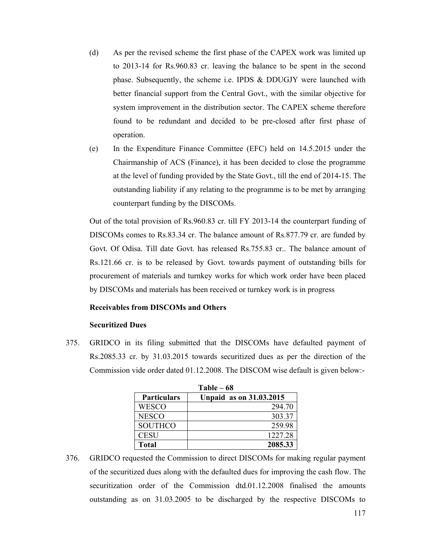- (d) As per the revised scheme the first phase of the CAPEX work was limited up to 2013-14 for Rs.960.83 cr. leaving the balance to be spent in the second phase. Subsequently, the scheme i.e. IPDS & DDUGJY were launched with better financial support from the Central Govt., with the similar objective for system improvement in the distribution sector. The CAPEX scheme therefore found to be redundant and decided to be pre-closed after first phase of operation.
- (e) In the Expenditure Finance Committee (EFC) held on 14.5.2015 under the Chairmanship of ACS (Finance), it has been decided to close the programme at the level of funding provided by the State Govt., till the end of 2014-15. The outstanding liability if any relating to the programme is to be met by arranging counterpart funding by the DISCOMs.

Out of the total provision of Rs.960.83 cr. till FY 2013-14 the counterpart funding of DISCOMs comes to Rs.83.34 cr. The balance amount of Rs.877.79 cr. are funded by Govt. Of Odisa. Till date Govt. has released Rs.755.83 cr.. The balance amount of Rs.121.66 cr. is to be released by Govt. towards payment of outstanding bills for procurement of materials and turnkey works for which work order have been placed by DISCOMs and materials has been received or turnkey work is in progress

#### **Receivables from DISCOMs and Others**

#### **Securitized Dues**

375. GRIDCO in its filing submitted that the DISCOMs have defaulted payment of Rs.2085.33 cr. by 31.03.2015 towards securitized dues as per the direction of the Commission vide order dated 01.12.2008. The DISCOM wise default is given below:-

| $Table - 68$       |                                |  |  |  |
|--------------------|--------------------------------|--|--|--|
| <b>Particulars</b> | <b>Unpaid as on 31.03.2015</b> |  |  |  |
| WESCO              | 294.70                         |  |  |  |
| <b>NESCO</b>       | 303.37                         |  |  |  |
| <b>SOUTHCO</b>     | 259.98                         |  |  |  |
| <b>CESU</b>        | 1227.28                        |  |  |  |
| <b>Total</b>       | 2085.33                        |  |  |  |

<sup>376.</sup> GRIDCO requested the Commission to direct DISCOMs for making regular payment of the securitized dues along with the defaulted dues for improving the cash flow. The securitization order of the Commission dtd.01.12.2008 finalised the amounts outstanding as on 31.03.2005 to be discharged by the respective DISCOMs to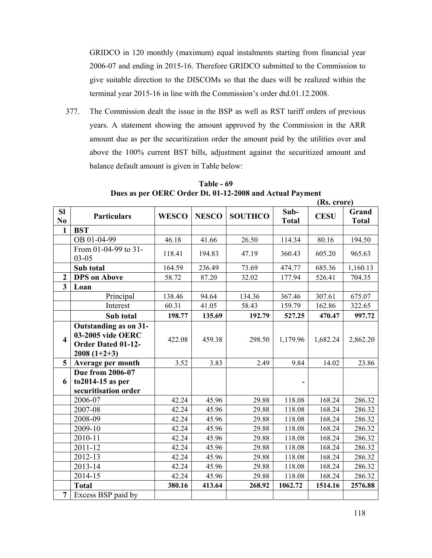GRIDCO in 120 monthly (maximum) equal instalments starting from financial year 2006-07 and ending in 2015-16. Therefore GRIDCO submitted to the Commission to give suitable direction to the DISCOMs so that the dues will be realized within the terminal year 2015-16 in line with the Commission's order dtd.01.12.2008.

377. The Commission dealt the issue in the BSP as well as RST tariff orders of previous years. A statement showing the amount approved by the Commission in the ARR amount due as per the securitization order the amount paid by the utilities over and above the 100% current BST bills, adjustment against the securitized amount and balance default amount is given in Table below:

|                             |                                                                                          |              |              |                |                      | (Rs. crore) |                       |
|-----------------------------|------------------------------------------------------------------------------------------|--------------|--------------|----------------|----------------------|-------------|-----------------------|
| <b>SI</b><br>N <sub>0</sub> | <b>Particulars</b>                                                                       | <b>WESCO</b> | <b>NESCO</b> | <b>SOUTHCO</b> | Sub-<br><b>Total</b> | <b>CESU</b> | Grand<br><b>Total</b> |
| 1                           | <b>BST</b>                                                                               |              |              |                |                      |             |                       |
|                             | OB 01-04-99                                                                              | 46.18        | 41.66        | 26.50          | 114.34               | 80.16       | 194.50                |
|                             | From 01-04-99 to 31-<br>$03 - 05$                                                        | 118.41       | 194.83       | 47.19          | 360.43               | 605.20      | 965.63                |
|                             | Sub total                                                                                | 164.59       | 236.49       | 73.69          | 474.77               | 685.36      | 1,160.13              |
| $\boldsymbol{2}$            | <b>DPS</b> on Above                                                                      | 58.72        | 87.20        | 32.02          | 177.94               | 526.41      | 704.35                |
| $\overline{\mathbf{3}}$     | Loan                                                                                     |              |              |                |                      |             |                       |
|                             | Principal                                                                                | 138.46       | 94.64        | 134.36         | 367.46               | 307.61      | 675.07                |
|                             | Interest                                                                                 | 60.31        | 41.05        | 58.43          | 159.79               | 162.86      | 322.65                |
|                             | Sub total                                                                                | 198.77       | 135.69       | 192.79         | 527.25               | 470.47      | 997.72                |
| $\overline{\mathbf{4}}$     | Outstanding as on 31-<br>03-2005 vide OERC<br><b>Order Dated 01-12-</b><br>$2008(1+2+3)$ | 422.08       | 459.38       | 298.50         | 1,179.96             | 1,682.24    | 2,862.20              |
| 5                           | Average per month                                                                        | 3.52         | 3.83         | 2.49           | 9.84                 | 14.02       | 23.86                 |
| 6                           | Due from 2006-07<br>to 2014-15 as per<br>securitisation order                            |              |              |                |                      |             |                       |
|                             | 2006-07                                                                                  | 42.24        | 45.96        | 29.88          | 118.08               | 168.24      | 286.32                |
|                             | 2007-08                                                                                  | 42.24        | 45.96        | 29.88          | 118.08               | 168.24      | 286.32                |
|                             | 2008-09                                                                                  | 42.24        | 45.96        | 29.88          | 118.08               | 168.24      | 286.32                |
|                             | 2009-10                                                                                  | 42.24        | 45.96        | 29.88          | 118.08               | 168.24      | 286.32                |
|                             | 2010-11                                                                                  | 42.24        | 45.96        | 29.88          | 118.08               | 168.24      | 286.32                |
|                             | 2011-12                                                                                  | 42.24        | 45.96        | 29.88          | 118.08               | 168.24      | 286.32                |
|                             | 2012-13                                                                                  | 42.24        | 45.96        | 29.88          | 118.08               | 168.24      | 286.32                |
|                             | 2013-14                                                                                  | 42.24        | 45.96        | 29.88          | 118.08               | 168.24      | 286.32                |
|                             | 2014-15                                                                                  | 42.24        | 45.96        | 29.88          | 118.08               | 168.24      | 286.32                |
|                             | <b>Total</b>                                                                             | 380.16       | 413.64       | 268.92         | 1062.72              | 1514.16     | 2576.88               |
| $\overline{7}$              | Excess BSP paid by                                                                       |              |              |                |                      |             |                       |

**Table - 69 Dues as per OERC Order Dt. 01-12-2008 and Actual Payment**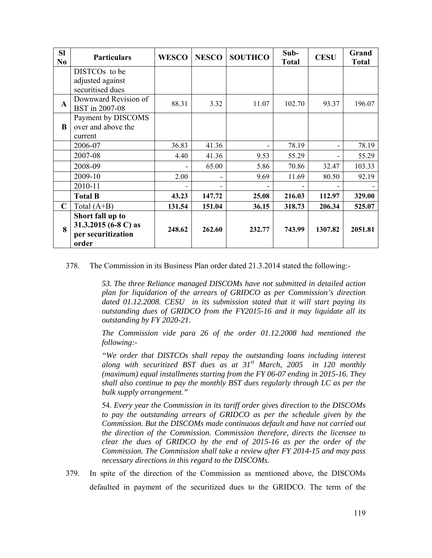| <b>SI</b><br>No | <b>Particulars</b>                                                      | <b>WESCO</b> | <b>NESCO</b> | <b>SOUTHCO</b> | Sub-<br><b>Total</b> | <b>CESU</b>              | Grand<br><b>Total</b> |
|-----------------|-------------------------------------------------------------------------|--------------|--------------|----------------|----------------------|--------------------------|-----------------------|
|                 | DISTCO <sub>s</sub> to be                                               |              |              |                |                      |                          |                       |
|                 | adjusted against<br>securitised dues                                    |              |              |                |                      |                          |                       |
| $\mathbf{A}$    | Downward Revision of<br>BST in 2007-08                                  | 88.31        | 3.32         | 11.07          | 102.70               | 93.37                    | 196.07                |
| B               | Payment by DISCOMS<br>over and above the                                |              |              |                |                      |                          |                       |
|                 | current<br>2006-07                                                      | 36.83        | 41.36        |                | 78.19                | $\overline{\phantom{0}}$ | 78.19                 |
|                 | 2007-08                                                                 | 4.40         | 41.36        | 9.53           | 55.29                |                          | 55.29                 |
|                 | 2008-09                                                                 |              | 65.00        | 5.86           | 70.86                | 32.47                    | 103.33                |
|                 | 2009-10                                                                 | 2.00         |              | 9.69           | 11.69                | 80.50                    | 92.19                 |
|                 | 2010-11                                                                 |              |              |                |                      |                          |                       |
|                 | <b>Total B</b>                                                          | 43.23        | 147.72       | 25.08          | 216.03               | 112.97                   | 329.00                |
| $\mathbf C$     | Total $(A+B)$                                                           | 131.54       | 151.04       | 36.15          | 318.73               | 206.34                   | 525.07                |
| 8               | Short fall up to<br>31.3.2015 (6-8 C) as<br>per securitization<br>order | 248.62       | 262.60       | 232.77         | 743.99               | 1307.82                  | 2051.81               |

378. The Commission in its Business Plan order dated 21.3.2014 stated the following:-

*53. The three Reliance managed DISCOMs have not submitted in detailed action plan for liquidation of the arrears of GRIDCO as per Commission's direction dated 01.12.2008. CESU in its submission stated that it will start paying its outstanding dues of GRIDCO from the FY2015-16 and it may liquidate all its outstanding by FY 2020-21.* 

*The Commission vide para 26 of the order 01.12.2008 had mentioned the following:-* 

*"We order that DISTCOs shall repay the outstanding loans including interest along with securitized BST dues as at 31st March, 2005 in 120 monthly (maximum) equal installments starting from the FY 06-07 ending in 2015-16. They shall also continue to pay the monthly BST dues regularly through LC as per the bulk supply arrangement."* 

54. *Every year the Commission in its tariff order gives direction to the DISCOMs to pay the outstanding arrears of GRIDCO as per the schedule given by the Commission. But the DISCOMs made continuous default and have not carried out the direction of the Commission. Commission therefore, directs the licensee to clear the dues of GRIDCO by the end of 2015-16 as per the order of the Commission. The Commission shall take a review after FY 2014-15 and may pass necessary directions in this regard to the DISCOMs.*

379. In spite of the direction of the Commission as mentioned above, the DISCOMs defaulted in payment of the securitized dues to the GRIDCO. The term of the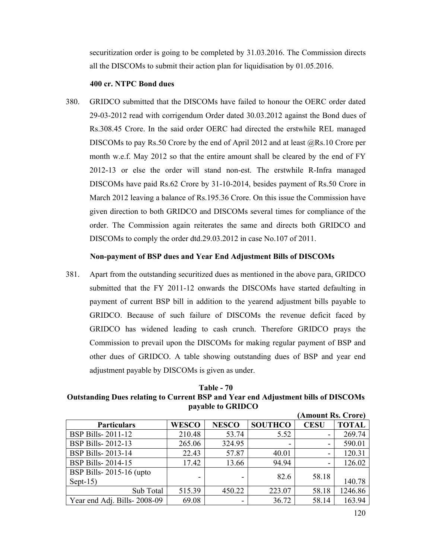securitization order is going to be completed by 31.03.2016. The Commission directs all the DISCOMs to submit their action plan for liquidisation by 01.05.2016.

#### **400 cr. NTPC Bond dues**

380. GRIDCO submitted that the DISCOMs have failed to honour the OERC order dated 29-03-2012 read with corrigendum Order dated 30.03.2012 against the Bond dues of Rs.308.45 Crore. In the said order OERC had directed the erstwhile REL managed DISCOMs to pay Rs.50 Crore by the end of April 2012 and at least  $@Rs.10$  Crore per month w.e.f. May 2012 so that the entire amount shall be cleared by the end of FY 2012-13 or else the order will stand non-est. The erstwhile R-Infra managed DISCOMs have paid Rs.62 Crore by 31-10-2014, besides payment of Rs.50 Crore in March 2012 leaving a balance of Rs.195.36 Crore. On this issue the Commission have given direction to both GRIDCO and DISCOMs several times for compliance of the order. The Commission again reiterates the same and directs both GRIDCO and DISCOMs to comply the order dtd.29.03.2012 in case No.107 of 2011.

#### **Non-payment of BSP dues and Year End Adjustment Bills of DISCOMs**

381. Apart from the outstanding securitized dues as mentioned in the above para, GRIDCO submitted that the FY 2011-12 onwards the DISCOMs have started defaulting in payment of current BSP bill in addition to the yearend adjustment bills payable to GRIDCO. Because of such failure of DISCOMs the revenue deficit faced by GRIDCO has widened leading to cash crunch. Therefore GRIDCO prays the Commission to prevail upon the DISCOMs for making regular payment of BSP and other dues of GRIDCO. A table showing outstanding dues of BSP and year end adjustment payable by DISCOMs is given as under.

## **Table - 70 Outstanding Dues relating to Current BSP and Year end Adjustment bills of DISCOMs payable to GRIDCO**

|                             |              |              |                | (Amount Rs. Crore)       |              |
|-----------------------------|--------------|--------------|----------------|--------------------------|--------------|
| <b>Particulars</b>          | <b>WESCO</b> | <b>NESCO</b> | <b>SOUTHCO</b> | <b>CESU</b>              | <b>TOTAL</b> |
| <b>BSP Bills-2011-12</b>    | 210.48       | 53.74        | 5.52           |                          | 269.74       |
| <b>BSP Bills-2012-13</b>    | 265.06       | 324.95       |                |                          | 590.01       |
| <b>BSP Bills-2013-14</b>    | 22.43        | 57.87        | 40.01          | $\overline{\phantom{0}}$ | 120.31       |
| <b>BSP Bills-2014-15</b>    | 17.42        | 13.66        | 94.94          |                          | 126.02       |
| BSP Bills-2015-16 (upto     |              |              | 82.6           | 58.18                    |              |
| Sept- $15$ )                |              |              |                |                          | 140.78       |
| Sub Total                   | 515.39       | 450.22       | 223.07         | 58.18                    | 1246.86      |
| Year end Adj. Bills-2008-09 | 69.08        |              | 36.72          | 58.14                    | 163.94       |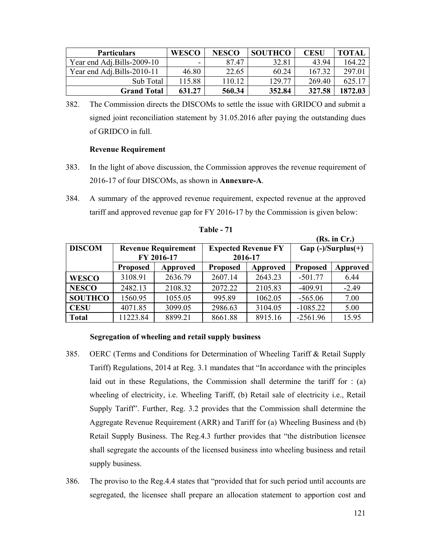| <b>Particulars</b>          | <b>WESCO</b> | <b>NESCO</b> | <b>SOUTHCO</b> | CESU   | <b>TOTAL</b> |
|-----------------------------|--------------|--------------|----------------|--------|--------------|
| Year end Adj.Bills-2009-10  | -            | 8747         | 32.81          | 43.94  | 164.22       |
| Year end Adj. Bills-2010-11 | 46.80        | 22.65        | 60.24          | 167.32 | 297.01       |
| Sub Total                   | 115.88       | 110.12       | 129 77         | 269.40 | 625 17       |
| <b>Grand Total</b>          | 631.27       | 560.34       | 352.84         | 327.58 | 1872.03      |

382. The Commission directs the DISCOMs to settle the issue with GRIDCO and submit a signed joint reconciliation statement by 31.05.2016 after paying the outstanding dues of GRIDCO in full.

## **Revenue Requirement**

- 383. In the light of above discussion, the Commission approves the revenue requirement of 2016-17 of four DISCOMs, as shown in **Annexure-A**.
- 384. A summary of the approved revenue requirement, expected revenue at the approved tariff and approved revenue gap for FY 2016-17 by the Commission is given below:

|                |                            |            |                 |                            |                 | (KS. IN UT.)          |  |
|----------------|----------------------------|------------|-----------------|----------------------------|-----------------|-----------------------|--|
| <b>DISCOM</b>  | <b>Revenue Requirement</b> |            |                 | <b>Expected Revenue FY</b> |                 | $Gap (-)/Surplus (+)$ |  |
|                |                            | FY 2016-17 | 2016-17         |                            |                 |                       |  |
|                | <b>Proposed</b>            | Approved   | <b>Proposed</b> | Approved                   | <b>Proposed</b> | Approved              |  |
| <b>WESCO</b>   | 3108.91                    | 2636.79    | 2607.14         | 2643.23                    | $-501.77$       | 6.44                  |  |
| <b>NESCO</b>   | 2482.13                    | 2108.32    | 2072.22         | 2105.83                    | $-409.91$       | $-2.49$               |  |
| <b>SOUTHCO</b> | 1560.95                    | 1055.05    | 995.89          | 1062.05                    | $-565.06$       | 7.00                  |  |
| <b>CESU</b>    | 4071.85                    | 3099.05    | 2986.63         | 3104.05                    | $-1085.22$      | 5.00                  |  |
| <b>Total</b>   | 11223.84                   | 8899.21    | 8661.88         | 8915.16                    | $-2561.96$      | 15.95                 |  |

| abl |  |
|-----|--|
|-----|--|

## **Segregation of wheeling and retail supply business**

- 385. OERC (Terms and Conditions for Determination of Wheeling Tariff & Retail Supply Tariff) Regulations, 2014 at Reg. 3.1 mandates that "In accordance with the principles laid out in these Regulations, the Commission shall determine the tariff for : (a) wheeling of electricity, i.e. Wheeling Tariff, (b) Retail sale of electricity i.e., Retail Supply Tariff". Further, Reg. 3.2 provides that the Commission shall determine the Aggregate Revenue Requirement (ARR) and Tariff for (a) Wheeling Business and (b) Retail Supply Business. The Reg.4.3 further provides that "the distribution licensee shall segregate the accounts of the licensed business into wheeling business and retail supply business.
- 386. The proviso to the Reg.4.4 states that "provided that for such period until accounts are segregated, the licensee shall prepare an allocation statement to apportion cost and

**(Rs. in Cr.)**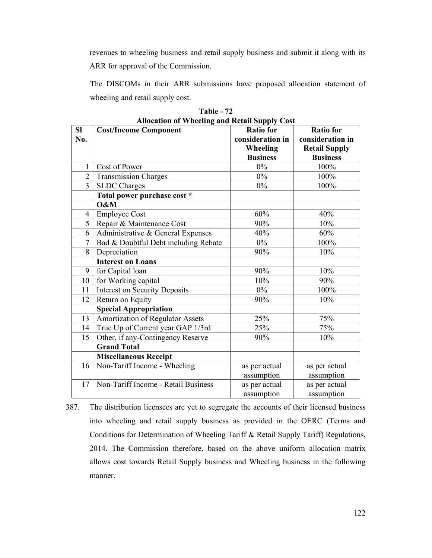revenues to wheeling business and retail supply business and submit it along with its ARR for approval of the Commission.

The DISCOMs in their ARR submissions have proposed allocation statement of wheeling and retail supply cost.

| <b>SI</b>      | $\mu$ and a $\mu$ and $\mu$ and $\mu$ and $\mu$ and $\mu$<br><b>Cost/Income Component</b> | <b>Ratio for</b> | <b>Ratio for</b>     |
|----------------|-------------------------------------------------------------------------------------------|------------------|----------------------|
| No.            |                                                                                           | consideration in | consideration in     |
|                |                                                                                           | Wheeling         | <b>Retail Supply</b> |
|                |                                                                                           | <b>Business</b>  | <b>Business</b>      |
| 1              | Cost of Power                                                                             | $0\%$            | 100%                 |
| $\overline{2}$ | Transmission Charges                                                                      | $0\%$            | 100%                 |
| 3              | <b>SLDC</b> Charges                                                                       | $0\%$            | 100%                 |
|                | Total power purchase cost *                                                               |                  |                      |
|                | O&M                                                                                       |                  |                      |
| 4              | Employee Cost                                                                             | 60%              | 40%                  |
| 5              | Repair & Maintenance Cost                                                                 | 90%              | 10%                  |
| 6              | Administrative & General Expenses                                                         | 40%              | 60%                  |
| $\overline{7}$ | Bad & Doubtful Debt including Rebate                                                      | $0\%$            | 100%                 |
| 8              | Depreciation                                                                              | 90%              | 10%                  |
|                | <b>Interest on Loans</b>                                                                  |                  |                      |
| 9              | for Capital loan                                                                          | 90%              | 10%                  |
| 10             | for Working capital                                                                       | 10%              | 90%                  |
| 11             | <b>Interest on Security Deposits</b>                                                      | $0\%$            | 100%                 |
| 12             | Return on Equity                                                                          | 90%              | 10%                  |
|                | <b>Special Appropriation</b>                                                              |                  |                      |
| 13             | Amortization of Regulator Assets                                                          | 25%              | 75%                  |
| 14             | True Up of Current year GAP 1/3rd                                                         | 25%              | 75%                  |
| 15             | Other, if any-Contingency Reserve                                                         | 90%              | 10%                  |
|                | <b>Grand Total</b>                                                                        |                  |                      |
|                | <b>Miscellaneous Receipt</b>                                                              |                  |                      |
| 16             | Non-Tariff Income - Wheeling                                                              | as per actual    | as per actual        |
|                |                                                                                           | assumption       | assumption           |
| 17             | Non-Tariff Income - Retail Business                                                       | as per actual    | as per actual        |
|                |                                                                                           | assumption       | assumption           |

**Table - 72 Allocation of Wheeling and Retail Supply Cost** 

387. The distribution licensees are yet to segregate the accounts of their licensed business into wheeling and retail supply business as provided in the OERC (Terms and Conditions for Determination of Wheeling Tariff & Retail Supply Tariff) Regulations, 2014. The Commission therefore, based on the above uniform allocation matrix allows cost towards Retail Supply business and Wheeling business in the following manner.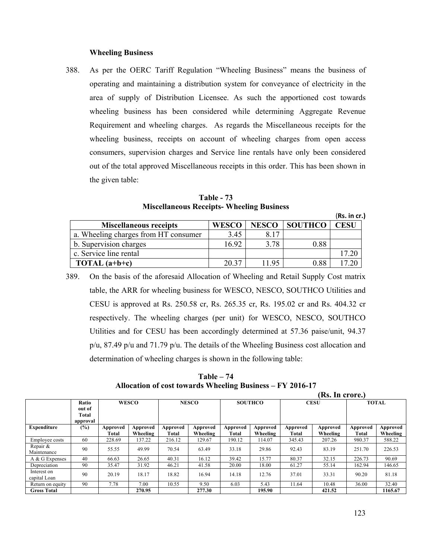#### **Wheeling Business**

388. As per the OERC Tariff Regulation "Wheeling Business" means the business of operating and maintaining a distribution system for conveyance of electricity in the area of supply of Distribution Licensee. As such the apportioned cost towards wheeling business has been considered while determining Aggregate Revenue Requirement and wheeling charges. As regards the Miscellaneous receipts for the wheeling business, receipts on account of wheeling charges from open access consumers, supervision charges and Service line rentals have only been considered out of the total approved Miscellaneous receipts in this order. This has been shown in the given table:

**Table - 73 Miscellaneous Receipts- Wheeling Business** 

|                                      |              |              |                | (Rs. in cr.) |
|--------------------------------------|--------------|--------------|----------------|--------------|
| <b>Miscellaneous receipts</b>        | <b>WESCO</b> | <b>NESCO</b> | <b>SOUTHCO</b> | <b>CESU</b>  |
| a. Wheeling charges from HT consumer | 3.45         | 8 1 7        |                |              |
| b. Supervision charges               | 16.92        | 3.78         | 0.88           |              |
| c. Service line rental               |              |              |                | 17.20        |
| TOTAL $(a+b+c)$                      | 20 37        | 1195         | 0.88           |              |

389. On the basis of the aforesaid Allocation of Wheeling and Retail Supply Cost matrix table, the ARR for wheeling business for WESCO, NESCO, SOUTHCO Utilities and CESU is approved at Rs. 250.58 cr, Rs. 265.35 cr, Rs. 195.02 cr and Rs. 404.32 cr respectively. The wheeling charges (per unit) for WESCO, NESCO, SOUTHCO Utilities and for CESU has been accordingly determined at 57.36 paise/unit, 94.37 p/u, 87.49 p/u and 71.79 p/u. The details of the Wheeling Business cost allocation and determination of wheeling charges is shown in the following table:

**Table – 74 Allocation of cost towards Wheeling Business – FY 2016-17** 

|                             |                                      |                   |                      |                   |                      |                   |                      |                   | (Rs. In crore.)      |                   |                      |
|-----------------------------|--------------------------------------|-------------------|----------------------|-------------------|----------------------|-------------------|----------------------|-------------------|----------------------|-------------------|----------------------|
|                             | Ratio<br>out of<br>Total<br>approval |                   | <b>WESCO</b>         |                   | <b>NESCO</b>         |                   | <b>SOUTHCO</b>       |                   | <b>CESU</b>          |                   | <b>TOTAL</b>         |
| <b>Expenditure</b>          | $(\%)$                               | Approved<br>Total | Approved<br>Wheeling | Approved<br>Total | Approved<br>Wheeling | Approved<br>Total | Approved<br>Wheeling | Approved<br>Total | Approved<br>Wheeling | Approved<br>Total | Approved<br>Wheeling |
| Employee costs              | 60                                   | 228.69            | 137.22               | 216.12            | 129.67               | 190.12            | 114.07               | 345.43            | 207.26               | 980.37            | 588.22               |
| Repair &<br>Maintenance     | 90                                   | 55.55             | 49.99                | 70.54             | 63.49                | 33.18             | 29.86                | 92.43             | 83.19                | 251.70            | 226.53               |
| A & G Expenses              | 40                                   | 66.63             | 26.65                | 40.31             | 16.12                | 39.42             | 15.77                | 80.37             | 32.15                | 226.73            | 90.69                |
| Depreciation                | 90                                   | 35.47             | 31.92                | 46.21             | 41.58                | 20.00             | 18.00                | 61.27             | 55.14                | 162.94            | 146.65               |
| Interest on<br>capital Loan | 90                                   | 20.19             | 18.17                | 18.82             | 16.94                | 14.18             | 12.76                | 37.01             | 33.31                | 90.20             | 81.18                |
| Return on equity            | 90                                   | 7.78              | 7.00                 | 10.55             | 9.50                 | 6.03              | 5.43                 | 11.64             | 10.48                | 36.00             | 32.40                |
| <b>Gross Total</b>          |                                      |                   | 270.95               |                   | 277.30               |                   | 195.90               |                   | 421.52               |                   | 1165.67              |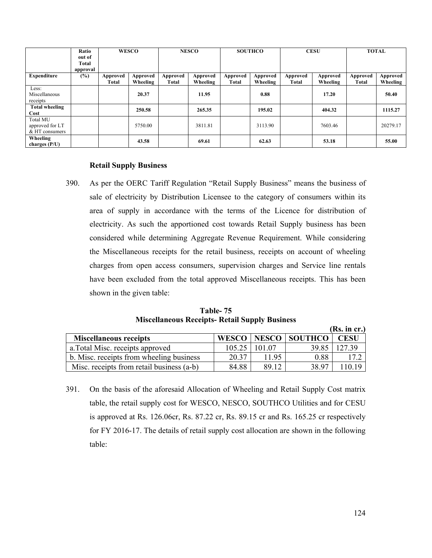|                       | Ratio    | <b>WESCO</b> |          | <b>NESCO</b> |          | <b>SOUTHCO</b> |          | <b>CESU</b> |          | <b>TOTAL</b> |          |
|-----------------------|----------|--------------|----------|--------------|----------|----------------|----------|-------------|----------|--------------|----------|
|                       | out of   |              |          |              |          |                |          |             |          |              |          |
|                       | Total    |              |          |              |          |                |          |             |          |              |          |
|                       | approval |              |          |              |          |                |          |             |          |              |          |
| <b>Expenditure</b>    | (%)      | Approved     | Approved | Approved     | Approved | Approved       | Approved | Approved    | Approved | Approved     | Approved |
|                       |          | Total        | Wheeling | Total        | Wheeling | <b>Total</b>   | Wheeling | Total       | Wheeling | Total        | Wheeling |
| Less:                 |          |              |          |              |          |                |          |             |          |              |          |
| Miscellaneous         |          |              | 20.37    |              | 11.95    |                | 0.88     |             | 17.20    |              | 50.40    |
| receipts              |          |              |          |              |          |                |          |             |          |              |          |
| <b>Total wheeling</b> |          |              | 250.58   |              | 265.35   |                | 195.02   |             | 404.32   |              | 1115.27  |
| Cost                  |          |              |          |              |          |                |          |             |          |              |          |
| <b>Total MU</b>       |          |              |          |              |          |                |          |             |          |              |          |
| approved for LT       |          |              | 5750.00  |              | 3811.81  |                | 3113.90  |             | 7603.46  |              | 20279.17 |
| & HT consumers        |          |              |          |              |          |                |          |             |          |              |          |
| Wheeling              |          |              | 43.58    |              | 69.61    |                | 62.63    |             | 53.18    |              | 55.00    |
| charges $(P/U)$       |          |              |          |              |          |                |          |             |          |              |          |

#### **Retail Supply Business**

390. As per the OERC Tariff Regulation "Retail Supply Business" means the business of sale of electricity by Distribution Licensee to the category of consumers within its area of supply in accordance with the terms of the Licence for distribution of electricity. As such the apportioned cost towards Retail Supply business has been considered while determining Aggregate Revenue Requirement. While considering the Miscellaneous receipts for the retail business, receipts on account of wheeling charges from open access consumers, supervision charges and Service line rentals have been excluded from the total approved Miscellaneous receipts. This has been shown in the given table:

**Table- 75 Miscellaneous Receipts- Retail Supply Business** 

|                                           |              |        |               | (Rs. in cr.) |
|-------------------------------------------|--------------|--------|---------------|--------------|
| <b>Miscellaneous receipts</b>             | <b>WESCO</b> |        | NESCO SOUTHCO | <b>CESU</b>  |
| a. Total Misc. receipts approved          | 105.25       | 101 07 | 39.85         | 127.39       |
| b. Misc. receipts from wheeling business  | 20.37        | 11.95  | 0.88          | 17.2         |
| Misc. receipts from retail business (a-b) | 84.88        | 89 12  | 38.97         |              |

391. On the basis of the aforesaid Allocation of Wheeling and Retail Supply Cost matrix table, the retail supply cost for WESCO, NESCO, SOUTHCO Utilities and for CESU is approved at Rs. 126.06cr, Rs. 87.22 cr, Rs. 89.15 cr and Rs. 165.25 cr respectively for FY 2016-17. The details of retail supply cost allocation are shown in the following table: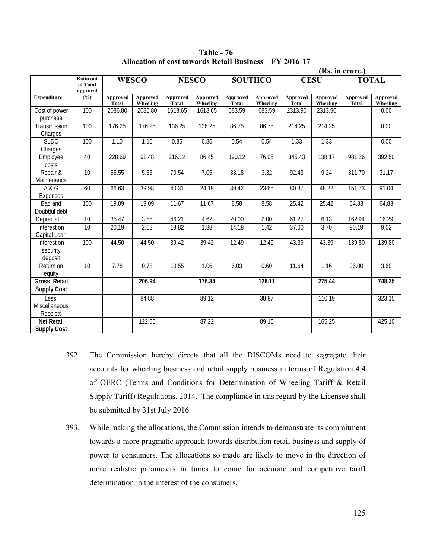|                                           |                                   |                          |                      |                          |                      |                          |                      |                          |                      | (Rs. in crore.)          |                      |
|-------------------------------------------|-----------------------------------|--------------------------|----------------------|--------------------------|----------------------|--------------------------|----------------------|--------------------------|----------------------|--------------------------|----------------------|
|                                           | Ratio out<br>of Total<br>approval |                          | <b>WESCO</b>         |                          | <b>NESCO</b>         |                          | <b>SOUTHCO</b>       |                          | <b>CESU</b>          |                          | <b>TOTAL</b>         |
| <b>Expenditure</b>                        | (%)                               | Approved<br><b>Total</b> | Approved<br>Wheeling | Approved<br><b>Total</b> | Approved<br>Wheeling | Approved<br><b>Total</b> | Approved<br>Wheeling | Approved<br><b>Total</b> | Approved<br>Wheeling | Approved<br><b>Total</b> | Approved<br>Wheeling |
| Cost of power<br>purchase                 | 100                               | 2086.80                  | 2086.80              | 1618.65                  | 1618.65              | 683.59                   | 683.59               | 2313.90                  | 2313.90              |                          | 0.00                 |
| Transmission<br>Charges                   | 100                               | 176.25                   | 176.25               | 136.25                   | 136.25               | 86.75                    | 86.75                | 214.25                   | 214.25               |                          | 0.00                 |
| <b>SLDC</b><br>Charges                    | 100                               | 1.10                     | 1.10                 | 0.85                     | 0.85                 | 0.54                     | 0.54                 | 1.33                     | 1.33                 |                          | 0.00                 |
| Employee<br>costs                         | 40                                | 228.69                   | 91.48                | 216.12                   | 86.45                | 190.12                   | 76.05                | 345.43                   | 138.17               | 981.26                   | 392.50               |
| Repair &<br>Maintenance                   | $\overline{10}$                   | 55.55                    | 5.55                 | 70.54                    | 7.05                 | 33.18                    | 3.32                 | 92.43                    | 9.24                 | 311.70                   | 31.17                |
| A & G<br>Expenses                         | 60                                | 66.63                    | 39.98                | 40.31                    | 24.19                | 39.42                    | 23.65                | 80.37                    | 48.22                | 151.73                   | 91.04                |
| Bad and<br>Doubtful debt                  | 100                               | 19.09                    | 19.09                | 11.67                    | 11.67                | 8.58                     | 8.58                 | 25.42                    | 25.42                | 64.83                    | 64.83                |
| Depreciation                              | 10                                | 35.47                    | 3.55                 | 46.21                    | 4.62                 | 20.00                    | 2.00                 | 61.27                    | 6.13                 | 162.94                   | 16.29                |
| Interest on<br>Capital Loan               | 10                                | 20.19                    | 2.02                 | 18.82                    | 1.88                 | 14.18                    | 1.42                 | 37.00                    | 3.70                 | 90.19                    | 9.02                 |
| Interest on<br>security<br>deposit        | 100                               | 44.50                    | 44.50                | 39.42                    | 39.42                | 12.49                    | 12.49                | 43.39                    | 43.39                | 139.80                   | 139.80               |
| Return on<br>equity                       | $\overline{10}$                   | 7.78                     | 0.78                 | 10.55                    | 1.06                 | 6.03                     | 0.60                 | 11.64                    | 1.16                 | 36.00                    | 3.60                 |
| <b>Gross Retail</b><br><b>Supply Cost</b> |                                   |                          | 206.94               |                          | 176.34               |                          | 128.11               |                          | 275.44               |                          | 748.25               |
| Less:<br>Miscellaneous<br>Receipts        |                                   |                          | 84.88                |                          | 89.12                |                          | 38.97                |                          | 110.19               |                          | 323.15               |
| Net Retail<br><b>Supply Cost</b>          |                                   |                          | 122.06               |                          | 87.22                |                          | 89.15                |                          | 165.25               |                          | 425.10               |

**Table - 76 Allocation of cost towards Retail Business – FY 2016-17** 

- 392. The Commission hereby directs that all the DISCOMs need to segregate their accounts for wheeling business and retail supply business in terms of Regulation 4.4 of OERC (Terms and Conditions for Determination of Wheeling Tariff & Retail Supply Tariff) Regulations, 2014. The compliance in this regard by the Licensee shall be submitted by 31st July 2016.
- 393. While making the allocations, the Commission intends to demonstrate its commitment towards a more pragmatic approach towards distribution retail business and supply of power to consumers. The allocations so made are likely to move in the direction of more realistic parameters in times to come for accurate and competitive tariff determination in the interest of the consumers.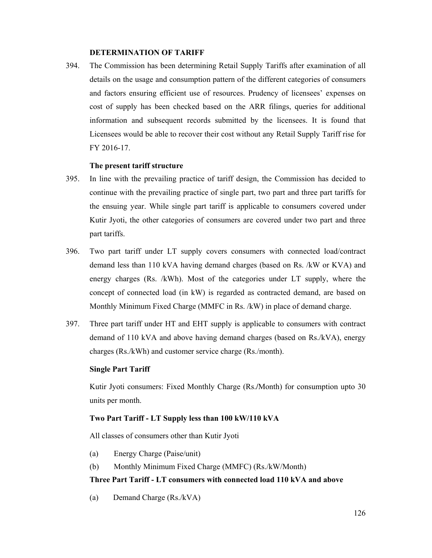#### **DETERMINATION OF TARIFF**

394. The Commission has been determining Retail Supply Tariffs after examination of all details on the usage and consumption pattern of the different categories of consumers and factors ensuring efficient use of resources. Prudency of licensees' expenses on cost of supply has been checked based on the ARR filings, queries for additional information and subsequent records submitted by the licensees. It is found that Licensees would be able to recover their cost without any Retail Supply Tariff rise for FY 2016-17.

#### **The present tariff structure**

- 395. In line with the prevailing practice of tariff design, the Commission has decided to continue with the prevailing practice of single part, two part and three part tariffs for the ensuing year. While single part tariff is applicable to consumers covered under Kutir Jyoti, the other categories of consumers are covered under two part and three part tariffs.
- 396. Two part tariff under LT supply covers consumers with connected load/contract demand less than 110 kVA having demand charges (based on Rs. /kW or KVA) and energy charges (Rs. /kWh). Most of the categories under LT supply, where the concept of connected load (in kW) is regarded as contracted demand, are based on Monthly Minimum Fixed Charge (MMFC in Rs. /kW) in place of demand charge.
- 397. Three part tariff under HT and EHT supply is applicable to consumers with contract demand of 110 kVA and above having demand charges (based on Rs./kVA), energy charges (Rs./kWh) and customer service charge (Rs./month).

#### **Single Part Tariff**

Kutir Jyoti consumers: Fixed Monthly Charge (Rs.**/**Month) for consumption upto 30 units per month.

## **Two Part Tariff - LT Supply less than 100 kW/110 kVA**

All classes of consumers other than Kutir Jyoti

- (a) Energy Charge (Paise/unit)
- (b) Monthly Minimum Fixed Charge (MMFC) (Rs./kW/Month)

#### **Three Part Tariff - LT consumers with connected load 110 kVA and above**

(a) Demand Charge (Rs./kVA)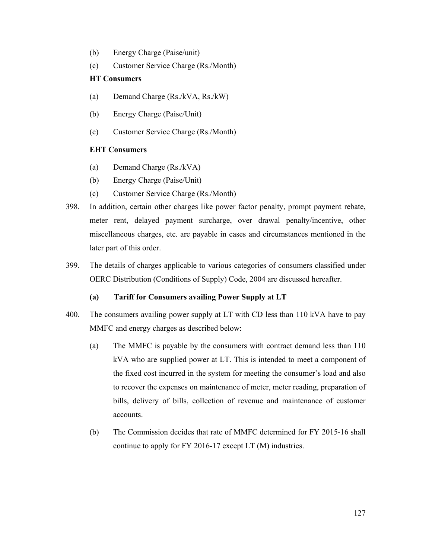- (b) Energy Charge (Paise/unit)
- (c) Customer Service Charge (Rs./Month)

## **HT Consumers**

- (a) Demand Charge (Rs./kVA, Rs./kW)
- (b) Energy Charge (Paise/Unit)
- (c) Customer Service Charge (Rs./Month)

## **EHT Consumers**

- (a) Demand Charge (Rs./kVA)
- (b) Energy Charge (Paise/Unit)
- (c) Customer Service Charge (Rs./Month)
- 398. In addition, certain other charges like power factor penalty, prompt payment rebate, meter rent, delayed payment surcharge, over drawal penalty/incentive, other miscellaneous charges, etc. are payable in cases and circumstances mentioned in the later part of this order.
- 399. The details of charges applicable to various categories of consumers classified under OERC Distribution (Conditions of Supply) Code, 2004 are discussed hereafter.

## **(a) Tariff for Consumers availing Power Supply at LT**

- 400. The consumers availing power supply at LT with CD less than 110 kVA have to pay MMFC and energy charges as described below:
	- (a) The MMFC is payable by the consumers with contract demand less than 110 kVA who are supplied power at LT. This is intended to meet a component of the fixed cost incurred in the system for meeting the consumer's load and also to recover the expenses on maintenance of meter, meter reading, preparation of bills, delivery of bills, collection of revenue and maintenance of customer accounts.
	- (b) The Commission decides that rate of MMFC determined for FY 2015-16 shall continue to apply for FY 2016-17 except LT (M) industries.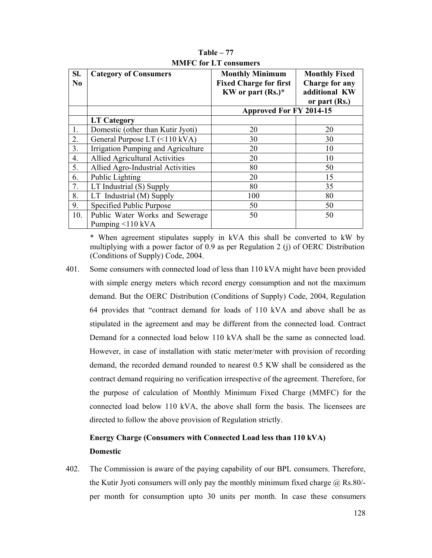| SI.<br>N <sub>0</sub> | <b>Category of Consumers</b>          | <b>Monthly Minimum</b><br><b>Fixed Charge for first</b><br>KW or part $(Rs.)^*$ | <b>Monthly Fixed</b><br>Charge for any<br>additional KW<br>or part (Rs.) |  |
|-----------------------|---------------------------------------|---------------------------------------------------------------------------------|--------------------------------------------------------------------------|--|
|                       |                                       | <b>Approved For FY 2014-15</b>                                                  |                                                                          |  |
|                       | <b>LT Category</b>                    |                                                                                 |                                                                          |  |
| 1.                    | Domestic (other than Kutir Jyoti)     | 20                                                                              | 20                                                                       |  |
| 2.                    | General Purpose LT (<110 kVA)         | 30                                                                              | 30                                                                       |  |
| 3.                    | Irrigation Pumping and Agriculture    | 20                                                                              | 10                                                                       |  |
| 4.                    | <b>Allied Agricultural Activities</b> | 20                                                                              | 10                                                                       |  |
| 5.                    | Allied Agro-Industrial Activities     | 80                                                                              | 50                                                                       |  |
| 6.                    | Public Lighting                       | 20                                                                              | 15                                                                       |  |
| 7.                    | LT Industrial (S) Supply              | 80                                                                              | 35                                                                       |  |
| 8.                    | LT Industrial (M) Supply              | 100                                                                             | 80                                                                       |  |
| 9.                    | Specified Public Purpose              | 50                                                                              | 50                                                                       |  |
| 10.                   | Public Water Works and Sewerage       | 50                                                                              | 50                                                                       |  |
|                       | Pumping <110 kVA                      |                                                                                 |                                                                          |  |

**Table – 77 MMFC for LT consumers** 

\* When agreement stipulates supply in kVA this shall be converted to kW by multiplying with a power factor of 0.9 as per Regulation 2 (j) of OERC Distribution (Conditions of Supply) Code, 2004.

401. Some consumers with connected load of less than 110 kVA might have been provided with simple energy meters which record energy consumption and not the maximum demand. But the OERC Distribution (Conditions of Supply) Code, 2004, Regulation 64 provides that "contract demand for loads of 110 kVA and above shall be as stipulated in the agreement and may be different from the connected load. Contract Demand for a connected load below 110 kVA shall be the same as connected load. However, in case of installation with static meter/meter with provision of recording demand, the recorded demand rounded to nearest 0.5 KW shall be considered as the contract demand requiring no verification irrespective of the agreement. Therefore, for the purpose of calculation of Monthly Minimum Fixed Charge (MMFC) for the connected load below 110 kVA, the above shall form the basis. The licensees are directed to follow the above provision of Regulation strictly.

# **Energy Charge (Consumers with Connected Load less than 110 kVA) Domestic**

402. The Commission is aware of the paying capability of our BPL consumers. Therefore, the Kutir Jyoti consumers will only pay the monthly minimum fixed charge  $\omega$  Rs.80/per month for consumption upto 30 units per month. In case these consumers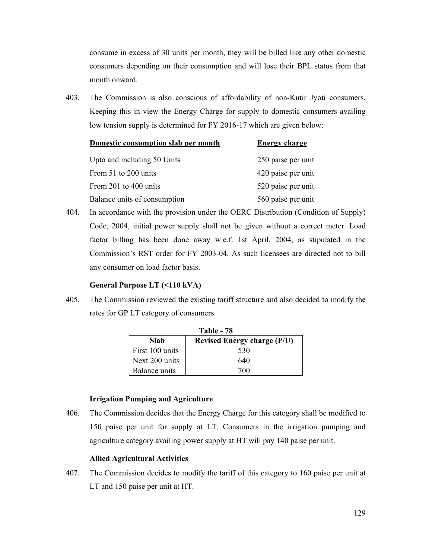consume in excess of 30 units per month, they will be billed like any other domestic consumers depending on their consumption and will lose their BPL status from that month onward.

403. The Commission is also conscious of affordability of non-Kutir Jyoti consumers. Keeping this in view the Energy Charge for supply to domestic consumers availing low tension supply is determined for FY 2016-17 which are given below:

| Domestic consumption slab per month | <b>Energy charge</b> |
|-------------------------------------|----------------------|
| Upto and including 50 Units         | 250 paise per unit   |
| From 51 to 200 units                | 420 paise per unit   |
| From 201 to 400 units               | 520 paise per unit   |
| Balance units of consumption        | 560 paise per unit   |

404. In accordance with the provision under the OERC Distribution (Condition of Supply) Code, 2004, initial power supply shall not be given without a correct meter. Load factor billing has been done away w.e.f. 1st April, 2004, as stipulated in the Commission's RST order for FY 2003-04. As such licensees are directed not to bill any consumer on load factor basis.

#### **General Purpose LT (<110 kVA)**

405. The Commission reviewed the existing tariff structure and also decided to modify the rates for GP LT category of consumers.

| <b>Table - 78</b>                                 |     |  |  |  |  |
|---------------------------------------------------|-----|--|--|--|--|
| <b>Slab</b><br><b>Revised Energy charge (P/U)</b> |     |  |  |  |  |
| First 100 units                                   | 530 |  |  |  |  |
| Next 200 units                                    | 640 |  |  |  |  |
| Balance units                                     | 700 |  |  |  |  |

#### **Irrigation Pumping and Agriculture**

406. The Commission decides that the Energy Charge for this category shall be modified to 150 paise per unit for supply at LT. Consumers in the irrigation pumping and agriculture category availing power supply at HT will pay 140 paise per unit.

#### **Allied Agricultural Activities**

407. The Commission decides to modify the tariff of this category to 160 paise per unit at LT and 150 paise per unit at HT.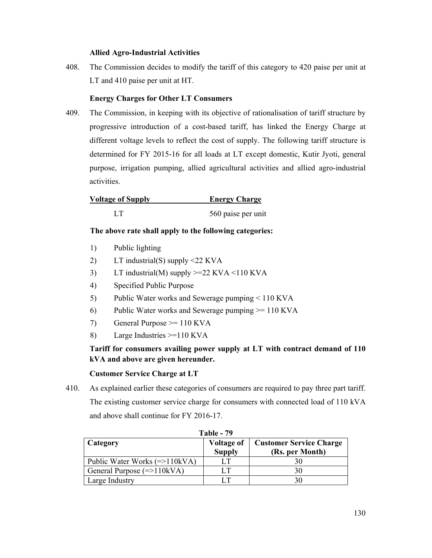#### **Allied Agro-Industrial Activities**

408. The Commission decides to modify the tariff of this category to 420 paise per unit at LT and 410 paise per unit at HT.

## **Energy Charges for Other LT Consumers**

409. The Commission, in keeping with its objective of rationalisation of tariff structure by progressive introduction of a cost-based tariff, has linked the Energy Charge at different voltage levels to reflect the cost of supply. The following tariff structure is determined for FY 2015-16 for all loads at LT except domestic, Kutir Jyoti, general purpose, irrigation pumping, allied agricultural activities and allied agro-industrial activities.

| <b>Voltage of Supply</b> | <b>Energy Charge</b> |
|--------------------------|----------------------|
| LТ                       | 560 paise per unit   |

## **The above rate shall apply to the following categories:**

- 1) Public lighting
- 2) LT industrial(S) supply <22 KVA
- 3) LT industrial(M) supply  $>=22$  KVA  $<$ 110 KVA
- 4) Specified Public Purpose
- 5) Public Water works and Sewerage pumping < 110 KVA
- 6) Public Water works and Sewerage pumping  $\ge$  110 KVA
- 7) General Purpose >= 110 KVA
- 8) Large Industries >=110 KVA

## **Tariff for consumers availing power supply at LT with contract demand of 110 kVA and above are given hereunder.**

#### **Customer Service Charge at LT**

410. As explained earlier these categories of consumers are required to pay three part tariff. The existing customer service charge for consumers with connected load of 110 kVA and above shall continue for FY 2016-17.

| Table - 79                      |                                    |                                                   |  |  |  |  |
|---------------------------------|------------------------------------|---------------------------------------------------|--|--|--|--|
| Category                        | <b>Voltage of</b><br><b>Supply</b> | <b>Customer Service Charge</b><br>(Rs. per Month) |  |  |  |  |
| Public Water Works $(=>110kVA)$ |                                    | 30                                                |  |  |  |  |
| General Purpose $(=>110kVA)$    | LТ                                 | 30                                                |  |  |  |  |
| Large Industry                  |                                    | 30                                                |  |  |  |  |

**Table - 79**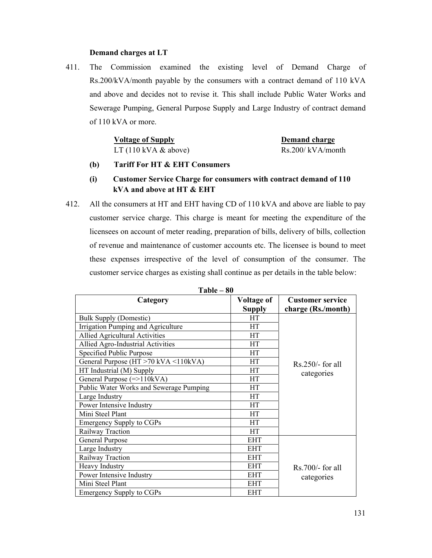#### **Demand charges at LT**

411. The Commission examined the existing level of Demand Charge of Rs.200/kVA/month payable by the consumers with a contract demand of 110 kVA and above and decides not to revise it. This shall include Public Water Works and Sewerage Pumping, General Purpose Supply and Large Industry of contract demand of 110 kVA or more.

## **Voltage of Supply Server Access 20 Server Access 20 Server Access 20 Server Access 20 Server Access 20 Server Access 20 Server Access 20 Server Access 20 Server Access 20 Server Access 20 Server Access 20 Server Access 20** LT  $(110 \text{ kVA} \& above)$  Rs.200/ kVA/month

## **(b) Tariff For HT & EHT Consumers**

## **(i) Customer Service Charge for consumers with contract demand of 110 kVA and above at HT & EHT**

412. All the consumers at HT and EHT having CD of 110 kVA and above are liable to pay customer service charge. This charge is meant for meeting the expenditure of the licensees on account of meter reading, preparation of bills, delivery of bills, collection of revenue and maintenance of customer accounts etc. The licensee is bound to meet these expenses irrespective of the level of consumption of the consumer. The customer service charges as existing shall continue as per details in the table below:

| Category                                | <b>Voltage of</b><br><b>Supply</b> | <b>Customer service</b><br>charge (Rs./month) |
|-----------------------------------------|------------------------------------|-----------------------------------------------|
| <b>Bulk Supply (Domestic)</b>           | <b>HT</b>                          |                                               |
| Irrigation Pumping and Agriculture      | HT                                 |                                               |
| Allied Agricultural Activities          | HT                                 |                                               |
| Allied Agro-Industrial Activities       | <b>HT</b>                          |                                               |
| Specified Public Purpose                | HT                                 |                                               |
| General Purpose (HT >70 kVA <110kVA)    | HT                                 | $Rs.250/-$ for all                            |
| HT Industrial (M) Supply                | HT                                 | categories                                    |
| General Purpose $(=>110kVA)$            | HT                                 |                                               |
| Public Water Works and Sewerage Pumping | HT                                 |                                               |
| Large Industry                          | HT                                 |                                               |
| Power Intensive Industry                | HT                                 |                                               |
| Mini Steel Plant                        | <b>HT</b>                          |                                               |
| <b>Emergency Supply to CGPs</b>         | HT                                 |                                               |
| Railway Traction                        | HT                                 |                                               |
| General Purpose                         | <b>EHT</b>                         |                                               |
| Large Industry                          | <b>EHT</b>                         |                                               |
| Railway Traction                        | <b>EHT</b>                         |                                               |
| Heavy Industry                          | <b>EHT</b>                         | $Rs.700/-$ for all                            |
| Power Intensive Industry                | <b>EHT</b>                         | categories                                    |
| Mini Steel Plant                        | <b>EHT</b>                         |                                               |
| <b>Emergency Supply to CGPs</b>         | <b>EHT</b>                         |                                               |

**Table – 80**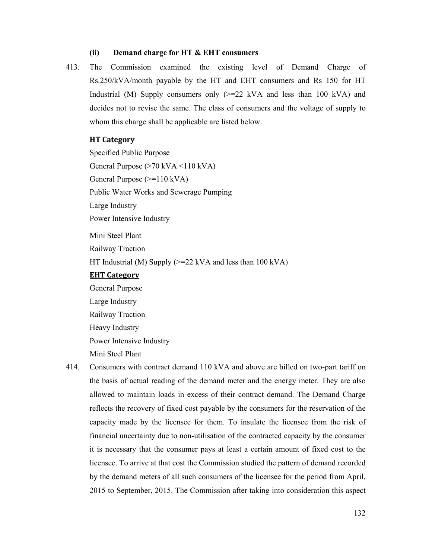#### **(ii) Demand charge for HT & EHT consumers**

413. The Commission examined the existing level of Demand Charge of Rs.250/kVA/month payable by the HT and EHT consumers and Rs 150 for HT Industrial (M) Supply consumers only  $\geq 22$  kVA and less than 100 kVA) and decides not to revise the same. The class of consumers and the voltage of supply to whom this charge shall be applicable are listed below.

## **HT Category**

Specified Public Purpose General Purpose (>70 kVA <110 kVA) General Purpose (>=110 kVA) Public Water Works and Sewerage Pumping Large Industry Power Intensive Industry Mini Steel Plant Railway Traction HT Industrial (M) Supply ( $>= 22$  kVA and less than 100 kVA) **EHT Category** General Purpose Large Industry

Railway Traction Heavy Industry Power Intensive Industry Mini Steel Plant

414. Consumers with contract demand 110 kVA and above are billed on two-part tariff on the basis of actual reading of the demand meter and the energy meter. They are also allowed to maintain loads in excess of their contract demand. The Demand Charge reflects the recovery of fixed cost payable by the consumers for the reservation of the capacity made by the licensee for them. To insulate the licensee from the risk of financial uncertainty due to non-utilisation of the contracted capacity by the consumer it is necessary that the consumer pays at least a certain amount of fixed cost to the licensee. To arrive at that cost the Commission studied the pattern of demand recorded by the demand meters of all such consumers of the licensee for the period from April, 2015 to September, 2015. The Commission after taking into consideration this aspect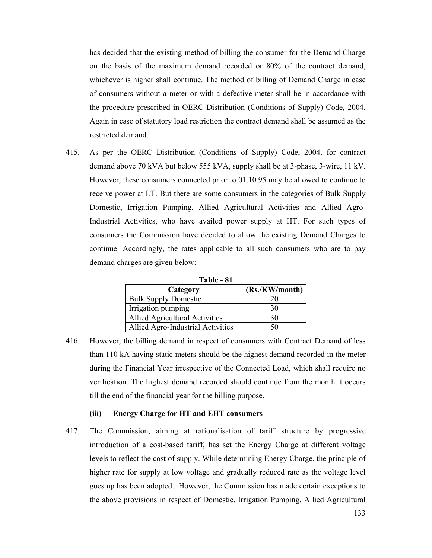has decided that the existing method of billing the consumer for the Demand Charge on the basis of the maximum demand recorded or 80% of the contract demand, whichever is higher shall continue. The method of billing of Demand Charge in case of consumers without a meter or with a defective meter shall be in accordance with the procedure prescribed in OERC Distribution (Conditions of Supply) Code, 2004. Again in case of statutory load restriction the contract demand shall be assumed as the restricted demand.

415. As per the OERC Distribution (Conditions of Supply) Code, 2004, for contract demand above 70 kVA but below 555 kVA, supply shall be at 3-phase, 3-wire, 11 kV. However, these consumers connected prior to 01.10.95 may be allowed to continue to receive power at LT. But there are some consumers in the categories of Bulk Supply Domestic, Irrigation Pumping, Allied Agricultural Activities and Allied Agro-Industrial Activities, who have availed power supply at HT. For such types of consumers the Commission have decided to allow the existing Demand Charges to continue. Accordingly, the rates applicable to all such consumers who are to pay demand charges are given below:

| Table - 81                            |                |  |  |  |  |  |  |
|---------------------------------------|----------------|--|--|--|--|--|--|
| Category                              | (Rs./KW/month) |  |  |  |  |  |  |
| <b>Bulk Supply Domestic</b>           | 20             |  |  |  |  |  |  |
| Irrigation pumping                    | 30             |  |  |  |  |  |  |
| <b>Allied Agricultural Activities</b> | 30             |  |  |  |  |  |  |
| Allied Agro-Industrial Activities     | 50             |  |  |  |  |  |  |

416. However, the billing demand in respect of consumers with Contract Demand of less than 110 kA having static meters should be the highest demand recorded in the meter during the Financial Year irrespective of the Connected Load, which shall require no verification. The highest demand recorded should continue from the month it occurs till the end of the financial year for the billing purpose.

#### **(iii) Energy Charge for HT and EHT consumers**

417. The Commission, aiming at rationalisation of tariff structure by progressive introduction of a cost-based tariff, has set the Energy Charge at different voltage levels to reflect the cost of supply. While determining Energy Charge, the principle of higher rate for supply at low voltage and gradually reduced rate as the voltage level goes up has been adopted. However, the Commission has made certain exceptions to the above provisions in respect of Domestic, Irrigation Pumping, Allied Agricultural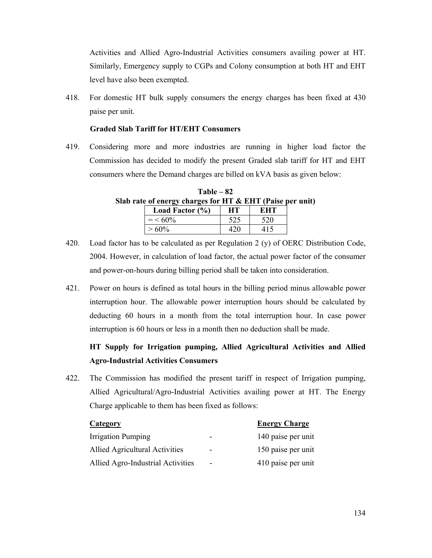Activities and Allied Agro-Industrial Activities consumers availing power at HT. Similarly, Emergency supply to CGPs and Colony consumption at both HT and EHT level have also been exempted.

418. For domestic HT bulk supply consumers the energy charges has been fixed at 430 paise per unit.

#### **Graded Slab Tariff for HT/EHT Consumers**

419. Considering more and more industries are running in higher load factor the Commission has decided to modify the present Graded slab tariff for HT and EHT consumers where the Demand charges are billed on kVA basis as given below:

**Table – 82 Slab rate of energy charges for HT & EHT (Paise per unit)**  Load Factor (%) **HT** EHT

|  | $=$ < 60% | 525 | 520 |                                                                                          |
|--|-----------|-----|-----|------------------------------------------------------------------------------------------|
|  | $> 60\%$  | 420 | 415 |                                                                                          |
|  |           |     |     | 420. Load factor has to be calculated as per Regulation 2 (y) of OERC Distribution Code, |

- 2004. However, in calculation of load factor, the actual power factor of the consumer and power-on-hours during billing period shall be taken into consideration.
- 421. Power on hours is defined as total hours in the billing period minus allowable power interruption hour. The allowable power interruption hours should be calculated by deducting 60 hours in a month from the total interruption hour. In case power interruption is 60 hours or less in a month then no deduction shall be made.

# **HT Supply for Irrigation pumping, Allied Agricultural Activities and Allied Agro-Industrial Activities Consumers**

422. The Commission has modified the present tariff in respect of Irrigation pumping, Allied Agricultural/Agro-Industrial Activities availing power at HT. The Energy Charge applicable to them has been fixed as follows:

| <b>Category</b>                   |                              | <b>Energy Charge</b> |
|-----------------------------------|------------------------------|----------------------|
| <b>Irrigation Pumping</b>         | $\overline{\phantom{0}}$     | 140 paise per unit   |
| Allied Agricultural Activities    | $\overline{\phantom{0}}$     | 150 paise per unit   |
| Allied Agro-Industrial Activities | $\qquad \qquad \blacksquare$ | 410 paise per unit   |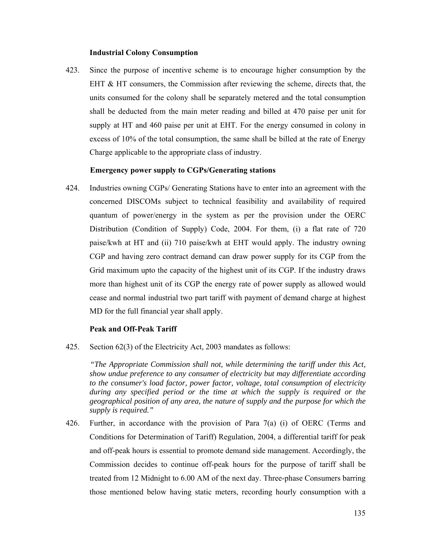#### **Industrial Colony Consumption**

423. Since the purpose of incentive scheme is to encourage higher consumption by the EHT & HT consumers, the Commission after reviewing the scheme, directs that, the units consumed for the colony shall be separately metered and the total consumption shall be deducted from the main meter reading and billed at 470 paise per unit for supply at HT and 460 paise per unit at EHT. For the energy consumed in colony in excess of 10% of the total consumption, the same shall be billed at the rate of Energy Charge applicable to the appropriate class of industry.

## **Emergency power supply to CGPs/Generating stations**

424. Industries owning CGPs/ Generating Stations have to enter into an agreement with the concerned DISCOMs subject to technical feasibility and availability of required quantum of power/energy in the system as per the provision under the OERC Distribution (Condition of Supply) Code, 2004. For them, (i) a flat rate of 720 paise/kwh at HT and (ii) 710 paise/kwh at EHT would apply. The industry owning CGP and having zero contract demand can draw power supply for its CGP from the Grid maximum upto the capacity of the highest unit of its CGP. If the industry draws more than highest unit of its CGP the energy rate of power supply as allowed would cease and normal industrial two part tariff with payment of demand charge at highest MD for the full financial year shall apply.

#### **Peak and Off-Peak Tariff**

425. Section 62(3) of the Electricity Act, 2003 mandates as follows:

 *"The Appropriate Commission shall not, while determining the tariff under this Act, show undue preference to any consumer of electricity but may differentiate according to the consumer's load factor, power factor, voltage, total consumption of electricity during any specified period or the time at which the supply is required or the geographical position of any area, the nature of supply and the purpose for which the supply is required."* 

426. Further, in accordance with the provision of Para 7(a) (i) of OERC (Terms and Conditions for Determination of Tariff) Regulation, 2004, a differential tariff for peak and off-peak hours is essential to promote demand side management. Accordingly, the Commission decides to continue off-peak hours for the purpose of tariff shall be treated from 12 Midnight to 6.00 AM of the next day. Three-phase Consumers barring those mentioned below having static meters, recording hourly consumption with a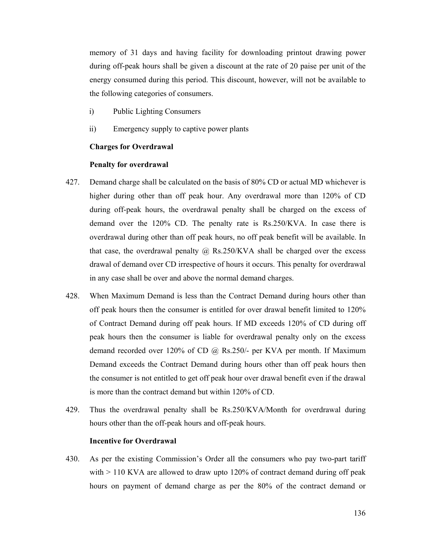memory of 31 days and having facility for downloading printout drawing power during off-peak hours shall be given a discount at the rate of 20 paise per unit of the energy consumed during this period. This discount, however, will not be available to the following categories of consumers.

- i) Public Lighting Consumers
- ii) Emergency supply to captive power plants

#### **Charges for Overdrawal**

#### **Penalty for overdrawal**

- 427. Demand charge shall be calculated on the basis of 80% CD or actual MD whichever is higher during other than off peak hour. Any overdrawal more than 120% of CD during off-peak hours, the overdrawal penalty shall be charged on the excess of demand over the 120% CD. The penalty rate is Rs.250/KVA. In case there is overdrawal during other than off peak hours, no off peak benefit will be available. In that case, the overdrawal penalty  $\omega$  Rs.250/KVA shall be charged over the excess drawal of demand over CD irrespective of hours it occurs. This penalty for overdrawal in any case shall be over and above the normal demand charges.
- 428. When Maximum Demand is less than the Contract Demand during hours other than off peak hours then the consumer is entitled for over drawal benefit limited to 120% of Contract Demand during off peak hours. If MD exceeds 120% of CD during off peak hours then the consumer is liable for overdrawal penalty only on the excess demand recorded over 120% of CD @ Rs.250/- per KVA per month. If Maximum Demand exceeds the Contract Demand during hours other than off peak hours then the consumer is not entitled to get off peak hour over drawal benefit even if the drawal is more than the contract demand but within 120% of CD.
- 429. Thus the overdrawal penalty shall be Rs.250/KVA/Month for overdrawal during hours other than the off-peak hours and off-peak hours.

#### **Incentive for Overdrawal**

430. As per the existing Commission's Order all the consumers who pay two-part tariff with  $> 110$  KVA are allowed to draw upto 120% of contract demand during off peak hours on payment of demand charge as per the 80% of the contract demand or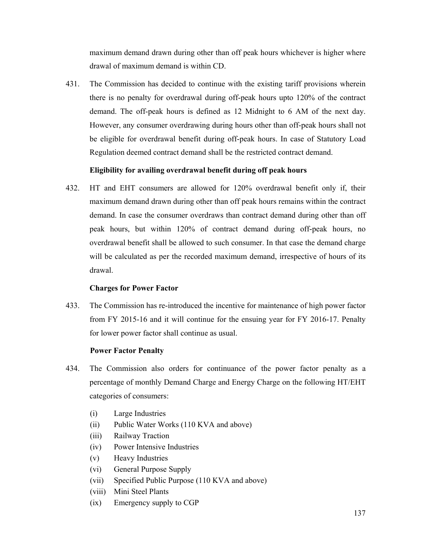maximum demand drawn during other than off peak hours whichever is higher where drawal of maximum demand is within CD.

431. The Commission has decided to continue with the existing tariff provisions wherein there is no penalty for overdrawal during off-peak hours upto 120% of the contract demand. The off-peak hours is defined as 12 Midnight to 6 AM of the next day. However, any consumer overdrawing during hours other than off-peak hours shall not be eligible for overdrawal benefit during off-peak hours. In case of Statutory Load Regulation deemed contract demand shall be the restricted contract demand.

## **Eligibility for availing overdrawal benefit during off peak hours**

432. HT and EHT consumers are allowed for 120% overdrawal benefit only if, their maximum demand drawn during other than off peak hours remains within the contract demand. In case the consumer overdraws than contract demand during other than off peak hours, but within 120% of contract demand during off-peak hours, no overdrawal benefit shall be allowed to such consumer. In that case the demand charge will be calculated as per the recorded maximum demand, irrespective of hours of its drawal.

#### **Charges for Power Factor**

433. The Commission has re-introduced the incentive for maintenance of high power factor from FY 2015-16 and it will continue for the ensuing year for FY 2016-17. Penalty for lower power factor shall continue as usual.

#### **Power Factor Penalty**

- 434. The Commission also orders for continuance of the power factor penalty as a percentage of monthly Demand Charge and Energy Charge on the following HT/EHT categories of consumers:
	- (i) Large Industries
	- (ii) Public Water Works (110 KVA and above)
	- (iii) Railway Traction
	- (iv) Power Intensive Industries
	- (v) Heavy Industries
	- (vi) General Purpose Supply
	- (vii) Specified Public Purpose (110 KVA and above)
	- (viii) Mini Steel Plants
	- (ix) Emergency supply to CGP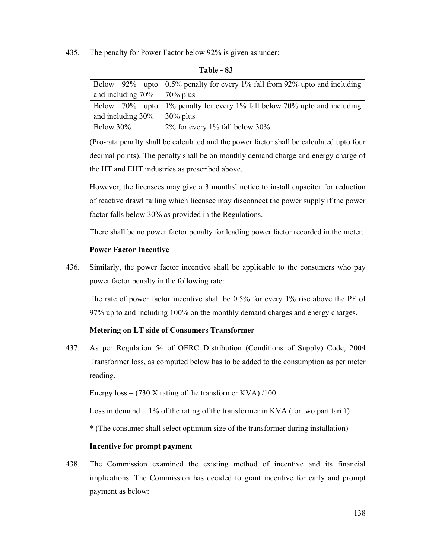435. The penalty for Power Factor below 92% is given as under:

|                                    | Below 92% upto $\vert 0.5\%$ penalty for every 1% fall from 92% upto and including |
|------------------------------------|------------------------------------------------------------------------------------|
| and including $70\%$   $70\%$ plus |                                                                                    |
|                                    | Below 70% upto 1% penalty for every 1% fall below 70% upto and including           |
| and including $30\%$               | $30\%$ plus                                                                        |
| Below 30%                          | $2\%$ for every 1% fall below 30%                                                  |

**Table - 83** 

(Pro-rata penalty shall be calculated and the power factor shall be calculated upto four decimal points). The penalty shall be on monthly demand charge and energy charge of the HT and EHT industries as prescribed above.

However, the licensees may give a 3 months' notice to install capacitor for reduction of reactive drawl failing which licensee may disconnect the power supply if the power factor falls below 30% as provided in the Regulations.

There shall be no power factor penalty for leading power factor recorded in the meter.

## **Power Factor Incentive**

436. Similarly, the power factor incentive shall be applicable to the consumers who pay power factor penalty in the following rate:

The rate of power factor incentive shall be 0.5% for every 1% rise above the PF of 97% up to and including 100% on the monthly demand charges and energy charges.

## **Metering on LT side of Consumers Transformer**

437. As per Regulation 54 of OERC Distribution (Conditions of Supply) Code, 2004 Transformer loss, as computed below has to be added to the consumption as per meter reading.

Energy  $loss = (730 \text{ X rating of the transformer KVA}) / 100$ .

Loss in demand  $= 1\%$  of the rating of the transformer in KVA (for two part tariff)

\* (The consumer shall select optimum size of the transformer during installation)

#### **Incentive for prompt payment**

438. The Commission examined the existing method of incentive and its financial implications. The Commission has decided to grant incentive for early and prompt payment as below: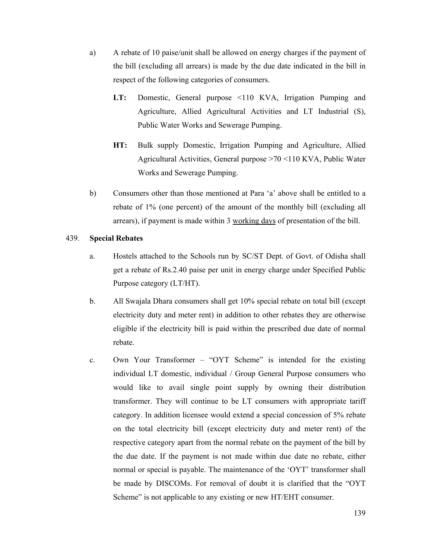- a) A rebate of 10 paise/unit shall be allowed on energy charges if the payment of the bill (excluding all arrears) is made by the due date indicated in the bill in respect of the following categories of consumers.
	- **LT:** Domestic, General purpose <110 KVA, Irrigation Pumping and Agriculture, Allied Agricultural Activities and LT Industrial (S), Public Water Works and Sewerage Pumping.
	- **HT:** Bulk supply Domestic, Irrigation Pumping and Agriculture, Allied Agricultural Activities, General purpose >70 <110 KVA, Public Water Works and Sewerage Pumping.
- b) Consumers other than those mentioned at Para 'a' above shall be entitled to a rebate of 1% (one percent) of the amount of the monthly bill (excluding all arrears), if payment is made within 3 working days of presentation of the bill.

#### 439. **Special Rebates**

- a. Hostels attached to the Schools run by SC/ST Dept. of Govt. of Odisha shall get a rebate of Rs.2.40 paise per unit in energy charge under Specified Public Purpose category (LT/HT).
- b. All Swajala Dhara consumers shall get 10% special rebate on total bill (except electricity duty and meter rent) in addition to other rebates they are otherwise eligible if the electricity bill is paid within the prescribed due date of normal rebate.
- c. Own Your Transformer "OYT Scheme" is intended for the existing individual LT domestic, individual / Group General Purpose consumers who would like to avail single point supply by owning their distribution transformer. They will continue to be LT consumers with appropriate tariff category. In addition licensee would extend a special concession of 5% rebate on the total electricity bill (except electricity duty and meter rent) of the respective category apart from the normal rebate on the payment of the bill by the due date. If the payment is not made within due date no rebate, either normal or special is payable. The maintenance of the 'OYT' transformer shall be made by DISCOMs. For removal of doubt it is clarified that the "OYT Scheme" is not applicable to any existing or new HT/EHT consumer.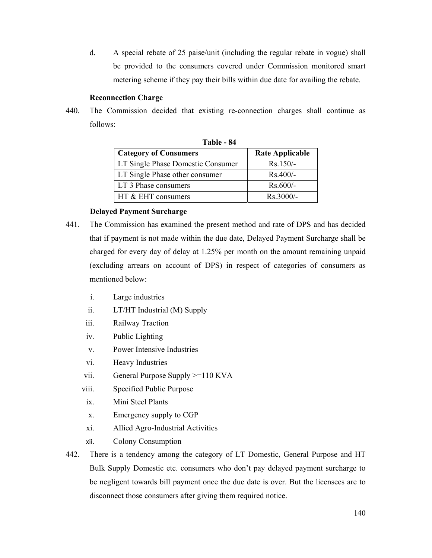d. A special rebate of 25 paise/unit (including the regular rebate in vogue) shall be provided to the consumers covered under Commission monitored smart metering scheme if they pay their bills within due date for availing the rebate.

#### **Reconnection Charge**

440. The Commission decided that existing re-connection charges shall continue as follows:

| Table - 84                        |                        |  |  |  |  |  |  |  |
|-----------------------------------|------------------------|--|--|--|--|--|--|--|
| <b>Category of Consumers</b>      | <b>Rate Applicable</b> |  |  |  |  |  |  |  |
| LT Single Phase Domestic Consumer | $Rs.150/-$             |  |  |  |  |  |  |  |
| LT Single Phase other consumer    | $Rs.400/-$             |  |  |  |  |  |  |  |
| LT 3 Phase consumers              | $Rs.600/-$             |  |  |  |  |  |  |  |
| HT & EHT consumers                | Rs.3000/-              |  |  |  |  |  |  |  |

## **Delayed Payment Surcharge**

- 441. The Commission has examined the present method and rate of DPS and has decided that if payment is not made within the due date, Delayed Payment Surcharge shall be charged for every day of delay at 1.25% per month on the amount remaining unpaid (excluding arrears on account of DPS) in respect of categories of consumers as mentioned below:
	- i. Large industries
	- ii. LT/HT Industrial (M) Supply
	- iii. Railway Traction
	- iv. Public Lighting
	- v. Power Intensive Industries
	- vi. Heavy Industries
	- vii. General Purpose Supply >=110 KVA
	- viii. Specified Public Purpose
	- ix. Mini Steel Plants
	- x. Emergency supply to CGP
	- xi. Allied Agro-Industrial Activities
	- xii. Colony Consumption
- 442. There is a tendency among the category of LT Domestic, General Purpose and HT Bulk Supply Domestic etc. consumers who don't pay delayed payment surcharge to be negligent towards bill payment once the due date is over. But the licensees are to disconnect those consumers after giving them required notice.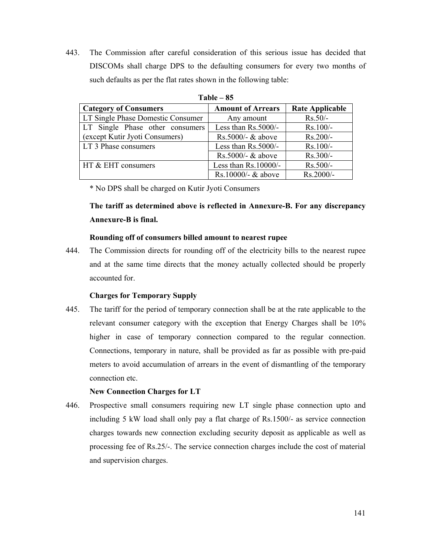443. The Commission after careful consideration of this serious issue has decided that DISCOMs shall charge DPS to the defaulting consumers for every two months of such defaults as per the flat rates shown in the following table:

| $\mathbf{u}$                      |                          |                        |  |  |  |  |  |  |
|-----------------------------------|--------------------------|------------------------|--|--|--|--|--|--|
| <b>Category of Consumers</b>      | <b>Amount of Arrears</b> | <b>Rate Applicable</b> |  |  |  |  |  |  |
| LT Single Phase Domestic Consumer | Any amount               | $Rs.50/-$              |  |  |  |  |  |  |
| LT Single Phase other consumers   | Less than Rs.5000/-      | Rs.100/-               |  |  |  |  |  |  |
| (except Kutir Jyoti Consumers)    | Rs.5000/- & above        | Rs.200/-               |  |  |  |  |  |  |
| LT 3 Phase consumers              | Less than Rs.5000/-      | Rs.100/-               |  |  |  |  |  |  |
|                                   | $Rs.5000/-$ & above      | $Rs.300/-$             |  |  |  |  |  |  |
| HT & EHT consumers                | Less than $Rs.10000/-$   | $Rs.500/-$             |  |  |  |  |  |  |
|                                   | Rs.10000/- $&$ above     | Rs.2000/-              |  |  |  |  |  |  |

**Table – 85** 

\* No DPS shall be charged on Kutir Jyoti Consumers

**The tariff as determined above is reflected in Annexure-B. For any discrepancy Annexure-B is final.**

#### **Rounding off of consumers billed amount to nearest rupee**

444. The Commission directs for rounding off of the electricity bills to the nearest rupee and at the same time directs that the money actually collected should be properly accounted for.

#### **Charges for Temporary Supply**

445. The tariff for the period of temporary connection shall be at the rate applicable to the relevant consumer category with the exception that Energy Charges shall be 10% higher in case of temporary connection compared to the regular connection. Connections, temporary in nature, shall be provided as far as possible with pre-paid meters to avoid accumulation of arrears in the event of dismantling of the temporary connection etc.

#### **New Connection Charges for LT**

446. Prospective small consumers requiring new LT single phase connection upto and including 5 kW load shall only pay a flat charge of Rs.1500/- as service connection charges towards new connection excluding security deposit as applicable as well as processing fee of Rs.25/-. The service connection charges include the cost of material and supervision charges.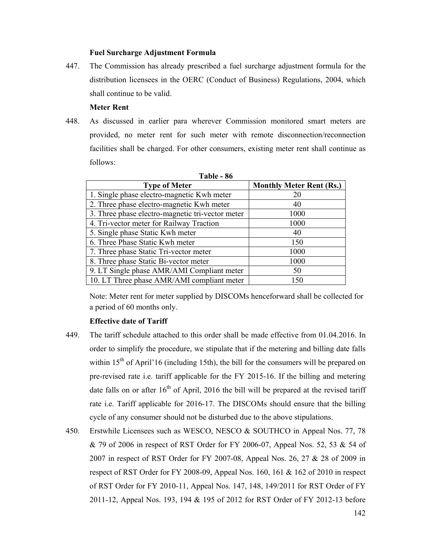#### **Fuel Surcharge Adjustment Formula**

447. The Commission has already prescribed a fuel surcharge adjustment formula for the distribution licensees in the OERC (Conduct of Business) Regulations, 2004, which shall continue to be valid.

#### **Meter Rent**

448. As discussed in earlier para wherever Commission monitored smart meters are provided, no meter rent for such meter with remote disconnection/reconnection facilities shall be charged. For other consumers, existing meter rent shall continue as follows:

| <b>Type of Meter</b>                             | <b>Monthly Meter Rent (Rs.)</b> |
|--------------------------------------------------|---------------------------------|
| 1. Single phase electro-magnetic Kwh meter       | 20                              |
| 2. Three phase electro-magnetic Kwh meter        | 40                              |
| 3. Three phase electro-magnetic tri-vector meter | 1000                            |
| 4. Tri-vector meter for Railway Traction         | 1000                            |
| 5. Single phase Static Kwh meter                 | 40                              |
| 6. Three Phase Static Kwh meter                  | 150                             |
| 7. Three phase Static Tri-vector meter           | 1000                            |
| 8. Three phase Static Bi-vector meter            | 1000                            |
| 9. LT Single phase AMR/AMI Compliant meter       | 50                              |
| 10. LT Three phase AMR/AMI compliant meter       | 150                             |

**Table - 86** 

Note: Meter rent for meter supplied by DISCOMs henceforward shall be collected for a period of 60 months only.

#### **Effective date of Tariff**

- 449. The tariff schedule attached to this order shall be made effective from 01.04.2016. In order to simplify the procedure, we stipulate that if the metering and billing date falls within  $15<sup>th</sup>$  of April'16 (including 15th), the bill for the consumers will be prepared on pre-revised rate i.e. tariff applicable for the FY 2015-16. If the billing and metering date falls on or after  $16<sup>th</sup>$  of April, 2016 the bill will be prepared at the revised tariff rate i.e. Tariff applicable for 2016-17. The DISCOMs should ensure that the billing cycle of any consumer should not be disturbed due to the above stipulations.
- 450. Erstwhile Licensees such as WESCO, NESCO & SOUTHCO in Appeal Nos. 77, 78 & 79 of 2006 in respect of RST Order for FY 2006-07, Appeal Nos. 52, 53 & 54 of 2007 in respect of RST Order for FY 2007-08, Appeal Nos. 26, 27 & 28 of 2009 in respect of RST Order for FY 2008-09, Appeal Nos. 160, 161 & 162 of 2010 in respect of RST Order for FY 2010-11, Appeal Nos. 147, 148, 149/2011 for RST Order of FY 2011-12, Appeal Nos. 193, 194 & 195 of 2012 for RST Order of FY 2012-13 before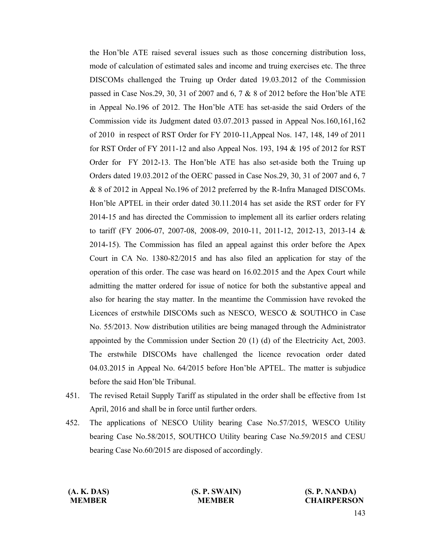the Hon'ble ATE raised several issues such as those concerning distribution loss, mode of calculation of estimated sales and income and truing exercises etc. The three DISCOMs challenged the Truing up Order dated 19.03.2012 of the Commission passed in Case Nos.29, 30, 31 of 2007 and 6, 7 & 8 of 2012 before the Hon'ble ATE in Appeal No.196 of 2012. The Hon'ble ATE has set-aside the said Orders of the Commission vide its Judgment dated 03.07.2013 passed in Appeal Nos.160,161,162 of 2010 in respect of RST Order for FY 2010-11,Appeal Nos. 147, 148, 149 of 2011 for RST Order of FY 2011-12 and also Appeal Nos. 193, 194 & 195 of 2012 for RST Order for FY 2012-13. The Hon'ble ATE has also set-aside both the Truing up Orders dated 19.03.2012 of the OERC passed in Case Nos.29, 30, 31 of 2007 and 6, 7 & 8 of 2012 in Appeal No.196 of 2012 preferred by the R-Infra Managed DISCOMs. Hon'ble APTEL in their order dated 30.11.2014 has set aside the RST order for FY 2014-15 and has directed the Commission to implement all its earlier orders relating to tariff (FY 2006-07, 2007-08, 2008-09, 2010-11, 2011-12, 2012-13, 2013-14 & 2014-15). The Commission has filed an appeal against this order before the Apex Court in CA No. 1380-82/2015 and has also filed an application for stay of the operation of this order. The case was heard on 16.02.2015 and the Apex Court while admitting the matter ordered for issue of notice for both the substantive appeal and also for hearing the stay matter. In the meantime the Commission have revoked the Licences of erstwhile DISCOMs such as NESCO, WESCO & SOUTHCO in Case No. 55/2013. Now distribution utilities are being managed through the Administrator appointed by the Commission under Section 20 (1) (d) of the Electricity Act, 2003. The erstwhile DISCOMs have challenged the licence revocation order dated 04.03.2015 in Appeal No. 64/2015 before Hon'ble APTEL. The matter is subjudice before the said Hon'ble Tribunal.

- 451. The revised Retail Supply Tariff as stipulated in the order shall be effective from 1st April, 2016 and shall be in force until further orders.
- 452. The applications of NESCO Utility bearing Case No.57/2015, WESCO Utility bearing Case No.58/2015, SOUTHCO Utility bearing Case No.59/2015 and CESU bearing Case No.60/2015 are disposed of accordingly.

 **(A. K. DAS) (S. P. SWAIN) (S. P. NANDA) MEMBER CHAIRPERSON**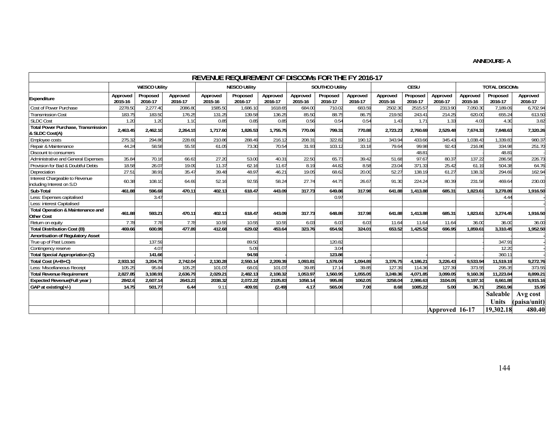#### **ANNEXURE- A**

| REVENUE REQUIREMENT OF DISCOMS FOR THE FY 2016-17           |                      |                     |                       |                      |                     |                     |                        |                     |                     |                     |                     |                     |                      |                     |                     |
|-------------------------------------------------------------|----------------------|---------------------|-----------------------|----------------------|---------------------|---------------------|------------------------|---------------------|---------------------|---------------------|---------------------|---------------------|----------------------|---------------------|---------------------|
|                                                             | <b>WESCO Utility</b> |                     |                       | <b>NESCO Utility</b> |                     |                     | <b>SOUTHCO Utility</b> |                     |                     | CESU                |                     |                     | <b>TOTAL DISCOMS</b> |                     |                     |
| <b>Expenditure</b>                                          | Approved<br>2015-16  | Proposed<br>2016-17 | Approved<br>2016-17   | Approved<br>2015-16  | Proposed<br>2016-17 | Approved<br>2016-17 | Approved<br>2015-16    | Proposed<br>2016-17 | Approved<br>2016-17 | Approved<br>2015-16 | Proposed<br>2016-17 | Approved<br>2016-17 | Approved<br>2015-16  | Proposed<br>2016-17 | Approved<br>2016-17 |
| Cost of Power Purchase                                      | 2278.50              | 2,277.40            | 2086.80               | 1585.50              | 1,686.10            | 1618.65             | 684.00                 | 710.02              | 683.59              | 2502.30             | 2515.57             | 2313.90             | 7,050.30             | 7,189.09            | 6,702.94            |
| <b>Transmission Cost</b>                                    | 183.75               | 183.50              | 176.25                | 131.25               | 139.58              | 136.25              | 85.50                  | 88.75               | 86.75               | 219.50              | 243.41              | 214.25              | 620.00               | 655.24              | 613.50              |
| <b>SLDC Cost</b>                                            | 1.20                 | 1.20                | 1.10                  | 0.85                 | 0.85                | 0.85                | 0.56                   | 0.54                | 0.54                | 1.43                | 1.71                | 1.33                | 4.03                 | 4.30                | 3.82                |
| <b>Total Power Purchase, Transmission</b><br>& SLDC Cost(A) | 2,463.45             | 2,462.10            | 2,264.15              | 1,717.60             | 1,826.53            | 1,755.75            | 770.06                 | 799.31              | 770.88              | 2,723.23            | 2,760.69            | 2,529.48            | 7,674.33             | 7,848.63            | 7,320.26            |
| Employee costs                                              | 275.32               | 294.86              | 228.69                | 210.86               | 288.49              | 216.12              | 208.31                 | 322.82              | 190.12              | 343.94              | 433.66              | 345.43              | 1,038.43             | 1.339.83            | 980.37              |
| Repair & Maintenance                                        | 44.24                | 58.58               | 55.55                 | 61.05                | 73.30               | 70.54               | 31.93                  | 103.12              | 33.18               | 79.64               | 99.98               | 92.43               | 216.86               | 334.98              | 251.70              |
| Discount to consumers                                       |                      |                     |                       |                      |                     |                     |                        |                     |                     |                     | 48.81               |                     |                      | 48.81               |                     |
| Administrative and General Expenses                         | 35.84                | 70.16               | 66.63                 | 27.20                | 53.00               | 40.31               | 22.5C                  | 65.73               | 39.42               | 51.68               | 97.67               | 80.37               | 137.22               | 286.56              | 226.7               |
| Provision for Bad & Doubtful Debts                          | 18.58                | 26.07               | 19.09                 | 11.37                | 62.16               | 11.67               | 8.19                   | 44.82               | 8.58                | 23.04               | 371.33              | 25.42               | 61.19                | 504.38              | 64.76               |
| <b>Depreciation</b>                                         | 27.5                 | 38.91               | 35.4                  | 39.48                | 48.97               | 46.21               | 19.05                  | 68.62               | 20.00               | 52.27               | 138.19              | 61.27               | 138.32               | 294.69              | 162.94              |
| Interest Chargeable to Revenue<br>including Interest on S.D | 60.38                | 108.10              | 64.69                 | 52.16                | 92.55               | 58.24               | 27.74                  | 44.75               | 26.67               | 91.30               | 224.24              | 80.39               | 231.58               | 469.64              | 230.00              |
| Sub-Total                                                   | 461.88               | 596.68              | 470.11                | 402.13               | 618.47              | 443.09              | 317.73                 | 649.86              | 317.98              | 641.88              | .413.88             | 685.31              | 1,823.61             | 3,278.89            | 1,916.50            |
| Less: Expenses capitalised                                  |                      | 3.47                |                       |                      |                     |                     |                        | 0.97                |                     |                     |                     |                     |                      | 4.44                |                     |
| Less: interest Capitalised                                  |                      |                     |                       |                      |                     |                     |                        |                     |                     |                     |                     |                     |                      |                     |                     |
| Total Operation & Maintenance and<br>Other Cost             | 461.88               | 593.21              | 470.11                | 402.13               | 618.47              | 443.09              | 317.73                 | 648.89              | 317.98              | 641.88              | 1.413.88            | 685.31              | 1.823.61             | 3,274.45            | 1,916.50            |
| Return on equity                                            | 7.78                 | 7.78                | 7.78                  | 10.5!                | 10.55               | 10.55               | 6.03                   | 6.03                | 6.03                | 11.64               | 11.64               | 11.64               | 36.00                | 36.00               | 36.00               |
| <b>Total Distribution Cost (B)</b>                          | 469.66               | 600.99              | 477.89                | 412.68               | 629.02              | 453.64              | 323.76                 | 654.92              | 324.01              | 653.52              | .425.52             | 696.95              | 1.859.61             | 3.310.45            | 1.952.50            |
| Amortisation of Regulatory Asset                            |                      |                     |                       |                      |                     |                     |                        |                     |                     |                     |                     |                     |                      |                     |                     |
| True up of Past Losses                                      |                      | 137.59              |                       |                      | 89.50               |                     |                        | 120.82              |                     |                     |                     |                     |                      | 347.91              |                     |
| Contingency reserve                                         |                      | 4.0                 |                       |                      | 5.09                |                     |                        | 3.04                |                     |                     |                     |                     |                      | 12.20               |                     |
| <b>Total Special Appropriation (C)</b>                      |                      | 141.66              |                       |                      | 94.59               |                     |                        | 123.86              |                     |                     |                     |                     |                      | 360.11              |                     |
| Total Cost (A+B+C)                                          | 2,933.10             | 3,204.75            | 2.742.04              | 2,130.28             | 2,550.14            | 2,209.39            | 1,093.8                | 1,578.09            | 1,094.89            | 3,376.75            | 4.186.21            | 3,226.43            | 9,533.94             | 11.519.19           | 9,272.76            |
| Less: Miscellaneous Receipt                                 | 105.25               | 95.84               | 105.25                | 101.07               | 68.01               | 101.0               | 39.85                  | 17.14               | 39.85               | 127.39              | 114.36              | 127.39              | 373.55               | 295.35              | 373.55              |
| <b>Total Revenue Requirement</b>                            | 2,827.85             | 3,108.91            | $2,636.\overline{79}$ | 2,029.21             | 2,482.13            | 2,108.32            | 1,053.97               | 1,560.95            | 1,055.05            | 3.249.36            | 4,071.85            | 3.099.05            | 9,160.39             | 11,223.84           | 8,899.2             |
| <b>Expected Revenue(Full year)</b>                          | 2842.                | 2,607.14            | 2643.23               | 2038.32              | 2,072.22            | 2105.83             | 1058.14                | 995.89              | 1062.05             | 3258.04             | 2,986.63            | 3104.05             | 9,197.10             | 8,661.88            | 8,915.16            |
| GAP at existing(+/-)                                        | 14.75                | 501.77              | 6.44                  | 9.11                 | 409.91              | (2.49)              | 4.17                   | 565.06              | 7.00                | 8.68                | 1085.22             | 5.00                | 36.71                | 2561.96             | 15.95               |
|                                                             |                      |                     |                       |                      |                     |                     |                        |                     |                     |                     |                     |                     |                      | Saleable            | Avg cost            |
|                                                             |                      |                     |                       |                      |                     |                     |                        |                     |                     |                     |                     |                     |                      | Units               | (paisa/unit)        |
|                                                             |                      |                     |                       |                      |                     |                     |                        |                     |                     |                     | Approved 16-17      |                     | 19,302.18            | 480.40              |                     |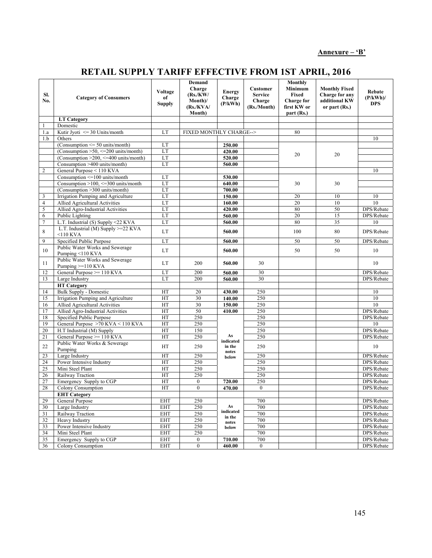## **Annexure – 'B'**

## **RETAIL SUPPLY TARIFF EFFECTIVE FROM 1ST APRIL, 2016**

| SI.<br>No.     | <b>Category of Consumers</b>                                                  | Voltage<br>of<br><b>Supply</b> | Demand<br>Charge<br>(Rs/KW)<br>Month)/<br>(Rs./KVA/<br>Month) | <b>Energy</b><br>Charge<br>(P/kWh) | Customer<br><b>Service</b><br>Charge<br>(Rs./Month) | <b>Monthly</b><br>Minimum<br>Fixed<br><b>Charge for</b><br>first KW or<br>part (Rs.) | <b>Monthly Fixed</b><br>Charge for any<br>additional KW<br>or part (Rs.) | Rebate<br>$(P/kWh)$ /<br><b>DPS</b> |
|----------------|-------------------------------------------------------------------------------|--------------------------------|---------------------------------------------------------------|------------------------------------|-----------------------------------------------------|--------------------------------------------------------------------------------------|--------------------------------------------------------------------------|-------------------------------------|
|                | <b>LT Category</b>                                                            |                                |                                                               |                                    |                                                     |                                                                                      |                                                                          |                                     |
| 1              | Domestic                                                                      |                                |                                                               |                                    |                                                     |                                                                                      |                                                                          |                                     |
| 1.a            | Kutir Jyoti $\leq$ 30 Units/month                                             | LT                             | FIXED MONTHLY CHARGE-->                                       |                                    |                                                     | 80                                                                                   |                                                                          |                                     |
| 1.b            | Others                                                                        |                                |                                                               |                                    |                                                     |                                                                                      |                                                                          | 10                                  |
|                | (Consumption $\leq$ 50 units/month)                                           | LT                             |                                                               | 250.00                             |                                                     |                                                                                      |                                                                          |                                     |
|                | (Consumption $>50$ , $\leq$ 200 units/month)                                  | LT                             |                                                               | 420.00                             |                                                     | 20                                                                                   | 20                                                                       |                                     |
|                | (Consumption $>200$ , $\leq$ =400 units/month)                                | LT                             |                                                               | 520.00                             |                                                     |                                                                                      |                                                                          |                                     |
|                | Consumption >400 units/month)                                                 | LT                             |                                                               | 560.00                             |                                                     |                                                                                      |                                                                          |                                     |
| $\overline{2}$ | General Purpose < 110 KVA                                                     |                                |                                                               |                                    |                                                     |                                                                                      |                                                                          | 10                                  |
|                | Consumption <= 100 units/month<br>Consumption $>100$ , $\leq=300$ units/month | LT                             |                                                               | 530.00                             |                                                     |                                                                                      |                                                                          |                                     |
|                | (Consumption >300 units/month)                                                | LT<br>LT                       |                                                               | 640.00<br>700.00                   |                                                     | 30                                                                                   | 30                                                                       |                                     |
| 3              | Irrigation Pumping and Agriculture                                            | LT                             |                                                               | 150.00                             |                                                     | 20                                                                                   | 10                                                                       | 10                                  |
| $\overline{4}$ | <b>Allied Agricultural Activities</b>                                         | LT                             |                                                               | 160.00                             |                                                     | 20                                                                                   | 10                                                                       | 10                                  |
| 5              | Allied Agro-Industrial Activities                                             | LT                             |                                                               | 420.00                             |                                                     | 80                                                                                   | 50                                                                       | DPS/Rebate                          |
| 6              | Public Lighting                                                               | LT                             |                                                               | 560.00                             |                                                     | 20                                                                                   | 15                                                                       | DPS/Rebate                          |
| $\overline{7}$ | L.T. Industrial (S) Supply <22 KVA                                            | LT                             |                                                               | 560.00                             |                                                     | 80                                                                                   | $\overline{35}$                                                          | 10                                  |
|                | L.T. Industrial (M) Supply >=22 KVA                                           |                                |                                                               |                                    |                                                     |                                                                                      |                                                                          |                                     |
| 8              | $<$ 10 KVA                                                                    | LT                             |                                                               | 560.00                             |                                                     | 100                                                                                  | 80                                                                       | DPS/Rebate                          |
| 9              | Specified Public Purpose                                                      | LT                             |                                                               | 560.00                             |                                                     | 50                                                                                   | 50                                                                       | DPS/Rebate                          |
| 10             | Public Water Works and Sewerage<br>Pumping <110 KVA                           | LT                             |                                                               | 560.00                             |                                                     | 50                                                                                   | 50                                                                       | 10                                  |
| 11             | Public Water Works and Sewerage<br>Pumping >=110 KVA                          | <b>LT</b>                      | 200                                                           | 560.00                             | 30                                                  |                                                                                      |                                                                          | 10                                  |
| 12             | General Purpose >= 110 KVA                                                    | LT                             | 200                                                           | 560.00                             | 30                                                  |                                                                                      |                                                                          | DPS/Rebate                          |
| 13             | Large Industry                                                                | LT                             | 200                                                           | 560.00                             | 30                                                  |                                                                                      |                                                                          | DPS/Rebate                          |
|                | <b>HT</b> Category                                                            |                                |                                                               |                                    |                                                     |                                                                                      |                                                                          |                                     |
| 14             | <b>Bulk Supply - Domestic</b>                                                 | HT                             | 20                                                            | 430.00                             | 250                                                 |                                                                                      |                                                                          | 10                                  |
| 15             | Irrigation Pumping and Agriculture                                            | HT                             | 30                                                            | 140.00                             | 250                                                 |                                                                                      |                                                                          | 10                                  |
| 16             | Allied Agricultural Activities                                                | HT                             | 30                                                            | 150.00                             | 250                                                 |                                                                                      |                                                                          | 10                                  |
| 17             | Allied Agro-Industrial Activities                                             | HT                             | 50                                                            | 410.00                             | 250                                                 |                                                                                      |                                                                          | DPS/Rebate                          |
| 18             | Specified Public Purpose                                                      | HT                             | 250                                                           |                                    | 250                                                 |                                                                                      |                                                                          | DPS/Rebate                          |
| 19             | General Purpose >70 KVA < 110 KVA                                             | HT                             | 250                                                           |                                    | 250                                                 |                                                                                      |                                                                          | 10                                  |
| 20             | H.T Industrial (M) Supply                                                     | HT                             | 150                                                           |                                    | 250                                                 |                                                                                      |                                                                          | DPS/Rebate                          |
| 21             | General Purpose >= 110 KVA                                                    | HT                             | 250                                                           | As<br>indicated                    | 250                                                 |                                                                                      |                                                                          | DPS/Rebate                          |
| 22             | Public Water Works & Sewerage<br>Pumping                                      | HT                             | 250                                                           | in the<br>notes                    | 250                                                 |                                                                                      |                                                                          | 10                                  |
| 23             | Large Industry                                                                | HT                             | 250                                                           | below                              | 250                                                 |                                                                                      |                                                                          | DPS/Rebate                          |
| 24             | Power Intensive Industry                                                      | HT                             | 250                                                           |                                    | 250                                                 |                                                                                      |                                                                          | DPS/Rebate                          |
| 25             | Mini Steel Plant                                                              | HT                             | 250                                                           |                                    | 250                                                 |                                                                                      |                                                                          | DPS/Rebate                          |
| 26             | Railway Traction                                                              | HT                             | 250                                                           |                                    | 250                                                 |                                                                                      |                                                                          | DPS/Rebate                          |
| 27             | Emergency Supply to CGP                                                       | HT                             | $\boldsymbol{0}$                                              | 720.00                             | 250                                                 |                                                                                      |                                                                          | DPS/Rebate                          |
| 28             | Colony Consumption                                                            | HT                             | $\overline{0}$                                                | 470.00                             | $\overline{0}$                                      |                                                                                      |                                                                          | DPS/Rebate                          |
|                | <b>EHT Category</b>                                                           |                                |                                                               |                                    |                                                     |                                                                                      |                                                                          |                                     |
| 29             | General Purpose                                                               | <b>EHT</b>                     | 250                                                           |                                    | 700                                                 |                                                                                      |                                                                          | DPS/Rebate                          |
| 30             | Large Industry                                                                | <b>EHT</b>                     | 250                                                           | As                                 | 700                                                 |                                                                                      |                                                                          | DPS/Rebate                          |
| 31             | Railway Traction                                                              | <b>EHT</b>                     | 250                                                           | indicated<br>in the                | 700                                                 |                                                                                      |                                                                          | DPS/Rebate                          |
| 32             | Heavy Industry                                                                | <b>EHT</b>                     | 250                                                           | notes                              | 700                                                 |                                                                                      |                                                                          | DPS/Rebate                          |
| 33             | Power Intensive Industry                                                      | EHT                            | 250                                                           | below                              | 700                                                 |                                                                                      |                                                                          | DPS/Rebate                          |
| 34             | Mini Steel Plant                                                              | <b>EHT</b>                     | 250                                                           |                                    | 700                                                 |                                                                                      |                                                                          | DPS/Rebate                          |
| 35             | Emergency Supply to CGP                                                       | <b>EHT</b>                     | $\boldsymbol{0}$                                              | 710.00                             | 700                                                 |                                                                                      |                                                                          | DPS/Rebate                          |
| 36             | Colony Consumption                                                            | <b>EHT</b>                     | $\boldsymbol{0}$                                              | 460.00                             | $\boldsymbol{0}$                                    |                                                                                      |                                                                          | DPS/Rebate                          |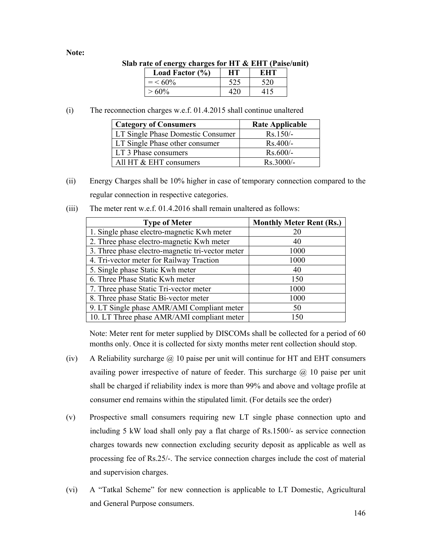## **Note:**

| $\sigma$ rate of energy charges for $\pi$ 1 $\alpha$ $\epsilon$ $\pi$ 1 (ratse/un |                     |     |            |  |  |  |
|-----------------------------------------------------------------------------------|---------------------|-----|------------|--|--|--|
|                                                                                   | Load Factor $(\% )$ | HT. | <b>EHT</b> |  |  |  |
|                                                                                   | $=$ < 60\%          | 525 | 520        |  |  |  |
|                                                                                   | $>60\%$             |     |            |  |  |  |

## **Slab rate of energy charges for HT & EHT (Paise/unit)**

(i) The reconnection charges w.e.f. 01.4.2015 shall continue unaltered

| <b>Category of Consumers</b>      | <b>Rate Applicable</b> |  |  |
|-----------------------------------|------------------------|--|--|
| LT Single Phase Domestic Consumer | $Rs.150/-$             |  |  |
| LT Single Phase other consumer    | $Rs.400/-$             |  |  |
| LT 3 Phase consumers              | $Rs.600/-$             |  |  |
| All HT & EHT consumers            | $Rs$ 3000/-            |  |  |

- (ii) Energy Charges shall be 10% higher in case of temporary connection compared to the regular connection in respective categories.
- (iii) The meter rent w.e.f. 01.4.2016 shall remain unaltered as follows:

| <b>Type of Meter</b>                             | <b>Monthly Meter Rent (Rs.)</b> |
|--------------------------------------------------|---------------------------------|
| 1. Single phase electro-magnetic Kwh meter       | 20                              |
| 2. Three phase electro-magnetic Kwh meter        | 40                              |
| 3. Three phase electro-magnetic tri-vector meter | 1000                            |
| 4. Tri-vector meter for Railway Traction         | 1000                            |
| 5. Single phase Static Kwh meter                 | 40                              |
| 6. Three Phase Static Kwh meter                  | 150                             |
| 7. Three phase Static Tri-vector meter           | 1000                            |
| 8. Three phase Static Bi-vector meter            | 1000                            |
| 9. LT Single phase AMR/AMI Compliant meter       | 50                              |
| 10. LT Three phase AMR/AMI compliant meter       | 150                             |

Note: Meter rent for meter supplied by DISCOMs shall be collected for a period of 60 months only. Once it is collected for sixty months meter rent collection should stop.

- (iv) A Reliability surcharge  $\omega$  10 paise per unit will continue for HT and EHT consumers availing power irrespective of nature of feeder. This surcharge  $\omega$  10 paise per unit shall be charged if reliability index is more than 99% and above and voltage profile at consumer end remains within the stipulated limit. (For details see the order)
- (v) Prospective small consumers requiring new LT single phase connection upto and including 5 kW load shall only pay a flat charge of Rs.1500/- as service connection charges towards new connection excluding security deposit as applicable as well as processing fee of Rs.25/-. The service connection charges include the cost of material and supervision charges.
- (vi) A "Tatkal Scheme" for new connection is applicable to LT Domestic, Agricultural and General Purpose consumers.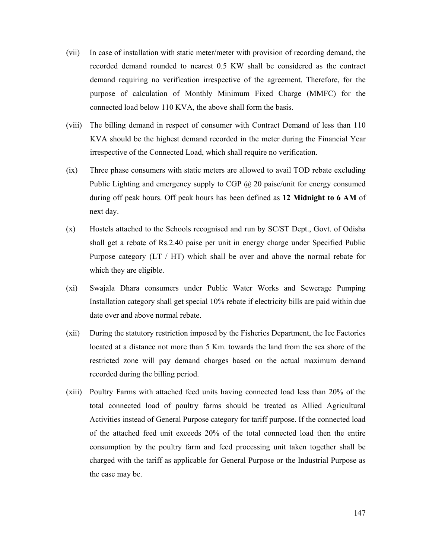- (vii) In case of installation with static meter/meter with provision of recording demand, the recorded demand rounded to nearest 0.5 KW shall be considered as the contract demand requiring no verification irrespective of the agreement. Therefore, for the purpose of calculation of Monthly Minimum Fixed Charge (MMFC) for the connected load below 110 KVA, the above shall form the basis.
- (viii) The billing demand in respect of consumer with Contract Demand of less than 110 KVA should be the highest demand recorded in the meter during the Financial Year irrespective of the Connected Load, which shall require no verification.
- (ix) Three phase consumers with static meters are allowed to avail TOD rebate excluding Public Lighting and emergency supply to CGP @ 20 paise/unit for energy consumed during off peak hours. Off peak hours has been defined as **12 Midnight to 6 AM** of next day.
- (x) Hostels attached to the Schools recognised and run by SC/ST Dept., Govt. of Odisha shall get a rebate of Rs.2.40 paise per unit in energy charge under Specified Public Purpose category (LT / HT) which shall be over and above the normal rebate for which they are eligible.
- (xi) Swajala Dhara consumers under Public Water Works and Sewerage Pumping Installation category shall get special 10% rebate if electricity bills are paid within due date over and above normal rebate.
- (xii) During the statutory restriction imposed by the Fisheries Department, the Ice Factories located at a distance not more than 5 Km. towards the land from the sea shore of the restricted zone will pay demand charges based on the actual maximum demand recorded during the billing period.
- (xiii) Poultry Farms with attached feed units having connected load less than 20% of the total connected load of poultry farms should be treated as Allied Agricultural Activities instead of General Purpose category for tariff purpose. If the connected load of the attached feed unit exceeds 20% of the total connected load then the entire consumption by the poultry farm and feed processing unit taken together shall be charged with the tariff as applicable for General Purpose or the Industrial Purpose as the case may be.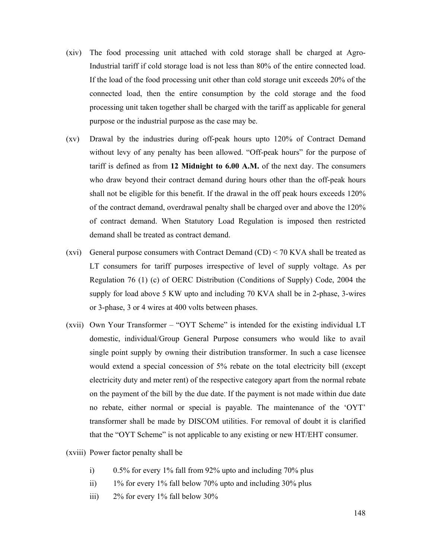- (xiv) The food processing unit attached with cold storage shall be charged at Agro-Industrial tariff if cold storage load is not less than 80% of the entire connected load. If the load of the food processing unit other than cold storage unit exceeds 20% of the connected load, then the entire consumption by the cold storage and the food processing unit taken together shall be charged with the tariff as applicable for general purpose or the industrial purpose as the case may be.
- (xv) Drawal by the industries during off-peak hours upto 120% of Contract Demand without levy of any penalty has been allowed. "Off-peak hours" for the purpose of tariff is defined as from **12 Midnight to 6.00 A.M.** of the next day. The consumers who draw beyond their contract demand during hours other than the off-peak hours shall not be eligible for this benefit. If the drawal in the off peak hours exceeds 120% of the contract demand, overdrawal penalty shall be charged over and above the 120% of contract demand. When Statutory Load Regulation is imposed then restricted demand shall be treated as contract demand.
- (xvi) General purpose consumers with Contract Demand  $(CD) < 70$  KVA shall be treated as LT consumers for tariff purposes irrespective of level of supply voltage. As per Regulation 76 (1) (c) of OERC Distribution (Conditions of Supply) Code, 2004 the supply for load above 5 KW upto and including 70 KVA shall be in 2-phase, 3-wires or 3-phase, 3 or 4 wires at 400 volts between phases.
- (xvii) Own Your Transformer "OYT Scheme" is intended for the existing individual LT domestic, individual/Group General Purpose consumers who would like to avail single point supply by owning their distribution transformer. In such a case licensee would extend a special concession of 5% rebate on the total electricity bill (except electricity duty and meter rent) of the respective category apart from the normal rebate on the payment of the bill by the due date. If the payment is not made within due date no rebate, either normal or special is payable. The maintenance of the 'OYT' transformer shall be made by DISCOM utilities. For removal of doubt it is clarified that the "OYT Scheme" is not applicable to any existing or new HT/EHT consumer.
- (xviii) Power factor penalty shall be
	- i)  $0.5\%$  for every 1% fall from 92% upto and including 70% plus
	- ii) 1% for every 1% fall below 70% upto and including 30% plus
	- iii)  $2\%$  for every 1% fall below 30%